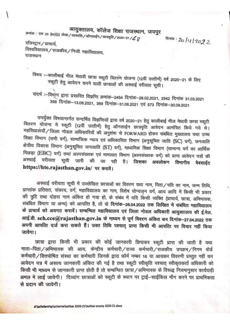## आयुक्तालय, कॉलेज शिक्षा राजस्थान, जयपुर

क्रमांक : एफ 23 (80)(3) लेखा / आकाशि / ऑनलाईन / छात्रवृति / 2020–21 /  ${\cal L}$   ${\cal Q}$ 

क्षितंक: 20/4/2022

रजिस्ट्रार / प्राचार्य.

विश्वविद्यालय / राजकीय / निजी महाविद्यालय, राजस्थान

विषय :- कालीबाई भील मेघावी छात्रा स्कूटी वितरण योजना (12वीं उत्तीर्ण) वर्ष 2020-21 के लिए स्कूटी हेतु आवेदन करने वाली छात्राओं की अस्थाई वरीयता सूची।

संदर्भ :--विभाग द्वारा प्रसारित विज्ञप्ति क्रमांक-2454 दिनांक-26.02.2021, 2542 दिनांक 31.03.2021 358 दिनांक-13.08.2021, 389 दिनांक-31.08.2021 एवं 573 दिनांक-30.09.2021

उपर्युक्त विषयान्तर्गत सन्दर्भित विज्ञप्तियों द्वारा वर्ष 2020–21 हेतु कालीबाई भील मेघावी छात्रा स्कूटी वितरण योजना में स्कूटी (12वीं उत्तीर्ण) हेतु ऑनलाईन छात्रवृति आवेदन आमंत्रित किये गये थे। महविद्यालयों / जिला नोडल अधिकारियों की अनुशंषा से FORWARD होकर संबंधित मुख्यालय यथा उच्च शिक्षा विमाग (सभी वर्ग), सामाजिक न्याय एवं अधिकारिता विमाग (अनुसूचित जाति (SC) वर्ग), जनजाति क्षेत्रीय विकास विभाग (अनुसूचित जनजाति (ST) वर्ग), माध्यमिक शिक्षा विभाग (सामान्य वर्ग का आर्थिक पिछड़ा (EBC) वर्ग) तथां अल्पसंख्यक एवं मामलात विभाग (अल्पसंख्यक वर्ग) को प्राप्त आवेदन पत्रों की अस्थाई वरीयता सूची जारी की जा रही है। जिसका अवलोकन विमागीय वेबसाईट https://hte.rajasthan.gov.in/ पर करावें।

अस्थाई वरीयता सूची में उल्लेखित छात्राओं का विवरण यथा नाम, पिता/पति का नाम, जन्म तिथि, प्राप्तांक प्रतिशत, संकाय, वर्ग, महाविद्यालय का नाम, विशेष योग्यजन वर्ग, आय आदि में किसी भी प्रकार की त्रुटि तथा दोहरा नाम अंकित हो गया हो, के संबंध में यदि किसी व्यक्ति (प्राचार्य, छात्रा, अभिभावक, संबंधित विभाग या अन्य) को आपत्ति है, तो वो दिनांक-26.04.2022 तक लिखित में संबंधित महाविद्यालय के प्राचार्य को अवगत करावें। सम्बन्धित महाविद्यालय एवं जिला नोडल अधिकारी आयुक्तालय की ई.मेल. आई.डी. sch.cce@rajasthan.gov.in के माध्यम से पूर्ण विवरण अंकित कर दिनांक-27.04.2022 तक अपनी आपत्ति दर्ज करा सकते हैं। उक्त तिथि पश्चात् प्राप्त किसी भी आपत्ति पर विचार नहीं किया जावेगा।

छात्रा द्वारा किसी भी प्रकार की कोई जानकारी छिपाकर स्कूटी प्राप्त की जाती है यथा माता-पिता / अभिभावक की आय, केन्द्रीय कर्मचारी / राज्य कर्मचारी / राजकीय उपक्रम / निगम बोर्ड कर्मचारी/वित्तपोषित संस्था का कर्मचारी जिनके द्वारा फॉर्म नम्बर 16 या आयकर विवरणी प्रस्तुत नहीं कर आवेदन पत्र में असत्य जानकारी अंकित की गई है तथा स्कूटी स्वीकृति पश्चात स्वीकतकर्ता अधिकारी को किसी भी माध्यम से जानकारी प्राप्त होती है तो सम्बन्धित छात्रा/अभिभावक के विरूद्ध नियमानुसार कार्यवाही अमल मे लाई जावेगी। दिव्यांग छात्राओं को स्कटी के स्थान पर टाई-साईकिल माँग करने पर प्राथमिकता से पदान की जावेगी।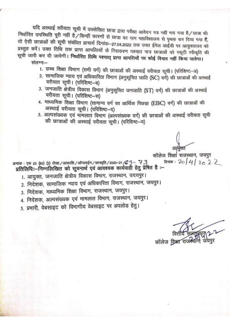यदि अस्थाई वरीयता सूची में उल्लेखित छात्रा द्वारा परीक्षा आवेदन पत्र नहीं भरा गया है/छात्रा की निर्धारित उपस्थिति पूरी नहीं है/किन्हीं कारणों से छात्रा का नाम महाविद्यालय से पृथक कर दिया गया हैं, तो ऐसी छात्राओं की सूची संबंधित प्राचार्य दिनांक-27.04.2022 तक उक्त ईमेल आईडी पर आयुक्तालय को प्रस्तुत करें। उक्त तिथि तक प्राप्त आपत्तियों के निराकरण पश्चात पात्र छात्राओं को स्कूटी स्वीकृति की सूची जारी कर दी जावेगी। निर्धारित तिथि पश्चात् प्राप्त आपत्तियों पर कोई विचार नहीं किया जावेगा।

संलग्न:-

- 1. उच्च शिक्षा विभाग (सभी वर्ग) की छात्राओं की अस्थाई वरीयता सूची। (परिशिष्ट-अ)
- 2. सामाजिक न्याय एवं अधिकारिता विभाग (अनुसूचित जाति (SC) वर्ग) की छात्राओं की अस्थाई वरीयता सूची। (परिशिष्ट-ब)
- 3. जनजाति क्षेत्रीय विकास विभाग (अनुसूचित जनजाति (ST) वर्ग) की छात्राओं की अस्थाई वरीयता सूची। (परिशिष्ट–स)
- 4. माध्यमिक शिक्षा विभाग (सामान्य वर्ग का आर्थिक पिछड़ा (EBC) वर्ग) की छात्राओं की अस्थाई वरीयता सूची। (परिशिष्ट-द)
- 5. अल्पसंख्यक एवं मामलात विभाग (अल्पसंख्यक वर्ग) की छात्राओं की अस्थाई वरीयता सूची की छात्राओं की अस्थाई वरीयता सची। (परिशिष्ट-य)

कॉलेज शिक्षा राजस्थान, जयपुर दिनांक: 20 | 4 | 20 2 2 क्रमांक : एफ 23 (80) (3) लेखा / आकाशि / ऑनलाईन / छात्रवृति / 2020-21 /  $G - 73$ प्रतिलिपि::--निम्नलिखित को सूचनार्थ एवं आवश्यक कार्यवाही हेतु प्रेषित है :--

- 1. आयुक्त, जनजाति क्षेत्रीय विकास विभाग, राजस्थान, उदयपुर।
- 2. निदेशक, सामाजिक न्याय एवं अधिकारिता विभाग, राजस्थान, जयपुर।
- 3. निदेशक, माध्यमिक शिक्षा विभाग, राजस्थान, जयपुर।
- 4. निदेशक, अल्पसंख्यक एवं मामलात विभाग, राजस्थान, जयपुर।

5. प्रभारी, वेबसाइट को विभागीय वेबसाइट पर अपलोड हेत्।

कॉलेज शिक्षा राजस्थ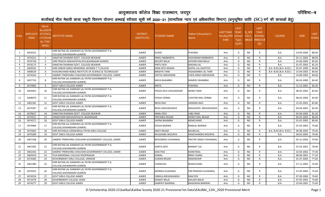## आयुक्तालय कॉलेज शिक्षा राजस्थान, जयपुर $\mathbf x \in \mathbb{R}$  करने का प्रतिक्षा करने करने का प्रतिशिष्ट—ब

कालीबाई भील मेधावी छात्रा स्कूटी वितरण योजना अस्थाई वरीयता सूची वर्ष 2020—21 (सामाजिक न्याय एवं अधिकारिता विभाग) (अनुसूचित जाति (SC) वर्ग की छात्राओं हेतु)

| S.No.          | APPLICATI<br><b>ONID</b> | Merit<br>o.(DISTF) ا<br><b>ICT/FACL</b><br><b>TY/SCHO</b><br><b>OL TYPE</b><br>WISE) | <u>NSTITUTE NAME</u>                                                           | <b>DISTRICT</b><br>(INSTITUTE) | <b>STUDENT NAME</b>      | Father's/Guardian's<br>Name  | <b>LAST YEAR</b><br>Faculty/STR School<br>EAM | <b>LAST</b><br><b>YEAR</b><br><b>Type</b><br>(G/P) | IS SPE<br><b>CILLY</b><br><b>ABLED</b> | <b>LAST</b><br><b>YEAR</b><br><b>SCHOOL</b><br>(RBSE/CB<br>SE) | <b>COURSE</b>          | <b>DOB</b> | <b>LAST</b><br><b>/EAR%</b> |
|----------------|--------------------------|--------------------------------------------------------------------------------------|--------------------------------------------------------------------------------|--------------------------------|--------------------------|------------------------------|-----------------------------------------------|----------------------------------------------------|----------------------------------------|----------------------------------------------------------------|------------------------|------------|-----------------------------|
| 1              | 3454552                  | 1                                                                                    | SHRI RATAN LAL KANWAR LAL PATNI GOVERNMENT P.G.<br>COLLEGE, KISHANGARH (AJMER) | <b>AJMER</b>                   | <b>GUDDI</b>             | <b>PUKHRAJ</b>               | Arts                                          | G                                                  | <b>NO</b>                              | R                                                              | B.A.                   | 19-04-2004 | 88.40                       |
| 2              | 3474231                  | $\overline{2}$                                                                       | SANATAN DHARAM GOVT. COLLEGE BEAWAR                                            | <b>AJMER</b>                   | RINKU NIMBARIYA          | AASHARAM NIMBARIYA           | Arts                                          | G                                                  | <b>NO</b>                              | R                                                              | B.A.                   | 05-11-2003 | 88.00                       |
| $\overline{3}$ | 3476758                  | $\overline{\mathbf{3}}$                                                              | SHRI PRAGYA MAHAVIDYALAYA, BIJAINAGAR (AJMER)                                  | <b>AJMER</b>                   | NOURTI BALAI             | <b>GOVIND RAM BALAI</b>      | Arts                                          | G                                                  | <b>NO</b>                              | R.                                                             | <b>B.A.</b>            | 25-06-2003 | 85.60                       |
| $\overline{4}$ | 3476173                  | $\overline{4}$                                                                       | SANATAN DHARAM GOVT. COLLEGE BEAWAR                                            | <b>AJMER</b>                   | PINTU DEVI               | <b>MADAN LAL</b>             | Arts                                          | G                                                  | <b>NO</b>                              | R                                                              | B.A.                   | 01-07-2003 | 85.20                       |
| 5              | 3469542                  | - 5                                                                                  | SHRI ONKAR SINGH MEMORIAL WOMEN T T COLLEGE                                    | <b>AJMER</b>                   | SIMA DEVI RAIDAS         | <b>GOPAL LAL KAJOTIYA</b>    | Arts                                          | G                                                  | <b>NO</b>                              | $\mathsf{R}$                                                   | B.A- B.ED.(B.A- B.ED.) | 05-07-1999 | 84.80                       |
| 6              | 3468529                  | 6                                                                                    | HUKUMCHAND NOBLE INSTITUTE OF SCIENCE & TECHNOLOGY                             | <b>AJMER</b>                   | <b>BINDIYA TANK</b>      | <b>JAGADAMBA LAL TANK</b>    | Arts                                          | G                                                  | <b>NO</b>                              | $\mathsf{R}$                                                   | B.A- B.ED.(B.A- B.ED.) | 15-04-2003 | 84.60                       |
| $\overline{7}$ | 3474163                  | - 7                                                                                  | SAMRAT PRIRHVIRAJ CHAUHAN GOVERNMENT COLLEGE, AJMER                            | <b>AJMER</b>                   | SHETAL MAHAWAR           | CHEN SINGH MAHAWAR           | Arts                                          | G                                                  | <b>NO</b>                              | R                                                              | B.A.                   | 14-08-2003 | 84.60                       |
| 8              | 3457732                  | 8                                                                                    | SHRI RATAN LAL KANWAR LAL PATNI GOVERNMENT P.G.<br>COLLEGE, KISHANGARH (AJMER) | <b>AJMER</b>                   | MAYA BHAMBHI             | RAMDEV BHAMBHI               | Arts                                          | G                                                  | <b>NO</b>                              | R                                                              | B.A.                   | 06-03-2000 | 84.40                       |
| 9              | 3473982                  | -9                                                                                   | <b>GOVT GIRLS COLLEGE AJMER</b>                                                | <b>AJMER</b>                   | <b>ANITA</b>             | <b>PUKHRAJ</b>               | Arts                                          | G                                                  | NO.                                    | R                                                              | <b>B.A.</b>            | 11-12-2001 | 83.20                       |
| 10             | 3454491                  | 10                                                                                   | SHRI RATAN LAL KANWAR LAL PATNI GOVERNMENT P.G.<br>COLLEGE,KISHANGARH (AJMER)  | <b>AJMER</b>                   | POOJA DEVI CHAUKEEDAR    | <b>NORAT RAM</b>             | Arts                                          | G                                                  | <b>NO</b>                              | $\mathsf{R}$                                                   | B.A.                   | 08-03-2002 | 83.00                       |
| 11             | 3468070                  | 11                                                                                   | SHRI RATAN LAL KANWAR LAL PATNI GOVERNMENT P.G.<br>COLLEGE,KISHANGARH (AJMER)  | AJMER                          | POOJA VERMA              | <b>CHHITAR MAL VERMA</b>     | Arts                                          | G                                                  | <b>NO</b>                              | R                                                              | B.A.                   | 08-03-2004 | 83.00                       |
| 12             | 3481181                  | 12                                                                                   | <b>GOVT GIRLS COLLEGE AJMER</b>                                                | <b>AJMER</b>                   | <b>NEHA RAO</b>          | <b>HANSRAJ RAO</b>           | Arts                                          | G                                                  | <b>NO</b>                              | R                                                              | <b>B.A.</b>            | 15-03-2001 | 82.80                       |
| 13             | 3475397                  | 13                                                                                   | SHRI RATAN LAL KANWAR LAL PATNI GOVERNMENT P.G.<br>COLLEGE,KISHANGARH (AJMER)  | <b>AJMER</b>                   | RENU MEGHWANSHI          | MAHAVEER MEGHWANSHI          | Arts                                          | G                                                  | NO.                                    | R                                                              | <b>B.A.</b>            | 04-04-2002 | 82.40                       |
| 14             | 3479637                  | 14                                                                                   | SANATAN DHARAM GOVT. COLLEGE BEAWAR                                            | <b>AJMER</b>                   | <b>ANNU DEVI</b>         | <b>LABU RAM</b>              | Arts                                          | G                                                  | <b>NO</b>                              | $\mathsf{R}$                                                   | <b>B.A.</b>            | 03-04-2002 | 81.20                       |
| 15             | 3474551                  | 15                                                                                   | SANJEEVANI MAHAVIDYALYA, BIJAINAGAR                                            | <b>AJMER</b>                   | PRIYANKA REGAR           | <b>NORAT MAL REGAR</b>       | Arts                                          | G                                                  | <b>NO</b>                              | R                                                              | B.A.                   | 06-05-2003 | 80.60                       |
| 16             | 3474271                  | 16                                                                                   | <b>GOVT GIRLS COLLEGE AJMER</b>                                                | <b>AJMER</b>                   | SAPNA BHAMBHI            | <b>NEMICHAND</b>             | Arts                                          | G                                                  | <b>NO</b>                              | $\mathsf{R}$                                                   | B.A.                   | 01-01-2003 | 80.40                       |
| 17             | 3474984                  | 17                                                                                   | SHRI RATAN LAL KANWAR LAL PATNI GOVERNMENT P.G.<br>COLLEGE,KISHANGARH (AJMER)  | AJMER                          | POOJA BAIRWA             | RAMLAL BAIRWA                | Arts                                          | G                                                  | NO.                                    | $\mathsf{R}$                                                   | B.A.                   | 07-02-2002 | 79.80                       |
| 18             | 3475063                  | 18                                                                                   | SHRI RATANLAL KANWARLAL PATNI GIRLS COLLEGE                                    | <b>AJMER</b>                   | ARATI REGAR              | <b>BAUBULAL</b>              | Arts                                          | G                                                  | <b>NO</b>                              | R                                                              | B.A- B.ED.(B.A- B.ED.) | 09-08-2002 | 79.40                       |
| 19             | 3475289                  | 19                                                                                   | <b>GOVT GIRLS COLLEGE AJMER</b>                                                | <b>AJMER</b>                   | KHUSHABU MOURYA          | RAMCHANDRA MOURYA            | Arts                                          | G                                                  | <b>NO</b>                              | R                                                              | B.A.                   | 28-03-2003 | 79.40                       |
| 20             | 3467168                  | 20                                                                                   | SAMRAT PRIRHVIRAJ CHAUHAN GOVERNMENT COLLEGE, AJMER                            | <b>AJMER</b>                   | <b>BHOOMIKA CHHANWAL</b> | <b>PRATAP SINGH CHHANWAI</b> | Arts                                          | G                                                  | <b>NO</b>                              | R                                                              | B.A.                   | 05-12-2002 | 79.00                       |
| 21             | 3467585                  | 21                                                                                   | SHRI RATAN LAL KANWAR LAL PATNI GOVERNMENT P.G.<br>COLLEGE, KISHANGARH (AJMER) | AJMER                          | SARITA DEVI              | <b>BAMKAT LAL</b>            | Arts                                          | G                                                  | <b>NO</b>                              | R                                                              | B.A.                   | 07-03-2001 | 78.00                       |
| 22             | 3461442                  | 22                                                                                   | SAMRAT PRIRHVIRAJ CHAUHAN GOVERNMENT COLLEGE, AJMER                            | AJMER                          | <b>ISHA PASI</b>         | <b>NORATMAL</b>              | Arts                                          | G                                                  | <b>NO</b>                              | R                                                              | B.A.                   | 16-04-2002 | 77.40                       |
| 23             | 3463419                  | 23                                                                                   | TEJA MEMORIAL COLLEGE ROOPNAGAR                                                | <b>AJMER</b>                   | KOMAL                    | <b>BIRDI CHAND</b>           | Arts                                          | G                                                  | <b>NO</b>                              | $\mathsf{R}$                                                   | <b>B.A.</b>            | 08-06-2001 | 77.20                       |
| 24             | 3474366                  | 24                                                                                   | GOVERNMENT GIRLS COLLEGE, SARWAR                                               | <b>AJMER</b>                   | <b>SUMAN REGAR</b>       | <b>RAMSWOOP</b>              | Arts                                          | G                                                  | <b>NO</b>                              | R                                                              | B.A.                   | 01-07-2003 | 77.00                       |
| 25             | 3461380                  | 25                                                                                   | SHRI RATAN LAL KANWAR LAL PATNI GOVERNMENT P.G.<br>COLLEGE, KISHANGARH (AJMER) | AJMER                          | CHANCHAL                 | <b>BHAGCHAND</b>             | Arts                                          | G                                                  | <b>NO</b>                              | R                                                              | B.A.                   | 27-11-2001 | 76.00                       |
| 26             | 3474422                  | 26                                                                                   | SHRI RATAN LAL KANWAR LAL PATNI GOVERNMENT P.G.<br>COLLEGE, KISHANGARH (AJMER) | <b>AJMER</b>                   | MONIKA GUSAIWAL          | OM PRAKASH GUSAIWAL          | Arts                                          | G                                                  | NO.                                    | R                                                              | B.A.                   | 27-03-2004 | 75.60                       |
| 27             | 3474333                  | 27                                                                                   | <b>GOVT GIRLS COLLEGE AJMER</b>                                                | <b>AJMER</b>                   | URMILA MEGHWANSHI        | <b>RAM DEV</b>               | Arts                                          | G                                                  | <b>NO</b>                              | R                                                              | <b>B.A.</b>            | 07-09-2000 | 74.60                       |
| 28             | 3472478                  | 28                                                                                   | GOVERNMENT COLLEGE, KEKRI                                                      | <b>AJMER</b>                   | KISMAT BALAI             | KAILASH BALAI                | Arts                                          | G                                                  | <b>NO</b>                              | R                                                              | B.A.                   | 07-05-2001 | 73.80                       |
| 29             | 3474277                  | 29                                                                                   | <b>GOVT GIRLS COLLEGE AJMER</b>                                                | <b>AJMER</b>                   | SAMPATI BAIRWAL          | <b>BHAGWAN BAIRWAL</b>       | Arts                                          | G                                                  | <b>NO</b>                              | R                                                              | <b>B.A.</b>            | 10-04-2001 | 73.40                       |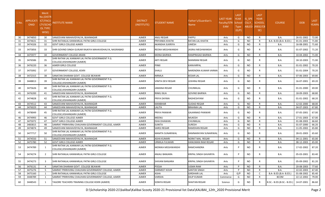| S.No. | APPLICATI<br><b>ONID</b> | Merit<br>No.(DISTR<br><b>ICT/FACU</b><br>LTY/SCHC<br><b>OL TYPE</b><br>WISE) | NSTITUTE NAME                                                                 | <b>DISTRICT</b><br>(INSTITUTE) | STUDENT NAME             | Father's/Guardian's<br>Name | LAST YEAR<br>Faculty/STR<br>EAM | <b>LAST</b><br><b>YEAR</b><br>School<br><b>Type</b><br>(G/P) | IS SPE<br><b>CILLY</b><br><b>ABLED</b> | <b>LAST</b><br><b>YEAR</b><br><b>SCHOOL</b><br>(RBSE/CB<br>SE) | <b>COURSE</b>              | <b>DOB</b> | LAST<br>YEAR% |
|-------|--------------------------|------------------------------------------------------------------------------|-------------------------------------------------------------------------------|--------------------------------|--------------------------|-----------------------------|---------------------------------|--------------------------------------------------------------|----------------------------------------|----------------------------------------------------------------|----------------------------|------------|---------------|
| 30    | 3474850                  | 30                                                                           | SANJEEVANI MAHAVIDYALYA, BIJAINAGAR                                           | <b>AJMER</b>                   | <b>ANJU REGAR</b>        | PAPPU                       | Arts                            | G                                                            | NO.                                    | R                                                              | <b>B.A.</b>                | 26-01-2002 | 72.00         |
| 31    | 3474631                  | 31                                                                           | SHRI RATANLAL KANWARLAL PATNI GIRLS COLLEGE                                   | <b>AJMER</b>                   | PRIYANKA KHATIK          | RATAN LAL KHATIK            | Arts                            | G                                                            | NO.                                    | R                                                              | B.A- B.ED.(B.A- B.ED.)     | 01-01-2003 | 71.80         |
| 32    | 3474326                  | 32                                                                           | <b>GOVT GIRLS COLLEGE AJMER</b>                                               | <b>AJMER</b>                   | AKANSHA SUKRIYA          | UMESH                       | Arts                            | G                                                            | <b>NO</b>                              | $\mathsf{R}$                                                   | <b>B.A.</b>                | 16-08-2001 | 71.60         |
| 33    | 3475856                  | 33                                                                           | SHRI GOVIND SINGH GURJAR RAJKIYA MAHAVIDHALYA, NASIRABAD                      | <b>AJMER</b>                   | REENA MEGHWANSHI         | JASRAJ MEGHWANSHI           | Arts                            | G                                                            | <b>NO</b>                              | R                                                              | <b>B.A.</b>                | 01-07-2002 | 71.20         |
| 34    | 3475977                  | 34                                                                           | <b>GOVERNMENT COLLEGE ARAIN</b>                                               | <b>AJMER</b>                   | <b>MONA BAIRWA</b>       | RAMPRASAD BAIRWA            | Arts                            | G                                                            | <b>NO</b>                              | $\mathsf{R}$                                                   | <b>B.A.</b>                | 10-04-2002 | 71.00         |
| 35    | 3476586                  | 35                                                                           | SHRI RATAN LAL KANWAR LAL PATNI GOVERNMENT P.G.<br>COLLEGE,KISHANGARH (AJMER) | AJMER                          | <b>ARTI REGAR</b>        | MANIRAM REGAR               | Arts                            | G                                                            | <b>NO</b>                              | R                                                              | <b>B.A.</b>                | 18-10-2003 | 71.00         |
| 36    | 3476220                  | 36                                                                           | AJMER GIRLS COLLEGE                                                           | <b>AJMER</b>                   | <b>PINKI</b>             | KANVARPAL                   | Arts                            | G                                                            | <b>NO</b>                              | $\mathsf{R}$                                                   | <b>B.A.</b>                | 01-01-2002 | 70.20         |
| 37    | 3475092                  | -37                                                                          | <b>GOVERNMENT COLLEGE, KEKRI</b>                                              | AJMER                          | SHALU                    | NARENDRA KUMAR VARMA        | Arts                            | G                                                            | NO.                                    | R                                                              | <b>B.A.</b>                | 01-01-2004 | 70.20         |
| 38    | 3472315                  | 38                                                                           | SANATAN DHARAM GOVT. COLLEGE BEAWAR                                           | <b>AJMER</b>                   | <b>NIRMLA</b>            | <b>KESAR LAL</b>            | Arts                            | G                                                            | <b>NO</b>                              | $\mathsf{R}$                                                   | <b>B.A.</b>                | 07-06-2003 | 69.80         |
| 39    | 3448813                  | 39                                                                           | SHRI RATAN LAL KANWAR LAL PATNI GOVERNMENT P.G.<br>COLLEGE,KISHANGARH (AJMER) | AJMER                          | VINITA DEVI REGAR        | LEKHRAJ REGAR               | Arts                            | G                                                            | NO                                     | R                                                              | <b>B.A.</b>                | 16-07-2001 | 69.20         |
| 40    | 3475626                  | 40                                                                           | SHRI RATAN LAL KANWAR LAL PATNI GOVERNMENT P.G.<br>COLLEGE,KISHANGARH (AJMER) | AJMER                          | <b>JAMANA REGAR</b>      | CHUNNILAL                   | Arts                            | G                                                            | NO                                     | R                                                              | <b>B.A.</b>                | 01-01-2000 | 69.00         |
| 41    | 3476200                  | 41                                                                           | SANJEEVANI MAHAVIDYALYA, BIJAINAGAR                                           | <b>AJMER</b>                   | <b>RINKU BUA</b>         | <b>GOVIND BAIRWA</b>        | Arts                            | G                                                            | NO.                                    | R                                                              | <b>B.A.</b>                | 18-09-2003 | 68.80         |
| 42    | 3474828                  | 42                                                                           | SHRI RATAN LAL KANWAR LAL PATNI GOVERNMENT P.G.<br>COLLEGE,KISHANGARH (AJMER) | AJMER                          | PRIYA DAYMA              | RADHESHYAM                  | Arts                            | G                                                            | <b>NO</b>                              | R                                                              | <b>B.A.</b>                | 01-01-2002 | 68.20         |
| 43    | 3474512                  | 43                                                                           | SANJEEVANI MAHAVIDYALYA, BIJAINAGAR                                           | <b>AJMER</b>                   | <b>MANBHAR</b>           | GUDAD REGAR                 | Arts                            | G                                                            | NO.                                    | R                                                              | <b>B.A.</b>                | 12-02-2000 | 68.00         |
| 44    | 3476029                  | 44                                                                           | SANJEEVANI MAHAVIDYALYA, BIJAINAGAR                                           | <b>AJMER</b>                   | <b>LALITA</b>            | <b>BRAHMA LAL</b>           | Arts                            | G                                                            | <b>NO</b>                              | R                                                              | <b>B.A.</b>                | 04-07-2003 | 67.80         |
| 45    | 3478049                  | 45                                                                           | SHRI RATAN LAL KANWAR LAL PATNI GOVERNMENT P.G.<br>COLLEGE,KISHANGARH (AJMER) | <b>AJMER</b>                   | PRIYA PANWAR             | GAJANNAD PANWAR             | Arts                            | G                                                            | NO.                                    | R                                                              | <b>B.A.</b>                | 07-05-2001 | 67.00         |
| 46    | 3474993                  | 46                                                                           | GOVT GIRLS COLLEGE AJMER                                                      | <b>AJMER</b>                   | <b>MEENU</b>             | MUKESH                      | Arts                            | G                                                            | NO.                                    | R                                                              | <b>B.A.</b>                | 27-01-2003 | 67.00         |
| 47    | 3475072                  | 47                                                                           | <b>GOVT GIRLS COLLEGE AJMER</b>                                               | <b>AJMER</b>                   | <b>ISHA DHAWAN</b>       | CHUNNILAL                   | Arts                            | G                                                            | NO.                                    | R                                                              | <b>B.A.</b>                | 01-08-2003 | 66.60         |
| 48    | 3483815                  | 48                                                                           | SAMRAT PRIRHVIRAJ CHAUHAN GOVERNMENT COLLEGE, AJMER                           | <b>AJMER</b>                   | <b>SUNITA</b>            | SURESH                      | Arts                            | G                                                            | <b>NO</b>                              | R                                                              | <b>B.A.</b>                | 01-07-2000 | 66.20         |
| 49    | 3474874                  | 49                                                                           | SANJEEVANI MAHAVIDYALYA, BIJAINAGAR                                           | <b>AJMER</b>                   | SAROJ REGAR              | RAMDHAN REGAR               | Arts                            | G                                                            | NO.                                    | R                                                              | <b>B.A.</b>                | 11-05-2002 | 65.80         |
| 50    | 3477717                  | 50                                                                           | SHRI RATAN LAL KANWAR LAL PATNI GOVERNMENT P.G.<br>COLLEGE,KISHANGARH (AJMER) | AJMER                          | <b>MAMTA SUNARIWAL</b>   | RAMNARAYAN SUNARIWAL        | Arts                            | G                                                            | <b>NO</b>                              | R                                                              | <b>B.A.</b>                | 28-01-2003 | 65.60         |
| 51    | 3474550                  | 51                                                                           | SANJEEVANI MAHAVIDYALYA, BIJAINAGAR                                           | <b>AJMER</b>                   | <b>ASHA KUMARI</b>       | NORAT MAL REGAR             | Arts                            | G                                                            | <b>NO</b>                              | R                                                              | <b>B.A.</b>                | 04-11-2001 | 65.00         |
| 52    | 3475780                  | 52                                                                           | <b>GOVT GIRLS COLLEGE AJMER</b>                                               | <b>AJMER</b>                   | URMILA FULWARI           | HANUMAN RAM REGAR           | Arts                            | G                                                            | NO                                     | R                                                              | <b>B.A.</b>                | 08-12-2003 | 65.00         |
| 53    | 3474789                  | 1                                                                            | SHRI RATAN LAL KANWAR LAL PATNI GOVERNMENT P.G.<br>COLLEGE.KISHANGARH (AJMER) | <b>AJMER</b>                   | <b>MONIKA MEGHWANSHI</b> | RAMCHANDRA                  | Arts                            | P                                                            | NO                                     | R                                                              | <b>B.A.</b>                | 17-02-2002 | 87.20         |
| 54    | 3474274                  | 2                                                                            | SHRI RATANLAL KANWARLAL PATNI GIRLS COLLEGE                                   | AJMER                          | <b>ANJALI BANJARA</b>    | KRIPAL SINGH GAVARIYA       | Arts                            | P                                                            | NO.                                    | R                                                              | <b>B.A.</b>                | 05-03-2001 | 83.40         |
| 55    | 3474273                  | 3                                                                            | SHRI RATANLAL KANWARLAL PATNI GIRLS COLLEGE                                   | AJMER                          | SHIVANI BANJARA          | KRIPAL SINGH GAVARIYA       | Arts                            | P                                                            | <b>NO</b>                              | R.                                                             | <b>B.A.</b>                | 05-09-2002 | 81.20         |
| 56    | 3476131                  | $\overline{4}$                                                               | SANATAN DHARAM GOVT. COLLEGE BEAWAR                                           | <b>AJMER</b>                   | POOJA                    | UGMA RAM                    | Arts                            | P                                                            | <b>NO</b>                              | R.                                                             | <b>B.A.</b>                | 20-08-2003 | 77.60         |
| 57    | 3475276                  | 5                                                                            | SAMRAT PRIRHVIRAJ CHAUHAN GOVERNMENT COLLEGE, AJMER                           | <b>AJMER</b>                   | <b>HARMEET KOUR</b>      | <b>SANTOK SINGH</b>         | Arts                            | P                                                            | <b>NO</b>                              | $\mathsf{R}$                                                   | B.A.                       | 22-02-2003 | 67.40         |
| 58    | 3475160                  | -1                                                                           | SHRI RATANLAL KANWARLAL PATNI GIRLS COLLEGE                                   | AJMER                          | ASHA                     | GIRDHARI LAL                | Arts                            | G/P                                                          | <b>NO</b>                              | C                                                              | B.A- B.ED.(B.A- B.ED.)     | 01-08-2002 | 85.40         |
| 59    | 3448789                  | <sup>1</sup>                                                                 | SAMRAT PRIRHVIRAJ CHAUHAN GOVERNMENT COLLEGE, AJMER                           | <b>AJMER</b>                   | VARSHA                   | <b>DILIP KUMAR</b>          | Commerce                        | G                                                            | NO                                     | R                                                              | <b>BCOM</b>                | 22-12-2002 | 79.00         |
| 60    | 3448543                  | 1                                                                            | TAGORE TEACHERS TRAINING COLLEGE KEKRI (AJMER)                                | AJMER                          | SONIYA REGAR             | SHAITAN REGAR               | Science                         | G                                                            | NO                                     |                                                                | B.SC.- B.ED.(B.SC.- B.ED.) | 14-07-2001 | 86.60         |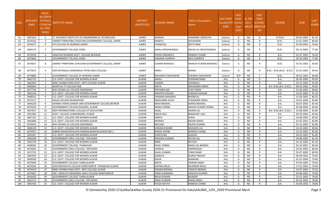| S.No | <b>APPLICATI</b><br><b>ONID</b> | <b>Merit</b><br><b>No.(DISTR</b><br><b>ICT/FACU</b><br>LTY/SCHO<br><b>OL TYPE</b><br>WISE) | NSTITUTE NAME                                       | <b>DISTRICT</b><br>(INSTITUTE) | STUDENT NAME       | Father's/Guardian's<br>Name | LAST YEAR<br>Faculty/STR<br>EAM | <b>LAST</b><br><b>YEAR</b><br>School<br><b>Type</b><br>(G/P) | IS SPE<br><b>CILLY</b><br><b>ABLED</b> | <b>LAST</b><br><b>YEAR</b><br><b>SCHOOL</b><br>(RBSE/CB<br>SE) | <b>COURSE</b>              | <b>DOB</b> | <b>LAST</b><br>YEAR% |
|------|---------------------------------|--------------------------------------------------------------------------------------------|-----------------------------------------------------|--------------------------------|--------------------|-----------------------------|---------------------------------|--------------------------------------------------------------|----------------------------------------|----------------------------------------------------------------|----------------------------|------------|----------------------|
| 61   | 3467633                         | 2                                                                                          | ST. WILFRED'S INSTITUTE OF ENGINEERING & TECHNOLOGY | <b>AJMER</b>                   | MONIKA             | KANARAM BOKOLIYA            | Science                         | G                                                            | <b>NO</b>                              | R                                                              | <b>B.TECH</b>              | 03-03-2003 | 81.20                |
| 62   | 3474232                         | -3                                                                                         | SAMRAT PRIRHVIRAJ CHAUHAN GOVERNMENT COLLEGE, AJMER | <b>AJMER</b>                   | <b>MAMTA</b>       | <b>SHIVKARAN</b>            | Science                         | G                                                            | <b>NO</b>                              | R                                                              | B.SC.                      | 21-01-2003 | 80.00                |
| 63   | 3476277                         | $\overline{4}$                                                                             | R.R COLLEGE OF NURSING AJMER                        | <b>AJMER</b>                   | CHANCHAL           | <b>SEETA RAM</b>            | Science                         | G                                                            | <b>NO</b>                              | $\mathsf{R}$                                                   | B.SC.                      | 02-04-2003 | 78.40                |
| 64   | 3460170                         | 5                                                                                          | <b>GOVERNMENT COLLEGE, KEKRI</b>                    | <b>AJMER</b>                   | ANJALI MEGHWANSHI  | ARJUN LAL MEGHWANSHI        | Science                         | G                                                            | NO.                                    | R                                                              | B.SC.                      | 04-12-2003 | 77.60                |
| 65   | 3474918                         | - 6                                                                                        | SANATAN DHARAM GOVT. COLLEGE BEAWAR                 | <b>AJMER</b>                   | POOJA SINGARIYA    | RAMESH CHAND                | Science                         | G                                                            | <b>NO</b>                              | R                                                              | <b>B.A.</b>                | 01-07-2002 | 76.40                |
| 66   | 3475664                         | $\overline{7}$                                                                             | GOVERNMENT COLLEGE, KEKRI                           | <b>AJMER</b>                   | SANJANA SAMRIYA    | RAJU SAMRIYA                | Science                         | G                                                            | <b>NO</b>                              | R                                                              | B.SC.                      | 29-10-2003 | 71.80                |
| 67   | 3474657                         | 8                                                                                          | SAMRAT PRIRHVIRAJ CHAUHAN GOVERNMENT COLLEGE, AJMER | <b>AJMER</b>                   | SUMAN BHANSALI     | RAMESH KUMAR BHANSAL        | Science                         | G                                                            | <b>NO</b>                              | R                                                              | B.SC.                      | 01-01-2002 | 69.60                |
| 68   | 3475672                         | 9                                                                                          | SHRI RATANLAL KANWARLAL PATNI GIRLS COLLEGE         | <b>AJMER</b>                   | RINKU              | <b>MANOJ</b>                | Science                         | G                                                            | <b>NO</b>                              |                                                                | B.SC.- B.ED.(B.SC.- B.ED.) | 01-01-2003 | 69.40                |
| 69   | 3474880                         | -1                                                                                         | GOVERNMENT COLLEGE OF NURSING AJMER                 | <b>AJMER</b>                   | BHAGWATI MAHAWAR   | <b>KHEMRAJ MAHAWAR</b>      | Science                         | G/P                                                          | <b>NO</b>                              | C                                                              | B.SC.                      | 30-01-2003 | 84.80                |
| 70   | 3462753                         | -1                                                                                         | G.D. GOVT. COLLEGE FOR WOMEN ALWAR                  | ALWAR                          | ANJALI             | <b>POORANCHAND</b>          | Arts                            | G                                                            | <b>NO</b>                              | R                                                              | <b>B.A.</b>                | 05-03-2004 | 95.00                |
| 71   | 3462903                         | $\overline{2}$                                                                             | BABU SHOBHA RAM GOVT. ARTS COLLEGE ALWAR            | ALWAR                          | SUMAN              | SOHANLAL                    | Arts                            | G                                                            | <b>NO</b>                              | R                                                              | B.A.                       | 23-12-2002 | 91.00                |
| 72   | 3466064                         | $\overline{\mathbf{3}}$                                                                    | <b>BHARTIYA TT COLLEGE KGB</b>                      | <b>ALWAR</b>                   | ANITA              | <b>MAHENDRA SINGH</b>       | Arts                            | G                                                            | <b>NO</b>                              | R                                                              | B.A- B.ED.(B.A- B.ED.)     | 08-05-2002 | 90.80                |
| 73   | 3477756                         | $\overline{4}$                                                                             | RAO SOHAN LAL COLLEGE NEEMRANA                      | ALWAR                          | PRIYANKA BAI       | <b>VIJAY SINGH</b>          | Arts                            | G                                                            | NO.                                    | R                                                              | <b>B.A.</b>                | 15-04-2003 | 90.60                |
| 74   | 3465164                         | - 5                                                                                        | G.D. GOVT. COLLEGE FOR WOMEN ALWAR                  | ALWAR                          | ANUPRIYA REGAR     | <b>SUBHASH RAIGAR</b>       | Arts                            | G                                                            | <b>NO</b>                              | R                                                              | B.A.                       | 10-05-2004 | 87.20                |
| 75   | 3468523                         | - 6                                                                                        | G.D. GOVT. COLLEGE FOR WOMEN ALWAR                  | ALWAR                          | SANJANA MAHIWAL    | <b>BHORELAL</b>             | Arts                            | G                                                            | <b>NO</b>                              | R                                                              | <b>B.A.</b>                | 15-04-2002 | 86.20                |
| 76   | 3475217                         | $\overline{7}$                                                                             | PALAK COLLEGE BHANOKHAR                             | <b>ALWAR</b>                   | RAJKUMARI JATAV    | YOGENDRA SINGH              | Arts                            | G                                                            | <b>NO</b>                              | R                                                              | <b>B.A.</b>                | 10-01-2004 | 85.80                |
| 77   | 3464228                         | 8                                                                                          | DHARM CHAND GANDHI JAIN GOVERNMENT COLLEGE BEHROR   | <b>ALWAR</b>                   | <b>NEHA BASWAL</b> | <b>MANOJ BASWAL</b>         | Arts                            | G                                                            | <b>NO</b>                              | R                                                              | <b>B.A.</b>                | 30-07-2003 | 85.40                |
| 78   | 3474264                         | -9                                                                                         | GOVERNMENT COLLEGE RAJGARH, ALWAR                   | ALWAR                          | <b>MONA VERMA</b>  | RAKESH KUMAR VERMA          | Arts                            | G                                                            | NO.                                    | R                                                              | B.A.                       | 05-08-2003 | 84.00                |
| 79   | 3457927                         | 10                                                                                         | DEEP INTERNATIONAL COLLEGE OF EDUCATION             | ALWAR                          | KAJAL              | <b>HAJARI LAL</b>           | Arts                            | G                                                            | <b>NO</b>                              | R                                                              | B.A- B.ED.(B.A- B.ED.)     | 25-08-2004 | 83.80                |
| 80   | 3451963                         | 11                                                                                         | GOVT. COLLEGE LAXMANGARH, ALWAR                     | ALWAR                          | NISHA JAJU         | <b>BANAVARI JAJU</b>        | Arts                            | G                                                            | <b>NO</b>                              | R                                                              | B.A.                       | 05-05-2003 | 83.80                |
| 81   | 3467101                         | 12                                                                                         | G.D. GOVT. COLLEGE FOR WOMEN ALWAR                  | ALWAR                          | SARITA             | <b>SURAJ</b>                | Arts                            | G                                                            | <b>NO</b>                              | R                                                              | B.A.                       | 10-08-2003 | 83.60                |
| 82   | 3463686                         | 13                                                                                         | G.D. GOVT. COLLEGE FOR WOMEN ALWAR                  | <b>ALWAR</b>                   | MONIKA             | <b>BADAN SINGH</b>          | Arts                            | G                                                            | <b>NO</b>                              | R                                                              | B.A.                       | 01-05-2001 | 82.80                |
| 83   | 3476433                         | 14                                                                                         | RAO SOHAN LAL COLLEGE NEEMRANA                      | ALWAR                          | NEELAM             | <b>RAJESH KUMAR</b>         | Arts                            | G                                                            | NO.                                    | R                                                              | <b>B.A.</b>                | 25-12-2002 | 82.80                |
| 84   | 3468149                         | 15                                                                                         | G.D. GOVT. COLLEGE FOR WOMEN ALWAR                  | ALWAR                          | SONAM KUMARI       | <b>MUSADDI LAL</b>          | Arts                            | G                                                            | <b>NO</b>                              | R                                                              | B.A.                       | 10-10-2002 | 82.60                |
| 85   | 3474557                         | 16                                                                                         | ANAND MAHAVIDYALAYA KARANA, BANSUR, ALWAR (RAJ.)    | ALWAR                          | RADHA DHOBI        | RAMESH CHAND                | Arts                            | G                                                            | <b>NO</b>                              | R                                                              | <b>B.A.</b>                | 13-10-2002 | 82.60                |
| 86   | 3455367                         | 17                                                                                         | G.D. GOVT. COLLEGE FOR WOMEN ALWAR                  | ALWAR                          | SUNITA BAI         | <b>JAGDISH</b>              | Arts                            | G                                                            | <b>NO</b>                              | R                                                              | B.A.                       | 04-05-2002 | 81.80                |
| 87   | 3463509                         | 18                                                                                         | GOVERNMENT GIRLS COLLEGE, TAPUKARA                  | <b>ALWAR</b>                   | RADHIKA KUMARI     | <b>RATAN LAL</b>            | Arts                            | G                                                            | <b>NO</b>                              | R                                                              | B.A.                       | 30-08-2002 | 81.40                |
| 88   | 3462750                         | 19                                                                                         | G.D. GOVT. COLLEGE FOR WOMEN ALWAR                  | ALWAR                          | RINKI              | <b>ROTASH</b>               | Arts                            | G                                                            | NO.                                    | R                                                              | <b>B.A.</b>                | 10-10-2003 | 81.20                |
| 89   | 3448365                         | 20                                                                                         | GOVERNMENT COLLEGE, THANAGAZI                       | ALWAR                          | KAJAL VERMA        | RAMJI LAL BAIRWA            | Arts                            | G                                                            | <b>NO</b>                              | R                                                              | <b>B.A.</b>                | 02-10-2001 | 80.40                |
| 90   | 3474656                         | 21                                                                                         | GOVERNMENT GIRLS COLLEGE, TAPUKARA                  | <b>ALWAR</b>                   | VARSHA             | OMPRAKASH                   | Arts                            | G                                                            | <b>NO</b>                              | R                                                              | B.A.                       | 24-05-2002 | 80.00                |
| 91   | 3471791                         | 22                                                                                         | G.D. GOVT. COLLEGE FOR WOMEN ALWAR                  | ALWAR                          | KAJAL KUMARI       | TARACHAND                   | Arts                            | G                                                            | <b>NO</b>                              | $\mathsf{R}$                                                   | B.A.                       | 05-07-2002 | 80.00                |
| 92   | 3463919                         | 23                                                                                         | G.D. GOVT. COLLEGE FOR WOMEN ALWAR                  | ALWAR                          | SANGITA            | <b>DURGA PRASAD</b>         | Arts                            | G                                                            | <b>NO</b>                              | R                                                              | B.A.                       | 06-09-2001 | 79.60                |
| 93   | 3469200                         | 24                                                                                         | G.D. GOVT. COLLEGE FOR WOMEN ALWAR                  | ALWAR                          | NISHA              | <b>BANWARI</b>              | Arts                            | G                                                            | <b>NO</b>                              | R                                                              | <b>B.A.</b>                | 01-01-2004 | 79.60                |
| 94   | 3473460                         | 25                                                                                         | <b>GOVERNMENT COLLEGE TIJARA, ALWAR</b>             | ALWAR                          | ANITA              | <b>VIKRAM SINGH</b>         | Arts                            | G                                                            | <b>NO</b>                              | R                                                              | B.A.                       | 07-04-2004 | 79.60                |
| 95   | 3474566                         | 26                                                                                         | SHRI KRISHAN PG COLLEGE NARAYANPUR THANAGAZI ALWAR  | ALWAR                          | SAPANA BALAI       | RAJENDRA BALAI              | Arts                            | G                                                            | <b>NO</b>                              | R                                                              | <b>B.A.</b>                | 17-01-2002 | 79.40                |
| 96   | 3474419                         | 27                                                                                         | BABU SHOBHA RAM GOVT. ARTS COLLEGE ALWAR            | ALWAR                          | SONAM BERWAL       | YOGESH BERWAL               | Arts                            | G                                                            | <b>NO</b>                              | R                                                              | B.A.                       | 14-07-2004 | 79.20                |
| 97   | 3474467                         | 28                                                                                         | SMT. HEMLATA MEMORIAL GIRLS COLLEGE NARAYANPUR      | ALWAR                          | SONA SHAMARIA      | <b>KAMLESH KUMAR</b>        | Arts                            | G                                                            | <b>NO</b>                              | R                                                              | <b>B.A.</b>                | 05-08-2002 | 79.00                |
| 98   | 3454420                         | 29                                                                                         | GOVERNMENT COLLEGE TIJARA, ALWAR                    | ALWAR                          | <b>NEHA KUMARI</b> | <b>BALBEER</b>              | Arts                            | G                                                            | <b>NO</b>                              | $\mathsf{R}$                                                   | B.A.                       | 01-01-2003 | 79.00                |
| 99   | 3462572                         | 30                                                                                         | <b>GOVERNMENT GIRLS COLLEGE, TAPUKARA</b>           | ALWAR                          | ANNU KUMARI        | <b>AMAR SINGH</b>           | Arts                            | G                                                            | <b>NO</b>                              | R                                                              | B.A.                       | 05-03-2003 | 78.80                |
| 100  | 3481456                         | 31                                                                                         | G.D. GOVT. COLLEGE FOR WOMEN ALWAR                  | ALWAR                          | POOJA RATIYA       | RAMESH CHAND                | Arts                            | G                                                            | <b>NO</b>                              | R                                                              | <b>B.A.</b>                | 03-08-2003 | 78.80                |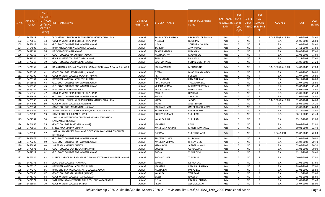| S.No. | <b>APPLICATI</b><br><b>ONID</b> | <b>Merit</b><br>Vo.(DISTF<br>ICT/FACL<br>LTY/SCHO<br><b>OL TYPE</b><br>WISE) | NSTITUTE NAME                                                         | <b>DISTRICT</b><br>(INSTITUTE) | STUDENT NAME       | Father's/Guardian's<br>Name | LAST YEAR<br>Faculty/STR<br>EAM | <b>LAST</b><br><b>YEAR</b><br>School<br>Type<br>(G/P) | IS SPE<br><b>CILLY</b> | <b>LAST</b><br><b>YEAR</b><br><b>SCHOOL</b><br>ABLED (RBSE/CB<br>SE) | <b>COURSE</b>          | <b>DOB</b> | <b>LAST</b><br>YEAR% |
|-------|---------------------------------|------------------------------------------------------------------------------|-----------------------------------------------------------------------|--------------------------------|--------------------|-----------------------------|---------------------------------|-------------------------------------------------------|------------------------|----------------------------------------------------------------------|------------------------|------------|----------------------|
| 101   | 3472918                         | 32                                                                           | VIDYASTHALI SHIKSHAK PRASHIKSHAN MAHAVIDHYALAYA                       | ALWAR                          | RAVINA DEVI BAIRWA | PRABHATI LAL BAIRWA         | Arts                            | G                                                     | <b>NO</b>              | R                                                                    | B.A- B.ED.(B.A- B.ED.) | 01-05-2003 | 78.60                |
| 102   | 3476810                         | 33                                                                           | <b>GOVERNMENT GIRLS COLLEGE, TAPUKARA</b>                             | ALWAR                          | NEELAM             | <b>ROOPRAM</b>              | Arts                            | G                                                     | <b>NO</b>              | R                                                                    | <b>B.A.</b>            | 25-05-2003 | 78.60                |
| 103   | 3465927                         | 34                                                                           | G.D. GOVT. COLLEGE FOR WOMEN ALWAR                                    | ALWAR                          | NEHA               | SOHANPAL VARMA              | Arts                            | G                                                     | <b>NO</b>              | R                                                                    | <b>B.A.</b>            | 01-01-2004 | 78.60                |
| 104   | 3464502                         | 35                                                                           | BABA KHETANATH P.G. MAHILA COLLEGE                                    | <b>ALWAR</b>                   | TANISHA            | AJAY KUMAR                  | Arts                            | G                                                     | N <sub>O</sub>         | R                                                                    | B.A.                   | 24-11-2004 | 77.80                |
| 105   | 3481254                         | 36                                                                           | DB COLLAGE KHARLI ALWAR                                               | ALWAR                          | SANJNA KUMARI      | <b>NIRANJAN</b>             | Arts                            | G                                                     | NO.                    | R                                                                    | <b>B.A.</b>            | 28-09-2001 | 77.60                |
| 106   | 3473162                         | 37                                                                           | GOVT. COLLEGE MALAKHERA (ALWAR)                                       | ALWAR                          | KAVITA JATAV       | <b>MADAN LAL</b>            | Arts                            | G                                                     | <b>NO</b>              | R                                                                    | <b>B.A.</b>            | 02-02-2002 | 77.60                |
| 107   | 3451584                         | 38                                                                           | GOVERNMENT COLLEGE TIJARA, ALWAR                                      | ALWAR                          | SHIMLA             | LALARAM                     | Arts                            | G                                                     | <b>NO</b>              | R                                                                    | <b>B.A.</b>            | 01-12-2003 | 77.60                |
| 108   | 3475213                         | 39                                                                           | GOVT. COLLEGE LAXMANGARH, ALWAR                                       | ALWAR                          | SUSHMA JATAV       | SOHAN SINGH JATAV           | Arts                            | G                                                     | NO.                    | R                                                                    | <b>B.A.</b>            | 21-08-2002 | 77.20                |
| 109   | 3474752                         | 40                                                                           | RAJASTHAN SHIKSHAK PRASHIKSHAN MAHAVIDHAYALA BAHALA ALWAR             | ALWAR                          | SONIYA VARMA       | <b>MOHAR SINGH</b>          | Arts                            | G                                                     | NO.                    | R                                                                    | B.A- B.ED.(B.A- B.ED.) | 04-03-2002 | 77.00                |
| 110   | 3466139                         | 41                                                                           | GOVT. COLLEGE LAXMANGARH, ALWAR                                       | ALWAR                          | <b>GEETA</b>       | <b>BHAG CHAND JATAV</b>     | Arts                            | G                                                     | <b>NO</b>              | R                                                                    | <b>B.A.</b>            | 01-01-2000 | 76.80                |
| 111   | 3473109                         | 42                                                                           | GOVERNMENT COLLEGE RAJGARH, ALWAR                                     | ALWAR                          | PRITI              | <b>SURESH</b>               | Arts                            | G                                                     | <b>NO</b>              | R                                                                    | <b>B.A.</b>            | 01-07-2004 | 76.80                |
| 112   | 3475151                         | 43                                                                           | DEV INTERNATIONAL COLLEGE, ALWAR                                      | <b>ALWAR</b>                   | PRIYA VERMA        | <b>RAM NARAYAN</b>          | Arts                            | G                                                     | <b>NO</b>              | R                                                                    | <b>B.A.</b>            | 10-11-2004 | 76.80                |
| 113   | 3458661                         | 44                                                                           | G.D. GOVT. COLLEGE FOR WOMEN ALWAR                                    | ALWAR                          | PINKI KUMARI       | <b>THAVARIYA LAL</b>        | Arts                            | G                                                     | <b>NO</b>              | R                                                                    | <b>B.A.</b>            | 01-07-2002 | 75.80                |
| 114   | 3466766                         | 45                                                                           | G.D. GOVT. COLLEGE FOR WOMEN ALWAR                                    | <b>ALWAR</b>                   | VERSHA VERMA       | <b>MAHAVEER VERMA</b>       | Arts                            | G                                                     | <b>NO</b>              | R                                                                    | <b>B.A.</b>            | 13-02-2003 | 75.40                |
| 115   | 3476137                         | 46                                                                           | <b>B R MAHILA MAHVIDHYALAY</b>                                        | ALWAR                          | PRIYA KUMARI       | <b>UMED SINGH</b>           | Arts                            | G                                                     | <b>NO</b>              | R                                                                    | B.A.                   | 15-03-2003 | 75.40                |
| 116   | 3468358                         | 47                                                                           | GOVERNMENT GIRLS COLLEGE, TAPUKARA                                    | ALWAR                          | MEGHA              | <b>DESHRAJ</b>              | Arts                            | G                                                     | <b>NO</b>              | R                                                                    | B.A.                   | 23-09-2003 | 75.20                |
| 117   | 3466639                         | 48                                                                           | G.D. GOVT. COLLEGE FOR WOMEN ALWAR                                    | <b>ALWAR</b>                   | POOJA              | <b>SAHIRAM</b>              | Arts                            | G                                                     | <b>NO</b>              | R                                                                    | B.A.                   | 22-04-2002 | 74.80                |
| 118   | 3473360                         | 49                                                                           | VIDYASTHALI SHIKSHAK PRASHIKSHAN MAHAVIDHYALAYA                       | ALWAR                          | KOMAL              | <b>JAGGO</b>                | Arts                            | G                                                     | <b>NO</b>              | R                                                                    | B.A- B.ED.(B.A- B.ED.) | 02-03-2004 | 74.60                |
| 119   | 3474691                         | 50                                                                           | GOVERNMENT COLLEGE, KHAIRTHAL                                         | <b>ALWAR</b>                   | RAKHI              | <b>AJEET SINGH</b>          | Arts                            | G                                                     | <b>NO</b>              | R                                                                    | <b>B.A.</b>            | 15-04-2002 | 74.20                |
| 120   | 3475364                         | 51                                                                           | GOVT. COLLEGE LAXMANGARH, ALWAR                                       | ALWAR                          | SONIYA KUMARI      | OM PRAKASH JATAV            | Arts                            | G                                                     | <b>NO</b>              | R                                                                    | <b>B.A.</b>            | 23-09-2002 | 74.00                |
| 121   | 3474559                         | 52                                                                           | ANAND MAHAVIDYALAYA KARANA, BANSUR, ALWAR (RAJ.)                      | <b>ALWAR</b>                   | KAVITA BALAI       | <b>OM PRAKASH</b>           | Arts                            | G                                                     | <b>NO</b>              | R                                                                    | <b>B.A.</b>            | 17-11-2002 | 73.80                |
| 122   | 3472503                         | 53                                                                           | <b>GOVT COLLEGE BIBIRANI ALWAR</b>                                    | ALWAR                          | PUSHPA KUMARI      | <b>SUKHRAM</b>              | Arts                            | G                                                     | <b>NO</b>              | R                                                                    | B.A.                   | 06-11-2002 | 73.40                |
| 123   | 3472582                         | -54                                                                          | SWAMI KESHWANAND COLLEGE OF HIGHER EDUCATION LILI<br>LAXMANGARH ALWAR | ALWAR                          | KAJAL BAIRWA       | <b>SUKHRAM</b>              | Arts                            | G                                                     | NO.                    | R                                                                    | B.A.                   | 15-12-2002 | 73.00                |
| 124   | 3474956                         | -55                                                                          | GOVT. COLLEGE RAMGARH (ALWAR)                                         | ALWAR                          | MANISHA            | RAJU                        | Arts                            | G                                                     | <b>NO</b>              | R                                                                    | <b>B.A.</b>            | 30-08-2002 | 72.80                |
| 125   | 3476567                         | 56                                                                           | SHREE MAA MAHAVIDHALYA                                                | ALWAR                          | MANEESHA KUMARI    | KHUSHI RAM JATAV            | Arts                            | G                                                     | <b>NO</b>              | R                                                                    | <b>B.A.</b>            | 10-01-2004 | 72.40                |
| 126   | 3476588                         | 57                                                                           | SMT KALAWATI DEVI MAHAVAR GOVT ACHARYA SANSKRIT COLLEGE<br>KOTKASIM   | ALWAR                          | GARIMA             | SURESH CHAND                | Arts                            | G                                                     | NO.                    | R                                                                    | <b>B SANSKRIT</b>      | 15-02-2002 | 72.00                |
| 127   | 3466072                         | 58                                                                           | G.D. GOVT. COLLEGE FOR WOMEN ALWAR                                    | ALWAR                          | RINKESH KUMARI     | <b>MULCHAND</b>             | Arts                            | G                                                     | <b>NO</b>              | R                                                                    | <b>B.A.</b>            | 01-01-2003 | 70.80                |
| 128   | 3473229                         | 59                                                                           | G.D. GOVT. COLLEGE FOR WOMEN ALWAR                                    | ALWAR                          | MANISHA VERMA      | <b>BHEEM SINGH</b>          | Arts                            | G                                                     | <b>NO</b>              | R                                                                    | <b>B.A.</b>            | 21-02-2003 | 70.40                |
| 129   | 3465897                         | 60                                                                           | SHREE MAA MAHAVIDHALYA                                                | ALWAR                          | KIRAN KOLI         | <b>JAGDEESH KOLI</b>        | Arts                            | G                                                     | <b>NO</b>              | R                                                                    | B.A.                   | 05-05-2005 | 70.20                |
| 130   | 3470071                         | 61                                                                           | GOVT. COLLEGE GOVINDGARH (ALWAR)                                      | <b>ALWAR</b>                   | <b>BULBUL</b>      | <b>GURUDAYAL</b>            | Arts                            | G                                                     | <b>NO</b>              | R                                                                    | <b>B.A.</b>            | 01-01-2002 | 70.00                |
| 131   | 3467512                         | 62                                                                           | G.D. GOVT. COLLEGE FOR WOMEN ALWAR                                    | ALWAR                          | POOJA              | <b>VIDHA DEVI</b>           | Arts                            | G                                                     | <b>NO</b>              | $\mathsf{R}$                                                         | B.A.                   | 12-12-2002 | 68.40                |
| 132   | 3476384                         | 63                                                                           | MAHARISHI PARSHURAM MAHILA MAHAVIDYALAYA KHAIRTHAL ALWAR              | ALWAR                          | POOJA KUMARI       | TULERAM                     | Arts                            | G                                                     | NO.                    | R                                                                    | B.A.                   | 20-04-2002 | 67.80                |
| 133   | 3473176                         | 64                                                                           | JANKI DEVI COLLEGE THANAGAZI                                          | ALWAR                          | <b>SUNITA</b>      | <b>KISHAN LAL</b>           | Arts                            | G                                                     | <b>NO</b>              | R                                                                    | <b>B.A.</b>            | 01-01-2002 | 67.60                |
| 134   | 3475210                         | 65                                                                           | DEV INTERNATIONAL COLLEGE, ALWAR                                      | ALWAR                          | MANISHA            | RAMJILAL BAIRWA             | Arts                            | G                                                     | <b>NO</b>              | R                                                                    | <b>B.A.</b>            | 29-08-2002 | 67.00                |
| 135   | 3474270                         | 66                                                                           | BABU SHOBHA RAM GOVT. ARTS COLLEGE ALWAR                              | ALWAR                          | KAVITA BAI         | <b>PAPPU LAL</b>            | Arts                            | G                                                     | <b>NO</b>              | R                                                                    | <b>B.A.</b>            | 03-01-2000 | 65.80                |
| 136   | 3476050                         | 67                                                                           | GOVT. COLLEGE MALAKHERA (ALWAR)                                       | ALWAR                          | KAJAL BAI          | <b>TEJA RAM</b>             | Arts                            | G                                                     | <b>NO</b>              | R                                                                    | B.A.                   | 01-10-2002 | 65.60                |
| 137   | 3471172                         | 68                                                                           | GOVERNMENT COLLEGE TIJARA, ALWAR                                      | ALWAR                          | BABLI              | <b>RAGBEER</b>              | Arts                            | G                                                     | <b>NO</b>              | R                                                                    | <b>B.A.</b>            | 03-06-2003 | 65.60                |
| 138   | 3474574                         | 69                                                                           | SMT. HEMLATA MEMORIAL GIRLS COLLEGE NARAYANPUR                        | ALWAR                          | <b>NEHA</b>        | PRAKASH CHAND               | Arts                            | G                                                     | <b>NO</b>              | R                                                                    | B.A.                   | 01-07-2002 | 65.40                |
| 139   | 3468084                         | 70                                                                           | <b>GOVERNMENT COLLEGE BANSUR</b>                                      | ALWAR                          | PREM               | <b>ASHOK KUMAR</b>          | Arts                            | G                                                     | <b>NO</b>              | $\mathsf{R}$                                                         | <b>B.A.</b>            | 08-07-2004 | 65.00                |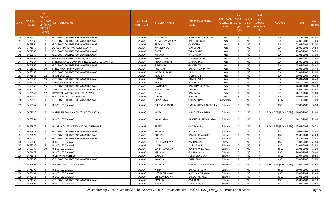| S.No. | <b>APPLICATI</b><br><b>ONID</b> | <b>Merit</b><br>No.(DISTR<br><b>ICT/FACU</b><br><b>LTY/SCHO</b><br><b>OL TYPE</b><br>WISE) | NSTITUTE NAME                                  | <b>DISTRICT</b><br>(INSTITUTE) | STUDENT NAME         | Father's/Guardian's<br>Name | LAST YEAR<br>Faculty/STR<br><b>EAM</b> | <b>LAST</b><br><b>YEAR</b><br>School<br><b>Type</b><br>(G/P) | IS SPE<br><b>CILLY</b> | <b>LAST</b><br><b>YEAR</b><br><b>SCHOOL</b><br>ABLED (RBSE/CB<br>SE) | <b>COURSE</b>              | <b>DOB</b> | <b>LAST</b><br>YEAR% |
|-------|---------------------------------|--------------------------------------------------------------------------------------------|------------------------------------------------|--------------------------------|----------------------|-----------------------------|----------------------------------------|--------------------------------------------------------------|------------------------|----------------------------------------------------------------------|----------------------------|------------|----------------------|
| 140   | 3465520                         | 1                                                                                          | G.D. GOVT. COLLEGE FOR WOMEN ALWAR             | ALWAR                          | <b>JYOTI JATAV</b>   | JAGDISH PRASAD JATAV        | Arts                                   | P                                                            | NO.                    | R                                                                    | B.A.                       | 03-12-2003 | 92.40                |
| 141   | 3472533                         | $\overline{2}$                                                                             | G.D. GOVT. COLLEGE FOR WOMEN ALWAR             | <b>ALWAR</b>                   | NEHA CHANWARIYA      | RAKESH KUMAR                | Arts                                   | P                                                            | <b>NO</b>              |                                                                      | B.A.                       | 22-06-2002 | 84.60                |
| 142   | 3471864                         | $\overline{\mathbf{3}}$                                                                    | G.D. GOVT. COLLEGE FOR WOMEN ALWAR             | <b>ALWAR</b>                   | REENA KUMARI         | CHHOTELAL                   | Arts                                   | P                                                            | <b>NO</b>              | R                                                                    | B.A.                       | 01-07-2001 | 82.00                |
| 143   | 3471557                         | $\overline{4}$                                                                             | AGRSEN MAHILA MAHAVIDHYALAYA                   | ALWAR                          | <b>MANISHA BAI</b>   | MANGI LAL                   | Arts                                   | D                                                            | <b>NO</b>              |                                                                      | <b>B.A.</b>                | 09-06-2003 | 80.80                |
| 144   | 3471555                         | - 5                                                                                        | G.D. GOVT. COLLEGE FOR WOMEN ALWAR             | <b>ALWAR</b>                   | <b>DIVYA</b>         | <b>TARA CHAND</b>           | Arts                                   | D                                                            | <b>NO</b>              | R                                                                    | B.A.                       | 23-06-2003 | 80.20                |
| 145   | 3469337                         | 6                                                                                          | G.D. GOVT. COLLEGE FOR WOMEN ALWAR             | ALWAR                          | <b>MUSKAN</b>        | DAL CHAND                   | Arts                                   | P                                                            | <b>NO</b>              | R                                                                    | <b>B.A.</b>                | 01-01-2002 | 78.00                |
| 146   | 3475305                         | $\overline{7}$                                                                             | <b>GOVERNMENT GIRLS COLLEGE, TAPUKARA</b>      | <b>ALWAR</b>                   | <b>RITU KUMARI</b>   | RAKESH KUMAR                | Arts                                   | P                                                            | <b>NO</b>              | R                                                                    | B.A.                       | 01-01-2000 | 77.60                |
| 147   | 3474514                         | -8                                                                                         | SMT. HEMLATA MEMORIAL GIRLS COLLEGE NARAYANPUR | ALWAR                          | PRIYAKA RAIGAR       | CHHAJU RAM                  | Arts                                   | P                                                            | <b>NO</b>              | R                                                                    | B.A.                       | 05-08-2003 | 77.00                |
| 148   | 3474965                         | -9                                                                                         | G.D. GOVT. COLLEGE FOR WOMEN ALWAR             | ALWAR                          | SUMAN BAI            | GHANSHYAM                   | Arts                                   | D                                                            | <b>NO</b>              |                                                                      | <b>B.A.</b>                | 15-07-2001 | 76.40                |
| 149   | 3461836                         | 10                                                                                         | SHREE MAA MAHAVIDHALYA                         | <b>ALWAR</b>                   | POONAM               | RAMCHARAN JATAV             | Arts                                   | D                                                            | <b>NO</b>              | $\mathsf{R}$                                                         | B.A.                       | 01-01-2004 | 76.40                |
| 150   | 3469163                         | 11                                                                                         | G.D. GOVT. COLLEGE FOR WOMEN ALWAR             | ALWAR                          | <b>KOMAL KUMARI</b>  | RAJU                        | Arts                                   | P                                                            | <b>NO</b>              | R                                                                    | <b>B.A.</b>                | 01-01-2002 | 72.00                |
| 151   | 3475683                         | 12                                                                                         | <b>B.D.M.L COLLEGE</b>                         | <b>ALWAR</b>                   | ANJU BAI             | <b>MOHAN LAL</b>            | Arts                                   | P                                                            | <b>NO</b>              | R                                                                    | <b>B.A.</b>                | 30-06-2004 | 70.80                |
| 152   | 3473290                         | 13                                                                                         | G.D. GOVT. COLLEGE FOR WOMEN ALWAR             | ALWAR                          | SHIVANI              | RAMESHWAR                   | Arts                                   | D                                                            | <b>NO</b>              | R                                                                    | B.A.                       | 15-04-2004 | 70.40                |
| 153   | 3468163                         | 14                                                                                         | SHREE MAA MAHAVIDHALYA                         | ALWAR                          | SAROJ                | JAL SINGH                   | Arts                                   | D                                                            | <b>NO</b>              |                                                                      | <b>B.A.</b>                | 10-10-2004 | 69.60                |
| 154   | 3463960                         | 15                                                                                         | G.D. GOVT. COLLEGE FOR WOMEN ALWAR             | <b>ALWAR</b>                   | <b>KAVITA BAI</b>    | RAM PRASAD VERMA            | Arts                                   | D                                                            | <b>NO</b>              | R                                                                    | B.A.                       | 26-01-2004 | 68.40                |
| 155   | 3474734                         | 16                                                                                         | SMT NARAYANI DEVI MAHILA MAHAVIDLAYA           | ALWAR                          | <b>NEHA KUMARI</b>   | SANJAY                      | Arts                                   | P                                                            | <b>NO</b>              | R                                                                    | <b>B.A.</b>                | 26-07-2004 | 68.40                |
| 156   | 3475156                         | 17                                                                                         | DEV INTERNATIONAL COLLEGE, ALWAR               | ALWAR                          | <b>NEHA</b>          | <b>RAM KARAN</b>            | Arts                                   | P                                                            | <b>NO</b>              | R                                                                    | B.A.                       | 20-12-2001 | 65.60                |
| 157   | 3466442                         | 18                                                                                         | <b>GOVT. GIRLS COLLEGE BEHROR</b>              | ALWAR                          | <b>NILAM</b>         | HIRALAL                     | Arts                                   | P                                                            | <b>NO</b>              | R                                                                    | B.A.                       | 30-03-2001 | 65.40                |
| 158   | 3472575                         | 1                                                                                          | G.D. GOVT. COLLEGE FOR WOMEN ALWAR             | ALWAR                          | PRIYA JATAV          | SANJAY KUMAR                | Commerce                               | G                                                            | <b>NO</b>              | R                                                                    | <b>BCOM</b>                | 17-11-2003 | 82.00                |
| 159   | 3455942                         | 1                                                                                          | R R COLLEGE ALWAR                              | ALWAR                          | NIKITABAGHORIA       | SANJAY KUMAR BAGHORIA       | Science                                | G                                                            | NO                     | R                                                                    | B.SC.                      | 07-08-2005 | 80.00                |
| 160   | 3472820                         | $\overline{2}$                                                                             | MAHARAJA MAHILA COLLEGE OF EDUCATION           | ALWAR                          | KOMAL                | MAHENDRA KUMAR              | Science                                | G                                                            | NO                     |                                                                      | B.SC.- B.ED.(B.SC.- B.ED.) | 18-08-2003 | 79.60                |
| 161   | 3475264                         | 3                                                                                          | R R COLLEGE ALWAR                              | ALWAR                          | KAJAL JATAV          | VARENDRA KUMAR JATAV        | Science                                | G                                                            | NO.                    | R                                                                    | B.SC.                      | 18-10-2003 | 77.60                |
| 162   | 3475975                         | $\overline{4}$                                                                             | B.D.M.L COLLEGE OF EDUCATION, DHELAWAS         | ALWAR                          | PREETI               | <b>CHIMMAN LAL</b>          | Science                                | G                                                            | NO.                    |                                                                      | B.SC.- B.ED.(B.SC.- B.ED.) | 15-03-2004 | 76.20                |
| 163   | 3466978                         | - 5                                                                                        | G.D. GOVT. COLLEGE FOR WOMEN ALWAR             | ALWAR                          | RACHANA              | HARI RAM                    | Science                                | G                                                            | NO                     | R                                                                    | B.SC.                      | 20-08-2003 | 75.80                |
| 164   | 3472072                         | -6                                                                                         | G.D. GOVT. COLLEGE FOR WOMEN ALWAR             | ALWAR                          | <b>PUSHPA</b>        | RAMESH CHAND KOLI           | Science                                | G                                                            | <b>NO</b>              | R.                                                                   | B.SC.                      | 15-06-2004 | 74.20                |
| 165   | 3476020                         | 7                                                                                          | G.D. GOVT. COLLEGE FOR WOMEN ALWAR             | <b>ALWAR</b>                   | MALLIKA              | KAILASH CHAND               | Science                                | G                                                            | NO                     | R                                                                    | B.SC.                      | 04-12-2002 | 72.80                |
| 166   | 3462883                         | 8                                                                                          | R R COLLEGE ALWAR                              | ALWAR                          | DEEPIKA BAIRWA       | <b>VISHRAM LAL</b>          | Science                                | G                                                            | <b>NO</b>              | R                                                                    | B.SC.                      | 01-03-2003 | 72.80                |
| 167   | 3473730                         | - 9                                                                                        | R R COLLEGE ALWAR                              | ALWAR                          | <b>NISHA</b>         | <b>MURLI DHAR</b>           | Science                                | G                                                            | <b>NO</b>              | R                                                                    | B.SC.                      | 21-01-2002 | 71.80                |
| 168   | 3465737                         | 10                                                                                         | R R COLLEGE ALWAR                              | <b>ALWAR</b>                   | SUMITRA VERMA        | DEVISAHAY BAIRWA            | Science                                | G                                                            | <b>NO</b>              | R                                                                    | B.SC.                      | 01-01-2001 | 71.00                |
| 169   | 3474477                         | 11                                                                                         | R R COLLEGE ALWAR                              | ALWAR                          | <b>KHUSHBU</b>       | <b>GULAB CHAND</b>          | Science                                | G                                                            | <b>NO</b>              | R.                                                                   | B.SC.                      | 28-02-2004 | 68.60                |
| 170   | 3475675                         | 1                                                                                          | RAJESHWAR COLLEGE                              | ALWAR                          | GAYATRI              | <b>SURENDRA SINGH</b>       | Science                                | P                                                            | NO                     | R                                                                    | B.SC.                      | 01-07-2005 | 89.80                |
| 171   | 3471353                         | 2                                                                                          | G.D. GOVT. COLLEGE FOR WOMEN ALWAR             | ALWAR                          | <b>KANCHAN</b>       | KALLU RAM                   | Science                                | <b>D</b>                                                     | <b>NO</b>              | $\mathsf{R}$                                                         | B.SC.                      | 03-06-2006 | 89.80                |
| 172   | 3474496                         | -3                                                                                         | <b>BANSUR PG COLLEGE BANSUR</b>                | ALWAR                          | RAJBALA              | <b>OMPRAKASH MEGHWAL</b>    | Science                                |                                                              | NO                     |                                                                      | B.SC.- B.ED.(B.SC.- B.ED.) | 01-01-2003 | 83.80                |
| 173   | 3471303                         | $\overline{4}$                                                                             | R R COLLEGE ALWAR                              | ALWAR                          | <b>NISHA</b>         | RAMESH CHAND                | Science                                |                                                              | <b>NO</b>              | R                                                                    | B.SC.                      | 10-04-2006 | 81.00                |
| 174   | 3469691                         | - 5                                                                                        | R R COLLEGE ALWAR                              | ALWAR                          | <b>HEENA BHIMWAL</b> | JAIKISHAN BHIMWAL           | Science                                |                                                              | NO                     | R                                                                    | B.SC.                      | 15-02-2004 | 79.40                |
| 175   | 3472036                         | -6                                                                                         | R R COLLEGE ALWAR                              | ALWAR                          | <b>CHANDAN JATAV</b> | RAMAVTARJATAV               | Science                                | P                                                            | NO                     | R                                                                    | B.SC.                      | 01-01-2002 | 78.20                |
| 176   | 3471360                         | $\overline{7}$                                                                             | G.D. GOVT. COLLEGE FOR WOMEN ALWAR             | ALWAR                          | RIMJHIM              | OMPRAKASH                   | Science                                | P                                                            | NO                     | R                                                                    | B.SC.                      | 25-07-2003 | 78.20                |
| 177   | 3474403                         | 8                                                                                          | R R COLLEGE ALWAR                              | ALWAR                          | <b>NEHA</b>          | <b>TEJPAL SINGH</b>         | Science                                | D                                                            | <b>NO</b>              | R                                                                    | B.SC.                      | 02-06-2002 | 77.80                |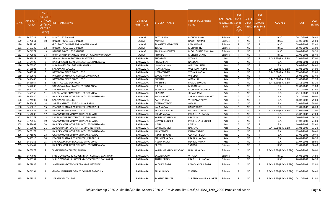| S.No.      | <b>APPLICATI</b><br><b>ONID</b> | <b>Merit</b><br>No.(DISTR<br>ICT/FACU<br>LTY/SCHO<br><b>OL TYPE</b><br>WISE) | ISTITUTE NAME                                                                  | <b>DISTRICT</b><br>(INSTITUTE)     | STUDENT NAME                          | Father's/Guardian's<br>Name         | LAST YEAR<br>Faculty/STR<br><b>EAM</b> | <b>LAST</b><br><b>YEAR</b><br>School<br><b>Type</b><br>(G/P) | <b>IS SPE</b><br><b>CILLY</b> | <b>LAST</b><br><b>YEAR</b><br><b>SCHOOL</b><br>ABLED (RBSE/CB<br>SE) | <b>COURSE</b>              | <b>DOB</b>               | <b>LAST</b><br>YEAR% |
|------------|---------------------------------|------------------------------------------------------------------------------|--------------------------------------------------------------------------------|------------------------------------|---------------------------------------|-------------------------------------|----------------------------------------|--------------------------------------------------------------|-------------------------------|----------------------------------------------------------------------|----------------------------|--------------------------|----------------------|
| 178        | 3474711                         | -9                                                                           | R R COLLEGE ALWAR                                                              | ALWAR                              | <b>EKTA VERMA</b>                     | <b>MOHAN SINGH</b>                  | Science                                | P                                                            | <b>NO</b>                     | R                                                                    | B.SC.                      | 09-10-2002               | 76.40                |
| 179        | 3475811                         | 10                                                                           | <b>BANSUR PG COLLEGE BANSUR</b>                                                | <b>ALWAR</b>                       | <b>MONIKA</b>                         | <b>RAJESH KUMAR</b>                 | Science                                | P                                                            | N <sub>O</sub>                | R                                                                    | B.SC.                      | 03-08-2003               | 75.60                |
| 180        | 3469197                         | 11                                                                           | G.D. GOVT. COLLEGE FOR WOMEN ALWAR                                             | ALWAR                              | SANGEETA MEGHWAL                      | <b>RAM KUMAR</b>                    | Science                                | P                                                            | <b>NO</b>                     | R                                                                    | B.SC.                      | 09-08-2003               | 75.40                |
| 181        | 3467330                         | 12                                                                           | BANSUR PG COLLEGE BANSUR                                                       | <b>ALWAR</b>                       | <b>TEENA</b>                          | <b>MOHAR SINGH</b>                  | Science                                | D                                                            | NO.                           | R                                                                    | B.SC.                      | 15-08-2003               | 71.00                |
| 182        | 3474372                         | 13                                                                           | BANSUR PG COLLEGE BANSUR                                                       | <b>ALWAR</b>                       | AMIKSHA MOURYA                        | MOOL CHAND MOURYA                   | Science                                | P                                                            | <b>NO</b>                     | R                                                                    | B.SC.                      | 10-07-2003               | 68.20                |
| 183        | 3472685                         | 14                                                                           | BABA SHRI NARAYANDAS MAHILA PG MAHAVIDHALAYA                                   | <b>ALWAR</b>                       | RITU RAJ                              | MUNESH CHAND                        | Science                                | P                                                            | <b>NO</b>                     | $\mathsf{R}$                                                         | B.SC.                      | 22-05-2003               | 65.40                |
| 184        | 3447818                         | - 1                                                                          | ARAVALI MAHAVIDHYALAY,BANSWARA                                                 | <b>BANSWARA</b>                    | <b>BHAARATI</b>                       | <b>VITHALA</b>                      | Arts                                   | G                                                            | <b>NO</b>                     | R                                                                    | B.A- B.ED.(B.A- B.ED.)     | 01-01-2005               | 87.00                |
| 185        | 3454490                         | $\overline{2}$                                                               | HARIDEV JOSHI GOVT GIRLS COLLEGE BANSWARA                                      | <b>BANSWARA</b>                    | POOJA BHARTI                          | <b>NANDLAL</b>                      | Arts                                   | G                                                            | NO.                           | $\mathsf{R}$                                                         | B.A.                       | 30-01-2001               | 85.00                |
| 186        | 3475340                         | $\overline{\mathbf{3}}$                                                      | MAA BHARTI COLLEGE KUSHALGARH                                                  | <b>BANSWARA</b>                    | ISHA CHAUHAN                          | <b>AJAY CHAUHAN</b>                 | Arts                                   | G                                                            | <b>NO</b>                     | R                                                                    | B.A.                       | 04-02-2000               | 84.40                |
| 187        | 3465501                         | $\overline{4}$                                                               | SARASWATI COLLEGE                                                              | <b>BANSWARA</b>                    | <b>PAYAL RAIDAS</b>                   | <b>VAJE RAM RAIDAS</b>              | Arts                                   | G                                                            | N <sub>O</sub>                | R                                                                    | B.A- B.ED.(B.A- B.ED.)     | 12-01-2003               | 84.00                |
| 188        | 3448357                         | -5                                                                           | NEW LOOK GIRL'S PG COLLEGE                                                     | <b>BANSWARA</b>                    | <b>NEETA YADAV</b>                    | <b>VITHALA YADAV</b>                | Arts                                   | G                                                            | <b>NO</b>                     | $\mathsf{R}$                                                         | B.A- B.ED.(B.A- B.ED.)     | 07-08-2003               | 83.80                |
| 189        | 3462678                         | 6                                                                            | PRABHA SHANKAR PG COLLEGE , PARTAPUR                                           | <b>BANSWARA</b>                    | SONAL YADAV                           | VASUDEV                             | Arts                                   | G                                                            | <b>NO</b>                     | R                                                                    | <b>B.A.</b>                | 05-08-2002               | 83.40                |
| 190        | 3450408                         | $\overline{7}$                                                               | NEW LOOK GIRL'S PG COLLEGE                                                     | <b>BANSWARA</b>                    | <b>ROSHANI</b>                        | <b>AMBA LAL</b>                     | Arts                                   | G                                                            | <b>NO</b>                     | $\mathsf{R}$                                                         | B.A- B.ED.(B.A- B.ED.)     | 01-03-2002               | 83.20                |
| 191        | 3463057                         | 8                                                                            | LBS T T COLLEGE GANODA                                                         | <b>BANSWARA</b>                    | <b>JAY SHREE</b>                      | <b>BHAGU BUNKAR</b>                 | Arts                                   | G                                                            | <b>NO</b>                     | R                                                                    | B.A- B.ED.(B.A- B.ED.)     | 21-12-2003               | 83.20                |
| 192        | 3452889                         | 9                                                                            | SARVODAYA MAHILA COLLEGE BAGIDORA                                              | <b>BANSWARA</b>                    | <b>NIKITA</b>                         | <b>MADAN LAL</b>                    | Arts                                   | G                                                            | N <sub>O</sub>                | $\mathsf{R}$                                                         | <b>B.A.</b>                | 12-03-2002               | 83.00                |
| 193        | 3474212                         | 10                                                                           | SARASWATI COLLEGE                                                              | <b>BANSWARA</b>                    | SANJANA BUNKER                        | <b>MOHANLAL BUNKER</b>              | Arts                                   | G                                                            | <b>NO</b>                     | $\mathsf{R}$                                                         | B.A.                       | 25-10-2002               | 82.80                |
| 194        | 3456155                         | 11                                                                           | LAL BAHADUR SHASTRI COLLEGE GANORA                                             | <b>BANSWARA</b>                    | KRISHNA                               | JEEVAT RAM                          | Arts                                   | G                                                            | <b>NO</b>                     | R                                                                    | B.A.                       | 23-11-2002               | 82.20                |
| 195        | 3452830                         | 12                                                                           | HARIDEV JOSHI GOVT GIRLS COLLEGE BANSWARA                                      | <b>BANSWARA</b>                    | POOJA BHARTI                          | <b>SHRVAN KUMAR BHARTI</b>          | Arts                                   | G                                                            | <b>NO</b>                     | $\mathsf{R}$                                                         | <b>B.A.</b>                | 24-10-2001               | 80.00                |
| 196        | 3474583                         | 13                                                                           | SARASWATI COLLEGE                                                              | <b>BANSWARA</b>                    | AARTI YADAV                           | <b>VITTHALA YADAV</b>               | Arts                                   | G                                                            | NO.                           | R                                                                    | B.A.                       | 16-02-2002               | 79.60                |
| 197        | 3466619                         | 14                                                                           | SHREE NATH COLLEGE KUMJI KA PARDA                                              | <b>BANSWARA</b>                    | DEEPIKA YADAV                         | <b>AMARJI</b>                       | Arts                                   | G                                                            | N <sub>O</sub>                | R                                                                    | <b>B.A.</b>                | 01-01-2002               | 79.00                |
| 198        | 3465816                         | 15                                                                           | PRABHA SHANKAR PG COLLEGE, PARTAPUR                                            | <b>BANSWARA</b>                    | <b>KALA YADAV</b>                     | RAJU YADAV                          | Arts                                   | G                                                            | <b>NO</b>                     | $\mathsf{R}$                                                         | <b>B.A.</b>                | 01-01-2002               | 78.20                |
| 199        | 3450431                         | 16                                                                           | NEW LOOK GIRL'S PG COLLEGE                                                     | <b>BANSWARA</b>                    | PRIYANKA YADAV                        | DAYALAL YADAV                       | Arts                                   | G                                                            | <b>NO</b>                     | R                                                                    | B.A- B.ED.(B.A- B.ED.)     | 12-04-2003               | 77.00                |
| 200        | 3464686                         | 17                                                                           | GYAANMOORTI MAHAVIDHYALAY,GHATOL                                               | <b>BANSWARA</b>                    | SEEMA YADAV                           | PRABHU LAL YADAV                    | Arts                                   | G                                                            | N <sub>O</sub>                | $\mathsf{R}$                                                         | B.A.                       | 23-02-2002               | 77.00                |
| 201        | 3474278                         | 18<br>19                                                                     | LAL BAHADUR SHASTRI COLLEGE GANORA                                             | <b>BANSWARA</b>                    | KARISHMA KUMARI                       | <b>PRAKASH</b><br>PRABHU LAL BUNKER | Arts                                   | G<br>G                                                       | <b>NO</b><br>N <sub>O</sub>   | R<br>$\mathsf{R}$                                                    | B.A.                       | 20-05-2002               | 76.20<br>74.60       |
| 202<br>203 | 3475545<br>3463409              | 20                                                                           | GYAANMOORTI MAHAVIDHYALAY, GHATOL<br>HARIDEV JOSHI GOVT GIRLS COLLEGE BANSWARA | <b>BANSWARA</b>                    | <b>SHIVANI BUNKER</b><br><b>NISHA</b> | <b>RAJESH</b>                       | Arts                                   | G                                                            | <b>NO</b>                     |                                                                      | B.A.<br><b>B.A.</b>        | 17-02-2003<br>10-07-2003 | 73.60                |
| 204        | 3469991                         | 21                                                                           | JAMBUKHAND TEACHER TRAINING INSTITUTE                                          | <b>BANSWARA</b><br><b>BANSWARA</b> | <b>SUNITA BUNKAR</b>                  | <b>RAMENG</b>                       | Arts                                   | G                                                            | <b>NO</b>                     | $\mathsf{R}$<br>R                                                    | B.A- B.ED.(B.A- B.ED.)     | 01-01-2002               | 73.20                |
| 205        | 3475179                         | 22                                                                           | HARIDEV JOSHI GOVT GIRLS COLLEGE BANSWARA                                      | <b>BANSWARA</b>                    | JAYA YADAV                            | KALIYA YADAV                        | Arts<br>Arts                           | G                                                            | <b>NO</b>                     | $\mathsf{R}$                                                         | B.A.                       | 15-07-2002               | 70.40                |
| 206        | 3471895                         | 23                                                                           | GYAANMOORTI MAHAVIDHYALAY,GHATOL                                               | <b>BANSWARA</b>                    | <b>INDIRA TIRGAR</b>                  | <b>GOTAM TIRGAR</b>                 | Arts                                   | G                                                            | NO.                           | R                                                                    | B.A.                       | 13-05-2003               | 70.40                |
| 207        | 3459710                         | 24                                                                           | PRABHA SHANKAR PG COLLEGE , PARTAPUR                                           | <b>BANSWARA</b>                    | <b>BHUMIKA YADAV</b>                  | PRAKASH YADAV                       | Arts                                   | G                                                            | <b>NO</b>                     | $\mathsf{R}$                                                         | B.A.                       | 24-01-2003               | 70.20                |
| 208        | 3464355                         | 25                                                                           | SARVODAYA MAHILA COLLEGE BAGIDORA                                              | <b>BANSWARA</b>                    | <b>HEENA YADAV</b>                    | <b>DEVILAL YADAV</b>                | Arts                                   | G                                                            | <b>NO</b>                     | R                                                                    | B.A.                       | 11-07-2003               | 69.60                |
| 209        | 3463442                         | - 1                                                                          | HARIDEV JOSHI GOVT GIRLS COLLEGE BANSWARA                                      | <b>BANSWARA</b>                    | <b>PREETI</b>                         | <b>SANTOSH</b>                      | Science                                | G                                                            | <b>NO</b>                     | R                                                                    | B.SC.                      | 01-01-2002               | 80.40                |
| 210        | 3475978                         | 2                                                                            | VIVEKANAND COLLEGE, ANJANA                                                     | <b>BANSWARA</b>                    | KARISHMA KUMARI YADAV                 | <b>HIRALAL YADAV</b>                | Science                                | G                                                            | NO.                           |                                                                      | B.SC.- B.ED.(B.SC.- B.ED.) | 06-05-2003               | 80.00                |
| 211        | 3477608                         | $\overline{\mathbf{3}}$                                                      | SHRI GOVIND GURU GOVERNMENT COLLEGE, BANSWARA                                  | BANSWARA                           | <b>SALONI YADAV</b>                   | <b>VITHALA</b>                      | Science                                | G                                                            | <b>NO</b>                     | R                                                                    | B.SC.                      | 06-08-2001               | 74.80                |
| 212        | 3469392                         | $\overline{4}$                                                               | SHRI GOVIND GURU GOVERNMENT COLLEGE, BANSWARA                                  | BANSWARA                           | <b>ANJALI YADAV</b>                   | PRABHU LAL YADAV                    | Science                                | G                                                            | <b>NO</b>                     | $\mathsf{R}$                                                         | B.SC.                      | 26-01-2002               | 74.20                |
| 213        | 3479985                         | 5                                                                            | <b>JAMBUKHAND TEACHER TRAINING INSTITUTE</b>                                   | BANSWARA                           | YACHIKA GARG                          | RAMCHANDRA GARG                     | Science                                | G                                                            | <b>NO</b>                     |                                                                      | B.SC.- B.ED.(B.SC.- B.ED.) | 20-06-2003               | 65.80                |
| 214        | 3474294                         | 1                                                                            | GLOBAL INSTITUTE OF B.ED COLLEGE BARODIYA                                      | BANSWARA                           | PINAL YADAV                           | VIRENRA                             | Science                                | P                                                            | NO.                           | R                                                                    | B.SC.- B.ED.(B.SC.- B.ED.) | 12-05-2003               | 84.40                |
| 215        | 3479312                         | $\overline{2}$                                                               | SARASWATI COLLEGE                                                              | BANSWARA                           | TANISHA BUNKER                        | <b>SURESH CHANDRA BUNKER</b>        | Science                                | P                                                            | NO                            | R                                                                    | B.SC.- B.ED.(B.SC.- B.ED.) | 04-10-2002               | 81.80                |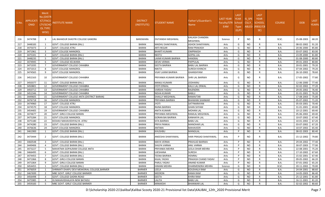| S.No. | <b>APPLICATI</b><br><b>ONID</b> | <b>Merit</b><br>√o.(DISTR<br><b>ICT/FACU</b><br>LTY/SCHO<br><b>OL TYPE</b><br>WISE) | NSTITUTE NAME                                   | <b>DISTRICT</b><br>(INSTITUTE) | STUDENT NAME            | Father's/Guardian's<br>Name              | LAST YEAR<br><b>Faculty/STR</b><br><b>EAM</b> | <b>LAST</b><br><b>YEAR</b><br>School<br>Type<br>(G/P) | IS SPE<br><b>CILLY</b> | <b>LAST</b><br><b>YEAR</b><br><b>SCHOOL</b><br>ABLED (RBSE/CB<br>SE) | <b>COURSE</b> | <b>DOB</b> | <b>LAST</b><br>YEAR% |
|-------|---------------------------------|-------------------------------------------------------------------------------------|-------------------------------------------------|--------------------------------|-------------------------|------------------------------------------|-----------------------------------------------|-------------------------------------------------------|------------------------|----------------------------------------------------------------------|---------------|------------|----------------------|
| 216   | 3474788                         | 3                                                                                   | LAL BAHADUR SHASTRI COLLEGE GANORA              | <b>BANSWARA</b>                | DIVYANSHI MEGHWAL       | <b>KAILASH CHANDRA</b><br><b>MEGHWAL</b> | Science                                       | P                                                     | <b>NO</b>              | R                                                                    | B.SC.         | 25-08-2003 | 68.20                |
| 217   | 3448183                         | 1                                                                                   | GOVT. COLLEGE BARAN (RAJ.)                      | <b>BARAN</b>                   | MADHU SHAKYAWAL         | <b>ASHOK SHAKYAWAL</b>                   | Arts                                          | G                                                     | <b>NO</b>              | R                                                                    | <b>B.A.</b>   | 08-02-2002 | 91.20                |
| 218   | 3475073                         | $\overline{2}$                                                                      | <b>GOVT. COLLEGE ATRU</b>                       | <b>BARAN</b>                   | ARTI REGAR              | <b>RAM PRAKASH</b>                       | Arts                                          | G                                                     | NO.                    | R                                                                    | B.A.          | 20-06-2000 | 85.80                |
| 219   | 3471961                         | $\overline{3}$                                                                      | <b>GOVT.COLLEGE MANGROL</b>                     | <b>BARAN</b>                   | <b>BHARTI KUMARI</b>    | <b>OMPRAKSH</b>                          | Arts                                          | G                                                     | <b>NO</b>              | R                                                                    | B.A.          | 03-07-2002 | 83.00                |
| 220   | 3475341                         | $\overline{4}$                                                                      | GOVT. COLLEGE BARAN (RAJ.)                      | <b>BARAN</b>                   | NEETU                   | <b>GOPAL LAL</b>                         | Arts                                          | G                                                     | <b>NO</b>              | R                                                                    | <b>B.A.</b>   | 23-09-2000 | 81.80                |
| 221   | 3448235                         | - 5                                                                                 | GOVT. COLLEGE BARAN (RAJ.)                      | <b>BARAN</b>                   | LAXMI KUMARI BAIRWA     | <b>HANSRAJ</b>                           | Arts                                          | G                                                     | <b>NO</b>              | R                                                                    | B.A.          | 01-08-2000 | 80.80                |
| 222   | 3474945                         | -6                                                                                  | GOVT. COLLEGE KELWARA                           | <b>BARAN</b>                   | DEVKI VERMA             | PAPPULAL                                 | Arts                                          | G                                                     | <b>NO</b>              | R                                                                    | B.A.          | 09-01-2003 | 80.80                |
| 223   | 3471035                         | $\overline{7}$                                                                      | GOVERNMENT COLLEGE CHHABRA                      | <b>BARAN</b>                   | <b>GEETA BAIRWA</b>     | <b>BABU LAL BAIRWA</b>                   | Arts                                          | G                                                     | <b>NO</b>              | R                                                                    | B.A.          | 20-01-2001 | 79.20                |
| 224   | 3471013                         | 8                                                                                   | GOVT.COLLEGE MANGROL                            | <b>BARAN</b>                   | <b>NIKITA</b>           | <b>SURESH KHINCHI</b>                    | Arts                                          | G                                                     | <b>NO</b>              | R                                                                    | B.A.          | 07-04-2002 | 79.20                |
| 225   | 3474565                         | 9                                                                                   | <b>GOVT.COLLEGE MANGROL</b>                     | <b>BARAN</b>                   | VIJAY LAXMI BAIRWA      | <b>GHANSHYAM</b>                         | Arts                                          | G                                                     | NO.                    | R                                                                    | <b>B.A.</b>   | 26-10-2002 | 78.60                |
| 226   | 3452163                         | 10                                                                                  | GOVERNMENT COLLEGE CHHABRA                      | <b>BARAN</b>                   | PRIYANKA KUMARI BAIRWA  | SHRI LAL BAIRWA                          | Arts                                          | G                                                     | <b>NO</b>              | R                                                                    | <b>B.A.</b>   | 17-05-2002 | 77.80                |
| 227   | 3450377                         | 11                                                                                  | GOVT. COLLEGE BARAN (RAJ.)                      | <b>BARAN</b>                   | <b>MANJU KUMARI</b>     | <b>JODHARAJ</b>                          | Arts                                          | G                                                     | <b>NO</b>              | R                                                                    | B.A.          | 12-06-2000 | 77.40                |
| 228   | 3450801                         | 12                                                                                  | <b>GOVERNMENT COLLEGE CHHABRA</b>               | <b>BARAN</b>                   | <b>JYOTI ERWAL</b>      | KALU LAL ERWAL                           | Arts                                          | G                                                     | <b>NO</b>              | $\mathsf{R}$                                                         | <b>B.A.</b>   | 02-02-2002 | 77.20                |
| 229   | 3450712                         | 13                                                                                  | <b>GOVERNMENT COLLEGE CHHABRA</b>               | <b>BARAN</b>                   | VARSHA YADAV            | <b>RAJENDRA</b>                          | Arts                                          | G                                                     | NO.                    | R                                                                    | B.A.          | 29-05-2002 | 76.40                |
| 230   | 3452346                         | 14                                                                                  | GOVERNMENT COLLEGE CHHABRA                      | <b>BARAN</b>                   | NISHA KUMARI            | <b>BABLU</b>                             | Arts                                          | G                                                     | <b>NO</b>              | R                                                                    | B.A.          | 01-01-2001 | 76.20                |
| 231   | 3449605                         | 15                                                                                  | <b>GOVERNMENT COLLEGE ANTA (DISTRICT BARAN)</b> | <b>BARAN</b>                   | SHAILLY MEGHWAL         | <b>RAMAVTAR</b>                          | Arts                                          | G                                                     | <b>NO</b>              | $\mathsf{R}$                                                         | B.A.          | 17-08-2003 | 75.00                |
| 232   | 3476718                         | 16                                                                                  | <b>GOVT.COLLEGE MANGROL</b>                     | <b>BARAN</b>                   | PRIYANKA BAIRWA         | <b>BHAWANI SHANKAR</b>                   | Arts                                          | G                                                     | <b>NO</b>              | R                                                                    | B.A.          | 05-07-2002 | 71.20                |
| 233   | 3474960                         | 17                                                                                  | <b>GOVT. COLLEGE ATRU</b>                       | <b>BARAN</b>                   | ITOYL                   | SATYNARAYAN                              | Arts                                          | G                                                     | <b>NO</b>              | $\mathsf{R}$                                                         | <b>B.A.</b>   | 05-03-2001 | 70.40                |
| 234   | 3474570                         | 18                                                                                  | <b>GOVT.COLLEGE MANGROL</b>                     | <b>BARAN</b>                   | RAINA BAIRWA            | <b>GHAN SHYAM</b>                        | Arts                                          | G                                                     | NO.                    | R                                                                    | B.A.          | 31-01-2001 | 69.80                |
| 235   | 3454405                         | 19                                                                                  | <b>GOVERNMENT COLLEGE CHHABRA</b>               | <b>BARAN</b>                   | ANITA KUMARI            | <b>MOHAN LAL</b>                         | Arts                                          | G                                                     | <b>NO</b>              | R                                                                    | B.A.          | 10-12-2001 | 69.40                |
| 236   | 3474677                         | -20                                                                                 | GOVT. GIRLS COLLEGE BARAN                       | <b>BARAN</b>                   | PRIYANKA MEGHWAL        | RAMLAL MEGHWAL                           | Arts                                          | G                                                     | <b>NO</b>              | R                                                                    | B.A.          | 05-06-2002 | 69.40                |
| 237   | 3475284                         | 21                                                                                  | <b>GOVT.COLLEGE MANGROL</b>                     | <b>BARAN</b>                   | <b>GORAN BAI BAIRWA</b> | <b>KANHAIYA LAL</b>                      | Arts                                          | G                                                     | <b>NO</b>              | R                                                                    | B.A.          | 10-07-2002 | 67.40                |
| 238   | 3475180                         | 22                                                                                  | KESHAV MAHAVIDHYALYA ATRU                       | <b>BARAN</b>                   | <b>SITA BAIRWA</b>      | <b>BABU LAL</b>                          | Arts                                          | G                                                     | <b>NO</b>              | $\mathsf{R}$                                                         | <b>B.A.</b>   | 10-01-2002 | 67.20                |
| 239   | 3474280                         | 23                                                                                  | GOVT. COLLEGE BARAN (RAJ.)                      | <b>BARAN</b>                   | PRIYA PANKAJ            | <b>MANOHAR LAL</b>                       | Arts                                          | G                                                     | <b>NO</b>              | R                                                                    | B.A.          | 03-07-2002 | 67.20                |
| 240   | 3476636                         | 24                                                                                  | <b>GOVT.COLLEGE MANGROL</b>                     | <b>BARAN</b>                   | ANTIMA                  | <b>MAHAVEER</b>                          | Arts                                          | G                                                     | <b>NO</b>              | R                                                                    | B.A.          | 10-07-2002 | 65.40                |
| 241   | 3461900                         | 1                                                                                   | GOVT. COLLEGE BARAN (RAJ.)                      | <b>BARAN</b>                   | KHUSHBU                 | <b>MANGILAL</b>                          | Arts                                          | P                                                     | <b>NO</b>              | $\mathsf{R}$                                                         | B.A.          | 08-02-2003 | 80.40                |
| 242   | 3473444                         | 2                                                                                   | GOVT. COLLEGE BARAN (RAJ.)                      | <b>BARAN</b>                   | ANEESHA SHAKYAWAL       | <b>HARI PRASAD SHAKYAWAL</b>             | Arts                                          |                                                       | NO.                    | R                                                                    | <b>B.A.</b>   | 15-12-2002 | 79.80                |
| 243   | 3460548                         | $\overline{\mathbf{3}}$                                                             | GOVT. COLLEGE BARAN (RAJ.)                      | <b>BARAN</b>                   | <b>MAYA VERMA</b>       | PRAHLAD BAIRWA                           | Arts                                          | P                                                     | <b>NO</b>              | R                                                                    | <b>B.A.</b>   | 29-04-2002 | 77.40                |
| 244   | 3449406                         | $\overline{a}$                                                                      | GOVT. COLLEGE BARAN (RAJ.)                      | <b>BARAN</b>                   | SHILPA VARMA            | <b>ANIL VARMA</b>                        | Arts                                          | P                                                     | NO                     | R                                                                    | B.A.          | 30-07-2003 | 77.00                |
| 245   | 3473227                         | -5                                                                                  | MAHATMA GOPALRAM COLLEGE ANTA                   | <b>BARAN</b>                   | PRIYANKA MEHRA          | LEELA DHAR MEHRA                         | Arts                                          | P                                                     | <b>NO</b>              | R                                                                    | B.A.          | 22-08-2001 | 75.20                |
| 246   | 3466495                         | 6                                                                                   | GOVT. COLLEGE BARAN (RAJ.)                      | <b>BARAN</b>                   | <b>UJESHANA</b>         | <b>SURESH</b>                            | Arts                                          | P                                                     | <b>NO</b>              | R                                                                    | B.A.          | 17-10-2002 | 67.60                |
| 247   | 3474455                         | $\overline{7}$                                                                      | GOVT. COLLEGE BARAN (RAJ.)                      | <b>BARAN</b>                   | <b>TEENA BAIRWA</b>     | <b>HEMRAJ</b>                            | Arts                                          | P                                                     | NO                     | R                                                                    | <b>B.A.</b>   | 15-02-2001 | 67.40                |
| 248   | 3471066                         | 8                                                                                   | GOVT. GIRLS COLLEGE BARAN                       | <b>BARAN</b>                   | KAJAL YADAV             | PRAKASH CHAND YADAV                      | Arts                                          | P                                                     | <b>NO</b>              | $\mathsf{R}$                                                         | <b>B.A.</b>   | 09-05-2002 | 66.20                |
| 249   | 3471064                         | -9                                                                                  | GOVT. GIRLS COLLEGE BARAN                       | <b>BARAN</b>                   | PARUL YADAV             | <b>ANAND KUMAR</b>                       | Arts                                          | P                                                     | <b>NO</b>              | R                                                                    | <b>B.A.</b>   | 07-01-2002 | 65.20                |
| 250   | 3454455                         | 1                                                                                   | GOVT. COLLEGE BARAN (RAJ.)                      | <b>BARAN</b>                   | HIMANI MEHRA            | <b>DHARMENDRA MEHRA</b>                  | Science                                       | G                                                     | <b>NO</b>              | R                                                                    | B.SC.         | 20-11-2002 | 70.00                |
| 251   | 3476059                         | -1                                                                                  | SHRIMATI DHAPU DEVI MEMORIAL COLLEGE, BARMER    | <b>BARMER</b>                  | LEELA                   | <b>KOUSHALA RAM</b>                      | Arts                                          | G                                                     | <b>NO</b>              | R                                                                    | B.A.          | 24-04-2001 | 88.60                |
| 252   | 3467699                         | $\overline{2}$                                                                      | MBC GOVT. GIRLS' COLLEGE BARMER                 | <b>BARMER</b>                  | <b>MEERON</b>           | RAMA RAM                                 | Arts                                          | G                                                     | <b>NO</b>              | R                                                                    | <b>B.A.</b>   | 14-05-2003 | 86.40                |
| 253   | 3456498                         | $\overline{\mathbf{3}}$                                                             | GOVT. COLLEGE GADRA ROAD                        | BARMER                         | <b>GEETA</b>            | <b>KHIRA RAM</b>                         | Arts                                          | G                                                     | <b>NO</b>              | R                                                                    | <b>B.A.</b>   | 25-12-2001 | 81.80                |
| 254   | 3475985                         | $\overline{4}$                                                                      | IG MAHAVIDHALAYA NEW BATADU                     | <b>BARMER</b>                  | LALITA                  | <b>BABU LAL</b>                          | Arts                                          | G                                                     | <b>NO</b>              | R                                                                    | <b>B.A.</b>   | 16-11-2001 | 81.20                |
| 255   | 3459183                         | - 5                                                                                 | MBC GOVT. GIRLS' COLLEGE BARMER                 | <b>BARMER</b>                  | MINAKSHI                | <b>BHANWAR LAL</b>                       | Arts                                          | G                                                     | <b>NO</b>              | R                                                                    | <b>B.A.</b>   | 02-02-2002 | 80.60                |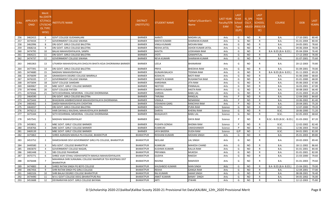| S.No. | <b>APPLICATI</b><br><b>ONID</b> | <b>Merit</b><br>Vo.(DISTF<br><b>ICT/FACU</b><br>LTY/SCHO<br><b>OL TYPE</b><br>WISE) | NSTITUTE NAME                                                                | <b>DISTRICT</b><br>(INSTITUTE) | STUDENT NAME         | Father's/Guardian's<br>Name | LAST YEAR<br>Faculty/STR<br>EAM | <b>LAST</b><br><b>YEAR</b><br>School<br><b>Type</b><br>(G/P) | IS SPE<br><b>CILLY</b> | <b>LAST</b><br><b>YEAR</b><br><b>SCHOOL</b><br>ABLED (RBSE/CB<br>SE) | <b>COURSE</b>              | <b>DOB</b> | <b>LAST</b><br>YEAR% |
|-------|---------------------------------|-------------------------------------------------------------------------------------|------------------------------------------------------------------------------|--------------------------------|----------------------|-----------------------------|---------------------------------|--------------------------------------------------------------|------------------------|----------------------------------------------------------------------|----------------------------|------------|----------------------|
| 256   | 3462415                         | - 6                                                                                 | <b>GOVT.COLLEGE GUDAMALANI</b>                                               | <b>BARMER</b>                  | AARATI               | <b>MADAN LAL</b>            | Arts                            | G                                                            | <b>NO</b>              | R                                                                    | <b>B.A.</b>                | 17-10-2001 | 80.40                |
| 257   | 3474434                         | $\overline{7}$                                                                      | <b>GOVERNMENT COLLEGE SIWANA</b>                                             | <b>BARMER</b>                  | MAFHI KUMARI         | <b>SHARWAN KUMAR</b>        | Arts                            | G                                                            | <b>NO</b>              | R                                                                    | <b>B.A.</b>                | 01-01-2004 | 80.40                |
| 258   | 3462996                         | -8                                                                                  | DRJ GOVT. GIRLS COLLEGE BALOTRA                                              | <b>BARMER</b>                  | VIMLA KUMARI         | <b>MOVAN RAM</b>            | Arts                            | G                                                            | <b>NO</b>              | R                                                                    | <b>B.A.</b>                | 24-05-2001 | 78.60                |
| 259   | 3468216                         | -9                                                                                  | DRJ GOVT. GIRLS COLLEGE BALOTRA                                              | <b>BARMER</b>                  | REKHA JATOL          | <b>ASHOK KUMAR JATOL</b>    | Arts                            | G                                                            | N <sub>O</sub>         | R                                                                    | B.A.                       | 04-06-2004 | 78.00                |
| 260   | 3474795                         | 10                                                                                  | BALAJI MAHAVIDHYALAYA, SANPA                                                 | <b>BARMER</b>                  | KAVITA               | LEEKHAMA RAM                | Arts                            | G                                                            | NO.                    | R                                                                    | B.A- B.ED.(B.A- B.ED.)     | 05-04-2004 | 76.40                |
| 261   | 3464221                         | 11                                                                                  | DRJ GOVT. GIRLS COLLEGE BALOTRA                                              | <b>BARMER</b>                  | <b>ITOYL</b>         | <b>GANAPATLAL</b>           | Arts                            | G                                                            | <b>NO</b>              | $\mathsf{R}$                                                         | <b>B.A.</b>                | 17-12-2003 | 76.00                |
| 262   | 3474737                         | 12                                                                                  | GOVERNMENT COLLEGE SIWANA                                                    | <b>BARMER</b>                  | REVA KUMARI          | <b>SHARWAN KUMAR</b>        | Arts                            | G                                                            | <b>NO</b>              | R                                                                    | B.A.                       | 01-07-2001 | 75.60                |
| 263   | 3481063                         | 13                                                                                  | UTKARSH MAHAVIDYALAYA DHOLIYA BHATA KOJA DHORIMANA BARMER                    | <b>BARMER</b>                  | LEELA                | <b>BHANARAM</b>             | Arts                            | G                                                            | NO.                    | R                                                                    | B.A.                       | 20-12-2003 | 70.80                |
| 264   | 3477391                         | 14                                                                                  | DRJ GOVT. GIRLS COLLEGE BALOTRA                                              | <b>BARMER</b>                  | PRIYA                | <b>BHEEKHA RAM</b>          | Arts                            | G                                                            | <b>NO</b>              | R                                                                    | <b>B.A.</b>                | 01-09-2001 | 70.00                |
| 265   | 3474680                         | 15                                                                                  | MADHAV MAHAVIDHYALAY                                                         | <b>BARMER</b>                  | <b>GUNJAN BALACH</b> | <b>TEEKMA RAM</b>           | Arts                            | G                                                            | <b>NO</b>              | R                                                                    | B.A- B.ED.(B.A- B.ED.)     | 01-11-2003 | 69.20                |
| 266   | 3476699                         | 16                                                                                  | <b>GRAMODAYA DEGREE COLLEGE BAMRALA</b>                                      | <b>BARMER</b>                  | KOSHLYA              | <b>MOTI RAM</b>             | Arts                            | G                                                            | <b>NO</b>              | R                                                                    | <b>B.A.</b>                | 01-06-2000 | 68.60                |
| 267   | 3476335                         | 17                                                                                  | GOVERNMENT COLLEGE SIWANA                                                    | <b>BARMER</b>                  | SANGITA KUMARI       | <b>RUGANATHA RAM</b>        | Arts                            | G                                                            | <b>NO</b>              | R                                                                    | <b>B.A.</b>                | 01-01-2000 | 68.00                |
| 268   | 3475694                         | 18                                                                                  | <b>GOVT COLLEGE SAMDARI</b>                                                  | <b>BARMER</b>                  | KARISHMA             | <b>JITA RAM</b>             | Arts                            | G                                                            | <b>NO</b>              | R                                                                    | <b>B.A.</b>                | 05-06-2003 | 67.80                |
| 269   | 3469067                         | 19                                                                                  | MBC GOVT. GIRLS' COLLEGE BARMER                                              | <b>BARMER</b>                  | <b>NEETOO</b>        | PANNALAL                    | Arts                            | G                                                            | <b>NO</b>              | R                                                                    | <b>B.A.</b>                | 16-03-2001 | 67.00                |
| 270   | 3474946                         | 20                                                                                  | <b>GOVT COLLEGE PATODI</b>                                                   | <b>BARMER</b>                  | DARIYA KUMARI        | <b>HASTA RAM</b>            | Arts                            | G                                                            | <b>NO</b>              | R                                                                    | B.A.                       | 30-08-2003 | 66.40                |
| 271   | 3476566                         | 21                                                                                  | SETH KESHRIMAL MEMORIAL COLLEGE DHORIMANA                                    | <b>BARMER</b>                  | VARSHA               | <b>BABU LAL</b>             | Arts                            | G                                                            | <b>NO</b>              | R                                                                    | <b>B.A.</b>                | 15-01-2003 | 65.20                |
| 272   | 3464590                         | -1                                                                                  | DRJ GOVT. GIRLS COLLEGE BALOTRA                                              | <b>BARMER</b>                  | TARUNA               | RANGLAL                     | Arts                            | P                                                            | <b>NO</b>              | R                                                                    | <b>B.A.</b>                | 12-04-2002 | 84.60                |
| 273   | 3475444                         | $\overline{2}$                                                                      | BHAGWAN JAIMBHESHWAR MAHAVIDHYALAYA DHORIMANA                                | <b>BARMER</b>                  | VIMALA               | <b>NENARAM</b>              | Arts                            | P                                                            | <b>NO</b>              | R                                                                    | <b>B.A.</b>                | 10-06-2002 | 81.40                |
| 274   | 3483402                         | $\overline{\mathbf{3}}$                                                             | DAKSH MAHAVIDHYALAYA CHOHTAN                                                 | <b>BARMER</b>                  | <b>VISHAKHA GARG</b> | <b>RANCHHA RAM</b>          | Arts                            | D                                                            | <b>NO</b>              | R                                                                    | <b>B.A.</b>                | 20-04-2001 | 75.20                |
| 275   | 3464037                         | 1                                                                                   | DRJ GOVT. GIRLS COLLEGE BALOTRA                                              | <b>BARMER</b>                  | KAVITA               | <b>PURA RAM</b>             | Science                         | G                                                            | <b>NO</b>              | R                                                                    | B.SC.                      | 12-07-2000 | 79.20                |
| 276   | 3476213                         | $\overline{2}$                                                                      | HARI DAYAALU KAUSHAL MAHAVIDYALAYA BARMER                                    | <b>BARMER</b>                  | DARIYA               | <b>KHERAJ RAM</b>           | Science                         | G                                                            | <b>NO</b>              | R                                                                    | B.SC.                      | 18-06-2000 | 71.20                |
| 277   | 3475344                         | $\overline{\mathbf{3}}$                                                             | SETH KESHRIMAL MEMORIAL COLLEGE DHORIMANA                                    | <b>BARMER</b>                  | BHAGAVATI            | <b>BABU LAL</b>             | Science                         | G                                                            | <b>NO</b>              | $\mathsf{R}$                                                         | B.SC.                      | 02-05-2003 | 68.60                |
| 278   | 3457541                         | 1                                                                                   | MADHAV MAHAVIDHYALAY                                                         | <b>BARMER</b>                  | ANU                  | DAYA RAM                    | Science                         |                                                              | NO.                    | R                                                                    | B.SC.- B.ED.(B.SC.- B.ED.) | 01-03-2002 | 87.20                |
| 279   | 3459831                         | $\overline{2}$                                                                      | MBC GOVT. GIRLS' COLLEGE BARMER                                              | <b>BARMER</b>                  | PUSHPA GONSAI        | <b>BHOMA RAM</b>            | Science                         | P                                                            | <b>NO</b>              | R                                                                    | B.SC.                      | 12-02-2002 | 82.40                |
| 280   | 3458766                         | $\overline{\mathbf{3}}$                                                             | MBC GOVT. GIRLS' COLLEGE BARMER                                              | <b>BARMER</b>                  | KUMKUM               | <b>UMASHANKER</b>           | Science                         | P                                                            | N <sub>O</sub>         | R                                                                    | B.SC.                      | 12-06-2003 | 79.60                |
| 281   | 3469139                         | - 1                                                                                 | MBC GOVT. GIRLS' COLLEGE BARMER                                              | <b>BARMER</b>                  | JAYA BADERA          | <b>DUDA RAM</b>             | Science                         | G/P                                                          | <b>NO</b>              | C                                                                    | B.SC.                      | 04-01-2001 | 81.00                |
| 282   | 3475863                         | - 1                                                                                 | SHREE AGRASEN MAHILA PG COLLEGE, BHARATPUR                                   | <b>BHARATPUR</b>               | ROSHANI KUMARI       | <b>MOHAN SINGH</b>          | Arts                            | G                                                            | <b>NO</b>              | R                                                                    | <b>B.A.</b>                | 05-01-2003 | 89.80                |
| 283   | 3453752                         | $\overline{2}$                                                                      | RAMESHWARI DEVI GOVERNMENT GIRLS PG COLLEGE, BHARATPUR                       | <b>BHARATPUR</b>               | NEELAM               | <b>LAL SINGH</b>            | Arts                            | G                                                            | N <sub>O</sub>         | R                                                                    | <b>B.A.</b>                | 20-02-2003 | 89.40                |
| 284   | 3449580                         | $\overline{\mathbf{3}}$                                                             | MSJ GOVT. COLLEGE BHARATPUR                                                  | <b>BHARATPUR</b>               | KUMKUM               | <b>MAHESH CHAND</b>         | Arts                            | G                                                            | N <sub>O</sub>         | R                                                                    | <b>B.A.</b>                | 18-11-2002 | 86.60                |
| 285   | 3465870                         | $\overline{4}$                                                                      | GOVERNMENT COLLEGE NAGAR,                                                    | <b>BHARATPUR</b>               | KUSHMA KUMARI        | <b>KALUA RAM</b>            | Arts                            | G                                                            | <b>NO</b>              | R                                                                    | <b>B.A.</b>                | 01-01-2001 | 84.40                |
| 286   | 3481448                         | -5                                                                                  | <b>SBS COLLEGE PAHARSAR</b>                                                  | <b>BHARATPUR</b>               | PRIYANKA             | <b>MUKESH</b>               | Arts                            | G                                                            | <b>NO</b>              | R                                                                    | <b>B.A.</b>                | 01-01-2001 | 82.00                |
| 287   | 3475771                         | - 6                                                                                 | SHREE VIJAY STHALI VIDHAYAPEETH MAHILA MAHAVIDHYALAYA                        | <b>BHARATPUR</b>               | <b>GUDIYA</b>        | RAKESH                      | Arts                            | G                                                            | NO                     | R                                                                    | <b>B.A.</b>                | 21-03-2000 | 79.60                |
| 288   | 3476448                         | $\overline{7}$                                                                      | MAHARAJA SHRI SURAJMAL COLLEGE RAHIMPUR TEH ROOPWAS DIST<br><b>BHARATPUR</b> | <b>BHARATPUR</b>               | RAVINA               | RAMVEER                     | Arts                            | G                                                            | <b>NO</b>              | R                                                                    | B.A.                       | 01-01-2003 | 79.60                |
| 289   | 3474883                         | 8                                                                                   | SHREE RATAN SINGH PG BOYS COLLEGE                                            | <b>BHARATPUR</b>               | KHUSHBOO KUMARI      | <b>MAN SINGH</b>            | Arts                            | G                                                            | <b>NO</b>              | R                                                                    | B.A- B.ED.(B.A- B.ED.)     | 15-04-2001 | 79.00                |
| 290   | 3467456                         | -9                                                                                  | SHRI RATAN SINGH PG GIRLS COLLEGE                                            | <b>BHARATPUR</b>               | REKHA                | <b>GANGA RAM</b>            | Arts                            | G                                                            | <b>NO</b>              | R                                                                    | <b>B.A.</b>                | 12-04-2001 | 77.00                |
| 291   | 3482326                         | 10                                                                                  | SHRI BALAJI DEGREE COLLEGE BHARATPUR                                         | <b>BHARATPUR</b>               | RAJ KUMARI           | <b>AMAR SINGH</b>           | Arts                            | G                                                            | <b>NO</b>              | R                                                                    | <b>B.A.</b>                | 08-08-2001 | 76.40                |
| 292   | 3474490                         | 11                                                                                  | M A J GOVT COLLEGE DEEG (BHARATPUR) RAJ                                      | <b>BHARATPUR</b>               | <b>ANKIT KUMARI</b>  | <b>BANAY SINGH</b>          | Arts                            | G                                                            | <b>NO</b>              | R                                                                    | <b>B.A.</b>                | 04-05-2002 | 76.00                |
| 293   | 3453688                         | 12                                                                                  | DEVNARAYAN GOVT. GIRLS COLLEGE BAYANA                                        | <b>BHARATPUR</b>               | <b>ARTI</b>          | <b>ITWARI</b>               | Arts                            | G                                                            | <b>NO</b>              | $\mathsf{R}$                                                         | B.A.                       | 12-12-2003 | 75.80                |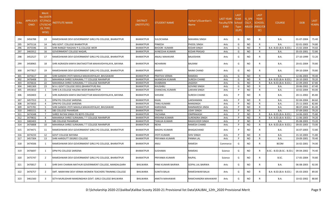| S.No. | <b>APPLICATI</b><br><b>ONID</b> | <b>Merit</b><br>No.(DISTF<br><b>ICT/FACL</b><br>LTY/SCHC<br><b>OL TYPE</b><br>WISE) | <b>NSTITUTE NAME</b>                                     | <b>DISTRICT</b><br>(INSTITUTE) | STUDENT NAME           | Father's/Guardian's<br>Name | <b>LAST YEAR</b><br>Faculty/STR<br><b>EAM</b> | <b>LAST</b><br><b>YEAR</b><br>School<br><b>Type</b><br>(G/P) | IS SPE<br><b>CILLY</b> | <b>LAST</b><br><b>YEAR</b><br><b>SCHOOL</b><br>ABLED (RBSE/CB<br>SE) | <b>COURSE</b>              | <b>DOB</b> | <b>LAST</b><br>YEAR% |
|-------|---------------------------------|-------------------------------------------------------------------------------------|----------------------------------------------------------|--------------------------------|------------------------|-----------------------------|-----------------------------------------------|--------------------------------------------------------------|------------------------|----------------------------------------------------------------------|----------------------------|------------|----------------------|
| 294   | 3456788                         | 13                                                                                  | RAMESHWARI DEVI GOVERNMENT GIRLS PG COLLEGE, BHARATPUR   | <b>BHARATPUR</b>               | SULOCHANA              | MAHARAJ SINGH               | Arts                                          | G                                                            | NO.                    | R                                                                    | B.A.                       | 01-07-2004 | 75.40                |
| 295   | 3475116                         | 14                                                                                  | MSJ GOVT. COLLEGE BHARATPUR                              | <b>BHARATPUR</b>               | <b>PINKESH</b>         | PHOOL SINGH                 | Arts                                          | G                                                            | NO                     | R                                                                    | <b>B.A.</b>                | 02-01-2003 | 74.80                |
| 296   | 3475596                         | 15                                                                                  | SHRI RANGEY RAGHAV P.G.COLLEGE WEIR                      | <b>BHARATPUR</b>               | <b>BHOORI KUMARI</b>   | <b>KEDAR SINGH</b>          | Arts                                          | G                                                            | NO                     | R                                                                    | B.A- B.ED.(B.A- B.ED.)     | 15-02-2004 | 74.60                |
| 297   | 3465912                         | 16                                                                                  | GOVERNMENT COLLEGE NAGAR,                                | <b>BHARATPUR</b>               | <b>AVNEESHA KUMARI</b> | KEDAR PRASAD                | Arts                                          | G                                                            | <b>NO</b>              | $\mathsf{R}$                                                         | B.A.                       | 05-03-2001 | 72.80                |
| 298   | 3452527                         | 17                                                                                  | RAMESHWARI DEVI GOVERNMENT GIRLS PG COLLEGE, BHARATPUR   | <b>BHARATPUR</b>               | ANJALI MAHAVAR         | BALKISHAN                   | Arts                                          | G                                                            | NO                     | R                                                                    | <b>B.A.</b>                | 27-10-1999 | 72.20                |
| 299   | 3458965                         | 18                                                                                  | SHRI AGRASEN KANYA SNATAKOTTAR MAHAVIDHYALAYA, BAYANA    | <b>BHARATPUR</b>               | NEHARANI               | BALRAM                      | Arts                                          | G                                                            | <b>NO</b>              | R                                                                    | <b>B.A.</b>                | 20-01-2004 | 70.80                |
| 300   | 3477817                         | 19                                                                                  | RAMESHWARI DEVI GOVERNMENT GIRLS PG COLLEGE, BHARATPUR   | <b>BHARATPUR</b>               | <b>KRANTI</b>          | <b>NAIMI CHAND</b>          | Arts                                          | G                                                            | NO.                    | R                                                                    | <b>B.A.</b>                | 09-10-2004 | 70.80                |
| 301   | 3475617                         | 20                                                                                  | SHRI GANDHI JYOTI MAHILA MAHAVIDYALAY, BHUSAWAR          | <b>BHARATPUR</b>               | PRATIVA VERMA          | RAMDAS                      | Arts                                          | G                                                            | NO.                    | $\mathsf{R}$                                                         | B.A.                       | 12-06-2003 | 70.40                |
| 302   | 3476408                         | 21                                                                                  | MAHARAJA SHREE SURAJMAL T T COLLEGE RAHIMPUR             | <b>BHARATPUR</b>               | AKANKSHA KUMARI        | <b>SURESH CHAND</b>         | Arts                                          | G                                                            | <b>NO</b>              | $\mathsf{R}$                                                         | B.A- B.ED.(B.A- B.ED.)     | 16-10-2003 | 70.20                |
| 303   | 3476616                         | 22                                                                                  | MAHARAJA SHREE SURAJMAL T T COLLEGE RAHIMPUR             | <b>BHARATPUR</b>               | SHABMAN                | JAGDISH                     | Arts                                          | G                                                            | NO                     | R                                                                    | B.A- B.ED.(B.A- B.ED.)     | 22-09-2003 | 67.80                |
| 304   | 3481369                         | 23                                                                                  | M A J GOVT COLLEGE DEEG (BHARATPUR) RAJ                  | <b>BHARATPUR</b>               | <b>KHUSHBU</b>         | GOVIND SINGH                | Arts                                          | G                                                            | <b>NO</b>              | R                                                                    | <b>B.A.</b>                | 20-06-2002 | 67.40                |
| 305   | 3455810                         | 1                                                                                   | SHRI S.N.COLLEGE HALENA WEIR BHARATPUR                   | <b>BHARATPUR</b>               | <b>CHANCHAL KUMARI</b> | LAKHAN SINGH                | Arts                                          | <b>D</b>                                                     | NO.                    | R                                                                    | B.A.                       | 10-02-2004 | 93.00                |
| 306   | 3450403                         | $\overline{2}$                                                                      | SHRI AGRASEN KANYA SNATAKOTTAR MAHAVIDHYALAYA, BAYANA    | <b>BHARATPUR</b>               | SHIVANI                | <b>SURESH CHAND</b>         | Arts                                          |                                                              | NO.                    | R                                                                    | <b>B.A.</b>                | 20-11-2002 | 85.80                |
| 307   | 3457553                         | -3                                                                                  | DPM PG COLLEGE SARSENA                                   | <b>BHARATPUR</b>               | KAJAL                  | LAKSHAMAN                   | Arts                                          | P                                                            | NO                     | R                                                                    | B.A.                       | 02-04-2004 | 84.60                |
| 308   | 3473650                         | $\overline{4}$                                                                      | DPM PG COLLEGE SARSENA                                   | <b>BHARATPUR</b>               | TANU KUMARI            | MANSINGH                    | Arts                                          |                                                              | NO                     | R                                                                    | B.A.                       | 25-11-2003 | 82.80                |
| 309   | 3475781                         | -5                                                                                  | SHRI GANDHI JYOTI MAHILA MAHAVIDYALAY, BHUSAWAR          | <b>BHARATPUR</b>               | <b>KARISHMA</b>        | RAMNARESH JINDA             | Arts                                          | <b>D</b>                                                     | NO.                    | $\mathsf{R}$                                                         | B.A.                       | 08-07-2004 | 81.00                |
| 310   | 3483151                         | -6                                                                                  | <b>SBS COLLEGE PAHARSAR</b>                              | <b>BHARATPUR</b>               | <b>TANIYA</b>          | <b>JDAY SINGH</b>           | Arts                                          | P                                                            | <b>NO</b>              | R                                                                    | B.A.                       | 07-09-2003 | 79.20                |
| 311   | 3474348                         | $\overline{7}$                                                                      | SHREE RATAN SINGH PG BOYS COLLEGE                        | <b>BHARATPUR</b>               | YACHANA                | OMPRAKASH                   | Arts                                          | D                                                            | <b>NO</b>              | $\mathsf{R}$                                                         | B.A- B.ED.(B.A- B.ED.)     | 14-06-2003 | 75.80                |
| 312   | 3479832                         | -8                                                                                  | MAHARAJA SHREE SURAJMAL T T COLLEGE RAHIMPUR             | <b>BHARATPUR</b>               | <b>KRISHNA KUMARI</b>  | <b>SURENDRA SINGH</b>       | Arts                                          | P                                                            | NO                     | $\mathsf{R}$                                                         | B.A- B.ED.(B.A- B.ED.)     | 11-06-2003 | 74.20                |
| 313   | 3483403                         | 9                                                                                   | <b>SBS COLLEGE PAHARSAR</b>                              | <b>BHARATPUR</b>               | TANUJA KUMARI          | RAGHUVEER SINGH             | Arts                                          |                                                              | <b>NO</b>              | R                                                                    | B.A.                       | 05-08-2003 | 73.20                |
| 314   | 3476808                         | 10                                                                                  | MAHARAJA SHREE SURAJMAL T T COLLEGE RAHIMPUR             | <b>BHARATPUR</b>               | <b>NEHA</b>            | RAMESH CHAND                | Arts                                          | <b>D</b>                                                     | NO.                    | $\mathsf{R}$                                                         | B.A- B.ED.(B.A- B.ED.)     | 09-05-2003 | 73.00                |
| 315   | 3474471                         | 11                                                                                  | RAMESHWARI DEVI GOVERNMENT GIRLS PG COLLEGE, BHARATPUR   | <b>BHARATPUR</b>               | MADHU KUMARI           | BHAGACHAND                  | Arts                                          |                                                              | NO.                    | R                                                                    | <b>B.A.</b>                | 16-07-2003 | 72.80                |
| 316   | 3474233                         | 12                                                                                  | <b>GOVT COLLEGE BAYANA</b>                               | <b>BHARATPUR</b>               | <b>JYOTI KUMARI</b>    | <b>SHIV SINGH</b>           | Arts                                          | D                                                            | NO                     | $\mathsf{R}$                                                         | <b>B.A.</b>                | 15-10-2003 | 71.80                |
| 317   | 3457304                         | 13                                                                                  | SHRI HARIDUTT DEGREE COLLEGE                             | <b>BHARATPUR</b>               | PRIYANKA KUMARI        | PANNA LAL                   | Arts                                          | P                                                            | NO.                    | R                                                                    | B.A.                       | 19-09-2001 | 70.40                |
| 318   | 3474506                         | -1                                                                                  | RAMESHWARI DEVI GOVERNMENT GIRLS PG COLLEGE, BHARATPUR   | <b>BHARATPUR</b>               | <b>ULIA</b>            | RAMESH                      | Commerce                                      | G                                                            | <b>NO</b>              | R.                                                                   | <b>BCOM</b>                | 16-02-2001 | 74.00                |
| 319   | 3476697                         | -1                                                                                  | DPM PG COLLEGE SARSENA                                   | <b>BHARATPUR</b>               | SUSHAMA                | RAMDAS                      | Science                                       | G                                                            | <b>NO</b>              | R                                                                    | B.SC.- B.ED.(B.SC.- B.ED.) | 09-04-2002 | 74.40                |
| 320   | 3475747                         | 2                                                                                   | RAMESHWARI DEVI GOVERNMENT GIRLS PG COLLEGE, BHARATPUR   | <b>BHARATPUR</b>               | PRIYANKA KUMARI        | RAJPAL                      | Science                                       | G                                                            | NO                     | R                                                                    | B.SC.                      | 17-05-2004 | 70.80                |
| 321   | 3470017                         | -1                                                                                  | SHRI SHIV CHARAN MATHUR GOVERNMENT COLLEGE, MANDALGARH   | BHILWARA                       | PINKI KUMARI BAIRWA    | <b>GOPAL LAL BAIRWA</b>     | Arts                                          | G                                                            | NO                     | R                                                                    | B.A.                       | 06-08-2003 | 92.00                |
| 322   | 3476757                         | 2                                                                                   | SMT. NARAYANI DEVI VERMA WOMEN TEACHERS TRAINING COLLEGE | BHILWARA                       | SUNITA BALAI           | RAMESHWAR BALAI             | Arts                                          | G                                                            | NO                     | R.                                                                   | B.A- B.ED.(B.A- B.ED.)     | 05-03-2003 | 89.00                |
| 323   | 3461560                         | 3                                                                                   | SETH MURLIDHAR MANSINGHKA GOVT. GIRLS COLLEGE BHILWARA   | BHILWARA                       | ANKITA MAHAWAR         | RAMCHANDRA MAHAWAR          | Arts                                          | G                                                            | <b>NO</b>              | R                                                                    | <b>B.A.</b>                | 10-02-2002 | 88.80                |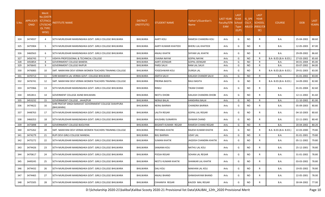| S.No. | APPLICATI<br><b>ONID</b> | Merit<br>Vo.(DISTF<br><b>ICT/FACU</b><br><b>LTY/SCHO</b><br><b>OL TYPE</b><br>WISE) | NSTITUTE NAME                                                       | <b>DISTRICT</b><br>(INSTITUTE) | <b>STUDENT NAME</b>  | Father's/Guardian's<br>Name | LAST YEAR<br><b>Faculty/STR School</b><br>EAM | <b>LAST</b><br><b>YEAR</b><br><b>Type</b><br>(G/P) | IS SPE<br><b>CILLY</b> | <b>LAST</b><br><b>YEAR</b><br><b>SCHOOL</b><br>ABLED (RBSE/CB<br>SE) | <b>COURSE</b>          | <b>DOB</b> | <b>LAST</b><br>YEAR% |
|-------|--------------------------|-------------------------------------------------------------------------------------|---------------------------------------------------------------------|--------------------------------|----------------------|-----------------------------|-----------------------------------------------|----------------------------------------------------|------------------------|----------------------------------------------------------------------|------------------------|------------|----------------------|
| 324   | 3474937                  | $\overline{a}$                                                                      | SETH MURLIDHAR MANSINGHKA GOVT. GIRLS COLLEGE BHILWARA              | BHILWARA                       | AARTI KOLI           | RAMESH CHANDRA KOLI         | Arts                                          | G                                                  | NO.                    | R                                                                    | B.A.                   | 25-04-2002 | 88.60                |
| 325   | 3475904                  | -5                                                                                  | SETH MURLIDHAR MANSINGHKA GOVT. GIRLS COLLEGE BHILWARA              | BHILWARA                       | AARTI KUMARI KHATEEK | <b>BHERU LAL KHATEEK</b>    | Arts                                          | G                                                  | NO.                    | R                                                                    | B.A.                   | 12-05-2003 | 87.00                |
| 326   | 3460563                  | -6                                                                                  | ISETH MURLIDHAR MANSINGHKA GOVT. GIRLS COLLEGE BHILWARA             | <b>BHILWARA</b>                | <b>ANJALI KHATIK</b> | <b>SHYAM LAL KHATIK</b>     | Arts                                          | G                                                  | NO.                    | R                                                                    | B.A.                   | 29-09-2002 | 86.60                |
| 327   | 3456743                  | $\overline{7}$                                                                      | VIDHYA PROFESSIONAL & TECHNICAL COLLEGE                             | <b>BHILWARA</b>                | CHAINA NAYAK         | <b>GOPAL NAYAK</b>          | Arts                                          | G                                                  | <b>NO</b>              | R                                                                    | B.A- B.ED.(B.A- B.ED.) | 27-03-2002 | 85.60                |
| 328   | 3450854                  | 8                                                                                   | <b>GOVERNMENT COLLEGE BANERA</b>                                    | <b>BHILWARA</b>                | AARTI JEENGAR        | <b>GOPAL JEENGAR</b>        | Arts                                          | G                                                  | <b>NO</b>              | R                                                                    | B.A.                   | 04-01-2004 | 85.00                |
| 329   | 3476643                  | 9                                                                                   | <b>GOVERNMENT COLLEGE RAIPUR</b>                                    | BHILWARA                       | <b>PARSI SALVI</b>   | RAM LAL SALVI               | Arts                                          | G                                                  | <b>NO</b>              | R                                                                    | B.A.                   | 03-07-2002 | 84.00                |
| 330   | 3476083                  | 10                                                                                  | ISMT. NARAYANI DEVI VERMA WOMEN TEACHERS TRAINING COLLEGE           | <b>BHILWARA</b>                | YOGESHWARI KOLI      | <b>DURGA LAL</b>            | Arts                                          | G                                                  | NO.                    | R.                                                                   | B.A- B.ED.(B.A- B.ED.) | 29-01-2003 | 83.00                |
| 331   | 3470713                  | 11                                                                                  | SHRI MANIKYA LAL VERMA GOVT. COLLEGE BHILWARA                       | BHILWARA                       | <b>AMITA SALVI</b>   | KAILASH CHANDR SALVI        | Arts                                          | G                                                  | <b>NO</b>              | R                                                                    | B.A.                   | 01-01-2002 | 83.00                |
| 332   | 3476741                  | 12                                                                                  | SMT. NARAYANI DEVI VERMA WOMEN TEACHERS TRAINING COLLEGE            | <b>BHILWARA</b>                | PRERNA BASITA        | RAJU BASITA                 | Arts                                          | G                                                  | <b>NO</b>              | R                                                                    | B.A- B.ED.(B.A- B.ED.) | 14-09-2002 | 82.80                |
| 333   | 3475966                  | 13                                                                                  | ISETH MURLIDHAR MANSINGHKA GOVT. GIRLS COLLEGE BHILWARA             | BHILWARA                       | <b>RINKU</b>         | TIKAM CHAND                 | Arts                                          | G                                                  | NO.                    | R                                                                    | B.A.                   | 01-01-2004 | 82.60                |
| 334   | 3452811                  | 14                                                                                  | <b>GOVERMENT COLLEGE ASIND BHILWARA</b>                             | <b>BHILWARA</b>                | NEETU DHOBI          | KAILASH CHANDRA DHOBI       | Arts                                          | G                                                  | NO.                    | R.                                                                   | B.A.                   | 12-11-2002 | 81.60                |
| 335   | 3453232                  | 15                                                                                  | <b>GOVERNMENT COLLEGE, JAHAZPUR</b>                                 | <b>BHILWARA</b>                | NERAJI BALAI         | HANSHRAJ BALAI              | Arts                                          | G                                                  | NO                     | R                                                                    | B.A.                   | 11-10-2002 | 81.00                |
| 336   | 3474622                  | 16                                                                                  | SHRI PRATAP SINGH BARAHAT GOVERNMENT COLLEGE SHAHPURA<br>(BHILWARA) | BHILWARA                       | NERAJ BAIRWA         | CHANDRA BAIRWA              | Arts                                          | G                                                  | <b>NO</b>              | R                                                                    | B.A.                   | 05-09-2003 | 80.80                |
| 337   | 3448763                  | 17                                                                                  | SETH MURLIDHAR MANSINGHKA GOVT. GIRLS COLLEGE BHILWARA              | BHILWARA                       | <b>LALITA REGAR</b>  | <b>GOPAL LAL REGAR</b>      | Arts                                          | G                                                  | <b>NO</b>              | R                                                                    | B.A.                   | 04-10-2003 | 80.60                |
| 338   | 3466353                  | 18                                                                                  | SETH MURLIDHAR MANSINGHKA GOVT. GIRLS COLLEGE BHILWARA              | BHILWARA                       | KHUSHBU SUNARIYA     | <b>ISHWAR CHAND</b>         | Arts                                          | G                                                  | NO.                    | R.                                                                   | B.A.                   | 22-11-2001 | 80.40                |
| 339   | 3475898                  | 19                                                                                  | <b>GOVERNMENT COLLEGE BIJOLIYAN</b>                                 | <b>BHILWARA</b>                | BASANTI KUMARI REGAR | RAMESH CHAND REGAR          | Arts                                          | G                                                  | <b>NO</b>              | R                                                                    | B.A.                   | 20-04-2002 | 80.20                |
| 340   | 3475262                  | 20                                                                                  | ISMT. NARAYANI DEVI VERMA WOMEN TEACHERS TRAINING COLLEGE           | <b>BHILWARA</b>                | PRIYANKA KHATIK      | RAJESH KUMAR KHATIK         | Arts                                          | G                                                  | NO.                    | R                                                                    | B.A- B.ED.(B.A- B.ED.) | 22-03-2000 | 79.80                |
| 341   | 3474279                  | 21                                                                                  | RUPI DEVI GIRLS COLLEGE MANDAL                                      | <b>BHILWARA</b>                | <b>BIJU BAIRWA</b>   | UDAY LAL                    | Arts                                          | G                                                  | NO                     | R                                                                    | B.A.                   | 01-01-2001 | 79.80                |
| 342   | 3475272                  | 22                                                                                  | SETH MURLIDHAR MANSINGHKA GOVT. GIRLS COLLEGE BHILWARA              | BHILWARA                       | <b>SUMAN KHATIK</b>  | JAGDISH CHANDRA KHATIK      | Arts                                          | G                                                  | NO.                    | R                                                                    | B.A.                   | 05-11-2002 | 79.80                |
| 343   | 3474426                  | 23                                                                                  | SETH MURLIDHAR MANSINGHKA GOVT. GIRLS COLLEGE BHILWARA              | BHILWARA                       | SANJANA KOLI         | <b>NATHU LAL KOLI</b>       | Arts                                          | G                                                  | NO.                    | R                                                                    | B.A.                   | 25-12-2001 | 78.80                |
| 344   | 3470617                  | 24                                                                                  | SETH MURLIDHAR MANSINGHKA GOVT. GIRLS COLLEGE BHILWARA              | BHILWARA                       | POOJA REGAR          | SOHAN LAL REGAR             | Arts                                          | G                                                  | NO.                    | R                                                                    | <b>B.A.</b>            | 31-01-2002 | 78.80                |
| 345   | 3449245                  | 25                                                                                  | SETH MURLIDHAR MANSINGHKA GOVT. GIRLS COLLEGE BHILWARA              | BHILWARA                       | NEETU KUMARI KHATIK  | SHANKAR LAL KHATIK          | Arts                                          | G                                                  | <b>NO</b>              | R                                                                    | <b>B.A.</b>            | 03-03-2002 | 78.80                |
| 346   | 3474432                  | 26                                                                                  | SETH MURLIDHAR MANSINGHKA GOVT. GIRLS COLLEGE BHILWARA              | BHILWARA                       | <b>DALI KOLI</b>     | MAKHAN LAL KOLI             | Arts                                          | G                                                  | NO.                    | R                                                                    | <b>B.A.</b>            | 19-05-2002 | 78.80                |
| 347   | 3474465                  | 27                                                                                  | SETH MURLIDHAR MANSINGHKA GOVT. GIRLS COLLEGE BHILWARA              | BHILWARA                       | ANJALI BHAND         | GHNASHAYAM BHAND            | Arts                                          | G                                                  | NO.                    | R                                                                    | B.A.                   | 22-05-2001 | 78.00                |
| 348   | 3475505                  | 28                                                                                  | SETH MURLIDHAR MANSINGHKA GOVT. GIRLS COLLEGE BHILWARA              | BHILWARA                       | CHHANIYA REGAR       | KAJODI MAL REGAR            | Arts                                          | G                                                  | <b>NO</b>              | R                                                                    | <b>B.A.</b>            | 30-04-2002 | 77.00                |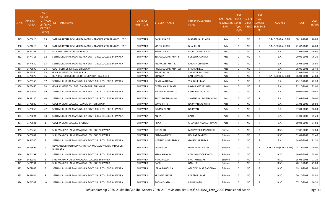| S.No. | APPLICATI<br><b>ONID</b> | <b>Merit</b><br>No.(DISTF<br><b>ICT/FACU</b><br><b>LTY/SCHC</b><br><b>OL TYPE</b><br>WISE) | NSTITUTE NAME                                                              | <b>DISTRICT</b><br>(INSTITUTE) | <b>STUDENT NAME</b>      | Father's/Guardian's<br><b>Name</b> | <b>LAST YEAR</b><br>Faculty/STR<br><b>EAM</b> | <b>LAST</b><br><b>YEAR</b><br>School<br><b>Type</b><br>(G/P) | IS SPE<br><b>CILLY</b> | <b>LAST</b><br><b>YEAR</b><br><b>SCHOOL</b><br>ABLED (RBSE/CB<br>SE) | <b>COURSE</b>              | <b>DOB</b> | <b>LAST</b><br>YEAR% |
|-------|--------------------------|--------------------------------------------------------------------------------------------|----------------------------------------------------------------------------|--------------------------------|--------------------------|------------------------------------|-----------------------------------------------|--------------------------------------------------------------|------------------------|----------------------------------------------------------------------|----------------------------|------------|----------------------|
| 349   | 3476619                  | 29                                                                                         | ISMT. NARAYANI DEVI VERMA WOMEN TEACHERS TRAINING COLLEGE                  | BHILWARA                       | <b>PAYAL KHATIK</b>      | MADAN LAL KHATIK                   | Arts                                          | G                                                            | NO.                    | R                                                                    | B.A- B.ED.(B.A- B.ED.)     | 08-11-2001 | 76.80                |
| 350   | 3474615                  | 30                                                                                         | SMT. NARAYANI DEVI VERMA WOMEN TEACHERS TRAINING COLLEGE                   | BHILWARA                       | <b>VINITA KHATIK</b>     | <b>BHAIRULAL</b>                   | Arts                                          | G                                                            | NO.                    | R.                                                                   | B.A- B.ED.(B.A- B.ED.)     | 21-02-2002 | 76.60                |
| 351   | 3482763                  | -31                                                                                        | RUPI DEVI GIRLS COLLEGE MANDAL                                             | BHILWARA                       | <b>KOMAL SALVI</b>       | MOOL CHAND BALAI                   | Arts                                          | G                                                            | NO                     | R                                                                    | <b>B.A.</b>                | 27-03-2003 | 76.60                |
| 352   | 3474718                  | 32                                                                                         | ISETH MURLIDHAR MANSINGHKA GOVT. GIRLS COLLEGE BHILWARA                    | BHILWARA                       | TEENA KUMARI KHATIK      | <b>SURESH CHANDRA</b>              | Arts                                          | G                                                            | NO                     | R                                                                    | B.A.                       | 20-05-2003 | 76.20                |
| 353   | 3474630                  | 33                                                                                         | SETH MURLIDHAR MANSINGHKA GOVT. GIRLS COLLEGE BHILWARA                     | BHILWARA                       | ANURADHA KHATIK          | KAILASH CHANDRA                    | Arts                                          | G                                                            | <b>NO</b>              | R                                                                    | <b>B.A.</b>                | 05-03-2003 | 75.80                |
| 354   | 3475890                  | 34                                                                                         | GOVT COLLEGE KAREDA, BHILWARA                                              | <b>BHILWARA</b>                | POOJA KUMARI KHATEEK     | <b>SHANKAR LAL</b>                 | Arts                                          | G                                                            | NO                     | R                                                                    | <b>B.A.</b>                | 08-06-2001 | 75.40                |
| 355   | 3476360                  | 35                                                                                         | <b>GOVERNMENT COLLEGE RAIPUR</b>                                           | <b>BHILWARA</b>                | SEEMA SALVI              | SHANKAR LAL SALVI                  | Arts                                          | G                                                            | NO                     | R.                                                                   | <b>B.A.</b>                | 12-02-2001 | 75.20                |
| 356   | 3475079                  | 36                                                                                         | RUPI DEVI GIRLS COLLEGE OF EDUCATION (B.A.B.ED.)                           | <b>BHILWARA</b>                | CHANDA                   | KANHAIYALAL                        | Arts                                          | G                                                            | NO                     | R                                                                    | B.A- B.ED.(B.A- B.ED.)     | 06-04-2001 | 74.80                |
| 357   | 3475366                  | 37                                                                                         | SETH MURLIDHAR MANSINGHKA GOVT. GIRLS COLLEGE BHILWARA                     | BHILWARA                       | SANJANA NAKVAL           | VISHNU KUMAR                       | Arts                                          | G                                                            | <b>NO</b>              | R.                                                                   | <b>B.A.</b>                | 25-10-2002 | 72.20                |
| 358   | 3475460                  | 38                                                                                         | GOVERNMENT COLLEGE GANGAPUR, BHILWARA                                      | <b>BHILWARA</b>                | DEEPMALA KUMARI          | LAXMIKANT PASWAN                   | Arts                                          | G                                                            | NO                     | R                                                                    | <b>B.A.</b>                | 22-10-2001 | 72.00                |
| 359   | 3474046                  | 39                                                                                         | ISETH MURLIDHAR MANSINGHKA GOVT. GIRLS COLLEGE BHILWARA                    | BHILWARA                       | <b>MAMTA KUMARI KOLI</b> | KANHAIYA LAL KOLI                  | Arts                                          | G                                                            | NO                     | R                                                                    | B.A.                       | 30-05-2001 | 70.40                |
| 360   | 3481130                  | 40                                                                                         | SETH MURLIDHAR MANSINGHKA GOVT. GIRLS COLLEGE BHILWARA                     | BHILWARA                       | RINKU MEGHVANSHI         | SHOBHA LAL MEGHVANSHI              | Arts                                          | G                                                            | <b>NO</b>              | R                                                                    | <b>B.A.</b>                | 12-07-2003 | 70.00                |
| 361   | 3475880                  | 41                                                                                         | GOVERNMENT COLLEGE GANGAPUR, BHILWARA                                      | BHILWARA                       | <b>SONU KHTIK</b>        | NARAYAN LAL KHTIK                  | Arts                                          | G                                                            | NO                     | R.                                                                   | <b>B.A.</b>                | 01-01-2002 | 69.80                |
| 362   | 3475050                  | 42                                                                                         | ISETH MURLIDHAR MANSINGHKA GOVT. GIRLS COLLEGE BHILWARA                    | BHILWARA                       | <b>SUMAN BHAND</b>       | <b>NARAYAN</b>                     | Arts                                          | G                                                            | NO                     | R                                                                    | <b>B.A.</b>                | 07-04-2002 | 66.80                |
| 363   | 3475894                  | 43                                                                                         | SETH MURLIDHAR MANSINGHKA GOVT. GIRLS COLLEGE BHILWARA                     | BHILWARA                       | ANITA                    | KALU                               | Arts                                          | G                                                            | NO                     | R.                                                                   | <b>B.A.</b>                | 01-01-2003 | 65.20                |
| 364   | 3475621                  | 1                                                                                          | <b>GOVERNMENT COLLEGE BIJOLIYAN</b>                                        | BHILWARA                       | PRIYA                    | CHANDRA PRAKASH NAYAK              | Arts                                          | P                                                            | NO.                    | R.                                                                   | <b>B.A.</b>                | 10-04-2002 | 84.60                |
| 365   | 3475465                  | 1                                                                                          | SHRI MANIKYA LAL VERMA GOVT. COLLEGE BHILWARA                              | BHILWARA                       | <b>SHITAL KOLI</b>       | <b>MAHAVEER PRASAD KOLI</b>        | Science                                       | G                                                            | NO                     | R                                                                    | B.SC.                      | 07-07-2003 | 82.80                |
| 366   | 3475641                  | $\overline{2}$                                                                             | SHRI MANIKYA LAL VERMA GOVT. COLLEGE BHILWARA                              | <b>BHILWARA</b>                | <b>BHAGWATI KOLI</b>     | <b>DOULAT RAM KOLI</b>             | Science                                       | G                                                            | NO                     | R.                                                                   | B.SC.                      | 01-01-2002 | 82.40                |
| 367   | 3454540                  | 3                                                                                          | ISETH MURLIDHAR MANSINGHKA GOVT. GIRLS COLLEGE BHILWARA                    | BHILWARA                       | NEELU KUMARI REGAR       | GYARSI LAL REGAR                   | Science                                       | G                                                            | <b>NO</b>              | R                                                                    | B.A.                       | 14-06-2003 | 81.20                |
| 368   | 3476696                  | $\overline{4}$                                                                             | DEV KANYA SHIKSHAK PRASHIKSHAN MAHAVIDYALAYA, JAHAJPUR,<br><b>BHILWARA</b> | BHILWARA                       | ARTI REGAR               | <b>HAGAMI LAL REGAR</b>            | Science                                       | G                                                            | NO                     |                                                                      | B.SC.- B.ED.(B.SC.- B.ED.) | 08-12-2003 | 79.00                |
| 369   | 3474298                  | -5                                                                                         | SETH MURLIDHAR MANSINGHKA GOVT. GIRLS COLLEGE BHILWARA                     | BHILWARA                       | KIRAN KHINCHI            | RAMSWAROOP KHATIK                  | Science                                       | G                                                            | NO                     | R                                                                    | B.SC.                      | 16-06-2002 | 78.00                |
| 370   | 3449362                  | -6                                                                                         | SHRI MANIKYA LAL VERMA GOVT. COLLEGE BHILWARA                              | BHILWARA                       | <b>NERAJ REGAR</b>       | <b>SHAITAN REGAR</b>               | Science                                       | G                                                            | NO                     |                                                                      | B.SC.                      | 15-02-2003 | 77.20                |
| 371   | 3474991                  | $\overline{7}$                                                                             | SHRI MANIKYA LAL VERMA GOVT. COLLEGE BHILWARA                              | BHILWARA                       | PAYAL                    | <b>BABU LAL</b>                    | Science                                       | G                                                            | <b>NO</b>              | R.                                                                   | B.SC.                      | 20-10-2002 | 75.80                |
| 372   | 3477048                  | 8                                                                                          | SETH MURLIDHAR MANSINGHKA GOVT. GIRLS COLLEGE BHILWARA                     | BHILWARA                       | LEENA BAGOLIYA           | ASHOK KUMAR BAGOLIYA               | Science                                       | G                                                            | NO                     | R                                                                    | B.SC.                      | 19-11-2002 | 70.00                |
| 373   | 3481044                  | 9                                                                                          | SETH MURLIDHAR MANSINGHKA GOVT. GIRLS COLLEGE BHILWARA                     | BHILWARA                       | KRISHNA JINGAR           | RAKESH KUMAR                       | Science                                       | G                                                            | NO                     | R.                                                                   | B.SC.                      | 20-10-2003 | 68.80                |
| 374   | 3474742                  | 10                                                                                         | SETH MURLIDHAR MANSINGHKA GOVT. GIRLS COLLEGE BHILWARA                     | BHILWARA                       | POOJA KHATIK             | RAJU KHATIK                        | Science                                       | G                                                            | <b>NO</b>              | R                                                                    | B.SC.                      | 07-10-2001 | 66.20                |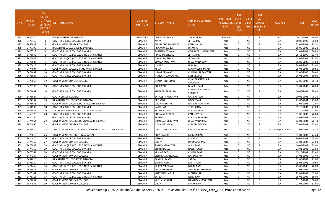| S.No. | <b>APPLICATI</b><br><b>ONID</b> | <b>Merit</b><br>o.(DISTFا<br><b>ICT/FACL</b><br>LTY/SCHO<br>OL TYPE<br>WISE) | NSTITUTE NAME                                            | <b>DISTRICT</b><br>(INSTITUTE) | STUDENT NAME             | Father's/Guardian's<br>Name      | LAST YEAR<br>Faculty/STR<br>EAM | <b>LAST</b><br><b>YEAR</b><br>School<br><b>Type</b><br>(G/P) | IS SPE<br><b>CILLY</b> | <b>LAST</b><br><b>YEAR</b><br><b>SCHOOL</b><br>ABLED (RBSE/CB<br>SE) | <b>COURSE</b>          | <b>DOB</b> | <b>LAST</b><br>YEAR% |
|-------|---------------------------------|------------------------------------------------------------------------------|----------------------------------------------------------|--------------------------------|--------------------------|----------------------------------|---------------------------------|--------------------------------------------------------------|------------------------|----------------------------------------------------------------------|------------------------|------------|----------------------|
| 375   | 3480510                         | 11                                                                           | <b>BALAJI COLLEGE OF NURSING</b>                         | <b>BHILWARA</b>                | <b>ANJALI CHAWALA</b>    | <b>SHANKAR LAL</b>               | Science                         | G                                                            | NO.                    | R                                                                    | B.SC.                  | 20-10-2002 | 66.00                |
| 376   | 3476415                         | -1                                                                           | <b>GOVT. M.S. GIRLS COLLEGE BIKANER</b>                  | <b>BIKANER</b>                 | <b>MAYA</b>              | <b>IETHA RAM</b>                 | Arts                            | G                                                            | <b>NO</b>              | R                                                                    | B.A.                   | 10-06-1999 | 86.00                |
| 377   | 3456983                         | $\overline{2}$                                                               | <b>GOVERNMENT DUNGAR COLLEGE</b>                         | <b>BIKANER</b>                 | ANURADHA RAJWANIA        | KANHIYA LAL                      | Arts                            | G                                                            | NO                     | R                                                                    | B.A.                   | 22-01-2002 | 85.20                |
| 378   | 3477799                         | $\overline{\mathbf{3}}$                                                      | RAJASTHAN COLLEGE 465RD.DAMOLAI                          | <b>BIKANER</b>                 | PRIYANKA SARSAR          | <b>DHANRAJ</b>                   | Arts                            | G                                                            | <b>NO</b>              | R                                                                    | B.A.                   | 15-09-2002 | 85.20                |
| 379   | 3475718                         | $\overline{4}$                                                               | <b>GOVT. M.S. GIRLS COLLEGE BIKANER</b>                  | <b>BIKANER</b>                 | <b>SHANTI MEGHWAL</b>    | <b>OMPRAKASH MEGHWAL</b>         | Arts                            | G                                                            | NO                     | R                                                                    | B.A.                   | 01-01-2001 | 84.80                |
| 380   | 3475040                         | 5                                                                            | GOVT. M.L.B. (P.G.) COLLEGE, NOKHA (BIKANER)             | <b>BIKANER</b>                 | PINKU MEGHWAL            | <b>JETHA RAM</b>                 | Arts                            | G                                                            | <b>NO</b>              | R                                                                    | B.A.                   | 15-12-1999 | 82.40                |
| 381   | 3475045                         | - 6                                                                          | GOVT. M.L.B. (P.G.) COLLEGE, NOKHA (BIKANER)             | <b>BIKANER</b>                 | DHAPU MEGHWAL            | <b>IETHA RAM</b>                 | Arts                            | G                                                            | <b>NO</b>              | R                                                                    | B.A.                   | 08-01-2001 | 81.80                |
| 382   | 3475600                         | $\overline{7}$                                                               | GOVT. M.L.B. (P.G.) COLLEGE, NOKHA (BIKANER)             | <b>BIKANER</b>                 | VIMALA MEGHWAL           | BHAGWANA RAM                     | Arts                            | G                                                            | NO                     | R                                                                    | B.A.                   | 06-05-2000 | 81.60                |
| 383   | 3470616                         | 8                                                                            | GOVT. M.S. GIRLS COLLEGE BIKANER                         | <b>BIKANER</b>                 | URMILA                   | HIRA LAL                         | Arts                            | G                                                            | <b>NO</b>              | R                                                                    | B.A.                   | 28-09-2000 | 81.40                |
| 384   | 3474604                         | -9                                                                           | <b>GOVERNMENT COLLEGE KHAJUWALA BIKANER</b>              | <b>BIKANER</b>                 | <b>KIRAN</b>             | <b>MAHAVEER PRASAD</b>           | Arts                            | G                                                            | NO                     | R                                                                    | B.A.                   | 05-04-2004 | 80.80                |
| 385   | 3474607                         | 10                                                                           | <b>GOVT. M.S. GIRLS COLLEGE BIKANER</b>                  | <b>BIKANER</b>                 | <b>NILAM PANWAR</b>      | <b>CHUNNI LAL PANWAR</b>         | Arts                            | G                                                            | <b>NO</b>              | R                                                                    | <b>B.A.</b>            | 12-09-2005 | 80.60                |
| 386   | 3476624                         | 11                                                                           | GOVT. M.S. GIRLS COLLEGE BIKANER                         | <b>BIKANER</b>                 | <b>HEMLATA DANGORIYA</b> | <b>SUNIL KUMAR</b>               | Arts                            | G                                                            | <b>NO</b>              | R                                                                    | B.A.                   | 16-03-2004 | 80.00                |
| 387   | 3475653                         | 12                                                                           | <b>GOVERNMENT DUNGAR COLLEGE</b>                         | <b>BIKANER</b>                 | SHALINI CHOUHAN          | CHANDRASHEKHAR<br>CHOUHAN        | Arts                            | G                                                            | NO.                    | R                                                                    | B.A.                   | 02-06-2003 | 79.40                |
| 388   | 3475796                         | 13                                                                           | GOVT. M.S. GIRLS COLLEGE BIKANER                         | <b>BIKANER</b>                 | <b>BULAKESH</b>          | <b>BHAERU RAM</b>                | Arts                            | G                                                            | <b>NO</b>              | R                                                                    | B.A.                   | 01-01-2002 | 78.60                |
| 389   | 3474692                         | 14                                                                           | GOVT. M.S. GIRLS COLLEGE BIKANER                         | <b>BIKANER</b>                 | KUMKUM SANKHLA           | <b>MAHENDRA KUMAR</b><br>SANKHLA | Arts                            | G                                                            | NO.                    |                                                                      | B.A.                   | 10-05-2001 | 78.40                |
| 390   | 3476024                         | 15                                                                           | GOVT.COLLEGE, KOLAYAT                                    | <b>BIKANER</b>                 | SANGEETA MEGHWAL         | <b>GANPAT RAM</b>                | Arts                            | G                                                            | NO.                    | R                                                                    | B.A.                   | 20-06-2003 | 78.20                |
| 391   | 3477367                         | 16                                                                           | RAJASTHAN COLLEGE 465RD, DAMOLAI                         | <b>BIKANER</b>                 | PRIYANKA                 | NOPATRAM                         | Arts                            | G                                                            | NO                     | R                                                                    | B.A.                   | 21-02-2004 | 77.60                |
| 392   | 3475681                         | 17                                                                           | GOVERNMENT COLLEGE, DUNGARGARH, BIKANER                  | <b>BIKANER</b>                 | <b>DROPADI NAYAK</b>     | <b>GANPAT RAM NAYAK</b>          | Arts                            | G                                                            | <b>NO</b>              | R                                                                    | B.A.                   | 03-04-2003 | 77.40                |
| 393   | 3451936                         | 18                                                                           | GOVT. M.S. GIRLS COLLEGE BIKANER                         | <b>BIKANER</b>                 | <b>KARISHMA</b>          | <b>TULSHI RAM</b>                | Arts                            | G                                                            | NO                     | R                                                                    | B.A.                   | 05-10-2002 | 77.00                |
| 394   | 3476547                         | 19                                                                           | SKS CHANDI MEMORIAL COLLEGE KHAJUWALA                    | <b>BIKANER</b>                 | RAJVEER KAUR             | <b>BALTEJ SINGH</b>              | Arts                            | G                                                            | <b>NO</b>              | R                                                                    | B.A.                   | 21-10-2002 | 77.00                |
| 395   | 3459376                         | 20                                                                           | GOVT. M.S. GIRLS COLLEGE BIKANER                         | <b>BIKANER</b>                 | POOJA MEGHWAL            | KANHAIYA LAL                     | Arts                            | G                                                            | <b>NO</b>              | R                                                                    | B.A.                   | 01-07-2003 | 76.60                |
| 396   | 3474254                         | 21                                                                           | GOVT. M.S. GIRLS COLLEGE BIKANER                         | <b>BIKANER</b>                 | PRERNA                   | KAILASH SANKHLA                  | Arts                            | G                                                            | NO                     | R                                                                    | B.A.                   | 13-08-2002 | 76.40                |
| 397   | 3474964                         | 22                                                                           | GOVERNMENT COLLEGE, DUNGARGARH, BIKANER                  | <b>BIKANER</b>                 | DRAUPADI MEGHWAL         | BHAGWANARAM                      | Arts                            | G                                                            | <b>NO</b>              | R                                                                    | <b>B.A.</b>            | 12-04-2004 | 76.40                |
| 398   | 3474466                         | 23                                                                           | <b>GOVERNMENT DUNGAR COLLEGE</b>                         | <b>BIKANER</b>                 | NEHA MEGHWAL             | RAMESHWAR LAL                    | Arts                            | G                                                            | NO.                    | R                                                                    | B.A.                   | 05-01-2002 | 75.80                |
| 399   | 3476410                         | 24                                                                           | SWAMI VIVEKANAND COLLEGE FOR PROFESSONAL STUDIES SINTHAL | <b>BIKANER</b>                 | DIVYA DHOULPURIYA        | <b>CHETAN PRAKASH</b>            | Arts                            | G                                                            | <b>NO</b>              |                                                                      | B.A- B.ED.(B.A- B.ED.) | 07-08-2001 | 75.20                |
| 400   | 3476015                         | 25                                                                           | GOVERNMENT COLLEGE LUNKARANSAR                           | <b>BIKANER</b>                 | <b>PUJA BAVARI</b>       | LAXMAN RAM                       | Arts                            | G                                                            | NO.                    | R                                                                    | <b>B.A.</b>            | 01-01-2003 | 74.20                |
| 401   | 3474420                         | 26                                                                           | GOVT. M.S. GIRLS COLLEGE BIKANER                         | <b>BIKANER</b>                 | MEGHA                    | <b>RAAM RAJ</b>                  | Arts                            | G                                                            | NO                     | R                                                                    | B.A.                   | 30-01-2002 | 74.00                |
| 402   | 3474763                         | 27                                                                           | <b>GOVERNMENT DUNGAR COLLEGE</b>                         | <b>BIKANER</b>                 | <b>DROPATI</b>           | HADMANA RAM                      | Arts                            | G                                                            | NO                     | R                                                                    | B.A.                   | 01-01-2002 | 73.60                |
| 403   | 3475049                         | 28                                                                           | GOVT. M.L.B. (P.G.) COLLEGE, NOKHA (BIKANER)             | <b>BIKANER</b>                 | SUMAN MEGHWAL            | <b>ALASI RAM</b>                 | Arts                            | G                                                            | <b>NO</b>              | R                                                                    | B.A.                   | 10-05-2002 | 73.00                |
| 404   | 3474768                         | 29                                                                           | <b>GOVT. M.S. GIRLS COLLEGE BIKANER</b>                  | <b>BIKANER</b>                 | <b>BHARTI DOLIA</b>      | RAJESH DOLIA                     | Arts                            | G                                                            | <b>NO</b>              | R                                                                    | B.A.                   | 01-01-2002 | 72.60                |
| 405   | 3476264                         | 30                                                                           | GOVT. M.S. GIRLS COLLEGE BIKANER                         | <b>BIKANER</b>                 | <b>KESHAR RATHI</b>      | <b>CHUNA RAM</b>                 | Arts                            | G                                                            | NO.                    | R                                                                    | <b>B.A.</b>            | 15-10-2004 | 72.40                |
| 406   | 3474287                         | -31                                                                          | <b>GOVERNMENT DUNGAR COLLEGE</b>                         | <b>BIKANER</b>                 | <b>VISHAKHA KANDAWAR</b> | <b>NAND KISHOR</b>               | Arts                            | G                                                            | NO.                    | R                                                                    | B.A.                   | 14-01-2002 | 71.40                |
| 407   | 3482629                         | 32                                                                           | RAJASTHAN COLLEGE 465RD, DAMOLAI                         | <b>BIKANER</b>                 | SANJU KUMARI             | <b>SAT PAL</b>                   | Arts                            | G                                                            | NO.                    | R                                                                    | <b>B.A.</b>            | 12-06-2002 | 71.00                |
| 408   | 3476380                         | 33                                                                           | GOVT. M.S. GIRLS COLLEGE BIKANER                         | <b>BIKANER</b>                 | <b>SUMAN NAYAK</b>       | <b>KHETA RAM</b>                 | Arts                            | G                                                            | NO                     |                                                                      | B.A.                   | 15-02-2002 | 70.80                |
| 409   | 3474458                         | 34                                                                           | GOVT. M.L.B. (P.G.) COLLEGE, NOKHA (BIKANER)             | <b>BIKANER</b>                 | SARITA MEGHWAL           | <b>BIRMA RAM</b>                 | Arts                            | G                                                            | NO.                    | R                                                                    | <b>B.A.</b>            | 25-07-2005 | 70.80                |
| 410   | 3475976                         | 35                                                                           | GOVERNMENT DUNGAR COLLEGE                                | <b>BIKANER</b>                 | <b>ANITA MEGHWAL</b>     | AMICHAND MEGHWAL                 | Arts                            | G                                                            | NO.                    |                                                                      | B.A.                   | 07-07-2004 | 70.00                |
| 411   | 3475142                         | 36                                                                           | GOVT. M.S. GIRLS COLLEGE BIKANER                         | <b>BIKANER</b>                 | <b>VIJAY SHRI HATILA</b> | <b>MOHAN LAL</b>                 | Arts                            | G                                                            | NO.                    |                                                                      | <b>B.A.</b>            | 22-01-2002 | 69.00                |
| 412   | 3475715                         | 37                                                                           | GOVT. M.L.B. (P.G.) COLLEGE, NOKHA (BIKANER)             | <b>BIKANER</b>                 | SANJU                    | <b>NENU RAM</b>                  | Arts                            | G                                                            | NO.                    | R                                                                    | <b>B.A.</b>            | 15-06-2002 | 69.00                |
| 413   | 3474697                         | 38                                                                           | <b>GOVERNMENT DUNGAR COLLEGE</b>                         | <b>BIKANER</b>                 | <b>VEENA JANAGAL</b>     | HANUMAN MEGHWAL                  | Arts                            | G                                                            | <b>NO</b>              | R                                                                    | B.A.                   | 01-12-2001 | 68.60                |
| 414   | 3474873                         | 39                                                                           | <b>GOVERNMENT DUNGAR COLLEGE</b>                         | <b>BIKANER</b>                 | <b>DROPIT</b>            | <b>BHERA RAM</b>                 | Arts                            | G                                                            | NO.                    | R                                                                    | B.A.                   | 01-01-2002 | 67.80                |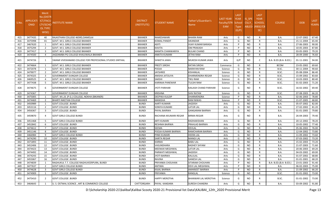| S.No. | <b>APPLICATI</b><br><b>ONID</b> | <b>Merit</b><br>o.(DISTFا<br><b>ICT/FACU</b><br>LTY/SCHO<br><b>OL TYPE</b><br>WISE) | NSTITUTE NAME                                            | <b>DISTRICT</b><br>(INSTITUTE) | STUDENT NAME            | Father's/Guardian's<br>Name | LAST YEAR<br>Faculty/STR<br>EAM | <b>LAST</b><br><b>YEAR</b><br>School<br><b>Type</b><br>(G/P) | IS SPE<br><b>CILLY</b> | <b>LAST</b><br><b>YEAR</b><br><b>SCHOOL</b><br>ABLED (RBSE/CB<br>SE) | <b>COURSE</b>          | <b>DOB</b> | <b>LAST</b><br>YEAR% |
|-------|---------------------------------|-------------------------------------------------------------------------------------|----------------------------------------------------------|--------------------------------|-------------------------|-----------------------------|---------------------------------|--------------------------------------------------------------|------------------------|----------------------------------------------------------------------|------------------------|------------|----------------------|
| 415   | 3477435                         | 40                                                                                  | RAJASTHAN COLLEGE 465RD, DAMOLAI                         | <b>BIKANER</b>                 | RAMESHWARI              | <b>BHAIRA RAM</b>           | Arts                            | G                                                            | NO.                    | R                                                                    | B.A.                   | 22-07-2002 | 67.40                |
| 416   | 3475998                         | 41                                                                                  | GOVT. M.S. GIRLS COLLEGE BIKANER                         | <b>BIKANER</b>                 | <b>KOMAL PANDIT</b>     | <b>SIKANDAR</b>             | Arts                            | G                                                            | NO.                    | R                                                                    | B.A.                   | 15-11-2004 | 65.40                |
| 417   | 3467620                         | -1                                                                                  | GOVT. M.S. GIRLS COLLEGE BIKANER                         | <b>BIKANER</b>                 | ADITI                   | <b>VIJAY KUMAR BARASA</b>   | Arts                            | P                                                            | NO                     | R                                                                    | B.A.                   | 27-06-2003 | 90.00                |
| 418   | 3475294                         | $\overline{2}$                                                                      | GOVT. M.S. GIRLS COLLEGE BIKANER                         | <b>BIKANER</b>                 | KAVITA                  | <b>OM PRAKASH</b>           | Arts                            | P                                                            | <b>NO</b>              | R                                                                    | B.A.                   | 10-05-2003 | 87.80                |
| 419   | 3477417                         | $\overline{\mathbf{3}}$                                                             | GOVT. M.S. GIRLS COLLEGE BIKANER                         | <b>BIKANER</b>                 | <b>MAMTA CHANWARIYA</b> | <b>BULAKI CHAND</b>         | Arts                            | P                                                            | NO                     | R                                                                    | B.A.                   | 03-05-2003 | 79.20                |
| 420   | 3474500                         | $\overline{4}$                                                                      | JAGDAMBA PG COLLEGE KHAJUWALA BIKANER                    | <b>BIKANER</b>                 | <b>ANKITA KUMARI</b>    | <b>IETHA RAM</b>            | Arts                            | P                                                            | <b>NO</b>              | R                                                                    | B.A.                   | 28-09-2000 | 76.60                |
| 421   | 3474726                         | -1                                                                                  | SWAMI VIVEKANAND COLLEGE FOR PROFESSONAL STUDIES SINTHAL | <b>BIKANER</b>                 | SHWETA JAWA             | MUKESH KUMAR JAWA           | Arts                            | G/P                                                          | NO                     |                                                                      | B.A- B.ED.(B.A- B.ED.) | 01-11-2001 | 94.00                |
| 422   | 3474664                         | 1                                                                                   | GOVT. M.S. GIRLS COLLEGE BIKANER                         | <b>BIKANER</b>                 | <b>PREETI SIROHI</b>    | <b>RATAN SIROHI</b>         | Commerce                        | G                                                            | NO.                    | R                                                                    | <b>BCOM</b>            | 23-05-2002 | 69.60                |
| 423   | 3472078                         | -1                                                                                  | GOVT. M.S. GIRLS COLLEGE BIKANER                         | <b>BIKANER</b>                 | POOJA                   | <b>NARAYAN RAM</b>          | Science                         | G                                                            | NO                     | R                                                                    | B.SC.                  | 30-11-2004 | 90.60                |
| 424   | 3479077                         | $\overline{2}$                                                                      | GOVT. M.S. GIRLS COLLEGE BIKANER                         | <b>BIKANER</b>                 | <b>JAYSHREE</b>         | KISHANLAL                   | Science                         | G                                                            | NO                     | R                                                                    | B.SC.                  | 05-08-2004 | 86.40                |
| 425   | 3474325                         | $\overline{\mathbf{3}}$                                                             | GOVERNMENT DUNGAR COLLEGE                                | <b>BIKANER</b>                 | ANISHA JATOLIYA         | <b>DHARMENDRA REGAR</b>     | Science                         | G                                                            | <b>NO</b>              | R                                                                    | B.SC.                  | 15-09-2002 | 83.60                |
| 426   | 3469525                         | $\overline{4}$                                                                      | GOVT. M.S. GIRLS COLLEGE BIKANER                         | <b>BIKANER</b>                 | SAKSHI                  | <b>TIKU RAM</b>             | Science                         | G                                                            | NO                     | R                                                                    | B.SC.                  | 10-03-2003 | 80.40                |
| 427   | 3477438                         | - 5                                                                                 | GOVT. M.S. GIRLS COLLEGE BIKANER                         | <b>BIKANER</b>                 | KARINAA PANEWAR         | <b>TULSHI RAM</b>           | Science                         | G                                                            | <b>NO</b>              | R                                                                    | B.SC.                  | 01-02-2003 | 71.20                |
| 428   | 3474675                         | 6                                                                                   | <b>GOVERNMENT DUNGAR COLLEGE</b>                         | <b>BIKANER</b>                 | <b>JYOTI PARIHAR</b>    | KAILASH CHAND PARIHAR       | Science                         | G                                                            | NO.                    |                                                                      | B.SC.                  | 16-02-2002 | 69.40                |
| 429   | 3474367                         | $\overline{7}$                                                                      | GOVERNMENT DUNGAR COLLEGE                                | <b>BIKANER</b>                 | KRISHNA                 | <b>SHIV RATAN</b>           | Science                         | G                                                            | <b>NO</b>              | R                                                                    | B.SC.                  | 07-08-2003 | 66.20                |
| 430   | 3475005                         | -1                                                                                  | GOVT. M.L.B. (P.G.) COLLEGE, NOKHA (BIKANER)             | <b>BIKANER</b>                 | DEEPIKA KULDIP          | <b>DHARMENDRA</b>           | Science                         | P                                                            | NO                     | R                                                                    | <b>B.A.</b>            | 02-06-2003 | 78.80                |
| 431   | 3474469                         | $\overline{2}$                                                                      | <b>BHARTI NIKETAN COLLEGE</b>                            | <b>BIKANER</b>                 | MANISHA                 | RAM NIWAS                   | Science                         | P                                                            | NO                     | R                                                                    | B.SC.                  | 21-07-2005 | 68.80                |
| 432   | 3450989                         | -1                                                                                  | <b>GOVT.COLLEGE .BUNDI</b>                               | <b>BUNDI</b>                   | AARTI KUMARI            | JAGDISH                     | Arts                            | G                                                            | <b>NO</b>              | R                                                                    | <b>B.A.</b>            | 05-07-2002 | 82.00                |
| 433   | 3453116                         | $\overline{2}$                                                                      | <b>GOVT.COLLEGE .BUNDI</b>                               | <b>BUNDI</b>                   | <b>SONIYA KUMARI</b>    | LATUR LAL                   | Arts                            | G                                                            | NO.                    | R                                                                    | B.A.                   | 27-02-2002 | 81.20                |
| 434   | 3456367                         | $\overline{\mathbf{3}}$                                                             | <b>GOVT.COLLEGE .BUNDI</b>                               | <b>BUNDI</b>                   | PAYAL BAIRWA            | <b>GANGARAM BAIRWA</b>      | Arts                            | G                                                            | <b>NO</b>              | R                                                                    | B.A.                   | 01-01-2005 | 79.80                |
| 435   | 3459870                         | -4                                                                                  | <b>GOVT GIRLS COLLEGE BUNDI</b>                          | <b>BUNDI</b>                   | RACHANA KKUMARI REGAR   | BIRMA REGAR                 | Arts                            | G                                                            | NO.                    | R                                                                    | B.A.                   | 26-04-2003 | 79.40                |
| 436   | 3451468                         | - 5                                                                                 | <b>GOVT GIRLS COLLEGE BUNDI</b>                          | <b>BUNDI</b>                   | <b>ARTI KUMARI</b>      | RADHAKISHAN                 | Arts                            | G                                                            | NO                     | R                                                                    | B.A.                   | 20-12-2002 | 78.20                |
| 437   | 3452842                         | 6                                                                                   | <b>GOVT.COLLEGE .BUNDI</b>                               | <b>BUNDI</b>                   | RESHMA BAIRWA           | PRAHLAD BAIRWA              | Arts                            | G                                                            | NO                     | R                                                                    | B.A.                   | 10-05-2002 | 77.40                |
| 438   | 3474612                         | $\overline{7}$                                                                      | <b>GOVT.COLLEGE .BUNDI</b>                               | <b>BUNDI</b>                   | <b>SEEMA</b>            | <b>DEVLAL</b>               | Arts                            | G                                                            | <b>NO</b>              | R                                                                    | B.A.                   | 05-06-2002 | 76.00                |
| 439   | 3451146                         | - 8                                                                                 | <b>GOVT.COLLEGE .BUNDI</b>                               | <b>BUNDI</b>                   | POOJA KUMARI BAIRWA     | RAMCHARAN BAIRWA            | Arts                            | G                                                            | NO                     | R                                                                    | <b>B.A.</b>            | 12-04-2002 | 73.80                |
| 440   | 3466984                         | - 9                                                                                 | GOVT GIRLS COLLEGE BUNDI                                 | <b>BUNDI</b>                   | PINKI KUMARI            | HEERA LAL                   | Arts                            | G                                                            | <b>NO</b>              | R                                                                    | B.A.                   | 11-09-2002 | 73.60                |
| 441   | 3474290                         | 10                                                                                  | <b>GOVT.COLLEGE .BUNDI</b>                               | <b>BUNDI</b>                   | SARITA REGAR            | <b>MANGI LAL</b>            | Arts                            | G                                                            | NO                     | R                                                                    | B.A.                   | 07-03-2002 | 73.20                |
| 442   | 3471893                         | 11                                                                                  | <b>GOVT.COLLEGE .BUNDI</b>                               | <b>BUNDI</b>                   | <b>KARMA</b>            | <b>BABU LAL</b>             | Arts                            | G                                                            | NO                     | R                                                                    | B.A.                   | 15-02-2003 | 73.20                |
| 443   | 3452406                         | 12                                                                                  | <b>GOVT.COLLEGE .BUNDI</b>                               | <b>BUNDI</b>                   | VASUNDHARA              | RADHEY SHYAM                | Arts                            | G                                                            | <b>NO</b>              | R                                                                    | B.A.                   | 21-07-2003 | 71.60                |
| 444   | 3474423                         | 13                                                                                  | <b>GOVT.COLLEGE .BUNDI</b>                               | <b>BUNDI</b>                   | MEENAXI MEGHWAL         | LATUR LAL                   | Arts                            | G                                                            | <b>NO</b>              | R                                                                    | B.A.                   | 20-06-2003 | 69.20                |
| 445   | 3474492                         | 14                                                                                  | <b>GOVT.COLLEGE .BUNDI</b>                               | <b>BUNDI</b>                   | PARWATI MEGHWAL         | <b>JAGDISH</b>              | Arts                            | G                                                            | NO.                    | R                                                                    | <b>B.A.</b>            | 04-03-2002 | 69.00                |
| 446   | 3474243                         | 15                                                                                  | <b>GOVT.COLLEGE .BUNDI</b>                               | <b>BUNDI</b>                   | <b>JYOTI BAIRWA</b>     | KALULAL                     | Arts                            | G                                                            | NO.                    | R                                                                    | B.A.                   | 01-07-2002 | 68.80                |
| 447   | 3455067                         | 16                                                                                  | <b>GOVT.COLLEGE .BUNDI</b>                               | <b>BUNDI</b>                   | <b>RAVINA</b>           | <b>GANESH LAL</b>           | Arts                            | G                                                            | <b>NO</b>              | R                                                                    | <b>B.A.</b>            | 01-01-2001 | 68.20                |
| 448   | 3474839                         | -1                                                                                  | RAGHUKUL T.T. COLLEGE RAGHUVEERPURA, BUNDI               | <b>BUNDI</b>                   | PRIYANKA CHOUHAN        | SITARAM CHOUHAN             | Arts                            | P                                                            | NO                     |                                                                      | B.A- B.ED.(B.A- B.ED.) | 23-01-2003 | 91.40                |
| 449   | 3477637                         | $\overline{2}$                                                                      | <b>GOVT GIRLS COLLEGE BUNDI</b>                          | <b>BUNDI</b>                   | <b>ANTIMA</b>           | DEVI LAL MEGHWAL            | Arts                            | P                                                            | NO.                    | R                                                                    | B.A.                   | 06-02-2003 | 75.00                |
| 450   | 3474628                         | $\overline{\mathbf{3}}$                                                             | <b>GOVT GIRLS COLLEGE BUNDI</b>                          | <b>BUNDI</b>                   | KAJAL BAIRWA            | AMARJEET BAIRWA             | Arts                            | P                                                            | NO.                    | R                                                                    | B.A.                   | 21-09-2002 | 66.20                |
| 451   | 3474909                         | 1                                                                                   | <b>GOVT.COLLEGE .BUNDI</b>                               | <b>BUNDI</b>                   | PRIYANKA                | RANGLAL                     | Science                         | G                                                            | NO                     | R                                                                    | B.SC.                  | 01-01-2002 | 73.00                |
| 452   | 3475410                         | 2                                                                                   | <b>GOVT.COLLEGE .BUNDI</b>                               | <b>BUNDI</b>                   | <b>HAPPY MEROTHA</b>    | BHANWAR LAL MEROTHA         | Science                         | G                                                            | NO.                    |                                                                      | B.SC.                  | 01-01-2002 | 73.00                |
| 453   | 3464643                         | 1                                                                                   | U. S. OSTWAL SCIENCE, ART & COMMERCE COLLEGE             | CHITTORGARH                    | PAYAL KANDARA           | <b>SURESH CHANDRA</b>       | Arts                            | G                                                            | <b>NO</b>              | R                                                                    | B.A.                   | 03-09-2002 | 91.80                |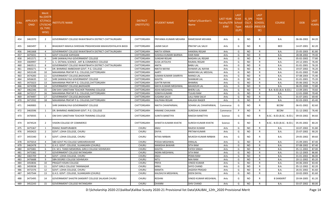| S.No. | APPLICATI<br>ONID | <b>Merit</b><br>No.(DISTR<br><b>ICT/FACU</b><br>LTY/SCHO<br>OL TYPE<br>WISE) | NSTITUTE NAME                                             | <b>DISTRICT</b><br>(INSTITUTE) | STUDENT NAME                | Father's/Guardian's<br>Name | <b>LAST YEAR</b><br>Faculty/STR School<br>EAM | <b>LAST</b><br><b>YEAR</b><br><b>Type</b><br>(G/P) | IS_SPE<br><b>CILLY</b> | <b>LAST</b><br>YEAR<br><b>SCHOOL</b><br>ABLED (RBSE/CB<br>SE) | <b>COURSE</b>               | <b>DOB</b> | <b>LAST</b><br>YEAR% |
|-------|-------------------|------------------------------------------------------------------------------|-----------------------------------------------------------|--------------------------------|-----------------------------|-----------------------------|-----------------------------------------------|----------------------------------------------------|------------------------|---------------------------------------------------------------|-----------------------------|------------|----------------------|
| 454   | 3461970           | 2                                                                            | GOVERNMENT COLLEGE RAWATBHATA DISTRICT-CHITTAURGARH       | CHITTORGARH                    | PRIYANKA KUMARI MEHARA      | RAMESWAR MEHARA             | Arts                                          | G                                                  | <b>NO</b>              | R                                                             | B.A.                        | 06-06-2002 | 84.20                |
| 455   | 3465497           | 3                                                                            | BHAGWATI MAHILA SHIKSHAK PRASHIKSHAN MAHAVIDHYALAYA BASSI | <b>CHITTORGARH</b>             | LAXMI SALVI                 | PRATAP LAL SALVI            | Arts                                          | G                                                  | NO.                    | R                                                             | <b>BED</b>                  | 14-07-2001 | 82.20                |
| 456   | 3461668           | $\overline{4}$                                                               | GOVERNMENT COLLEGE RAWATBHATA DISTRICT-CHITTAURGARH       | CHITTORGARH                    | NIKITA VERMA                | HANSRAJ REGAR               | Arts                                          | G                                                  | <b>NO</b>              | R                                                             | B.A.                        | 25-05-2003 | 81.80                |
| 457   | 3475031           | 5                                                                            | <b>GOVT COLLEGE KAPASAN</b>                               | CHITTORGARH                    | SUSHILA KUMARI BAIRWA       | <b>HARI RAM</b>             | Arts                                          | G                                                  | NO                     | R                                                             | B.A.                        | 28-08-2002 | 79.40                |
| 458   | 3451571           | -6                                                                           | SHRI SANWALIYAJI GOVERNMENT COLLEGE                       | CHITTORGARH                    | <b>SUNDAR REGAR</b>         | MADAN LAL REGAR             | Arts                                          | G                                                  | <b>NO</b>              | R                                                             | B.A.                        | 05-02-2002 | 77.80                |
| 459   | 3469997           | 7                                                                            | U. S. OSTWAL SCIENCE, ART & COMMERCE COLLEGE              | CHITTORGARH                    | ELISA JATOLIYA              | RAJMAL REGAR                | Arts                                          | G                                                  | <b>NO</b>              | R                                                             | B.A.                        | 24-12-2001 | 76.40                |
| 460   | 3463511           | -8                                                                           | GOVERNMENT COLLEGE RAWATBHATA DISTRICT-CHITTAURGARH       | CHITTORGARH                    | <b>ANITA</b>                | <b>BABU LAL</b>             | Arts                                          | G                                                  | <b>NO</b>              | R                                                             | B.A.                        | 01-01-2001 | 76.20                |
| 461   | 3460271           | -9                                                                           | DR. BHIMRAO AMBEDKAR GOVT. P.G. COLLEGE                   | CHITTORGARH                    | <b>NIKITA NAYAK</b>         | ISHWAR LAL NAYAK            | Arts                                          | G                                                  | <b>NO</b>              | R                                                             | B.A.                        | 19-07-2002 | 76.20                |
| 462   | 3453149           | 10                                                                           | MAHARANA PRATAP P.G. COLLEGE, CHITTORGARH                 | CHITTORGARH                    | <b>AARTI</b>                | NARAYAN LAL MEGVAL          | Arts                                          | G                                                  | NO                     | R                                                             | B.A.                        | 01-01-2002 | 75.80                |
| 463   | 3474283           | 11                                                                           | GOVERNMENT COLLEGE, BADISADRI                             | CHITTORGARH                    | SUMAN KUMARI SAMRIYA        | MANGI LAL                   | Arts                                          | G                                                  | <b>NO</b>              | R                                                             | B.A.                        | 07-08-2003 | 75.40                |
| 464   | 3456635           | 12                                                                           | SHRI SANWALIYAJI GOVERNMENT COLLEGE                       | CHITTORGARH                    | <b>KAVITA</b>               | SHANKAR LAL                 | Arts                                          | G                                                  | <b>NO</b>              | R                                                             | B.A.                        | 01-01-2001 | 75.20                |
| 465   | 3475023           | 13                                                                           | MAHARANA PRATAP P.G. COLLEGE, CHITTORGARH                 | CHITTORGARH                    | <b>GAYTRI NAYAK</b>         | BHIMRAJ                     | Arts                                          | G                                                  | <b>NO</b>              | R                                                             | B.A.                        | 05-06-2002 | 74.20                |
| 466   | 3474398           | 14                                                                           | GOVERNMENT COLLEGE, BADISADRI                             | CHITTORGARH                    | MAYA KUMARI MEGHWAL         | <b>BAHADUR LAL</b>          | Arts                                          | G                                                  | <b>NO</b>              | $\mathsf{R}$                                                  | B.A.                        | 06-05-2000 | 72.80                |
| 467   | 3462346           | 15                                                                           | OM SHIV SANSTHAN TEACHER TRAINING COLLEGE                 | CHITTORGARH                    | ASHA MEGHWAL                | <b>BHERU LAL</b>            | Arts                                          | G                                                  | <b>NO</b>              | R                                                             | B.A- B.ED.(B.A- B.ED.)      | 13-09-2001 | 70.60                |
| 468   | 3472217           | 16                                                                           | MAHARANA PRATAP P.G. COLLEGE, CHITTORGARH                 | <b>CHITTORGARH</b>             | SONIYA KUMARI               | TULASI RAM                  | Arts                                          | G                                                  | <b>NO</b>              | R                                                             | B.A.                        | 12-01-2000 | 70.40                |
| 469   | 3474497           | 17                                                                           | GOVERNMENT COLLEGE, BADISADRI                             | CHITTORGARH                    | <b>SUGANA SALVI</b>         | LALU RAM SALVI              | Arts                                          | G                                                  | <b>NO</b>              | R                                                             | B.A.                        | 01-07-2001 | 69.40                |
| 470   | 3471932           | 18                                                                           | MAHARANA PRATAP P.G. COLLEGE, CHITTORGARH                 | CHITTORGARH                    | KALPANA REGAR               | KAILASH RAGER               | Arts                                          | G                                                  | <b>NO</b>              | R                                                             | B.A.                        | 02-03-2003 | 65.40                |
| 471   | 3469083           | 1                                                                            | SHRI SANWALIYAJI GOVERNMENT COLLEGE                       | CHITTORGARH                    | NIKITA CHHAPARWAL           | SOHAN LAL CHHAPARWAL        | Commerce                                      | G                                                  | <b>NO</b>              | R                                                             | <b>BCOM</b>                 | 06-01-2002 | 82.60                |
| 472   | 3463596           | - 1                                                                          | DR. BHIMRAO AMBEDKAR GOVT. P.G. COLLEGE                   | CHITTORGARH                    | HIMANE CHAUHAN              | SURESHA KUMAR               | Commerce                                      | P                                                  | <b>NO</b>              | R                                                             | <b>BCOM</b>                 | 31-12-2002 | 76.40                |
| 473   | 3476935           | 1                                                                            | OM SHIV SANSTHAN TEACHER TRAINING COLLEGE                 | CHITTORGARH                    | SUNITA BANETIYA             | RAKESH BANETIYA             | Science                                       | G                                                  | NO.                    | R                                                             | B.SC.- B.ED. (B.SC.- B.ED.) | 09-03-2002 | 84.60                |
| 474   | 3474524           | $\overline{2}$                                                               | VISION COLLEGE OF COMMERCE                                | CHITTORGARH                    | <b>SHWETA KUMARI KHATIK</b> | SURESH KUMAR KHATIK         | Science                                       | G                                                  | <b>NO</b>              | R                                                             | B.SC.- B.ED.(B.SC.- B.ED.)  | 05-05-2002 | 80.20                |
| 475   | 3475367           | - 1                                                                          | RSMGC RAMPURABERI                                         | CHURU                          | ANJU                        | RAJESH KUMAR                | Arts                                          | G                                                  | <b>NO</b>              | R                                                             | B.A.                        | 10-07-2002 | 91.80                |
| 476   | 3450423           | $\overline{2}$                                                               | GOVT. LOHIA COLLEGE, CHURU                                | <b>CHURU</b>                   | <b>DIVYA</b>                | PRITAM KUMAR                | Arts                                          | G                                                  | <b>NO</b>              | R                                                             | B.A.                        | 25-07-2002 | 90.20                |
| 477   | 3455340           | 3                                                                            | GOVT. LOHIA COLLEGE, CHURU                                | <b>CHURU</b>                   | RITIKA NIRBAN               | MUKESH KUMAR NIRBAN         | Arts                                          | G                                                  | <b>NO</b>              | R                                                             | B.A.                        | 29-05-2002 | 89.60                |
| 478   | 3475014           | $\overline{4}$                                                               | SBD GOVT PG COLLEGE SARDARSHAHAR                          | <b>CHURU</b>                   | POOJA MEGHWAL               | HIRALAL                     | Arts                                          | G                                                  | <b>NO</b>              | R                                                             | B.A.                        | 15-09-2001 | 87.40                |
| 479   | 3462478           | - 5                                                                          | G.H.S. GOVT. COLLEGE, SUJANGARH (CHURU)                   | CHURU                          | MANISHA BAWARI              | SITA RAM                    | Arts                                          | G                                                  | NO.                    | R                                                             | B.A.                        | 07-08-2002 | 87.40                |
| 480   | 3475081           | -6                                                                           | CH. M.S. TANDI MEMORIAL GIRLS COLLEGE SIDHMUKH            | CHURU                          | <b>KAVITA</b>               | FATEH SINGH                 | Arts                                          | G                                                  | <b>NO</b>              | R                                                             | B.A.                        | 05-11-2002 | 87.00                |
| 481   | 3475382           | $\overline{7}$                                                               | <b>GOVERNMENT COLLEGE RATANGARH</b>                       | <b>CHURU</b>                   | <b>INDRA MEGHWAL</b>        | <b>SITA RAM</b>             | Arts                                          | G                                                  | <b>NO</b>              | R                                                             | <b>B.A.</b>                 | 01-12-2003 | 86.80                |
| 482   | 3465709           | 8                                                                            | GOVT. LOHIA COLLEGE, CHURU                                | CHURU                          | ANJU                        | PEMA RAM                    | Arts                                          | G                                                  | NO                     | R                                                             | B.A.                        | 01-01-2002 | 86.00                |
| 483   | 3476688           | -9                                                                           | SBN DEGREE COLLEGE SIDHMUKH                               | CHURU                          | NITU                        | MAI RAM                     | Arts                                          | G                                                  | <b>NO</b>              | R                                                             | <b>B.A.</b>                 | 20-11-2002 | 85.20                |
| 484   | 3450836           | 10                                                                           | PRAGATI KISAN COLLEGE                                     | CHURU                          | PRIYA                       | <b>VINOD KUMAR</b>          | Arts                                          | G                                                  | NO                     | R                                                             | B.A.                        | 04-06-2003 | 83.40                |
| 485   | 3459038           | 11                                                                           | GOVT GIRLS COLLEGE TARANAGAR                              | CHURU                          | <b>MINU</b>                 | SHYO CHAND                  | Arts                                          | G                                                  | <b>NO</b>              | R                                                             | <b>B.A.</b>                 | 05-12-2002 | 82.20                |
| 486   | 3472376           | 12                                                                           | GOVT. LOHIA COLLEGE, CHURU                                | CHURU                          | <b>MAMTA</b>                | JAGDISH PRASAD              | Arts                                          | G                                                  | NO.                    | R                                                             | B.A.                        | 26-01-2002 | 81.60                |
| 487   | 3457544           | 13                                                                           | G.H.S. GOVT. COLLEGE, SUJANGARH (CHURU)                   | CHURU                          | KAUSHLYA MEGHWAL            | DEEN DAYAL                  | Arts                                          | G                                                  | NO.                    | R                                                             | B.A.                        | 10-02-2003 | 81.60                |
| 488   | 3475495           | 14                                                                           | GOVERNMENT SHASTRI SANSKRIT COLLEGE SALASAR CHURU         | CHURU                          | <b>ROSHNI</b>               | VINOD KUMAR MEGHWAL         | Arts                                          | G                                                  | NO.                    | R.                                                            | <b>B SANSKRIT</b>           | 20-04-2005 | 81.20                |
| 489   | 3452243           | 15                                                                           | GOVERNMENT COLLEGE RATANGARH                              | CHURU                          | <b>DHANNI</b>               | SHIV CHAND                  | Arts                                          | G                                                  | <b>NO</b>              | R                                                             | <b>B.A.</b>                 | 03-07-2002 | 80.00                |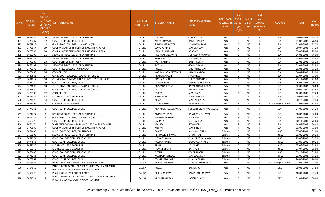| S.No. | <b>APPLICATI</b><br><b>ONID</b> | <b>Merit</b><br>√o.(DISTR<br>ICT/FACL<br>LTY/SCHO<br><b>OL TYPE</b><br>WISE) | NSTITUTE NAME                                                                             | <b>DISTRICT</b><br>(INSTITUTE) | STUDENT NAME          | Father's/Guardian's<br>Name  | LAST YEAR<br><b>Faculty/STR</b><br><b>EAM</b> | <b>LAST</b><br><b>YEAR</b><br>School<br><b>Type</b><br>(G/P) | IS SPE<br><b>CILLY</b> | <b>LAST</b><br><b>YEAR</b><br>SCHOOL<br>ABLED (RBSE/CB<br>SE) | <b>COURSE</b>          | <b>DOB</b> | <b>LAST</b><br>YEAR% |
|-------|---------------------------------|------------------------------------------------------------------------------|-------------------------------------------------------------------------------------------|--------------------------------|-----------------------|------------------------------|-----------------------------------------------|--------------------------------------------------------------|------------------------|---------------------------------------------------------------|------------------------|------------|----------------------|
| 490   | 3468536                         | 16                                                                           | SBD GOVT PG COLLEGE SARDARSHAHAR                                                          | CHURU                          | GANGA                 | <b>OMPRAKASH</b>             | Arts                                          | G                                                            | <b>NO</b>              | R                                                             | B.A.                   | 10-09-2002 | 79.20                |
| 491   | 3473037                         | 17                                                                           | GOVT. LOHIA COLLEGE, CHURU                                                                | <b>CHURU</b>                   | <b>MAYA KUMARI</b>    | <b>RAMCHANDRA</b>            | Arts                                          | G                                                            | <b>NO</b>              | R                                                             | B.A.                   | 11-02-2002 | 78.80                |
| 492   | 3471917                         | 18                                                                           | G.H.S. GOVT. COLLEGE, SUJANGARH (CHURU)                                                   | <b>CHURU</b>                   | SUMAN MEGHWAL         | LICHHMAN RAM                 | Arts                                          | G                                                            | <b>NO</b>              | R                                                             | <b>B.A.</b>            | 01-01-2004 | 78.20                |
| 493   | 3475564                         | 19                                                                           | GOVERNMENT GIRLS COLLEGE RAJGARH (CHURU)                                                  | <b>CHURU</b>                   | SONU KUMARI           | <b>MANGLARAM</b>             | Arts                                          | G                                                            | N <sub>O</sub>         | R                                                             | B.A.                   | 20-07-2002 | 77.20                |
| 494   | 3475536                         | -20                                                                          | GOVERNMENT GIRLS COLLEGE RAJGARH (CHURU)                                                  | <b>CHURU</b>                   | MUNESH KUMARI         | <b>ADARAM</b>                | Arts                                          | G                                                            | <b>NO</b>              | R                                                             | B.A.                   | 05-06-2004 | 77.00                |
| 495   | 3462000                         | 21                                                                           | SBD GOVT PG COLLEGE SARDARSHAHAR                                                          | CHURU                          | POONAM MEGHWAL        | <b>SUBHASH CHANDRA</b>       | Arts                                          | G                                                            | <b>NO</b>              | R                                                             | <b>B.A.</b>            | 14-06-2002 | 76.00                |
| 496   | 3468131                         | 22                                                                           | SBD GOVT PG COLLEGE SARDARSHAHAR                                                          | <b>CHURU</b>                   | <b>KANCHAN</b>        | <b>MAGHA RAM</b>             | Arts                                          | G                                                            | <b>NO</b>              | R                                                             | B.A.                   | 15-05-2002 | 75.40                |
| 497   | 3476087                         | 23                                                                           | <b>GOVT COLLEGE RAJALDESAR</b>                                                            | <b>CHURU</b>                   | JYOTI KATHAK          | <b>RANJIT KUMAR</b>          | Arts                                          | G                                                            | <b>NO</b>              | R                                                             | B.A.                   | 03-03-2003 | 75.20                |
| 498   | 3476199                         | 24                                                                           | SBD GOVT PG COLLEGE SARDARSHAHAR                                                          | CHURU                          | POOJA                 | <b>GOVIND RAM</b>            | Arts                                          | G                                                            | <b>NO</b>              | R                                                             | B.A.                   | 01-01-2003 | 73.80                |
| 499   | 3476372                         | 25                                                                           | GOVT GIRLS COLLEGE TARANAGAR                                                              | <b>CHURU</b>                   | POOJA                 | <b>KRISHAN KUMAR</b>         | Arts                                          | G                                                            | <b>NO</b>              | R                                                             | B.A.                   | 01-01-2002 | 73.20                |
| 500   | 3476450                         | 26                                                                           | <b>CRC COLLEGE</b>                                                                        | CHURU                          | VASUNDHARA PATODIYA   | <b>RAM CHANDRA</b>           | Arts                                          | G                                                            | <b>NO</b>              | R                                                             | <b>B.A.</b>            | 06-04-2002 | 73.00                |
| 501   | 3480581                         | 27                                                                           | G.H.S. GOVT. COLLEGE, SUJANGARH (CHURU)                                                   | <b>CHURU</b>                   | ANKITA SAMARIA        | SHYAMLAL                     | Arts                                          | G                                                            | <b>NO</b>              | R                                                             | B.A.                   | 11-07-2002 | 72.00                |
| 502   | 3481812                         | -28                                                                          | CH. M.S. TANDI MEMORIAL GIRLS COLLEGE SIDHMUKH                                            | <b>CHURU</b>                   | POOJA KUMARI          | <b>SURENDER SINGH</b>        | Arts                                          | G                                                            | <b>NO</b>              | R                                                             | B.A.                   | 23-11-2002 | 71.60                |
| 503   | 3471149                         | 29                                                                           | GOVT. LOHIA COLLEGE, CHURU                                                                | <b>CHURU</b>                   | <b>USHA BAROR</b>     | <b>BANSHIDHAR BAROR</b>      | Arts                                          | G                                                            | N <sub>O</sub>         | R                                                             | B.A.                   | 25-03-2003 | 70.20                |
| 504   | 3474695                         | 30                                                                           | G.H.S. GOVT. COLLEGE, SUJANGARH (CHURU)                                                   | CHURU                          | PRIYANKA REGAR        | DAYAL CHAND REGAR            | Arts                                          | G                                                            | <b>NO</b>              | R                                                             | B.A.                   | 02-05-2003 | 68.60                |
| 505   | 3475522                         | 31                                                                           | G.H.S. GOVT. COLLEGE, SUJANGARH (CHURU)                                                   | CHURU                          | POOJA                 | PRAHLAD RAM                  | Arts                                          | G                                                            | <b>NO</b>              | R                                                             | B.A.                   | 30-05-2000 | 68.40                |
| 506   | 3476383                         | 32                                                                           | CRC COLLEGE                                                                               | <b>CHURU</b>                   | <b>SARITA</b>         | <b>MANI RAM</b>              | Arts                                          | G                                                            | <b>NO</b>              | R                                                             | B.A.                   | 12-03-2000 | 67.20                |
| 507   | 3471447                         | 33                                                                           | MOHTA COLLEGE, SADULPUR                                                                   | <b>CHURU</b>                   | SUNIL KUMARI          | <b>VINOD DABALA</b>          | Arts                                          | G                                                            | <b>NO</b>              | R                                                             | B.A.                   | 20-09-2004 | 67.20                |
| 508   | 3474878                         | 34                                                                           | GOVT. LOHIA COLLEGE, CHURU                                                                | CHURU                          | <b>KIRAN</b>          | <b>MAHENDRA PAL</b>          | Arts                                          | G                                                            | <b>NO</b>              | R                                                             | B.A.                   | 30-12-2001 | 65.40                |
| 509   | 3468591                         | $\overline{1}$                                                               | CAREER COLLEGE CHURU                                                                      | <b>CHURU</b>                   | LAXMI KALLA           | <b>BHANWARLAL</b>            | Arts                                          | D                                                            | <b>NO</b>              | $\mathsf{R}$                                                  | B.A- B.ED.(B.A- B.ED.) | 02-07-2003 | 93.40                |
| 510   | 3474341                         | 2                                                                            | GOVT. LOHIA COLLEGE, CHURU                                                                | <b>CHURU</b>                   | ANNAPURNA JAGRAWAL    | <b>SURESH KUMAR JAGRAWAL</b> | Arts                                          | D                                                            | NO.                    | R                                                             | B.A.                   | 04-08-2003 | 81.20                |
| 511   | 3471727                         | $\overline{\mathbf{3}}$                                                      | SBD GOVT PG COLLEGE SARDARSHAHAR                                                          | <b>CHURU</b>                   | ANJALI PALIWAL        | <b>HANUMAN PALIWAL</b>       | Arts                                          | P                                                            | <b>NO</b>              | R                                                             | B.A.                   | 08-02-2004 | 80.60                |
| 512   | 3472247                         | $\overline{4}$                                                               | G.H.S. GOVT. COLLEGE, SUJANGARH (CHURU)                                                   | <b>CHURU</b>                   | MUSKAN SAMRIYA        | <b>DULICHAND</b>             | Arts                                          | P                                                            | <b>NO</b>              | R                                                             | B.A.                   | 29-01-2003 | 77.60                |
| 513   | 3465723                         | -5                                                                           | GOVT. LOHIA COLLEGE, CHURU                                                                | CHURU                          | RAJBALA               | <b>GIRDHARI LAL</b>          | Arts                                          | D                                                            | <b>NO</b>              | R                                                             | <b>B.A.</b>            | 10-11-2003 | 76.60                |
| 514   | 3474174                         | -6                                                                           | VIVEKANAND VIDYA ASHRAM COLLEGE, KATAR CHHOTI                                             | <b>CHURU</b>                   | <b>MAMTA</b>          | <b>JETHA RAM</b>             | Arts                                          | P                                                            | <b>NO</b>              | R                                                             | B.A.                   | 14-04-2004 | 76.40                |
| 515   | 3475638                         | 7                                                                            | GOVERNMENT GIRLS COLLEGE RAJGARH (CHURU)                                                  | <b>CHURU</b>                   | MEERA                 | <b>MAN SINGH</b>             | Arts                                          | P                                                            | <b>NO</b>              | R                                                             | B.A.                   | 21-09-2004 | 72.00                |
| 516   | 3464406                         | 1                                                                            | M.J.D. GOVT. COLLEGE, TARANAGAR                                                           | <b>CHURU</b>                   | SAVITRI               | <b>JAY SINGH BHAMI</b>       | Science                                       | G                                                            | <b>NO</b>              | R                                                             | B.SC.                  | 07-05-2001 | 92.00                |
| 517   | 3453809                         | $\overline{2}$                                                               | SBD GOVT PG COLLEGE SARDARSHAHAR                                                          | <b>CHURU</b>                   | RENUKA KHERIWAL       | <b>CHUNNI LAL</b>            | Science                                       | G                                                            | <b>NO</b>              | R                                                             | B.SC.                  | 21-05-2003 | 90.20                |
| 518   | 3451974                         | $\overline{3}$                                                               | GOVT. COLLEGE OF NURSING. CHURU                                                           | CHURU                          | NEHA CHAWLA           | <b>CHANDRESH CHAWLA</b>      | Science                                       | G                                                            | <b>NO</b>              |                                                               | B.SC.                  | 23-06-2002 | 85.20                |
| 519   | 3474543                         | $\overline{4}$                                                               | GOVT. LOHIA COLLEGE, CHURU                                                                | <b>CHURU</b>                   | RAVINA NIMEL          | RAJKUMAR NIMEL               | Science                                       | G                                                            | NO.                    | R                                                             | B.SC.                  | 27-09-2000 | 80.20                |
| 520   | 3469040                         | - 5                                                                          | MOHTA COLLEGE, SADULPUR                                                                   | <b>CHURU</b>                   | RENU                  | <b>RAJ KUMAR</b>             | Science                                       | G                                                            | <b>NO</b>              | R                                                             | B.SC.                  | 05-06-2001 | 72.80                |
| 521   | 3468759                         | -6                                                                           | MOHTA COLLEGE, SADULPUR                                                                   | <b>CHURU</b>                   | PAYAL KUMARI          | <b>RATI RAM</b>              | Science                                       | G                                                            | <b>NO</b>              | R                                                             | B.SC.                  | 07-07-2005 | 65.00                |
| 522   | 3465498                         | 1                                                                            | GOVT. COLLEGE OF NURSING. CHURU                                                           | <b>CHURU</b>                   | <b>GEETU</b>          | <b>OM PRAKASH</b>            | Science                                       | P                                                            | <b>NO</b>              | R                                                             | B.SC.                  | 09-12-2002 | 83.80                |
| 523   | 3473265                         | $\overline{2}$                                                               | GOVT. LOHIA COLLEGE, CHURU                                                                | CHURU                          | <b>KAVITA MEGHWAL</b> | <b>MANGAL SINGH</b>          | Science                                       | P                                                            | <b>NO</b>              | R                                                             | B.SC.                  | 21-09-2002 | 78.20                |
| 524   | 3473267                         | $\overline{\mathbf{3}}$                                                      | GOVT. LOHIA COLLEGE, CHURU                                                                | CHURU                          | SEEMA MEGHWAL         | <b>CHANDAGI RAM</b>          | Science                                       | P                                                            | <b>NO</b>              | $\mathsf{R}$                                                  | B.SC.                  | 24-09-2002 | 78.00                |
| 525   | 3453621                         | 1                                                                            | BHARTI TAECHER TRAINING B.A. B.ED. B.SC. B.ED.                                            | <b>DAUSA</b>                   | ANJALI LAWASIYA       | SITARAM MAHAWAR              | Arts                                          | G                                                            | <b>NO</b>              | R                                                             | B.A- B.ED.(B.A- B.ED.) | 07-04-2003 | 91.00                |
| 526   | 3464562                         | 2                                                                            | PANDIT DEEN DAYAL UPADHYAY SMIRITI MAHILA SHIKSHAK<br>PRASHIKSHAN MAHAVIDHYALAYA BANDIKUI | <b>DAUSA</b>                   | POOJA                 | RAMKISHOR                    | Arts                                          | G                                                            | NO.                    | R                                                             | <b>BED</b>             | 09-03-2003 | 87.80                |
| 527   | 3453728                         | $\overline{3}$                                                               | P.N.K.S. GOVT. PG COLLEGE DAUSA                                                           | <b>DAUSA</b>                   | REKHA BAIRWA          | RAMPHOOL BAIRWA              | Arts                                          | G                                                            | <b>NO</b>              | R                                                             | <b>B.A.</b>            | 10-09-2004 | 87.40                |
| 528   | 3464524                         | 4                                                                            | PANDIT DEEN DAYAL UPADHYAY SMIRITI MAHILA SHIKSHAK<br>PRASHIKSHAN MAHAVIDHYALAYA BANDIKUI | DAUSA                          | <b>KRISHNA KUMARI</b> | SATISH CHAND                 | Arts                                          | G                                                            | <b>NO</b>              | R                                                             | <b>BED</b>             | 01-01-2002 | 86.60                |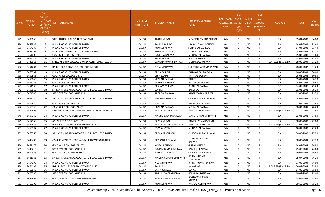| S.No. | <b>APPLICATI</b><br><b>ONID</b> | <b>Merit</b><br>o.(DISTR)<br><b>ICT/FACU</b><br>LTY/SCHO<br>OL TYPE<br>WISE) | NSTITUTE NAME                                     | <b>DISTRICT</b><br>(INSTITUTE) | STUDENT NAME          | Father's/Guardian's<br>Name      | LAST YEAR<br>Faculty/STR<br><b>EAM</b> | <b>LAST</b><br><b>YEAR</b><br>School<br>Type<br>(G/P) | IS_SPE<br><b>CILLY</b> | <b>LAST</b><br><b>YEAR</b><br><b>SCHOOL</b><br>ABLED (RBSE/CB<br>SE) | <b>COURSE</b>          | <b>DOB</b> | <b>LAST</b><br>YEAR% |
|-------|---------------------------------|------------------------------------------------------------------------------|---------------------------------------------------|--------------------------------|-----------------------|----------------------------------|----------------------------------------|-------------------------------------------------------|------------------------|----------------------------------------------------------------------|------------------------|------------|----------------------|
| 529   | 3483658                         | 5                                                                            | SAINI ADARSH P.G. COLLEGE BANDIKUI                | <b>DAUSA</b>                   | ANJALI VERMA          | JAGADISH PRASAD BAIRWA           | Arts                                   | G                                                     | <b>NO</b>              | R                                                                    | B.A.                   | 05-04-2003 | 84.60                |
| 530   | 3452337                         | - 6                                                                          | P.N.K.S. GOVT. PG COLLEGE DAUSA                   | <b>DAUSA</b>                   | RAVINA BAIRWA         | PRABHU DAYAL BAIRWA              | Arts                                   | G                                                     | <b>NO</b>              | R                                                                    | <b>B.A.</b>            | 14-08-2001 | 83.60                |
| 531   | 3454237                         | $\overline{7}$                                                               | P.N.K.S. GOVT. PG COLLEGE DAUSA                   | <b>DAUSA</b>                   | KOMAL BAIRWA          | SOHAN LAL BAIRWA                 | Arts                                   | G                                                     | <b>NO</b>              | R                                                                    | <b>B.A.</b>            | 14-04-2003 | 83.40                |
| 532   | 3458763                         | 8                                                                            | RAJESH PILOT GOVT. P.G. COLLEGE, LALSOT           | <b>DAUSA</b>                   | RITIKA NAINIWAL       | SITARAM NAINIWAL                 | Arts                                   | G                                                     | <b>NO</b>              | R                                                                    | B.A.                   | 08-07-2003 | 82.20                |
| 533   | 3451603                         | 9                                                                            | GOVT.GIRLS COLLEGE LALSOT                         | <b>DAUSA</b>                   | <b>SUMITRA BAIRWA</b> | MOHAN LAL BAIRWA                 | Arts                                   | G                                                     | <b>NO</b>              | R                                                                    | B.A.                   | 15-03-2003 | 81.60                |
| 534   | 3465771                         | 10                                                                           | P.N.K.S. GOVT. PG COLLEGE DAUSA                   | <b>DAUSA</b>                   | KAJAL BAIRWA          | JAYLAL BAIRWA                    | Arts                                   | G                                                     | <b>NO</b>              | R                                                                    | B.A.                   | 15-04-2002 | 81.40                |
| 535   | 3449811                         | 11                                                                           | SHREE KRISHNA COLLEGE SIKANDRA ,TEH-SIKRAI DAUSA  | <b>DAUSA</b>                   | VANDNA KUMARI BAIRWA  | MOHANLAL BAIRWA                  | Arts                                   | G                                                     | <b>NO</b>              | R                                                                    | B.A- B.ED.(B.A- B.ED.) | 28-06-2004 | 81.20                |
| 536   | 3451284                         | 12                                                                           | RAJESH PILOT GOVT. P.G. COLLEGE, LALSOT           | <b>DAUSA</b>                   | NEHA MAHAWAR          | <b>SURESH CHAND MAHAWAR</b>      | Arts                                   | G                                                     | NO                     | R                                                                    | <b>B.A.</b>            | 28-09-2002 | 81.20                |
| 537   | 3466307                         | 13                                                                           | P.N.K.S. GOVT. PG COLLEGE DAUSA                   | <b>DAUSA</b>                   | PRIYA BAIRWA          | KANWAR PAL BAIRWA                | Arts                                   | G                                                     | <b>NO</b>              | R                                                                    | <b>B.A.</b>            | 16-05-2001 | 80.60                |
| 538   | 3450885                         | 14                                                                           | <b>GOVT.GIRLS COLLEGE LALSOT</b>                  | <b>DAUSA</b>                   | VIJAY LAXMI           | <b>BATTILAL BAIRWA</b>           | Arts                                   | G                                                     | <b>NO</b>              | R                                                                    | <b>B.A.</b>            | 06-03-2003 | 80.60                |
| 539   | 3456640                         | 15                                                                           | P.N.K.S. GOVT. PG COLLEGE DAUSA                   | <b>DAUSA</b>                   | KRISHNA BAIRWA        | RANJIT                           | Arts                                   | G                                                     | <b>NO</b>              | R                                                                    | <b>B.A.</b>            | 05-07-2004 | 80.20                |
| 540   | 3465185                         | 16                                                                           | <b>GOVT.GIRLS COLLEGE LALSOT</b>                  | <b>DAUSA</b>                   | RAMESHI BAIRWA        | <b>HAJARI LAL BAIRWA</b>         | Arts                                   | G                                                     | <b>NO</b>              | R                                                                    | B.A.                   | 08-07-2003 | 79.40                |
| 541   | 3451139                         | 17                                                                           | P.N.K.S. GOVT. PG COLLEGE DAUSA                   | <b>DAUSA</b>                   | <b>RESHAM BAIRWA</b>  | <b>CHOTELAL BAIRWA</b>           | Arts                                   | G                                                     | <b>NO</b>              | $\mathsf{R}$                                                         | <b>B.A.</b>            | 04-05-2000 | 79.20                |
| 542   | 3453810                         | 18                                                                           | SRI SANT SUNDARDAS GOVT P.G. GIRLS COLLEGE, DAUSA | <b>DAUSA</b>                   | SUNITA                | <b>RAMJI LAL</b>                 | Arts                                   | G                                                     | <b>NO</b>              | R                                                                    | <b>B.A.</b>            | 01-01-2001 | 79.20                |
| 543   | 3474745                         | 19                                                                           | SRP GOVT.COLLEGE, BANDIKUI                        | <b>DAUSA</b>                   | ALKA BAI BAIRWA       | <b>BADRI PRASAD BAIRWA</b>       | Arts                                   | G                                                     | <b>NO</b>              | R                                                                    | B.A.                   | 11-09-2003 | 79.20                |
| 544   | 3463744                         | 20                                                                           | SRI SANT SUNDARDAS GOVT P.G. GIRLS COLLEGE, DAUSA | DAUSA                          | MEENA BANSHIWAL       | CHHOGALAL BANSHIWAL              | Arts                                   | G                                                     | NO.                    | R                                                                    | B.A.                   | 04-05-2003 | 78.40                |
| 545   | 3457832                         | 21                                                                           | <b>GOVT.GIRLS COLLEGE LALSOT</b>                  | <b>DAUSA</b>                   | AARTI BAI             | PRABHULAL BAIRWA                 | Arts                                   | G                                                     | <b>NO</b>              | R                                                                    | <b>B.A.</b>            | 01-01-2004 | 78.40                |
| 546   | 3460348                         | 22                                                                           | <b>GOVT.GIRLS COLLEGE LALSOT</b>                  | <b>DAUSA</b>                   | KRISHNA BAIRWA        | MITHALAL BAIRWA                  | Arts                                   | G                                                     | <b>NO</b>              | R                                                                    | B.A.                   | 08-03-2001 | 78.20                |
| 547   | 3477808                         | 23                                                                           | LATE MOOLCHAND MEENA TEACHER TRAINING COLLEGE     | <b>DAUSA</b>                   | JYOTI KUMARI BAIRWA   | NEINU RAM BAIRWA                 | Arts                                   | G                                                     | <b>NO</b>              | R                                                                    | B.A- B.ED.(B.A- B.ED.) | 22-10-2002 | 77.80                |
| 548   | 3457062                         | 24                                                                           | P.N.K.S. GOVT. PG COLLEGE DAUSA                   | DAUSA                          | MADHU BALA MAHAWAR    | MANGTU RAM MAHAWAR               | Arts                                   | G                                                     | NO.                    | R                                                                    | <b>B.A.</b>            | 03-06-2001 | 77.60                |
| 549   | 3467968                         | 25                                                                           | ANUSHREE P.G GIRLS COLLEGE                        | <b>DAUSA</b>                   | SAPNA VERMA           | RAMESH CHAND VERMA               | Arts                                   | G                                                     | <b>NO</b>              | R                                                                    | B.A.                   | 08-08-2003 | 77.60                |
| 550   | 3474443                         | 26                                                                           | RADHIKA T.T. COLLEGE BHANDAREJ DAUSA 4            | <b>DAUSA</b>                   | IYOTI KUMARI DEWATWAL | RANGLAL DEWATWAL                 | Arts                                   | G                                                     | <b>NO</b>              | R                                                                    | B.A- B.ED.(B.A- B.ED.) | 02-07-2002 | 77.20                |
| 551   | 3460597                         | 27                                                                           | P.N.K.S. GOVT. PG COLLEGE DAUSA                   | <b>DAUSA</b>                   | SAPANA VERMA          | MUNNA LAL BAIRWA                 | Arts                                   | G                                                     | <b>NO</b>              | R                                                                    | B.A.                   | 16-01-2003 | 77.20                |
| 552   | 3463766                         | 28                                                                           | SRI SANT SUNDARDAS GOVT P.G. GIRLS COLLEGE, DAUSA | <b>DAUSA</b>                   | REENA BANSHIWAL       | CHHOGALAL BANSHIWAL              | Arts                                   | G                                                     | NO                     | R.                                                                   | B.A.                   | 04-05-2003 | 77.20                |
| 553   | 3449405                         | 29                                                                           | GOVERNMENT COLLEGE NANGAL RAJAWATAN (DAUSA)       | <b>DAUSA</b>                   | PRIYANKA BENIWAL      | RAJENDRA PRASAD<br><b>BAIRWA</b> | Arts                                   | G                                                     | NO.                    | R                                                                    | B.A.                   | 08-09-2004 | 77.20                |
| 554   | 3461175                         | 30                                                                           | <b>GOVT.GIRLS COLLEGE LALSOT</b>                  | <b>DAUSA</b>                   | KOMAL BAIRWA          | <b>GIRRAJ BAIRWA</b>             | Arts                                   | G                                                     | <b>NO</b>              | R                                                                    | <b>B.A.</b>            | 14-07-2002 | 76.80                |
| 555   | 3449210                         | 31                                                                           | SRP GOVT.COLLEGE, BANDIKUI                        | <b>DAUSA</b>                   | SUMAN KUMARI BAIRWA   | RAMJILAL BAIRWA                  | Arts                                   | G                                                     | <b>NO</b>              | R                                                                    | B.A.                   | 25-08-2001 | 76.60                |
| 556   | 3474383                         | 32                                                                           | <b>GOVT GIRLS COLLEGE BANDIKUI</b>                | DAUSA                          | HEMLATA BAIRWA        | <b>CHHOTE LAL BAIRWA</b>         | Arts                                   | G                                                     | NO.                    | $\mathsf{R}$                                                         | B.A.                   | 16-05-2003 | 76.60                |
| 557   | 3461981                         | 33                                                                           | SRI SANT SUNDARDAS GOVT P.G. GIRLS COLLEGE, DAUSA | <b>DAUSA</b>                   | MAMTA KUMARI MAHAWAR  | HARISH CHAND<br><b>MAHAWAR</b>   | Arts                                   | G                                                     | <b>NO</b>              | R                                                                    | B.A.                   | 05-07-2003 | 76.20                |
| 558   | 3454292                         | 34                                                                           | P.N.K.S. GOVT. PG COLLEGE DAUSA                   | <b>DAUSA</b>                   | NEERAJ BAIRWA         | DINESH KUMAR BAIRWA              | Arts                                   | G                                                     | <b>NO</b>              | R                                                                    | <b>B.A.</b>            | 07-08-2004 | 76.00                |
| 559   | 3474196                         | 35                                                                           | IMPULSE COLLEGE OF EDUCATION, DAUSA               | <b>DAUSA</b>                   | RAVINA                | <b>BHIKARAM</b>                  | Arts                                   | G                                                     | <b>NO</b>              | R                                                                    | B.A- B.ED.(B.A- B.ED.) | 06-09-2002 | 75.80                |
| 560   | 3462648                         | 36                                                                           | P.N.K.S. GOVT. PG COLLEGE DAUSA                   | <b>DAUSA</b>                   | LALTA JONWAL          | <b>GOPAL</b>                     | Arts                                   | G                                                     | <b>NO</b>              | R                                                                    | B.A.                   | 14-05-2003 | 75.80                |
| 561   | 3475538                         | 37                                                                           | SRP GOVT.COLLEGE, BANDIKUI                        | <b>DAUSA</b>                   | ANJU KUMARI BANSIWAL  | <b>HEERA LAL BANSIWAL</b>        | Arts                                   | G                                                     | <b>NO</b>              | R                                                                    | B.A.                   | 10-04-2003 | 75.60                |
| 562   | 3456901                         | 38                                                                           | GOVT. GIRLS COLLEGE, SIKANDRA (DAUSA)             | DAUSA                          | SAPNA KUMARI BAIRWA   | RAJENDRA PRASAD<br><b>BAIRWA</b> | Arts                                   | G                                                     | NO.                    | R                                                                    | B.A.                   | 15-06-2003 | 75.60                |
| 563   | 3463202                         | 39                                                                           | P.N.K.S. GOVT. PG COLLEGE DAUSA                   | <b>DAUSA</b>                   | KOMAL BAIRWA          | PRATYARAM BAIRWA                 | Arts                                   | G                                                     | <b>NO</b>              | $\mathsf{R}$                                                         | <b>B.A.</b>            | 20-10-2002 | 75.20                |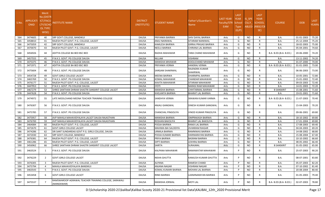| S.No. | <b>APPLICATI</b><br><b>ONID</b> | <b>Merit</b><br>Vo.(DISTF<br><b>ICT/FACL</b><br>LTY/SCHO<br>OL TYPE<br>WISE) | NSTITUTE NAME                                                       | <b>DISTRICT</b><br>(INSTITUTE) | STUDENT NAME        | Father's/Guardian's<br>Name | LAST YEAR<br>Faculty/STR<br>EAM | <b>LAST</b><br><b>YEAR</b><br>School<br><b>Type</b><br>(G/P) | <b>IS SPE</b><br><b>CILLY</b> | <b>LAST</b><br><b>YEAR</b><br><b>SCHOOL</b><br>ABLED (RBSE/CB<br>SE) | <b>COURSE</b>          | <b>DOB</b> | <b>LAST</b><br>YEAR% |
|-------|---------------------------------|------------------------------------------------------------------------------|---------------------------------------------------------------------|--------------------------------|---------------------|-----------------------------|---------------------------------|--------------------------------------------------------------|-------------------------------|----------------------------------------------------------------------|------------------------|------------|----------------------|
| 564   | 3474605                         | 40                                                                           | SRP GOVT.COLLEGE, BANDIKUI                                          | <b>DAUSA</b>                   | PRIYANKA BAIRWA     | SHIV DAYAL BAIRWA           | Arts                            | G                                                            | <b>NO</b>                     | R                                                                    | <b>B.A.</b>            | 01-01-2003 | 75.20                |
| 565   | 3458810                         | 41                                                                           | RAJESH PILOT GOVT. P.G. COLLEGE. LALSOT                             | <b>DAUSA</b>                   | ANJU NAINIWAL       | SITARAM NAINIWAL            | Arts                            | G                                                            | <b>NO</b>                     | R                                                                    | <b>B.A.</b>            | 25-12-2004 | 75.20                |
| 566   | 3475059                         | 42                                                                           | SRP GOVT.COLLEGE, BANDIKUI                                          | <b>DAUSA</b>                   | KAMLESH BAIRWA      | GIRRAJ PRASAD BAIRWA        | Arts                            | G                                                            | <b>NO</b>                     | R                                                                    | <b>B.A.</b>            | 18-02-2003 | 75.00                |
| 567   | 3470070                         | 43                                                                           | RAJESH PILOT GOVT. P.G. COLLEGE, LALSOT                             | <b>DAUSA</b>                   | NEELU BAIRWA        | CHIRANJI LAL BAIRWA         | Arts                            | G                                                            | <b>NO</b>                     | R                                                                    | B.A.                   | 05-04-2001 | 74.60                |
| 568   | 3456926                         | 44                                                                           | ADITYA COLLEGE BA BED BSC BED                                       | <b>DAUSA</b>                   | RADHA MAHAWAR       | <b>TARA CHAND MAHAWAR</b>   | Arts                            | G                                                            | NO.                           | R                                                                    | B.A- B.ED.(B.A- B.ED.) | 20-06-2000 | 74.20                |
| 569   | 3457555                         | 45                                                                           | P.N.K.S. GOVT. PG COLLEGE DAUSA                                     | <b>DAUSA</b>                   | NILLAM              | <b>VISHRAM</b>              | Arts                            | G                                                            | <b>NO</b>                     | R                                                                    | <b>B.A.</b>            | 13-11-2002 | 74.20                |
| 570   | 3475375                         | 46                                                                           | P.N.K.S. GOVT. PG COLLEGE DAUSA                                     | <b>DAUSA</b>                   | MANISHA MHAWAR      | DOOLICHAND MHAWAR           | Arts                            | G                                                            | <b>NO</b>                     | R                                                                    | <b>B.A.</b>            | 01-07-2000 | 74.00                |
| 571   | 3471971                         | 47                                                                           | ADITYA COLLEGE BA BED BSC BED                                       | <b>DAUSA</b>                   | PRIYANKA VERMA      | <b>HANSRAJ VERMA</b>        | Arts                            | G                                                            | <b>NO</b>                     | R                                                                    | B.A- B.ED.(B.A- B.ED.) | 01-01-2005 | 73.00                |
| 572   | 3475604                         | 48                                                                           | P.N.K.S. GOVT. PG COLLEGE DAUSA                                     | DAUSA                          | SARGAM SHAKRWAL     | RAJENDRA KUMAR<br>SHAKRWAL  | Arts                            | G                                                            | NO.                           | R                                                                    | B.A.                   | 06-06-2003 | 73.00                |
| 573   | 3454728                         | 49                                                                           | <b>GOVT.GIRLS COLLEGE LALSOT</b>                                    | <b>DAUSA</b>                   | MEENA BAIRWA        | DHARMPAL BAIRWA             | Arts                            | G                                                            | NO                            | R                                                                    | <b>B.A.</b>            | 10-05-2001 | 72.80                |
| 574   | 3465769                         | 50                                                                           | P.N.K.S. GOVT. PG COLLEGE DAUSA                                     | <b>DAUSA</b>                   | KOMAL MAHAWAR       | <b>CHANDAR MAHAWAR</b>      | Arts                            | G                                                            | <b>NO</b>                     | R                                                                    | <b>B.A.</b>            | 15-01-2002 | 72.40                |
| 575   | 3476177                         | 51                                                                           | RAJESH PILOT GOVT. P.G. COLLEGE, LALSOT                             | <b>DAUSA</b>                   | KAVITA MAHAWAR      | SITARAM MAHAWAR             | Arts                            | G                                                            | <b>NO</b>                     | R                                                                    | <b>B.A.</b>            | 09-03-2003 | 72.40                |
| 576   | 3447953                         | 52                                                                           | P.N.K.S. GOVT. PG COLLEGE DAUSA                                     | <b>DAUSA</b>                   | ITOYL               | NARASI RAM MAHAWAR          | Arts                            | G                                                            | <b>NO</b>                     | R                                                                    | <b>B.A.</b>            | 14-01-2003 | 72.20                |
| 577   | 3467279                         | 53                                                                           | SHREE SANTHAN DHRAM SHASTRI SANSKRIT COLLEGE LALSOT                 | <b>DAUSA</b>                   | MANISHA BAIRWA      | CHHITARMAL BAIRWA           | Arts                            | G                                                            | <b>NO</b>                     | R                                                                    | <b>B SANSKRIT</b>      | 15-08-2001 | 71.60                |
| 578   | 3447628                         | 54                                                                           | P.N.K.S. GOVT. PG COLLEGE DAUSA                                     | <b>DAUSA</b>                   | KHELANTA BAIRWA     | <b>BHARAT LAL BAIRWA</b>    | Arts                            | G                                                            | <b>NO</b>                     | R                                                                    | <b>B.A.</b>            | 19-01-2001 | 71.60                |
| 579   | 3474972                         | -55                                                                          | LATE MOOLCHAND MEENA TEACHER TRAINING COLLEGE                       | <b>DAUSA</b>                   | SANDHYA VERMA       | SRAWAN KUMAR VARMA          | Arts                            | G                                                            | NO                            | R                                                                    | B.A- B.ED.(B.A- B.ED.) | 21-07-2003 | 70.40                |
| 580   | 3476307                         | -56                                                                          | P.N.K.S. GOVT. PG COLLEGE DAUSA                                     | <b>DAUSA</b>                   | ANJALI GANGWAL      | DINESH KUMAR GANGWAL        | Arts                            | G                                                            | NO                            | R                                                                    | B.A.                   | 15-04-2003 | 70.20                |
| 581   | 3475785                         | 57                                                                           | P.N.K.S. GOVT. PG COLLEGE DAUSA                                     | DAUSA                          | CHANCHAL PINGOLIYA  | VINOD KUMAR PINGOLIYA       | Arts                            | G                                                            | NO.                           | R                                                                    | B.A.                   | 09-06-2001 | 69.80                |
| 582   | 3475957                         | 58                                                                           | AVP MAHILA MAHAVIDYALAYA LALSOT DAUSA RAJASTHAN                     | <b>DAUSA</b>                   | MANISHA BAIRWA      | <b>OMPRAKASH BAIRWA</b>     | Arts                            | G                                                            | <b>NO</b>                     | R                                                                    | B.A.                   | 18-10-2002 | 69.80                |
| 583   | 3476700                         | 59                                                                           | AVP MAHILA MAHAVIDYALAYA LALSOT DAUSA RAJASTHAN                     | <b>DAUSA</b>                   | ROSHAN BAKOLIYA     | <b>BHARAT LAL BAKOLIYA</b>  | Arts                            | G                                                            | <b>NO</b>                     | R                                                                    | <b>B.A.</b>            | 17-01-2004 | 69.80                |
| 584   | 3464084                         | 60                                                                           | RAJESH PILOT GOVT. P.G. COLLEGE, LALSOT                             | <b>DAUSA</b>                   | POOJA BAIRWA        | RAMJI LAL BAIRWA            | Arts                            | G                                                            | NO.                           | R                                                                    | <b>B.A.</b>            | 17-08-2003 | 69.40                |
| 585   | 3472670                         | 61                                                                           | <b>GOVT.GIRLS COLLEGE LALSOT</b>                                    | <b>DAUSA</b>                   | MAHIMA BAI SALODIYA | <b>JIVANRAM RAIGAR</b>      | Arts                            | G                                                            | NO                            | R                                                                    | B.A.                   | 04-04-2003 | 69.20                |
| 586   | 3474286                         | 62                                                                           | SRI SANT SUNDARDAS GOVT P.G. GIRLS COLLEGE, DAUSA                   | <b>DAUSA</b>                   | URMILA BAIRWA       | RAMNIWAS BAIRWA             | Arts                            | G                                                            | <b>NO</b>                     | R                                                                    | B.A.                   | 14-08-2002 | 68.80                |
| 587   | 3472030                         | 63                                                                           | SRP GOVT.COLLEGE, BANDIKUI                                          | <b>DAUSA</b>                   | POOJA KUMARI BAIRWA | HARINARAYAN BAIRWA          | Arts                            | G                                                            | <b>NO</b>                     | R                                                                    | B.A.                   | 15-08-2004 | 67.40                |
| 588   | 3476381                         | 64                                                                           | RAJESH PILOT GOVT. P.G. COLLEGE, LALSOT                             | <b>DAUSA</b>                   | PRIYA BAIRWA        | <b>BASRAM BAIRWA</b>        | Arts                            | G                                                            | <b>NO</b>                     | R                                                                    | <b>B.A.</b>            | 10-10-2002 | 66.60                |
| 589   | 3461286                         | 65                                                                           | RAJESH PILOT GOVT. P.G. COLLEGE, LALSOT                             | <b>DAUSA</b>                   | DIPTI BAIRWA        | <b>LEKHRAJ BAIRWA</b>       | Arts                            | G                                                            | NO.                           | R                                                                    | <b>B.A.</b>            | 08-05-2002 | 66.40                |
| 590   | 3456962                         | 66                                                                           | SHREE SANTHAN DHRAM SHASTRI SANSKRIT COLLEGE LALSOT                 | <b>DAUSA</b>                   | SARITA              | SURAJMAL                    | Arts                            | G                                                            | <b>NO</b>                     | R                                                                    | <b>B SANSKRIT</b>      | 01-05-2002 | 65.00                |
| 591   | 3463524                         | 1                                                                            | P.N.K.S. GOVT. PG COLLEGE DAUSA                                     | DAUSA                          | KALPANA MAHAWAR     | RAMAWATAR MAHAWAR           | Arts                            |                                                              | NO.                           | R                                                                    | B.A.                   | 25-07-2003 | 90.20                |
| 592   | 3476229                         | 2                                                                            | GOVT.GIRLS COLLEGE LALSOT                                           | <b>DAUSA</b>                   | NISHA GHUTTA        | KAMLESH KUMAR GHUTTA        | Arts                            | P                                                            | <b>NO</b>                     | R                                                                    | B.A.                   | 08-07-2001 | 83.80                |
| 593   | 3476305                         | $\overline{3}$                                                               | RAJESH PILOT GOVT. P.G. COLLEGE, LALSOT                             | <b>DAUSA</b>                   | ALPANA              | <b>RAMESH CHAND</b>         | Arts                            | P                                                            | <b>NO</b>                     | R                                                                    | B.A.                   | 05-07-2003 | 82.20                |
| 594   | 3475794                         | $\overline{4}$                                                               | MAHILA MAHAVIDYALAYA BANDIKUI                                       | <b>DAUSA</b>                   | ANJANA NAGAR        | <b>VISHRAM NAGAR</b>        | Arts                            | P                                                            | <b>NO</b>                     | $\mathsf{R}$                                                         | <b>B.A.</b>            | 07-10-2002 | 81.40                |
| 595   | 3463543                         | - 5                                                                          | P.N.K.S. GOVT. PG COLLEGE DAUSA                                     | <b>DAUSA</b>                   | KOMAL KUMARI BAIRWA | MOHAN LAL BAIRWA            | Arts                            | P                                                            | <b>NO</b>                     | R                                                                    | B.A.                   | 20-08-2004 | 80.40                |
| 596   | 3453458                         | 6                                                                            | GOVT.GIRLS COLLEGE LALSOT                                           | DAUSA                          | RINKI BAIRWA        | LAXMINARAYAN BAIRWA         | Arts                            | P                                                            | <b>NO</b>                     | R.                                                                   | B.A.                   | 01-05-2003 | 79.40                |
| 597   | 3475537                         | 7                                                                            | RAMSWAROOP AGRAWAL TEACHER TRAINING COLLEGE, SARAWALI<br>(MANDAWAR) | DAUSA                          | MANISHA JORWAL      | <b>MOTI LAL</b>             | Arts                            | P                                                            | <b>NO</b>                     | R                                                                    | B.A- B.ED.(B.A- B.ED.) | 02-07-2003 | 78.80                |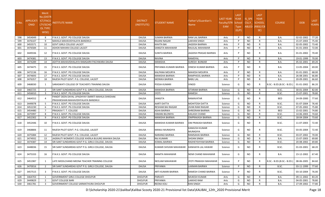| S.No | <b>APPLICATI</b><br><b>ONID</b> | Merit<br>No.(DISTR<br><b>ICT/FACU</b><br>LTY/SCHO<br><b>OL TYPE</b><br>WISE) | NSTITUTE NAME                                                                             | <b>DISTRICT</b><br>(INSTITUTE) | STUDENT NAME           | Father's/Guardian's<br>Name      | LAST YEAR<br>Faculty/STR School<br>EAM | <b>LAST</b><br><b>YEAR</b><br><b>Type</b><br>(G/P) | IS_SPE<br><b>CILLY</b> | <b>LAST</b><br><b>YEAR</b><br><b>SCHOOL</b><br>ABLED (RBSE/CB<br>SE) | <b>COURSE</b>              | <b>DOB</b>       | <b>LAST</b><br>YEAR% |
|------|---------------------------------|------------------------------------------------------------------------------|-------------------------------------------------------------------------------------------|--------------------------------|------------------------|----------------------------------|----------------------------------------|----------------------------------------------------|------------------------|----------------------------------------------------------------------|----------------------------|------------------|----------------------|
| 598  | 3454049                         | 8                                                                            | P.N.K.S. GOVT. PG COLLEGE DAUSA                                                           | <b>DAUSA</b>                   | SUMAN BAIRWA           | RAM LAL BAIRWA                   | Arts                                   | P                                                  | NO                     | $\mathsf{R}$                                                         | <b>B.A.</b>                | 02-02-2002       | 77.20                |
| 599  | 3476107                         | - 9                                                                          | MAHILA MAHAVIDYALAYA BANDIKUI                                                             | <b>DAUSA</b>                   | RAJANI NAGAR           | <b>LAKHAN SINGH</b>              | Arts                                   | P                                                  | NO.                    | R                                                                    | <b>B.A.</b>                | 15-07-2003       | 75.40                |
| 600  | 3455571                         | 10                                                                           | <b>GOVT.GIRLS COLLEGE LALSOT</b>                                                          | <b>DAUSA</b>                   | KAVITA BAI             | <b>JAGDISH BAIRWA</b>            | Arts                                   | P                                                  | <b>NO</b>              | R                                                                    | <b>B.A.</b>                | 02-05-2002       | 73.40                |
| 601  | 3476584                         | 11                                                                           | ASHOK MAHAN COLLEGE LALSOT                                                                | <b>DAUSA</b>                   | SANGITA MAHAWAR        | RAJULAL MAHAWAR                  | Arts                                   | P                                                  | NO.                    | $\mathsf{R}$                                                         | <b>B.A.</b>                | 01-01-2003       | 72.00                |
| 602  | 3449336                         | 12                                                                           | P.N.K.S. GOVT. PG COLLEGE DAUSA                                                           | <b>DAUSA</b>                   | <b>SUNITA BAIRWA</b>   | <b>JAGDISH PRASAD BAIRWA</b>     | Arts                                   |                                                    | NO.                    | R                                                                    | <b>B.A.</b>                | 01-01-2002       | 70.40                |
| 603  | 3474381                         | 13                                                                           | P.N.K.S. GOVT. PG COLLEGE DAUSA                                                           | <b>DAUSA</b>                   | RAVINA                 | <b>RAMDYAL</b>                   | Arts                                   | P                                                  | <b>NO</b>              | R                                                                    | <b>B.A.</b>                | 19-01-1999       | 70.00                |
| 604  | 3474289                         | 14                                                                           | ADITYA MAHAVIDHALAYA RAMGARH PACHWARA DAUSA                                               | <b>DAUSA</b>                   | MANISHA                | SURESH BUNKAR                    | Arts                                   | P                                                  | NO                     | $\mathsf{R}$                                                         | <b>B.A.</b>                | 05-02-2001       | 69.20                |
| 605  | 3474475                         | 15                                                                           | P.N.K.S. GOVT. PG COLLEGE DAUSA                                                           | <b>DAUSA</b>                   | PRIYANKA KUMARI BAIRWA | DINESH KUMAR BAIRWA              | Arts                                   |                                                    | NO.                    | R                                                                    | <b>B.A.</b>                | 13-05-2004       | 69.00                |
| 606  | 3472136                         | 16                                                                           | P.N.K.S. GOVT. PG COLLEGE DAUSA                                                           | <b>DAUSA</b>                   | KALPANA MOURYA         | <b>MAHESH MOURYA</b>             | Arts                                   | P                                                  | NO.                    | R                                                                    | <b>B.A.</b>                | 01-01-2001       | 68.00                |
| 607  | 3474693                         | 17                                                                           | P.N.K.S. GOVT. PG COLLEGE DAUSA                                                           | <b>DAUSA</b>                   | MANISHA BAIRWA         | RAMPHOOL BAIRWA                  | Arts                                   | P                                                  | <b>NO</b>              | R                                                                    | <b>B.A.</b>                | 26-08-2001       | 66.80                |
| 608  | 3476357                         | 18                                                                           | RAJESH PILOT GOVT. P.G. COLLEGE. LALSOT                                                   | <b>DAUSA</b>                   | MONIKA BAIRWA          | <b>BABU LAL</b>                  | Arts                                   | P                                                  | NO                     | R                                                                    | <b>B.A.</b>                | 20-09-2001       | 66.60                |
| 609  | 3468030                         | 1                                                                            | SARASWATI COLLEGE OF TEACHER'S TRAINING DAUSA                                             | <b>DAUSA</b>                   | POOJA KUMARI           | VINOD                            | Science                                | G                                                  | <b>NO</b>              | R                                                                    | B.SC.- B.ED.(B.SC.- B.ED.) | 01-01-2002       | 86.20                |
| 610  | 3465725                         | 2                                                                            | SRI SANT SUNDARDAS GOVT P.G. GIRLS COLLEGE, DAUSA                                         | <b>DAUSA</b>                   | MANISHA BAIRWA         | SITARAM BAIRWA                   | Science                                | G                                                  | NO.                    | $\mathsf{R}$                                                         | B.SC.                      | 30-01-2004       | 82.00                |
| 611  | 3456010                         | $\overline{\mathbf{3}}$                                                      | P.N.K.S. GOVT. PG COLLEGE DAUSA                                                           | <b>DAUSA</b>                   | ITOYL                  | <b>RAMESH</b>                    | Science                                | G                                                  | NO.                    | R                                                                    | B.SC.                      | 15-07-2001       | 78.80                |
| 612  | 3464552                         | $\Delta$                                                                     | PANDIT DEEN DAYAL UPADHYAY SMIRITI MAHILA SHIKSHAK<br>PRASHIKSHAN MAHAVIDHYALAYA BANDIKUI | <b>DAUSA</b>                   | SANGITA                | <b>RAMAVATAR</b>                 | Science                                | G                                                  | NO.                    | R                                                                    | <b>BED</b>                 | 24-09-2000       | 77.60                |
| 613  | 3449078                         | - 5                                                                          | P.N.K.S. GOVT. PG COLLEGE DAUSA                                                           | <b>DAUSA</b>                   | AARTI DATTA            | MOHITOSH DATTA                   | Science                                | G                                                  | <b>NO</b>              | $\mathsf{R}$                                                         | B.SC.                      | 01-07-2004       | 76.40                |
| 614  | 3452230                         | -6                                                                           | P.N.K.S. GOVT. PG COLLEGE DAUSA                                                           | <b>DAUSA</b>                   | RESHAM BAI RAIGAR      | <b>JIVAN RAM RAIGAR</b>          | Science                                | G                                                  | <b>NO</b>              | $\mathsf{R}$                                                         | B.SC.                      | 07-05-2002       | 75.80                |
| 615  | 3454480                         | $\overline{7}$                                                               | PRASASVI T. T. COLLEGE                                                                    | <b>DAUSA</b>                   | <b>ASHA BAIRWA</b>     | <b>SHREERAM BAIRWA</b>           | Science                                | G                                                  | <b>NO</b>              | $\mathsf{R}$                                                         | <b>BED</b>                 | 15-02-2001       | 74.80                |
| 616  | 3475997                         | 8                                                                            | P.N.K.S. GOVT. PG COLLEGE DAUSA                                                           | <b>DAUSA</b>                   | HIMANI BILONIYA        | <b>KAILASH CHAND</b>             | Science                                | G                                                  | NO.                    | R                                                                    | B.SC.                      | 14-06-2003       | 74.60                |
| 617  | 3452302                         | -9                                                                           | P.N.K.S. GOVT. PG COLLEGE DAUSA                                                           | <b>DAUSA</b>                   | MANISHA BAIRWA         | <b>OMPRAKASH BAIRWA</b>          | Science                                | G                                                  | NO.                    | R                                                                    | B.SC.                      | 18-04-2004       | 73.60                |
| 618  | 3452446                         | 10                                                                           | P.N.K.S. GOVT. PG COLLEGE DAUSA                                                           | <b>DAUSA</b>                   | MANISHA KUMARI BAIRWA  | OM PRAKASH BAIRWA                | Science                                | G                                                  | NO.                    | R                                                                    | B.SC.                      | 11-07-2003       | 72.40                |
| 619  | 3468806                         | 11                                                                           | RAJESH PILOT GOVT. P.G. COLLEGE, LALSOT                                                   | <b>DAUSA</b>                   | MANJU MURADIYA         | <b>KAMLESH KUMAR</b><br>MURADIYA | Science                                | G                                                  | <b>NO</b>              | R                                                                    | B.SC.                      | 03-05-2004       | 72.40                |
| 620  | 3475084                         | 12                                                                           | RAJESH PILOT GOVT. P.G. COLLEGE, LALSOT                                                   | <b>DAUSA</b>                   | NARANGI BAIRWA         | RAMSAHAI BAIRWA                  | Science                                | G                                                  | <b>NO</b>              | $\mathsf{R}$                                                         | B.SC.                      | 03-07-2002       | 70.00                |
| 621  | 3474932                         | 13                                                                           | JAGRAUTI WOMEN'S COLLEGE KHERLA BUJURG MAHWA DAUSA                                        | <b>DAUSA</b>                   | RAJ KUMARI             | <b>SHOAN SINGH</b>               | Science                                | G                                                  | <b>NO</b>              | R                                                                    | <b>B.A.</b>                | 15-07-2003       | 69.80                |
| 622  | 3474387                         | 14                                                                           | SRI SANT SUNDARDAS GOVT P.G. GIRLS COLLEGE, DAUSA                                         | <b>DAUSA</b>                   | KOMAL BAIRWA           | RADHEYSHYAM BAIRWA               | Science                                | G                                                  | NO.                    | R                                                                    | B.SC.                      | 20-08-2002       | 69.80                |
| 623  | 3448036                         | 15                                                                           | SRI SANT SUNDARDAS GOVT P.G. GIRLS COLLEGE, DAUSA                                         | DAUSA                          | KUMARI SHIVANI MAHAWAR | KANHAIYA LAL HAWAR               | Science                                | G                                                  | <b>NO</b>              | R                                                                    | B.SC.                      | 01-03-2001       | 68.20                |
| 624  | 3475333                         | 16                                                                           | P.N.K.S. GOVT. PG COLLEGE DAUSA                                                           | <b>DAUSA</b>                   | MAMTA MAHAWAR          | NEMI CHAND MAHAWAR               | Science                                | G                                                  | <b>NO</b>              |                                                                      | <b>B.A.</b>                | 23-12-2002 67.40 |                      |
| 625  | 3451987                         | 1                                                                            | LATE MOOLCHAND MEENA TEACHER TRAINING COLLEGE                                             | <b>DAUSA</b>                   | NEELAM MAHAWAR         | JYOTI PRAKASH MAHAWAR            | Science                                |                                                    | <b>NO</b>              | R                                                                    | B.SC.- B.ED.(B.SC.- B.ED.) | 08-06-2005       | 84.60                |
| 626  | 3470016                         | $\overline{2}$                                                               | SRI SANT SUNDARDAS GOVT P.G. GIRLS COLLEGE, DAUSA                                         | <b>DAUSA</b>                   | PRIYANKA               | LAXMAN BAIRWA                    | Science                                | P                                                  | NO                     | $\mathsf{R}$                                                         | B.SC.                      | 03-11-1999       | 77.60                |
| 627  | 3457515                         | -3                                                                           | P.N.K.S. GOVT. PG COLLEGE DAUSA                                                           | DAUSA                          | ARTI KUMARI BAIRWA     | RAMESH CHAND BAIRWA              | Science                                | P                                                  | NO                     | R                                                                    | B.SC.                      | 03-10-2004       | 76.00                |
| 628  | 3464703                         | - 1                                                                          | <b>GOVERNMENT GIRLS COLLEGE DHOLPUR</b>                                                   | <b>DHOLPUR</b>                 | PARVATI                | <b>MUKESH KUMAR</b>              | Arts                                   | G                                                  | <b>NO</b>              | R                                                                    | <b>B.A.</b>                | 09-11-2002       | 83.20                |
| 629  | 3449829                         | $\overline{2}$                                                               | <b>GOVT COLLEGE BARI</b>                                                                  | <b>DHOLPUR</b>                 | PRIYANKA               | LAKKHO RAM                       | Arts                                   | G                                                  | NO                     | R                                                                    | <b>B.A.</b>                | 04-05-2001       | 78.80                |
| 630  | 3461781                         | $\overline{3}$                                                               | GOVERNMENT COLLEGE SARMATHURA DHOLPUR                                                     | <b>DHOLPUR</b>                 | <b>REENA KOLI</b>      | <b>RAN SINGH</b>                 | Arts                                   | G                                                  | <b>NO</b>              | $\mathsf{R}$                                                         | B.A.                       | 27-09-2002       | 77.80                |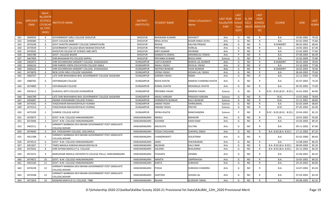| S.No. | <b>APPLICATI</b><br><b>ONID</b> | <b>Merit</b><br>o.(DISTFا<br>ICT/FACU<br><b>LTY/SCHO</b><br><b>OL TYPE</b><br>WISE) | NSTITUTE NAME                                                           | <b>DISTRICT</b><br>(INSTITUTE) | <b>STUDENT NAME</b>   | Father's/Guardian's<br>Name | <b>LAST YEAR</b><br>Faculty/STR School<br><b>EAM</b> | <b>LAST</b><br><b>YEAR</b><br><b>Type</b><br>(G/P) | IS SPE<br><b>CILLY</b> | <b>LAST</b><br><b>YEAR</b><br><b>SCHOOL</b><br>ABLED (RBSE/CB<br>SE) | <b>COURSE</b>              | <b>DOB</b>       | <b>LAST</b><br>YEAR% |
|-------|---------------------------------|-------------------------------------------------------------------------------------|-------------------------------------------------------------------------|--------------------------------|-----------------------|-----------------------------|------------------------------------------------------|----------------------------------------------------|------------------------|----------------------------------------------------------------------|----------------------------|------------------|----------------------|
| 631   | 3449934                         | $\overline{4}$                                                                      | GOVERNMENT GIRLS COLLEGE DHOLPUR                                        | <b>DHOLPUR</b>                 | <b>BHAWANA KUMARI</b> | <b>SHIVDATT</b>             | Arts                                                 | G                                                  | NO.                    | R                                                                    | <b>B.A.</b>                | 10-06-2002       | 76.20                |
| 632   | 3449380                         | - 5                                                                                 | <b>GOVT COLLEGE BARI</b>                                                | <b>DHOLPUR</b>                 | <b>RENU JATAV</b>     | <b>KEDAR SINGH JATAV</b>    | Arts                                                 | G                                                  | NO.                    | R                                                                    | B.A.                       | 02-02-2003       | 75.80                |
| 633   | 3470248                         | -6                                                                                  | GOVT SHASTRI SANSKRIT COLLEGE SARMATHURA                                | <b>DHOLPUR</b>                 | RADHA                 | <b>KALYAN PRASAD</b>        | Arts                                                 | G                                                  | <b>NO</b>              | $\mathsf{R}$                                                         | <b>B SANSKRIT</b>          | 08-03-2001       | 68.60                |
| 634   | 3474929                         | $\overline{7}$                                                                      | GOVERNMENT COLLEGE BASAI NAWAB DHOLPUR                                  | <b>DHOLPUR</b>                 | PRIYANKA              | <b>HORILAL</b>              | Arts                                                 | G                                                  | NO.                    | R                                                                    | B.A.                       | 10-05-2001       | 67.40                |
| 635   | 3476035                         | 1                                                                                   | DHOLPUR COLLEGE OF SCIENCE AND ARTS                                     | <b>DHOLPUR</b>                 | KIRTI KUMARI          | <b>DEVIRAM</b>              | Arts                                                 | <b>D</b>                                           | <b>NO</b>              | $\mathsf{R}$                                                         | <b>B.A.</b>                | 22-02-2002       | 77.60                |
| 636   | 3465788                         | $\overline{2}$                                                                      | <b>GOVT. COLLEGE BASERI</b>                                             | <b>DHOLPUR</b>                 | <b>SANGEETA OSWAL</b> | MISHREELAL OSWAL            | Arts                                                 | P                                                  | <b>NO</b>              | R                                                                    | B.A.                       | 07-08-2003       | 66.40                |
| 637   | 3467904                         | -1                                                                                  | SHRI BHAGWAN PG COLLEGE SAIPAU                                          | <b>DHOLPUR</b>                 | PRIYANKA KUMARI       | <b>BHOLA RAM</b>            | Science                                              | G                                                  | <b>NO</b>              | R                                                                    | B.A.                       | 15-03-2004       | 75.80                |
| 638   | 3463973                         | 1                                                                                   | SHRI GOVARDHAN SANSKRIT COLLEGE, KHADAGADA                              | <b>DUNGARPUR</b>               | <b>VIJETA BUNKER</b>  | <b>BHIKHA LAL BUNKER</b>    | Arts                                                 | G                                                  | <b>NO</b>              | $\mathsf{R}$                                                         | <b>B SANSKRIT</b>          | 06-02-2004       | 78.40                |
| 639   | 3466224                         | $\overline{2}$                                                                      | SHRI HARDEV KRIPA EDUCATION COLLEGE SABLA                               | DUNGARPUR                      | ANJALI YADAV          | <b>DEVILAL YADAV</b>        | Arts                                                 | G                                                  | NO.                    | R                                                                    | B.A.                       | 23-10-2002       | 77.00                |
| 640   | 3460162                         | $\overline{3}$                                                                      | SHRI GOVARDHAN SANSKRIT COLLEGE, KHADAGADA                              | <b>DUNGARPUR</b>               | <b>DEEPIKA BUNKAR</b> | <b>HUKA BUNKAR</b>          | Arts                                                 | G                                                  | <b>NO</b>              | $\mathsf{R}$                                                         | <b>B SANSKRIT</b>          | 18-05-2003       | 76.00                |
| 641   | 3474876                         | $\overline{4}$                                                                      | NEW LOOK GIRLS COLLEGE SAGWARA                                          | <b>DUNGARPUR</b>               | <b>VEENA YADAV</b>    | <b>KESHAV LAL YADAV</b>     | Arts                                                 | G                                                  | <b>NO</b>              | R                                                                    | B.A.                       | 06-04-2003       | 75.60                |
| 642   | 3460767                         | -5                                                                                  | LATE SHRI BHIKHABHAI BHIL GOVERNMENT COLLEGE SAGWARA                    | <b>DUNGARPUR</b>               | <b>GARIMA YADAV</b>   | <b>RAMA</b>                 | Arts                                                 | G                                                  | <b>NO</b>              | R                                                                    | B.A.                       | 22-12-2002       | 74.80                |
| 643   | 3480782                         | -6                                                                                  | <b>VIDYANAGAR COLLEGE</b>                                               | <b>DUNGARPUR</b>               | NISHA KHATIK          | RAMESH CHANDRA KHATIK       | Arts                                                 | G                                                  | NO.                    | R                                                                    | <b>B.A.</b>                | 02-07-2002       | 74.20                |
| 644   | 3474809                         | - 7                                                                                 | <b>VIDYANAGAR COLLEGE</b>                                               | <b>DUNGARPUR</b>               | <b>KOMAL KHATIK</b>   | <b>MOHANLAL KHATIK</b>      | Arts                                                 | G                                                  | NO.                    | R                                                                    | B.A.                       | 05-03-2002       | 72.00                |
| 645   | 3455612                         | 1                                                                                   | <b>GURUKUL ARTS COLLEGE DUNGARPUR</b>                                   | <b>DUNGARPUR</b>               | PRIYANKA YADAV        | <b>RAMESH YADAV</b>         | Science                                              | G                                                  | <b>NO</b>              |                                                                      | B.SC.- B.ED.(B.SC.- B.ED.) | 16-01-2003       | 84.80                |
| 646   | 3464789                         | $\overline{2}$                                                                      | LATE SHRI BHIKHABHAI BHIL GOVERNMENT COLLEGE SAGWARA                    | <b>DUNGARPUR</b>               | <b>ANJALI HARIJAN</b> | PRAKASH HARIJAN             | Science                                              | G                                                  | <b>NO</b>              | $\mathsf{R}$                                                         | B.SC.                      | 12-07-2002       | 78.60                |
| 647   | 3456687                         | $\overline{3}$                                                                      | SWAMI VIVEKANAND COLLEGE PUNALI                                         | <b>DUNGARPUR</b>               | DHRMISHTA BUNKAR      | <b>KALU BUNKAR</b>          | Science                                              | G                                                  | <b>NO</b>              | R                                                                    | B.SC.                      | 15-12-2001       | 68.80                |
| 648   | 3474342                         | $\overline{4}$                                                                      | YOGESHWAR MAHAVIDHYALAY KUNWA                                           | <b>DUNGARPUR</b>               | <b>JANAKI YADAV</b>   | DHIRAJAMAL                  | Science                                              | G                                                  | <b>NO</b>              | $\mathsf{R}$                                                         | <b>B.A.</b>                | 02-02-2004       | 68.60                |
| 649   | 3474314                         | - 5                                                                                 | YOGESHWAR MAHAVIDHYALAY KUNWA                                           | <b>DUNGARPUR</b>               | HIMANI YADAV          | PRATAP                      | Science                                              | G                                                  | <b>NO</b>              | $\mathsf{R}$                                                         | B.SC.                      | 07-05-2003       | 65.00                |
| 650   | 3475209                         | -1                                                                                  | SUNRISE COLLEGE ASPUR                                                   | <b>DUNGARPUR</b>               | DIPIKA KHATIK         | <b>RAMCHANDRA</b>           | Science                                              |                                                    | <b>NO</b>              |                                                                      | B.SC.- B.ED.(B.SC.- B.ED.) | 10-04-2002       | 82.20                |
| 651   | 3470075                         | -1                                                                                  | GOVT. N.M. COLLEGE HANUMANGARH                                          | HANUMANGARH                    | MANJU                 | <b>MAHAVIR</b>              | Arts                                                 | G                                                  | <b>NO</b>              | R                                                                    | B.A.                       | 10-01-2002       | 92.60                |
| 652   | 3472046                         | $\overline{2}$                                                                      | GOVT. N.M. COLLEGE HANUMANGARH                                          | HANUMANGARH                    | <b>SUSHMA</b>         | <b>KASHI RAM</b>            | Arts                                                 | G                                                  | <b>NO</b>              | $\mathsf{R}$                                                         | B.A.                       | 23-03-2003       | 89.20                |
| 653   | 3465511                         | 3                                                                                   | SHRIMATI NARBADA DEVI BIHANI GOVERNMENT POST-GRADUATE<br>COLLEGE, NOHAR | HANUMANGARH                    | ANUSUIYA              | SULTAN                      | Arts                                                 | G                                                  | NO.                    | R                                                                    | B.A.                       | 09-11-2002       | 87.80                |
| 654   | 3474645                         | $\overline{a}$                                                                      | B.R. CHOUDHARY COLLEGE, GOLUWALA                                        | HANUMANGARH                    | POOJA CHOUHAN         | <b>SUKHPAL SINGH</b>        | Arts                                                 | G                                                  | <b>NO</b>              | R                                                                    | B.A- B.ED.(B.A- B.ED.)     | 17-12-2003       | 87.20                |
| 655   | 3451398                         | -5                                                                                  | SHRIMATI NARBADA DEVI BIHANI GOVERNMENT POST-GRADUATE<br>COLLEGE,NOHAR  | HANUMANGARH                    | CHANDRAWATI           | <b>DOLATRAM</b>             | Arts                                                 | G                                                  | <b>NO</b>              | R                                                                    | B.A.                       | 02-02-2000       | 86.60                |
| 656   | 3474513                         | -6                                                                                  | GOVT. N.M. COLLEGE HANUMANGARH                                          | HANUMANGARH                    | UNIAL                 | SHESHKARAN                  | Arts                                                 | G                                                  | <b>NO</b>              | $\mathsf{R}$                                                         | <b>B.A.</b>                | 13-08-2003       | 86.20                |
| 657   | 3451827                         | $\overline{7}$                                                                      | TIMES MAHILA SHIKSHA MAHAVIDHYALYA                                      | HANUMANGARH                    | MUSKAN                | <b>KALU RAM</b>             | Arts                                                 | G                                                  | NO.                    | R                                                                    | B.A- B.ED.(B.A- B.ED.)     | 08-09-2004       | 85.20                |
| 658   | 3475042                         | 8                                                                                   | SHRI SHYAM MAHILA P.G. COLLEGE                                          | HANUMANGARH                    | SOLANKI               | <b>BHALARAM</b>             | Arts                                                 | G                                                  | NO.                    | R                                                                    | B.A- B.ED.(B.A- B.ED.)     | 03-12-2002       | 84.20                |
| 659   | 3472472                         | 9                                                                                   | MARUDHAR MAHILA VIDYAPEETH COLLEGE PALLU, HANUMANGARH                   | HANUMANGARH                    | PUSHAPA               | <b>HEMRAJ</b>               | Arts                                                 | G                                                  | <b>NO</b>              |                                                                      | <b>B.A.</b>                | 22-09-2001 84.20 |                      |
| 660   | 3474872                         | 10                                                                                  | GOVT. N.M. COLLEGE HANUMANGARH                                          | HANUMANGARH                    | <b>MAMTA</b>          | <b>OMPRAKASH</b>            | Arts                                                 | G                                                  | NO                     | $\mathsf{R}$                                                         | B.A.                       | 10-05-2002       | 84.20                |
| 661   | 3455330                         | 11                                                                                  | GOVT. N.M. COLLEGE HANUMANGARH                                          | HANUMANGARH                    | <b>KANTA</b>          | SUBHASH                     | Arts                                                 | G                                                  | NO                     | R                                                                    | B.A.                       | 29-10-2003       | 84.00                |
| 662   | 3476228                         | 12                                                                                  | SHRIMATI NARBADA DEVI BIHANI GOVERNMENT POST-GRADUATE<br>COLLEGE,NOHAR  | HANUMANGARH                    | POOJA                 | <b>SUBHASH CHANDRA</b>      | Arts                                                 | G                                                  | NO.                    | R.                                                                   | B.A.                       | 14-07-2002       | 83.20                |
| 663   | 3474548                         | 13                                                                                  | SHRIMATI NARBADA DEVI BIHANI GOVERNMENT POST-GRADUATE<br>COLLEGE,NOHAR  | HANUMANGARH                    | SANTOSH               | <b>SOHAN LAL</b>            | Arts                                                 | G                                                  | NO.                    | R.                                                                   | B.A.                       | 07-03-2003       | 83.20                |
| 664   | 3471824                         | 14                                                                                  | KASWAN KANYA (P.G.) COLLEGE, TIBBI                                      | HANUMANGARH                    | RAJANI                | <b>GURSANT SINGH</b>        | Arts                                                 | G                                                  | <b>NO</b>              | $\mathsf{R}$                                                         | <b>B.A.</b>                | 04-08-2003       | 83.20                |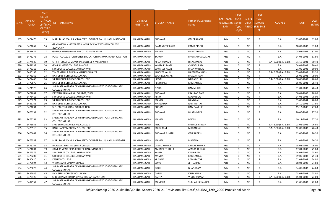| S.No. | APPLICATI<br>ONID | Merit<br>Vo.(DISTF<br><b>ICT/FACU</b><br>LTY/SCHO<br>OL TYPE<br>WISE) | NSTITUTE NAME                                                           | <b>DISTRICT</b><br>(INSTITUTE) | STUDENT NAME         | Father's/Guardian's<br>Name | LAST YEAR<br>Faculty/STR<br>EAM | LAST<br><b>YEAR</b><br>School<br><b>Type</b><br>(G/P) | IS SPE<br><b>CILLY</b> | <b>LAST</b><br><b>YEAR</b><br><b>SCHOOL</b><br>ABLED (RBSE/CB<br>SE) | <b>COURSE</b>          | <b>DOB</b> | <b>LAST</b><br>YEAR% |
|-------|-------------------|-----------------------------------------------------------------------|-------------------------------------------------------------------------|--------------------------------|----------------------|-----------------------------|---------------------------------|-------------------------------------------------------|------------------------|----------------------------------------------------------------------|------------------------|------------|----------------------|
| 665   | 3472475           | 15                                                                    | MARUDHAR MAHILA VIDYAPEETH COLLEGE PALLU, HANUMANGARH                   | HANUMANGARH                    | POONAM               | <b>OM PRAKASH</b>           | Arts                            | G                                                     | NO                     | R                                                                    | B.A.                   | 13-02-2001 | 83.00                |
| 666   | 3474862           | 16                                                                    | GRAMOTTHAN VIDYAPEETH HOME SCIENCE WOMEN COLLEGE<br>,SANGARIA           | HANUMANGARH                    | RAMANDEEP KAUR       | <b>KAMIR SINGH</b>          | Arts                            | G                                                     | NO.                    | R                                                                    | B.A.                   | 10-09-2003 | 83.00                |
| 667   | 3481672           | 17                                                                    | GURU JAMBHESHWAR PG COLLEGE RAWATSAR                                    | HANUMANGARH                    | <b>MAMTA</b>         | <b>NARAYAN RAM</b>          | Arts                            | G                                                     | <b>NO</b>              |                                                                      | B.A.                   | 05-02-2002 | 82.00                |
| 668   | 3476275           | 18                                                                    | PULKIT COLLEGE FOR HIGHER EDUCATION HANUMANGARH JUNCTION                | HANUMANGARH                    | <b>TANUJA</b>        | <b>BHUPENDRA KUMAR</b>      | Arts                            | G                                                     | NO.                    | R                                                                    | B.A.                   | 14-04-2001 | 81.80                |
| 669   | 3474530           | 19                                                                    | CH K R GODARA MEMORIAL COLLEGE 4 MKS BASHIR                             | HANUMANGARH                    | <b>KIRAN KUMARI</b>  | DHARAMPAL                   | Arts                            | G                                                     | NO                     | R                                                                    | B.A- B.ED.(B.A- B.ED.) | 31-10-2001 | 80.40                |
| 670   | 3461332           | 20                                                                    | GOVERNMENT COLLEGE, BHADRA                                              | HANUMANGARH                    | KAVITA KUMARI        | <b>CHHOTU RAM</b>           | Arts                            | G                                                     | <b>NO</b>              | R                                                                    | B.A.                   | 04-01-2003 | 80.40                |
| 671   | 3475316           | 21                                                                    | S.D.DEGREE COLLEGE, JAKHRANWALI                                         | HANUMANGARH                    | <b>SUKHJEET KAUR</b> | <b>BHANWAR LAL</b>          | Arts                            | G                                                     | <b>NO</b>              | $\mathsf{R}$                                                         | <b>B.A.</b>            | 21-05-2003 | 80.00                |
| 672   | 3480199           | 22                                                                    | TIMES MAHILA SHIKSHA MAHAVIDHYALYA                                      | HANUMANGARH                    | <b>JAGDEEP KAUR</b>  | <b>NAKSHTRA SINGH</b>       | Arts                            | G                                                     | NO                     | R                                                                    | B.A- B.ED.(B.A- B.ED.) | 05-07-2002 | 79.20                |
| 673   | 3478362           | -23                                                                   | DAV GIRLS COLLEGE GOLUWALA                                              | HANUMANGARH                    | SUSHILA SARSAR       | <b>BHADAR RAM</b>           | Arts                            | G                                                     | <b>NO</b>              | R                                                                    | B.A.                   | 05-05-2001 | 79.00                |
| 674   | 3474449           | 24                                                                    | <b>S P N HIGHER EDUCATION COLLEGE</b>                                   | HANUMANGARH                    | LAXMI                | <b>BAJRANG LAL</b>          | Arts                            | G                                                     | <b>NO</b>              | R                                                                    | B.A- B.ED.(B.A- B.ED.) | 08-06-2002 | 78.60                |
| 675   | 3472876           | 25                                                                    | DAV GIRLS COLLEGE GOLUWALA                                              | HANUMANGARH                    | RENU BALA            | <b>KRISHAN LAL</b>          | Arts                            | G                                                     | NO                     | R                                                                    | B.A.                   | 15-08-2001 | 78.40                |
| 676   | 3471120           | 26                                                                    | SHRIMATI NARBADA DEVI BIHANI GOVERNMENT POST-GRADUATE<br>COLLEGE,NOHAR  | HANUMANGARH                    | <b>NISHA</b>         | <b>RAMMURTI</b>             | Arts                            | G                                                     | <b>NO</b>              |                                                                      | <b>B.A.</b>            | 01-01-2002 | 78.40                |
| 677   | 3471802           | 27                                                                    | KASWAN KANYA (P.G.) COLLEGE, TIBBI                                      | HANUMANGARH                    | POONAM               | PRAHLAD RAM                 | Arts                            | G                                                     | <b>NO</b>              | R                                                                    | B.A.                   | 08-01-2003 | 78.00                |
| 678   | 3475412           | -28                                                                   | S.D.DEGREE COLLEGE.JAKHRANWALI                                          | HANUMANGARH                    | <b>RENU</b>          | <b>MADAN LAL</b>            | Arts                            | G                                                     | <b>NO</b>              | R                                                                    | B.A.                   | 14-08-2003 | 78.00                |
| 679   | 3475271           | 29                                                                    | S P N HIGHER EDUCATION COLLEGE                                          | HANUMANGARH                    | <b>MAMTA</b>         | <b>NAND LAL</b>             | Arts                            | G                                                     | <b>NO</b>              |                                                                      | B.A.                   | 09-08-2004 | 78.00                |
| 680   | 3483161           | 30                                                                    | DAV GIRLS COLLEGE GOLUWALA                                              | HANUMANGARH                    | MANJU DEVI           | <b>RAM PRATAP</b>           | Arts                            | G                                                     | <b>NO</b>              | R                                                                    | B.A.                   | 14-10-2001 | 77.80                |
| 681   | 3474834           | 31                                                                    | S. D. CO-EDUCATION COLLEGE TIBBI                                        | HANUMANGARH                    | PUNAM                | <b>RAM SAVRUP</b>           | Arts                            | G                                                     | <b>NO</b>              | R                                                                    | B.A.                   | 15-12-2000 | 77.60                |
| 682   | 3475331           | 32                                                                    | SHRIMATI NARBADA DEVI BIHANI GOVERNMENT POST-GRADUATE<br>COLLEGE, NOHAR | HANUMANGARH                    | POONAM               | <b>DHARMVEER</b>            | Arts                            | G                                                     | NO.                    | R                                                                    | B.A.                   | 20-06-2002 | 77.20                |
| 683   | 3475251           | 33                                                                    | SHRIMATI NARBADA DEVI BIHANI GOVERNMENT POST-GRADUATE<br>COLLEGE, NOHAR | HANUMANGARH                    | <b>MAMTA</b>         | <b>BALVIR</b>               | Arts                            | G                                                     | NO.                    | R                                                                    | <b>B.A.</b>            | 10-12-2002 | 77.20                |
| 684   | 3475851           | -34                                                                   | SHRI SHYAM MAHILA P.G. COLLEGE                                          | HANUMANGARH                    | <b>ULIA</b>          | <b>BALINDER SINGH</b>       | Arts                            | G                                                     | <b>NO</b>              | R                                                                    | B.A- B.ED.(B.A- B.ED.) | 03-01-2002 | 76.80                |
| 685   | 3475918           | 35                                                                    | BABY HAPPY MODERN P.G. COLLEGE                                          | HANUMANGARH                    | <b>SONU RANI</b>     | <b>MADAN LAL</b>            | Arts                            | G                                                     | NO                     | R                                                                    | B.A- B.ED.(B.A- B.ED.) | 12-07-2003 | 76.40                |
| 686   | 3476641           | 36                                                                    | SHRIMATI NARBADA DEVI BIHANI GOVERNMENT POST-GRADUATE<br>COLLEGE,NOHAR  | HANUMANGARH                    | POONAM KUMARI        | <b>OMPRAKASH</b>            | Arts                            | G                                                     | NO.                    | R                                                                    | B.A.                   | 12-05-2002 | 76.20                |
| 687   | 3475388           | -37                                                                   | MARUDHAR MAHILA VIDYAPEETH COLLEGE PALLU, HANUMANGARH                   | HANUMANGARH                    | <b>MAMTA</b>         | MANGILAL                    | Arts                            | G                                                     | NO.                    |                                                                      | B.A.                   | 01-01-2004 | 76.20                |
| 688   | 3476261           | 38                                                                    | BHAWANI NIKETAN GIRLS COLLEGE                                           | HANUMANGARH                    | <b>DEENU KUMARI</b>  | <b>SANJAY KUMAR</b>         | Arts                            | G                                                     | <b>NO</b>              | R                                                                    | <b>B.A.</b>            | 15-08-2001 | 76.00                |
| 689   | 3471001           | 39                                                                    | GOVERNMENT GIRLS COLLEGE HANUMANGARH                                    | HANUMANGARH                    | <b>AMANDEEP KOUR</b> | <b>AMARAJIT SINGH</b>       | Arts                            | G                                                     | <b>NO</b>              |                                                                      | B.A.                   | 17-04-2002 | 75.80                |
| 690   | 3477576           | 40                                                                    | S.D.DEGREE COLLEGE.JAKHRANWALI                                          | HANUMANGARH                    | <b>KAVITA</b>        | <b>KASHI RAM</b>            | Arts                            | G                                                     | NO                     | R.                                                                   | <b>B.A.</b>            | 14-03-2004 | 75.60                |
| 691   | 3475202           | 41                                                                    | S.D.DEGREE COLLEGE, JAKHRANWALI                                         | HANUMANGARH                    | <b>MAMTA</b>         | <b>KRISHAN LAL</b>          | Arts                            | G                                                     | NO                     | R                                                                    | B.A.                   | 09-05-2003 | 75.40                |
| 692   | 3480610           | 42                                                                    | KESHAV COLLEGE                                                          | HANUMANGARH                    | <b>KRISHNA</b>       | <b>RAMPRA TAP</b>           | Arts                            | G                                                     | <b>NO</b>              |                                                                      | B.A.                   | 02-03-2002 | 74.80                |
| 693   | 3475994           | 43                                                                    | VIVIKANAND MAHAVIDHALAY                                                 | HANUMANGARH                    | SONU                 | JETHA RAM                   | Arts                            | G                                                     | NO                     | R                                                                    | B.A.                   | 18-04-2002 | 74.80                |
| 694   | 3475623           | 44                                                                    | SHRIMATI NARBADA DEVI BIHANI GOVERNMENT POST-GRADUATE<br>COLLEGE, NOHAR | HANUMANGARH                    | <b>SUKHI</b>         | <b>BHANARAM</b>             | Arts                            | G                                                     | NO                     |                                                                      | <b>B.A.</b>            | 04-05-2002 | 74.60                |
| 695   | 3482086           | 45                                                                    | DAV GIRLS COLLEGE GOLUWALA                                              | HANUMANGARH                    | AARJU                | <b>KRISHAN LAL</b>          | Arts                            | G                                                     | NO.                    | R                                                                    | <b>B.A.</b>            | 23-02-2003 | 73.80                |
| 696   | 3475128           | 46                                                                    | SHRI SHYAM SHIKSHAK PRASHIKSHAN SANSTHAN                                | HANUMANGARH                    | KANTA                | <b>VINOD KUMAR</b>          | Arts                            | G                                                     | <b>NO</b>              | R                                                                    | B.A- B.ED.(B.A- B.ED.) | 15-04-2003 | 73.00                |
| 697   | 3482952           | 47                                                                    | SHRIMATI NARBADA DEVI BIHANI GOVERNMENT POST-GRADUATE<br>COLLEGE, NOHAR | HANUMANGARH                    | MANISHA              | <b>SUBHASH CHANDER</b>      | Arts                            | G                                                     | NO                     | R                                                                    | B.A.                   | 21-06-2002 | 72.80                |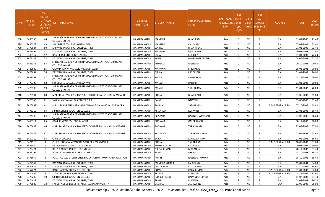| S.No. | <b>APPLICATI</b><br><b>ONID</b> | <b>Merit</b><br><b>No.(DISTF</b><br>ICT/FACU<br><b>LTY/SCHO</b><br>OL TYPE<br>WISE) | NSTITUTE NAME                                                           | <b>DISTRICT</b><br>(INSTITUTE) | STUDENT NAME         | Father's/Guardian's<br><b>Name</b> | <b>LAST YEAR</b><br>Faculty/STR School<br>EAM | <b>LAST</b><br><b>YEAR</b><br><b>Type</b><br>(G/P) | IS_SPE<br><b>CILLY</b> | <b>LAST</b><br><b>YEAR</b><br><b>SCHOOL</b><br>ABLED (RBSE/CB<br>SE) | <b>COURSE</b>          | <b>DOB</b> | <b>LAST</b><br>YEAR% |
|-------|---------------------------------|-------------------------------------------------------------------------------------|-------------------------------------------------------------------------|--------------------------------|----------------------|------------------------------------|-----------------------------------------------|----------------------------------------------------|------------------------|----------------------------------------------------------------------|------------------------|------------|----------------------|
| 698   | 3483550                         | 48                                                                                  | SHRIMATI NARBADA DEVI BIHANI GOVERNMENT POST-GRADUATE<br>COLLEGE, NOHAR | HANUMANGARH                    | MANISHA              | <b>BHANIRAM</b>                    | Arts                                          | G                                                  | NO.                    | R                                                                    | B.A.                   | 01-01-2000 | 72.40                |
| 699   | 3480572                         | 49                                                                                  | S.D.DEGREE COLLEGE,JAKHRANWALI                                          | HANUMANGARH                    | <b>MANISHA</b>       | LAL KHAN                           | Arts                                          | G                                                  | NO.                    | R                                                                    | B.A.                   | 07-08-2001 | 72.40                |
| 700   | 3472924                         | 50                                                                                  | KASWAN KANYA (P.G.) COLLEGE, TIBBI                                      | HANUMANGARH                    | SUNITA               | <b>BHANVR LAL</b>                  | Arts                                          | G                                                  | NO.                    | R                                                                    | B.A.                   | 01-01-2002 | 72.40                |
| 701   | 3471897                         | 51                                                                                  | KASWAN KANYA (P.G.) COLLEGE, TIBBI                                      | HANUMANGARH                    | POONAM               | <b>BHAGIRATH</b>                   | Arts                                          | G                                                  | <b>NO</b>              | R                                                                    | B.A.                   | 20-03-2003 | 72.40                |
| 702   | 3483117                         | 52                                                                                  | DAV GIRLS COLLEGE GOLUWALA                                              | HANUMANGARH                    | USHA                 | KULDEEP                            | Arts                                          | G                                                  | <b>NO</b>              | R                                                                    | B.A.                   | 01-01-2003 | 72.20                |
| 703   | 3472147                         | 53                                                                                  | KASWAN KANYA (P.G.) COLLEGE, TIBBI                                      | HANUMANGARH                    | BABLI                | <b>BHUPENDER SINGH</b>             | Arts                                          | G                                                  | <b>NO</b>              | R                                                                    | B.A.                   | 04-06-2003 | 72.20                |
| 704   | 3483355                         | 54                                                                                  | SHRIMATI NARBADA DEVI BIHANI GOVERNMENT POST-GRADUATE<br>COLLEGE,NOHAR  | HANUMANGARH                    | RITUBALA             | RAJENDER                           | Arts                                          | G                                                  | <b>NO</b>              | R                                                                    | <b>B.A.</b>            | 29-10-2003 | 70.80                |
| 705   | 3482989                         | 55                                                                                  | GRAMIN KANYA MAHAVIDYALAYA BHADRA                                       | HANUMANGARH                    | <b>MAYAWATI</b>      | SHISHAPAL                          | Arts                                          | G                                                  | <b>NO</b>              | R                                                                    | <b>B.A.</b>            | 18-03-2001 | 70.00                |
| 706   | 3479864                         | 56                                                                                  | KASWAN KANYA (P.G.) COLLEGE, TIBBI                                      | HANUMANGARH                    | <b>DIPIKA</b>        | <b>RAY SINGH</b>                   | Arts                                          | G                                                  | <b>NO</b>              | R                                                                    | B.A.                   | 01-01-2002 | 70.00                |
| 707   | 3483563                         | 57                                                                                  | SHRIMATI NARBADA DEVI BIHANI GOVERNMENT POST-GRADUATE<br>COLLEGE, NOHAR | HANUMANGARH                    | POOJA                | PHUSARAM                           | Arts                                          | G                                                  | <b>NO</b>              | R                                                                    | <b>B.A.</b>            | 15-11-2002 | 70.00                |
| 708   | 3475308                         | 58                                                                                  | S.D.DEGREE COLLEGE, JAKHRANWALI                                         | HANUMANGARH                    | MANJU                | BALRAM                             | Arts                                          | G                                                  | <b>NO</b>              | R                                                                    | B.A.                   | 01-01-2003 | 70.00                |
| 709   | 3475390                         | 59                                                                                  | SHRIMATI NARBADA DEVI BIHANI GOVERNMENT POST-GRADUATE<br>COLLEGE, NOHAR | HANUMANGARH                    | MANJU                | SADHU RAM                          | Arts                                          | G                                                  | <b>NO</b>              | R                                                                    | <b>B.A.</b>            | 11-04-2003 | 70.00                |
| 710   | 3475531                         | 60                                                                                  | MARUDHAR MAHILA VIDYAPEETH COLLEGE PALLU, HANUMANGARH                   | HANUMANGARH                    | ALOO                 | <b>BHAGIRATH</b>                   | Arts                                          | G                                                  | <b>NO</b>              | R                                                                    | <b>B.A.</b>            | 01-06-2003 | 69.80                |
| 711   | 3473346                         | 61                                                                                  | SWAMI VIVEKANANDA COLLEGE TIBBI                                         | HANUMANGARH                    | RAJJO                | <b>BALVEER</b>                     | Arts                                          | G                                                  | <b>NO</b>              | R.                                                                   | <b>B.A.</b>            | 09-09-2003 | 69.40                |
| 712   | 3475852                         | 62                                                                                  | M.R.S. SHRIKRISHAN PRANAMI KANYA PG MAHAVIDHALAY BHADRA                 | HANUMANGARH                    | <b>RAVINA</b>        | SADHU RAM                          | Arts                                          | G                                                  | <b>NO</b>              | R                                                                    | B.A- B.ED.(B.A- B.ED.) | 07-10-2003 | 68.80                |
| 713   | 3475319                         | 63                                                                                  | S P N HIGHER EDUCATION COLLEGE                                          | HANUMANGARH                    | KIRAN RANI           | KULWANT                            | Arts                                          | G                                                  | NO                     | R                                                                    | B.A.                   | 01-01-2002 | 68.40                |
| 714   | 3474790                         | 64                                                                                  | SHRIMATI NARBADA DEVI BIHANI GOVERNMENT POST-GRADUATE<br>COLLEGE, NOHAR | HANUMANGARH                    | PRIYANKA             | RAJENDERA PRASAD                   | Arts                                          | G                                                  | <b>NO</b>              | R                                                                    | <b>B.A.</b>            | 01-07-2000 | 68.20                |
| 715   | 3455311                         | 65                                                                                  | GOVERNMENT COLLEGE, BHADRA                                              | HANUMANGARH                    | POONAM               | OM PRAKASH                         | Arts                                          | G                                                  | <b>NO</b>              | R                                                                    | <b>B.A.</b>            | 08-11-2003 | 68.00                |
| 716   | 3475488                         | 66                                                                                  | MARUDHAR MAHILA VIDYAPEETH COLLEGE PALLU, HANUMANGARH                   | HANUMANGARH                    | POONAM               | TARACHAND                          | Arts                                          | G                                                  | NO                     | R                                                                    | <b>B.A.</b>            | 23-09-2003 | 67.80                |
| 717   | 3476337                         | 67                                                                                  | MARUDHAR MAHILA VIDYAPEETH COLLEGE PALLU, HANUMANGARH                   | HANUMANGARH                    | KALAWATI             | <b>SUKHRAM NAYAK</b>               | Arts                                          | G                                                  | <b>NO</b>              | R                                                                    | <b>B.A.</b>            | 05-06-1999 | 67.60                |
| 718   | 3467110                         | 68                                                                                  | <b>CALIBER COLLEGE</b>                                                  | HANUMANGARH                    | SAROJ                | <b>MANGALA RAM</b>                 | Arts                                          | G                                                  | NO                     | R                                                                    | B.A.                   | 01-05-2001 | 66.60                |
| 719   | 3474915                         | $\mathbf{1}$                                                                        | CH K R GODARA MEMORIAL COLLEGE 4 MKS BASHIR                             | HANUMANGARH                    | POOJA                | SAHAB RAM                          | Arts                                          | P                                                  | NO.                    | R                                                                    | B.A- B.ED.(B.A- B.ED.) | 18-08-2002 | 91.60                |
| 720   | 3476444                         | $\overline{2}$                                                                      | DR.B R AMBEDKAR COLLEGE NOHAR                                           | HANUMANGARH                    | RUBIYA KUMARI        | <b>RATAN LAL</b>                   | Arts                                          | P                                                  | <b>NO</b>              | R                                                                    | B.A.                   | 20-07-2002 | 90.00                |
| 721   | 3476421                         | $\overline{\mathbf{3}}$                                                             | DR.B R AMBEDKAR COLLEGE NOHAR                                           | HANUMANGARH                    | <b>NIKITA KUMARI</b> | <b>MADAN LAL</b>                   | Arts                                          | P                                                  | <b>NO</b>              | R                                                                    | B.A.                   | 20-11-2002 | 87.40                |
| 722   | 3483797                         | $\overline{4}$                                                                      | ADARSH COLLEGE SARDARPURA KHALSA                                        | HANUMANGARH                    | <b>SANJU</b>         | <b>BRIJ LAL</b>                    | Arts                                          | <b>D</b>                                           | NO.                    | R                                                                    | <b>B.A.</b>            | 15-10-2003 | 86.20                |
| 723   | 3475677                         | .5                                                                                  | PULKIT COLLEGE FOR HIGHER EDUCATION HANUMANGARH JUNCTION                | HANUMANGARH                    | <b>ROHINI</b>        | RAJENDER KUMAR                     | Arts                                          | P                                                  | NO                     | R                                                                    | B.A.                   | 18-10-2002 | 85.40                |
| 724   | 3472142                         | - 6                                                                                 | KASWAN KANYA (P.G.) COLLEGE, TIBBI                                      | HANUMANGARH                    | MANISHA KUMARI       | LALCHAND                           | Arts                                          | P                                                  | <b>NO</b>              | R.                                                                   | <b>B.A.</b>            | 15-01-2004 | 84.80                |
| 725   | 3472679                         | $\overline{7}$                                                                      | KASWAN KANYA (P.G.) COLLEGE, TIBBI                                      | HANUMANGARH                    | <b>VINITA BAHAL</b>  | <b>MOTI SINGH</b>                  | Arts                                          | P                                                  | NO.                    | R                                                                    | B.A.                   | 17-10-2002 | 84.60                |
| 726   | 3457224                         | 8                                                                                   | BABY HAPPY MODERN P.G. COLLEGE                                          | HANUMANGARH                    | <b>KOMAL</b>         | PREMKUMAR                          | Arts                                          | P                                                  | NO.                    | R                                                                    | B.A- B.ED.(B.A- B.ED.) | 01-01-2003 | 82.60                |
| 727   | 3474452                         | -9                                                                                  | SKD COLLEGE FOR HIGHER EDUCATION                                        | HANUMANGARH                    | <b>RAVINA</b>        | RANVEER                            | Arts                                          | P                                                  | NO                     | R                                                                    | B.A- B.ED.(B.A- B.ED.) | 28-11-2004 | 82.60                |
| 728   | 3475235                         | 10                                                                                  | S P N HIGHER EDUCATION COLLEGE                                          | HANUMANGARH                    | <b>INDRJEET KOUR</b> | <b>BALVINDER SINGH</b>             | Arts                                          | <b>D</b>                                           | <b>NO</b>              | R                                                                    | <b>B.A.</b>            | 11-07-2002 | 81.40                |
| 729   | 3474028                         | 11                                                                                  | KASWAN KANYA (P.G.) COLLEGE, TIBBI                                      | HANUMANGARH                    | <b>RENU</b>          | <b>MANGILAL</b>                    | Arts                                          | P                                                  | <b>NO</b>              | R                                                                    | <b>B.A.</b>            | 08-07-2002 | 80.20                |
| 730   | 3475885                         | 12                                                                                  | FACULTY OF SCIENCE SHRI KHUSHAL DAS UNIVERSITY                          | HANUMANGARH                    | <b>DEEPIKA</b>       | <b>JASPAL SINGH</b>                | Arts                                          | P                                                  | <b>NO</b>              | R                                                                    | <b>BCA</b>             | 12-08-2002 | 78.00                |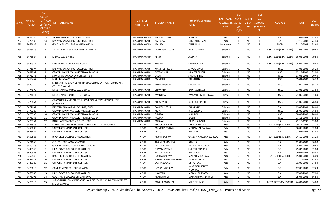| S.No. | <b>APPLICATI</b><br><b>ONID</b> | <b>Merit</b><br><b>No.(DISTR</b><br><b>ICT/FACL</b><br>LTY/SCHO<br><b>OL TYPE</b><br>WISE) | NSTITUTE NAME                                                                  | <b>DISTRICT</b><br>(INSTITUTE) | STUDENT NAME          | Father's/Guardian's<br>Name      | LAST YEAR<br>Faculty/STR<br>EAM | <b>LAST</b><br><b>YEAR</b><br>School<br><b>Type</b><br>(G/P) | IS_SPE<br><b>CILLY</b><br><b>ABLED</b> | <b>LAST</b><br><b>YEAR</b><br><b>SCHOOL</b><br>(RBSE/CB<br>SE) | <b>COURSE</b>              | <b>DOB</b> | LAST<br>YEAR% |
|-------|---------------------------------|--------------------------------------------------------------------------------------------|--------------------------------------------------------------------------------|--------------------------------|-----------------------|----------------------------------|---------------------------------|--------------------------------------------------------------|----------------------------------------|----------------------------------------------------------------|----------------------------|------------|---------------|
| 731   | 3475230                         | 13                                                                                         | S P N HIGHER EDUCATION COLLEGE                                                 | HANUMANGARH                    | <b>MANJEET KAUR</b>   | JAGDISH                          | Arts                            | P                                                            | NO.                                    | R.                                                             | <b>B.A.</b>                | 01-01-2002 | 77.40         |
| 732   | 3472538                         | 14                                                                                         | KASWAN KANYA (P.G.) COLLEGE, TIBBI                                             | HANUMANGARH                    | KALPANA               | KRISHAN KUMAR                    | Arts                            | P                                                            | <b>NO</b>                              | R                                                              | <b>B.A.</b>                | 07-10-2003 | 73.40         |
| 733   | 3466637                         | - 1                                                                                        | GOVT. N.M. COLLEGE HANUMANGARH                                                 | HANUMANGARH                    | MAMTA                 | KALU RAM                         | Commerce                        | G                                                            | NO.                                    | R                                                              | <b>BCOM</b>                | 21-10-2003 | 78.60         |
| 734   | 3465653                         | 1                                                                                          | TIMES MAHILA SHIKSHA MAHAVIDHYALYA                                             | HANUMANGARH                    | PAWANJEET KOUR        | HARDEV SINGH                     | Science                         | G                                                            | <b>NO</b>                              | R                                                              | B.SC.- B.ED.(B.SC.- B.ED.) | 22-08-2004 | 80.80         |
| 735   | 3475524                         | 2                                                                                          | M D COLLEGE PALLU                                                              | HANUMANGARH                    | RENU                  | JAGDISH                          | Science                         | G                                                            | NO.                                    | R                                                              | B.SC.- B.ED.(B.SC.- B.ED.) | 16-02-2003 | 79.80         |
| 736   | 3447911                         | 3                                                                                          | SHRI SHYAM MAHILA P.G. COLLEGE                                                 | HANUMANGARH                    | <b>KUSUM</b>          | SANWAR MAL                       | Science                         | G                                                            | NO.                                    | R                                                              | B.SC.- B.ED.(B.SC.- B.ED.) | 06-05-2002 | 79.60         |
| 737   | 3471894                         | $\overline{4}$                                                                             | KASWAN KANYA (P.G.) COLLEGE, TIBBI                                             | HANUMANGARH                    | <b>MANPREET KOUR</b>  | AJAYAB SINGH                     | Science                         | G                                                            | NO.                                    | R                                                              | B.SC.                      | 07-02-2002 | 68.20         |
| 738   | 3481832                         | - 1                                                                                        | GRAMIN KANYA MAHAVIDYALAYA BHADRA                                              | HANUMANGARH                    | DEEPANSHU             | RAJVEER SINGH                    | Science                         | <b>D</b>                                                     | NO.                                    | R                                                              | B.SC.                      | 12-12-2002 | 92.00         |
| 739   | 3473275                         | $\overline{2}$                                                                             | SWAMI VIVEKANANDA COLLEGE TIBBI                                                | HANUMANGARH                    | <b>AXMI</b>           | <b>SHANKAR LAL</b>               | Science                         | P                                                            | <b>NO</b>                              | $\mathsf{R}$                                                   | B.SC.                      | 17-06-2002 | 90.40         |
| 740   | 3463452                         | $\overline{3}$                                                                             | MARUDHARA COLLEGE                                                              | HANUMANGARH                    | <b>MANISHA</b>        | RAI SAHAB                        | Science                         | P                                                            | <b>NO</b>                              | R                                                              | B.SC.                      | 05-04-2003 | 90.20         |
| 741   | 3480157                         | $\overline{a}$                                                                             | SHRIMATI NARBADA DEVI BIHANI GOVERNMENT POST-GRADUATE<br>COLLEGE,NOHAR         | HANUMANGARH                    | RITIKA DIGWAL         | SHYAM LAL                        | Science                         | P                                                            | NO.                                    | R                                                              | B.SC.                      | 01-09-2003 | 85.20         |
| 742   | 3474690                         | - 5                                                                                        | DR .B R AMBEDKAR COLLEGE NOHAR                                                 | HANUMANGARH                    | <b>BHAWANA</b>        | RADHEYSHYAM                      | Science                         | P                                                            | NO.                                    | R                                                              | B.SC.                      | 27-03-2003 | 83.60         |
| 743   | 3474611                         | 6                                                                                          | DR .B R AMBEDKAR COLLEGE NOHAR                                                 | HANUMANGARH                    | AVANTIKA              | PAWAN KUMAR DIGWAL               | Science                         | P                                                            | NO.                                    | R                                                              | B.SC.                      | 21-05-2003 | 81.60         |
| 744   | 3476464                         | 7                                                                                          | GRAMOTTHAN VIDYAPEETH HOME SCIENCE WOMEN COLLEGE<br>,SANGARIA                  | HANUMANGARH                    | KHUSHWINDER           | JAGROOP SINGH                    | Science                         |                                                              | NO.                                    |                                                                | B.SC.                      | 21-05-2004 | 78.80         |
| 745   | 3472687                         | 8                                                                                          | KASWAN KANYA (P.G.) COLLEGE, TIBBI                                             | HANUMANGARH                    | <b>RANDEEP KOUR</b>   | <b>KARM SINGH</b>                | Science                         | P                                                            | <b>NO</b>                              | R                                                              | <b>B.A.</b>                | 19-08-2001 | 78.60         |
| 746   | 3478228                         | - 9                                                                                        | GRAMIN KANYA MAHAVIDYALAYA BHADRA                                              | HANUMANGARH                    | AKTA                  | <b>BHARATSING</b>                | Science                         | P                                                            | NO.                                    | R                                                              | B.SC.                      | 25-06-2003 | 76.60         |
| 747   | 3478590                         | 10                                                                                         | GRAMIN KANYA MAHAVIDYALAYA BHADRA                                              | HANUMANGARH                    | <b>SUNITA</b>         | MAHAVIR                          | Science                         | P                                                            | <b>NO</b>                              | R                                                              | B.SC.                      | 08-03-2002 | 70.60         |
| 748   | 3475143                         | 11                                                                                         | GRAMIN KANYA MAHAVIDYALAYA BHADRA                                              | HANUMANGARH                    | RAVINA                | RAJBIR                           | Science                         | P                                                            | <b>NO</b>                              | $\mathsf{R}$                                                   | B.SC.                      | 07-11-2004 | 67.60         |
| 749   | 3470751                         | 12                                                                                         | BABY HAPPY MODERN P.G. COLLEGE                                                 | HANUMANGARH                    | MUSKAN                | RAJESH KUMAR                     | Science                         | P                                                            | NO.                                    | R.                                                             | <b>B.A.</b>                | 21-10-1999 | 65.60         |
| 750   | 3475578                         | $\overline{1}$                                                                             | MAHATMA GANDHI INTERNATIONAL GIRLS COLLEGE, ANDHI                              | <b>JAIPUR</b>                  | <b>BHOOMIKA BIWAL</b> | TARA CHAND BIWAL                 | Arts                            | G                                                            | <b>NO</b>                              | $\mathsf{R}$                                                   | B.A- B.ED.(B.A- B.ED.)     | 09-11-2003 | 93.20         |
| 751   | 3453008                         | $\overline{2}$                                                                             | UNIVERSITY MAHARANI COLLEGE                                                    | <b>JAIPUR</b>                  | MANISHA BAIRWA        | MOHAN LAL BAIRWA                 | Arts                            | G                                                            | NO.                                    | R                                                              | <b>B.A.</b>                | 06-06-2003 | 92.80         |
| 752   | 3458887                         | $\overline{3}$                                                                             | UNIVERSITY MAHARANI COLLEGE                                                    | <b>JAIPUR</b>                  | ANNU                  | HEERA LAL                        | Arts                            | G                                                            | <b>NO</b>                              | R.                                                             | <b>B.A.</b>                | 02-07-2003 | 92.40         |
| 753   | 3452823                         | $\overline{a}$                                                                             | RAGHUKUL COLLEGE OF EDUCATION                                                  | <b>JAIPUR</b>                  | ANJALI BAIRWA         | GANESH NARAYAN BAIRWA            | Arts                            | G                                                            | NO.                                    |                                                                | B.A- B.ED.(B.A- B.ED.)     | 04-10-2003 | 91.20         |
| 754   | 3474650                         | - 5                                                                                        | G.D. COLLEGE JAMWARAMGARH                                                      | <b>JAIPUR</b>                  | ANAMIKA MOURYA        | <b>BABU LA</b>                   | Arts                            | G                                                            | <b>NO</b>                              | R                                                              | <b>B.A.</b>                | 11-08-2003 | 90.80         |
| 755   | 3450215                         | 6                                                                                          | GOVERNMENT COLLEGE, BASSI (JAIPUR)                                             | <b>JAIPUR</b>                  | POOJA BAIRWA          | NATHU LAL BAIRWA                 | Arts                            | G                                                            | NO.                                    | R                                                              | <b>B.A.</b>                | 04-05-2001 | 90.40         |
| 756   | 3448940                         | $\overline{7}$                                                                             | L.B.S. GOVT. P.G. COLLEGE KOTPUTLI                                             | <b>JAIPUR</b>                  | SHIVANI VERMA         | SURESH BUNKAR                    | Arts                            | G                                                            | <b>NO</b>                              | R                                                              | <b>B.A.</b>                | 25-02-2003 | 89.80         |
| 757   | 3450359                         | 8                                                                                          | UNIVERSITY MAHARANI COLLEGE                                                    | <b>JAIPUR</b>                  | POOJA DARVIR          | <b>HEERA RAM</b>                 | Arts                            | G                                                            | NO                                     | $\mathsf{R}$                                                   | <b>B.A.</b>                | 06-09-2003 | 89.40         |
| 758   | 3452843                         | - 9                                                                                        | RAGHUKUL COLLEGE OF EDUCATION                                                  | <b>JAIPUR</b>                  | <b>SUNITA BAIRWA</b>  | MAHADEV BAIRWA                   | Arts                            | G                                                            | <b>NO</b>                              | R                                                              | B.A- B.ED.(B.A- B.ED.)     | 15-01-2001 | 88.00         |
| 759   | 3451518                         | 10                                                                                         | UNIVERSITY MAHARANI COLLEGE                                                    | <b>JAIPUR</b>                  | HIMANI SINGH CHANDRA  | <b>MOHAR SINGH</b>               | Arts                            | G                                                            | <b>NO</b>                              |                                                                | <b>B.A.</b>                | 01-10-2002 | 87.80         |
| 760   | 3448125                         | 11                                                                                         | UNIVERSITY MAHARANI COLLEGE                                                    | <b>JAIPUR</b>                  | SAVITA BALACH         | <b>KISHAN LAL</b>                | Arts                            | G                                                            | NO.                                    | R                                                              | <b>B.A.</b>                | 31-08-2003 | 87.60         |
| 761   | 3470613                         | 12                                                                                         | GOVERNMENT COLLEGE, CHAKSU                                                     | <b>JAIPUR</b>                  | HANSA INDORIYA        | BHAGWAN SAHAY<br><b>INDORIYA</b> | Arts                            | G                                                            | <b>NO</b>                              | R                                                              | B.A.                       | 17-08-2003 | 87.20         |
| 762   | 3468055                         | 13                                                                                         | L.B.S. GOVT. P.G. COLLEGE KOTPUTLI                                             | <b>JAIPUR</b>                  | NAVEENA               | JAGDISH PRASASD                  | Arts                            | G                                                            | NO.                                    | R                                                              | <b>B.A.</b>                | 17-03-2002 | 87.00         |
| 763   | 3476091                         | 14                                                                                         | GOVT. ARTS COLLEGE CHIMANPURA                                                  | <b>JAIPUR</b>                  | <b>ANKITA DHOBI</b>   | LAXMAN PRASAD DHOBI              | Arts                            | G                                                            | <b>NO</b>                              | $\mathsf{R}$                                                   | <b>B.A.</b>                | 05-04-2001 | 86.80         |
| 764   | 3476516                         | 15                                                                                         | JAGADGURU RAMANANDACHARYA RAJASTHAN SANSKRIT UNIVERSITY<br><b>STUDY CAMPUS</b> | <b>JAIPUR</b>                  | <b>MEGHA BOKOLIYA</b> | <b>ASHOK KUMAR</b>               | Arts                            | G                                                            | NO                                     |                                                                | INTEGRATED (SANSKRIT)      | 24-02-2003 | 86.80         |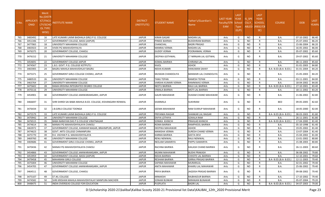| S.No. | <b>APPLICATI</b><br><b>ONID</b> | Merit<br>No.(DISTR<br><b>ICT/FACU</b><br>LTY/SCHO<br><b>OL TYPE</b><br>WISE) | <b>ISTITUTE NAME</b>                                         | <b>DISTRICT</b><br>(INSTITUTE) | STUDENT NAME         | Father's/Guardian's<br>Name   | <b>LAST YEAR</b><br>Faculty/STR School<br><b>EAM</b> | <b>LAST</b><br><b>YEAR</b><br><b>Type</b><br>(G/P) | IS_SPE<br><b>CILLY</b> | <b>LAST</b><br><b>YEAR</b><br><b>SCHOOL</b><br>ABLED (RBSE/CB<br>SE) | <b>COURSE</b>          | <b>DOB</b> | <b>LAST</b><br>YEAR% |
|-------|---------------------------------|------------------------------------------------------------------------------|--------------------------------------------------------------|--------------------------------|----------------------|-------------------------------|------------------------------------------------------|----------------------------------------------------|------------------------|----------------------------------------------------------------------|------------------------|------------|----------------------|
| 765   | 3483492                         | 16                                                                           | LATE KUMARI LAXMI BADHALA GIRLS P.G. COLLEGE                 | <b>JAIPUR</b>                  | <b>KIRAN GAGAR</b>   | <b>MADAN LAL</b>              | Arts                                                 | G                                                  | <b>NO</b>              | R                                                                    | <b>B.A.</b>            | 07-10-2002 | 86.40                |
| 766   | 3451346                         | 17                                                                           | GOVERNMENT COLLEGE, BASSI (JAIPUR)                           | <b>JAIPUR</b>                  | PINKEE BAIRWA        | <b>BUDDHRAM BAIRWA</b>        | Arts                                                 | G                                                  | <b>NO</b>              | R                                                                    | B.A.                   | 25-07-2002 | 86.20                |
| 767   | 3477065                         | 18                                                                           | UNIVERSITY MAHARANI COLLEGE                                  | <b>JAIPUR</b>                  | CHANCHAL             | <b>BADRI PRASAD</b>           | Arts                                                 | G                                                  | <b>NO</b>              | R                                                                    | B.A.                   | 15-06-2004 | 86.20                |
| 768   | 3465923                         | 19                                                                           | VIVEK PG MAHAVIDHYALYA                                       | <b>JAIPUR</b>                  | MANRAJ VERMA         | <b>MADAN LAL</b>              | Arts                                                 | G                                                  | NO.                    | R                                                                    | B.A.                   | 16-05-2002 | 86.00                |
| 769   | 3476375                         | 20                                                                           | GOVERNMENT COLLEGE, CHAKSU                                   | <b>JAIPUR</b>                  | <b>GUDDY VERMA</b>   | POORANMAL VERMA               | Arts                                                 | G                                                  | <b>NO</b>              | $\mathsf{R}$                                                         | B.A.                   | 05-07-2002 | 85.60                |
| 770   | 3476152                         | 21                                                                           | UNIVERSITY MAHARANI COLLEGE                                  | <b>JAIPUR</b>                  | DEEPIKA GOTHWAL      | LT NIRNJAN LAL GOTWAL         | Arts                                                 | G                                                  | <b>NO</b>              | R                                                                    | B.A.                   | 29-07-2002 | 85.60                |
| 771   | 3454691                         | 22                                                                           | GOVERNMENT COLLEGE JAIPUR                                    | <b>JAIPUR</b>                  | KOMAL BAIRWA         | <b>CHIRANJI LAL</b>           | Arts                                                 | G                                                  | <b>NO</b>              | $\mathsf{R}$                                                         | B.A.                   | 08-11-2003 | 85.60                |
| 772   | 3474567                         | 23                                                                           | .B.S. GOVT. P.G. COLLEGE KOTPUTLI                            | <b>JAIPUR</b>                  | KAJOL                | <b>ASHOK</b>                  | Arts                                                 | G                                                  | <b>NO</b>              | R                                                                    | B.A.                   | 01-01-2003 | 84.80                |
| 773   | 3465905                         | 24                                                                           | BAGRU MAHILA MAHAVIDHLAY BAGRU                               | <b>JAIPUR</b>                  | NISHA KUMARI         | <b>HANUMAN SAHAY</b>          | Arts                                                 | G                                                  | <b>NO</b>              | $\mathsf{R}$                                                         | B.A- B.ED.(B.A- B.ED.) | 01-01-2004 | 84.20                |
| 774   | 3475371                         | 25                                                                           | GOVERNMENT GIRLS COLLEGE CHOMU, JAIPUR                       | <b>JAIPUR</b>                  | MUSKAN CHANDOLIYA    | <b>BANWARI LAL CHANDOLIYA</b> | Arts                                                 | G                                                  | <b>NO</b>              | R                                                                    | B.A.                   | 15-05-2003 | 84.20                |
| 775   | 3480533                         | 26                                                                           | UNIVERSITY MAHARANI COLLEGE                                  | <b>JAIPUR</b>                  | <b>TANU TEPAN</b>    | <b>RAMESH TEPAN</b>           | Arts                                                 | G                                                  | <b>NO</b>              | R                                                                    | B.A.                   | 03-11-2001 | 84.00                |
| 776   | 3463764                         | 27                                                                           | UNIVERSITY MAHARANI COLLEGE                                  | <b>JAIPUR</b>                  | VARSHA KUMARI VERMA  | RAMNIWAS VERMA                | Arts                                                 | G                                                  | <b>NO</b>              | R                                                                    | B.A.                   | 18-04-2002 | 84.00                |
| 777   | 3475602                         | 28                                                                           | RAMA KRISHNA INTEGRATED DEGREE COLLEGE                       | <b>JAIPUR</b>                  | NEETU BAIRWA         | RAJU LAL BAIRWA               | Arts                                                 | G                                                  | <b>NO</b>              | $\mathsf{R}$                                                         | B.A- B.ED.(B.A- B.ED.) | 27-10-2001 | 83.40                |
| 778   | 3470116                         | 29                                                                           | UNIVERSITY MAHARANI COLLEGE                                  | <b>JAIPUR</b>                  | VIMALA BAIRWA        | MOTI LAL BAIRWA               | Arts                                                 | G                                                  | <b>NO</b>              | $\mathsf{R}$                                                         | B.A.                   | 18-11-2002 | 83.20                |
| 779   | 3454901                         | 30                                                                           | GOVERNMENT COLLEGE JAMWARAMGARH, JAIPUR                      | <b>JAIPUR</b>                  | <b>GAURI MAHAWAR</b> | <b>HUKAM CHAND MAHAWAR</b>    | Arts                                                 | G                                                  | <b>NO</b>              | R                                                                    | B.A.                   | 21-06-2002 | 82.80                |
| 780   | 3466697                         | 31                                                                           | SHRI SHIRDI SAI BABA MAHILA B.ED. COLLEGE, KISHANGARH RENWAL | <b>JAIPUR</b>                  | SHARMILA             | <b>SUKHRAM</b>                | Arts                                                 | G                                                  | NO.                    | R                                                                    | <b>BED</b>             | 09-05-2005 | 82.60                |
| 781   | 3476434                         | 32                                                                           | I.B.GIRLS COLLEGE TOONGA                                     | <b>JAIPUR</b>                  | SEEMA MAHAWAR        | <b>RAM SVARUP MAHAWAR</b>     | Arts                                                 | G                                                  | NO.                    | R                                                                    | B.A.                   | 18-05-2000 | 82.00                |
| 782   | 3475579                         | 33                                                                           | LATE KUMARI LAXMI BADHALA GIRLS P.G. COLLEGE                 | <b>JAIPUR</b>                  | PRIYANKA RAIGAR      | <b>SHANKAR LAL RAIGAR</b>     | Arts                                                 | G                                                  | <b>NO</b>              | R                                                                    | B.A- B.ED.(B.A- B.ED.) | 08-03-2003 | 81.80                |
| 783   | 3470942                         | 34                                                                           | UNIVERSITY MAHARANI COLLEGE                                  | <b>JAIPUR</b>                  | DIVYA LOTHIYA        | <b>GOKALA RAM</b>             | Arts                                                 | G                                                  | <b>NO</b>              | $\mathsf{R}$                                                         | B.A.                   | 26-11-2001 | 81.80                |
| 784   | 3476515                         | 35                                                                           | BABA NARAYAN DAS P G COLLEGE VIRATNAGAR                      | <b>JAIPUR</b>                  | SONIKA KHINCHI       | PRAHLAD KHINCHI               | Arts                                                 | G                                                  | <b>NO</b>              | R                                                                    | B.A- B.ED.(B.A- B.ED.) | 17-04-2000 | 81.40                |
| 785   | 3474614                         | 36                                                                           | MANAV PG MAHAVIDHYALAYA CHAKSU                               | <b>JAIPUR</b>                  | ROMA BAIRWA          | RAMPHOOL BAIRWA               | Arts                                                 | G                                                  | <b>NO</b>              | $\mathsf{R}$                                                         | <b>B.A.</b>            | 05-10-1998 | 81.40                |
| 786   | 3463972                         | 37                                                                           | GOVERNMENT COLLEGE, KANWAR NAGAR, BRAHMPURI, JAIPUR          | <b>JAIPUR</b>                  | DEEPIKA MAHAWAR      | <b>ASHOK</b>                  | Arts                                                 | G                                                  | <b>NO</b>              | R                                                                    | B.A.                   | 19-05-2002 | 81.40                |
| 787   | 3474623                         | 38                                                                           | GOVT. ARTS COLLEGE CHIMANPURA                                | <b>JAIPUR</b>                  | MANISHA VERMA        | <b>SURESH CHAND VERMA</b>     | Arts                                                 | G                                                  | <b>NO</b>              | R                                                                    | B.A.                   | 13-07-2004 | 81.40                |
| 788   | 3475770                         | 39                                                                           | R.K. VIGYAN P.G. MAHAVIDHYALAYA                              | <b>JAIPUR</b>                  | KARMA BAIRWA         | <b>GEETA DEVI</b>             | Arts                                                 | G                                                  | <b>NO</b>              | R                                                                    | B.A.                   | 15-04-2002 | 81.00                |
| 789   | 3469760                         | 40                                                                           | UNIVERSITY MAHARANI COLLEGE                                  | <b>JAIPUR</b>                  | RENU NENIWAL         | RAJU NENIWAL                  | Arts                                                 | G                                                  | <b>NO</b>              | R                                                                    | B.A.                   | 13-01-2002 | 80.80                |
| 790   | 3469686                         | 41                                                                           | GOVERNMENT GIRLS COLLEGE CHOMU, JAIPUR                       | <b>JAIPUR</b>                  | NEELAM SAMARIYA      | PAPPU SAMARIYA                | Arts                                                 | G                                                  | <b>NO</b>              | $\mathsf{R}$                                                         | B.A.                   | 15-08-2003 | 80.80                |
| 791   | 3470436                         | 42                                                                           | MANAV PG MAHAVIDHYALAYA CHAKSU                               | <b>JAIPUR</b>                  | RACHNA BAIRWA        | KAILASH CHAND BAIRWA          | Arts                                                 | G                                                  | NO.                    | R                                                                    | B.A.                   | 26-11-2003 | 80.60                |
| 792   | 3454866                         | 43                                                                           | GOVERNMENT COLLEGE JAMWARAMGARH, JAIPUR                      | <b>JAIPUR</b>                  | <b>MUNNI MAHAWAR</b> | <b>BUDHI PRAKASH</b>          | Arts                                                 | G                                                  | <b>NO</b>              | R                                                                    | B.A.                   | 06-08-2002 | 79.80                |
| 793   | 3453959                         | 44                                                                           | GOVERNMENT COLLEGE, BASSI (JAIPUR)                           | <b>JAIPUR</b>                  | NISHA BAIRWA         | <b>CHHOTE LAL BAIRWA</b>      | Arts                                                 | G                                                  | <b>NO</b>              | R                                                                    | B.A.                   | 12-10-2001 | 79.60                |
| 794   | 3479458                         | 45                                                                           | MAHARANI GIRLS COLLEGE                                       | <b>JAIPUR</b>                  | RESHAM BAIRWA        | <b>GIRRAJ PRASAD BAIRWA</b>   | Arts                                                 | G                                                  | <b>NO</b>              | R                                                                    | B.A- B.ED.(B.A- B.ED.) | 12-11-2003 | 79.40                |
| 795   | 3475004                         | 46                                                                           | UNIVERSITY MAHARANI COLLEGE                                  | <b>JAIPUR</b>                  | SAPANA MAHAWAR       | <b>MURARILAL</b>              | Arts                                                 | G                                                  | <b>NO</b>              | R                                                                    | <b>B.A.</b>            | 02-01-2002 | 79.40                |
| 796   | 3454705                         | 47                                                                           | GOVERNMENT COLLEGE JAMWARAMGARH, JAIPUR                      | <b>JAIPUR</b>                  | ANITA MAHAWAR        | KHAIRU LAL MAHAWAR            | Arts                                                 | G                                                  | <b>NO</b>              | R                                                                    | <b>B.A.</b>            | 25-06-2002 | 79.40                |
| 797   | 3464511                         | 48                                                                           | GOVERNMENT COLLEGE, CHAKSU                                   | <b>JAIPUR</b>                  | PRIYA BAIRWA         | <b>JAGDISH PRASAD BAIRWA</b>  | Arts                                                 | G                                                  | <b>NO</b>              | R                                                                    | <b>B.A.</b>            | 09-08-2002 | 79.40                |
| 798   | 3475107                         | 49                                                                           | ST JKL COLLEGE                                               | <b>JAIPUR</b>                  | MINAKSHI             | RAJBHADUR BAIRWA              | Arts                                                 | G                                                  | <b>NO</b>              | R                                                                    | B.A.                   | 17-10-2002 | 79.40                |
| 799   | 3474582                         | 50                                                                           | SHRI KRISHAN MAHILA MAHAVIDHYALAY MANPURA MACHERI            | <b>JAIPUR</b>                  | <b>SONAM BUNKAR</b>  | NIRANJAN BUNAKAR              | Arts                                                 | G                                                  | <b>NO</b>              | R                                                                    | B.A.                   | 05-07-2004 | 79.20                |
| 800   | 3448475                         | 51                                                                           | INDIA OVERSEAS COLLEGE FOR EDUCATION                         | <b>JAIPUR</b>                  | PUSPLATA             | <b>BADRI LAL</b>              | Arts                                                 | G                                                  | <b>NO</b>              | $\mathsf{R}$                                                         | B.A- B.ED.(B.A- B.ED.) | 04-07-2003 | 79.00                |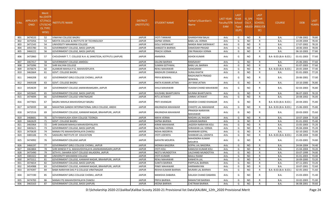| S.No. | <b>APPLICATI</b><br>ONID | <b>Merit</b><br>No.(DISTR<br><b>ICT/FACU</b><br>LTY/SCHO<br><b>OL TYPE</b><br>WISE) | <b>ISTITUTE NAME</b>                                        | <b>DISTRICT</b><br>(INSTITUTE) | STUDENT NAME           | Father's/Guardian's<br>Name               | <b>LAST YEAR</b><br>Faculty/STR School<br><b>EAM</b> | <b>LAST</b><br><b>YEAR</b><br><b>Type</b><br>(G/P) | IS_SPE<br><b>CILLY</b> | <b>LAST</b><br><b>YEAR</b><br><b>SCHOOL</b><br>ABLED (RBSE/CB<br>SE) | <b>COURSE</b>          | <b>DOB</b> | <b>LAST</b><br>YEAR% |
|-------|--------------------------|-------------------------------------------------------------------------------------|-------------------------------------------------------------|--------------------------------|------------------------|-------------------------------------------|------------------------------------------------------|----------------------------------------------------|------------------------|----------------------------------------------------------------------|------------------------|------------|----------------------|
| 801   | 3474533                  | 52                                                                                  | VINAYAK COLLEGE BAGRU                                       | <b>JAIPUR</b>                  | <b>JYOTI TANWAR</b>    | <b>GHANSHYAM BALAI</b>                    | Arts                                                 | G                                                  | <b>NO</b>              | R                                                                    | <b>B.A.</b>            | 17-08-2002 | 78.80                |
| 802   | 3475056                  | 53                                                                                  | MEHTA COLLEGE & INSTITUTE OF TECHNOLOGY                     | <b>JAIPUR</b>                  | SAPNA VERMA            | <b>BABU LAL VERMA</b>                     | Arts                                                 | G                                                  | <b>NO</b>              | R                                                                    | B.A.                   | 14-09-2004 | 78.40                |
| 803   | 3471543                  | 54                                                                                  | UNIVERSITY MAHARANI COLLEGE                                 | <b>JAIPUR</b>                  | <b>GOLU SHERAWAT</b>   | <b>NANDA RAM SHERAWAT</b>                 | Arts                                                 | G                                                  | NO.                    | R                                                                    | <b>B.A.</b>            | 17-07-2002 | 78.20                |
| 804   | 3455780                  | 55                                                                                  | GOVERNMENT COLLEGE, BASSI (JAIPUR)                          | <b>JAIPUR</b>                  | SANGEETA BAIRWA        | <b>DAMODAR PRASAD</b>                     | Arts                                                 | G                                                  | <b>NO</b>              | R                                                                    | B.A.                   | 18-06-2003 | 78.00                |
| 805   | 3466222                  | 56                                                                                  | GOVERNMENT COLLEGE, BASSI (JAIPUR)                          | <b>JAIPUR</b>                  | PRACHI VERMA           | OM PRAKASH VERMA                          | Arts                                                 | G                                                  | <b>NO</b>              | $\mathsf{R}$                                                         | <b>B.A.</b>            | 06-10-2003 | 77.80                |
| 806   | 3472860                  | 57                                                                                  | CHOUDHARY T. T. COLLEGE N.H.-8, SANGTEDA, KOTPUTLI (JAIPUR) | <b>JAIPUR</b>                  | ANAMIKA                | <b>ASHOK KUMAR</b>                        | Arts                                                 | G                                                  | <b>NO</b>              |                                                                      | B.A- B.ED.(B.A- B.ED.) | 01-01-2003 | 77.60                |
| 807   | 3467417                  | -58                                                                                 | GOVERNMENT COLLEGE JAMDOLI                                  | <b>JAIPUR</b>                  | SALONI BAIRWA          | <b>RAMSAHAY</b>                           | Arts                                                 | G                                                  | <b>NO</b>              | R                                                                    | <b>B.A.</b>            | 25-06-2001 | 77.60                |
| 808   | 3475096                  | 59                                                                                  | SHRI KALYAN COLLEGE                                         | <b>JAIPUR</b>                  | <b>SUMAN GOTHWAL</b>   | <b>BABU LAL BAIRWA</b>                    | Arts                                                 | G                                                  | <b>NO</b>              | R                                                                    | B.A.                   | 01-07-2003 | 77.60                |
| 809   | 3476674                  | 60                                                                                  | ALANKAR MAHILA P.G. MAHAVIDYLAYA                            | <b>JAIPUR</b>                  | RENU MAHAWAR           | GANGARAM                                  | Arts                                                 | G                                                  | <b>NO</b>              | $\mathsf{R}$                                                         | B.A- B.ED.(B.A- B.ED.) | 20-05-2004 | 77.40                |
| 810   | 3462664                  | 61                                                                                  | <b>GOVT. COLLEGE BAGRU</b>                                  | <b>JAIPUR</b>                  | MADHURI CHANWLA        | <b>SURAJ KHATIK</b>                       | Arts                                                 | G                                                  | <b>NO</b>              | $\mathsf{R}$                                                         | B.A.                   | 01-01-2003 | 77.20                |
| 811   | 3466208                  | 62                                                                                  | GOVERNMENT GIRLS COLLEGE CHOMU, JAIPUR                      | <b>JAIPUR</b>                  | PRIYA BENIWAL          | <b>RAGHUNATH PRASAD</b><br><b>BENIWAL</b> | Arts                                                 | G                                                  | <b>NO</b>              | R                                                                    | B.A.                   | 20-06-2001 | 77.00                |
| 812   | 3469108                  | 63                                                                                  | <b>GOVT. COLLEGE BAGRU</b>                                  | <b>JAIPUR</b>                  | ANITA KUMARI JATWA     | <b>JAY RAM JATWA</b>                      | Arts                                                 | G                                                  | <b>NO</b>              | R                                                                    | B.A.                   | 10-10-2000 | 76.80                |
| 813   | 3454639                  | 64                                                                                  | GOVERNMENT COLLEGE JAMWARAMGARH, JAIPUR                     | <b>JAIPUR</b>                  | <b>SHILA MAHAWAR</b>   | <b>HUKAM CHAND MAHAWAR</b>                | Arts                                                 | G                                                  | N <sub>O</sub>         | R                                                                    | B.A.                   | 02-03-2003 | 76.80                |
| 814   | 3455645                  | 65                                                                                  | GOVERNMENT COLLEGE, BASSI (JAIPUR)                          | <b>JAIPUR</b>                  | KHUSHBU BHARTUNIYA     | MUNNA BHARTUNIYA                          | Arts                                                 | G                                                  | <b>NO</b>              | R                                                                    | B.A.                   | 06-07-2003 | 76.20                |
| 815   | 3474694                  | 66                                                                                  | GOVERNMENT COLLEGE VIRATNAGAR                               | <b>JAIPUR</b>                  | RITU JATAWAT           | <b>UMRAV JATAWAT</b>                      | Arts                                                 | G                                                  | <b>NO</b>              | R                                                                    | <b>B.A.</b>            | 20-08-2002 | 76.00                |
| 816   | 3477601                  | 67                                                                                  | BAGRU MAHILA MAHAVIDHLAY BAGRU                              | <b>JAIPUR</b>                  | PRITI KHANGAR          | RAMESH CHAND KHANGAR                      | Arts                                                 | G                                                  | NO.                    | R                                                                    | B.A- B.ED.(B.A- B.ED.) | 20-04-2001 | 75.80                |
| 817   | 3476939                  | 68                                                                                  | MAHATMA GANDHI INTERNATIONAL GIRLS COLLEGE, ANDHI           | <b>JAIPUR</b>                  | ANURADHA MAHAWAR       | CHHOTE LAL MAHAWAR                        | Arts                                                 | G                                                  | <b>NO</b>              | $\mathsf{R}$                                                         | B.A- B.ED.(B.A- B.ED.) | 15-06-2003 | 75.80                |
| 818   | 3472516                  | 69                                                                                  | GOVERNMENT COLLEGE, KANWAR NAGAR, BRAHMPURI, JAIPUR         | <b>JAIPUR</b>                  | ANURADHA MAHAWAR       | PRAKASH NARAYAN<br><b>MAHAWAR</b>         | Arts                                                 | G                                                  | <b>NO</b>              | R                                                                    | B.A.                   | 20-03-2003 | 75.60                |
| 819   | 3468681                  | 70                                                                                  | SETH RAMVILASH JOSHI COLLEGE TOONGA                         | <b>JAIPUR</b>                  | MAYA VERMA             | <b>MADAN LAL RAIGAR</b>                   | Arts                                                 | G                                                  | <b>NO</b>              | R                                                                    | B.A.                   | 10-07-2004 | 75.60                |
| 820   | 3462629                  | 71                                                                                  | GOVT. COLLEGE BAGRU                                         | <b>JAIPUR</b>                  | SAPNA BAIRWA           | <b>LAXMAN BAIRWA</b>                      | Arts                                                 | G                                                  | <b>NO</b>              | R                                                                    | B.A.                   | 01-01-2002 | 75.40                |
| 821   | 3465964                  | 72                                                                                  | SHRI SANSKAR MAHILA MAHAVIDHYALAYA                          | <b>JAIPUR</b>                  | KIRAN MAHAWAR          | <b>JAGDISH NARAYAN KOLI</b>               | Arts                                                 | G                                                  | NO.                    | $\mathsf{R}$                                                         | <b>B.A.</b>            | 15-05-2003 | 75.20                |
| 822   | 3465621                  | 73                                                                                  | GOVERNMENT COLLEGE, BASSI (JAIPUR)                          | <b>JAIPUR</b>                  | KALPANA VERMA          | SHRAWAN LAL VERMA                         | Arts                                                 | G                                                  | <b>NO</b>              | R                                                                    | B.A.                   | 05-04-2004 | 75.20                |
| 823   | 3470639                  | 74                                                                                  | MANAV PG MAHAVIDHYALAYA CHAKSU                              | <b>JAIPUR</b>                  | NISHA INDORIYA         | <b>BHANWAR GOPAL</b>                      | Arts                                                 | G                                                  | <b>NO</b>              | R                                                                    | B.A.                   | 02-10-2002 | 75.00                |
| 824   | 3483106                  | 75                                                                                  | SADGURU INSTITUTE OF EDUCATION                              | <b>JAIPUR</b>                  | JYOTI UDENIYA          | SHANKAR LAL UDENIYA                       | Arts                                                 | G                                                  | <b>NO</b>              | $\mathsf{R}$                                                         | B.A- B.ED.(B.A- B.ED.) | 15-08-2004 | 74.80                |
| 825   | 3474992                  | 76                                                                                  | <b>GOVERNMENT COLLEGE JAIPUR</b>                            | <b>JAIPUR</b>                  | GAYATRI MOURYA         | <b>MAHENDRA KUMAR</b><br><b>MOURYA</b>    | Arts                                                 | G                                                  | N <sub>O</sub>         | R                                                                    | B.A.                   | 21-03-2001 | 74.80                |
| 826   | 3466197                  | 77                                                                                  | GOVERNMENT GIRLS COLLEGE CHOMU, JAIPUR                      | <b>JAIPUR</b>                  | MONIKA BAGORIA         | <b>GOPAL LAL BAGORIA</b>                  | Arts                                                 | G                                                  | <b>NO</b>              | R                                                                    | <b>B.A.</b>            | 24-04-2004 | 74.40                |
| 827   | 3463804                  | 78                                                                                  | SHRI MINESH P.G. MAHAVIDHYALAYA JAMWARAMGARH,JAIPUR         | <b>JAIPUR</b>                  | JYOTI KOLI             | <b>KAMLESH KUMAR KOLI</b>                 | Arts                                                 | G                                                  | <b>NO</b>              |                                                                      | B.A.                   | 15-04-2004 | 74.20                |
| 828   | 3475490                  | 79                                                                                  | SETH R L SAHARIA GOVT COLLEGE KALADERA. JAIPUR              | <b>JAIPUR</b>                  | NEETU MUNDOTIYA        | LALCHAND MUNDOTIYA                        | Arts                                                 | G                                                  | <b>NO</b>              | $\mathsf{R}$                                                         | B.A.                   | 03-07-1999 | 74.00                |
| 829   | 3481022                  | 80                                                                                  | UNIVERSITY MAHARANI COLLEGE                                 | <b>JAIPUR</b>                  | JYOTI KUMARI           | <b>BAALU RAAM</b>                         | Arts                                                 | G                                                  | <b>NO</b>              | R                                                                    | B.A.                   | 01-01-2003 | 73.40                |
| 830   | 3475311                  | 81                                                                                  | GOVERNMENT COLLEGE, KANWAR NAGAR, BRAHMPURI, JAIPUR         | <b>JAIPUR</b>                  | RENU MAHAWAR           | <b>KANHEYA LAL</b>                        | Arts                                                 | G                                                  | <b>NO</b>              |                                                                      | B.A.                   | 16-09-2000 | 73.20                |
| 831   | 3474654                  | 82                                                                                  | GOVERNMENT COLLEGE, BASSI (JAIPUR)                          | <b>JAIPUR</b>                  | <b>SUNITA BAIRWA</b>   | PAPPULAL BAIRWA                           | Arts                                                 | G                                                  | <b>NO</b>              | R                                                                    | B.A.                   | 07-11-2001 | 73.20                |
| 832   | 3454988                  | 83                                                                                  | GOVERNMENT COLLEGE, KANWAR NAGAR, BRAHMPURI, JAIPUR         | <b>JAIPUR</b>                  | PINKY MAHAWAR          | HARINARAYAN                               | Arts                                                 | G                                                  | <b>NO</b>              | R                                                                    | <b>B.A.</b>            | 10-07-2001 | 72.60                |
| 833   | 3474397                  | 84                                                                                  | BABA NARAYAN DAS P G COLLEGE VIRATNAGAR                     | <b>JAIPUR</b>                  | REKHA KUMARI BAIRWA    | MURARI LAL BAIRWA                         | Arts                                                 | G                                                  | <b>NO</b>              | R                                                                    | B.A- B.ED.(B.A- B.ED.) | 02-05-2002 | 71.60                |
| 834   | 3477190                  | 85                                                                                  | GOVERNMENT GIRLS COLLEGE CHOMU, JAIPUR                      | <b>JAIPUR</b>                  | <b>MANISHA DABARIA</b> | KAILASH CHAND DABARIA                     | Arts                                                 | G                                                  | <b>NO</b>              | R                                                                    | B.A.                   | 15-03-2003 | 71.40                |
| 835   | 3474783                  | 86                                                                                  | MANAV PG MAHAVIDHYALAYA CHAKSU                              | <b>JAIPUR</b>                  | PRIYA BAIRWA           | RAMAVTAR BAIRWA                           | Arts                                                 | G                                                  | <b>NO</b>              | R                                                                    | B.A.                   | 10-02-2003 | 71.00                |
| 836   | 3463163                  | 87                                                                                  | <b>GOVERNMENT COLLEGE, BASSI (JAIPUR)</b>                   | <b>JAIPUR</b>                  | <b>HEENA BARIWA</b>    | <b>CHETRAM BAIRWA</b>                     | Arts                                                 | G                                                  | <b>NO</b>              | $\mathsf{R}$                                                         | <b>B.A.</b>            | 06-08-2001 | 70.60                |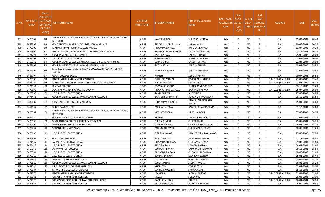| S.No. | <b>APPLICATI</b><br>ONID | <b>Merit</b><br>No.(DISTR<br><b>ICT/FACU</b><br>LTY/SCHO<br>OL TYPE<br>WISE) | NSTITUTE NAME                                                                | <b>DISTRICT</b><br>(INSTITUTE) | <b>STUDENT NAME</b>    | Father's/Guardian's<br>Name | LAST YEAR<br>Faculty/STR School<br><b>EAM</b> | <b>LAST</b><br><b>YEAR</b><br><b>Type</b><br>(G/P) | IS_SPE<br><b>CILLY</b> | <b>LAST</b><br><b>YEAR</b><br><b>SCHOOL</b><br>ABLED (RBSE/CB<br>SE) | <b>COURSE</b>          | <b>DOB</b> | <b>LAST</b><br>YEAR% |
|-------|--------------------------|------------------------------------------------------------------------------|------------------------------------------------------------------------------|--------------------------------|------------------------|-----------------------------|-----------------------------------------------|----------------------------------------------------|------------------------|----------------------------------------------------------------------|------------------------|------------|----------------------|
| 837   | 3473567                  | 88                                                                           | SHRIMATI PANADEVI MORIJAWALA RAJKIYA KANYA MAHAVIDHYALAYA<br><b>KOTPUTLI</b> | <b>JAIPUR</b>                  | KANTA VERMA            | <b>SURGYANI VERMA</b>       | Arts                                          | G                                                  | <b>NO</b>              | R                                                                    | <b>B.A.</b>            | 15-02-2001 | 70.40                |
| 838   | 3452395                  | -89                                                                          | GOVT SHAKAMBHAR P.G. COLLEGE, SAMBHAR LAKE                                   | <b>JAIPUR</b>                  | RINOO KUMARI BAIRWA    | <b>SHRAWAN LAL</b>          | Arts                                          | G                                                  | NO.                    | R                                                                    | B.A.                   | 30-06-2002 | 70.20                |
| 839   | 3472909                  | 90                                                                           | MAHARISHI VASHISTHA MAHAVIDYALAYA                                            | <b>JAIPUR</b>                  | PRIYANKA BAIRWA        | <b>BABU LAL BAIRWA</b>      | Arts                                          | G                                                  | <b>NO</b>              | R                                                                    | <b>B.A.</b>            | 12-07-2002 | 70.20                |
| 840   | 3475800                  | 91                                                                           | BRIGHT MOON GIRLS P.G. COLLEGE GOVINDGARH (JAIPUR)                           | <b>JAIPUR</b>                  | KAVITA KUMARI BUNKER   | <b>LAL CHAND BUNKER</b>     | Arts                                          | G                                                  | <b>NO</b>              | R                                                                    | <b>B.A.</b>            | 03-11-2003 | 70.20                |
| 841   | 3471271                  | 92                                                                           | <b>GOVERNMENT COLLEGE JAMDOLI</b>                                            | <b>JAIPUR</b>                  | <b>JYOTI BAIRWA</b>    | KAILASH CHAND               | Arts                                          | G                                                  | <b>NO</b>              | R                                                                    | B.A.                   | 25-06-2002 | 70.00                |
| 842   | 3457709                  | 93                                                                           | <b>J.B.GIRLS COLLEGE TOONGA</b>                                              | <b>JAIPUR</b>                  | SUNITA BAIRWA          | <b>BADRI LAL BAIRWA</b>     | Arts                                          | G                                                  | <b>NO</b>              | R                                                                    | B.A.                   | 03-09-2002 | 70.00                |
| 843   | 3458352                  | 94                                                                           | GOVERNMENT COLLEGE, KANWAR NAGAR, BRAHMPURI, JAIPUR                          | <b>JAIPUR</b>                  | ESHA VERMA             | <b>GANESH VERMA</b>         | Arts                                          | G                                                  | NO.                    | R                                                                    | B.A.                   | 22-04-2004 | 70.00                |
| 844   | 3475693                  | 95                                                                           | GOVERNMENT COLLEGE JAMWARAMGARH, JAIPUR                                      | <b>JAIPUR</b>                  | POOJA BALAI            | KAILASH CHAND               | Arts                                          | G                                                  | NO.                    | R                                                                    | <b>B.A.</b>            | 13-07-2000 | 69.80                |
| 845   | 3475595                  | 96                                                                           | SHAHEED BHAGAT SINGH GIRLS P.G COLLEGE, HINGONIA, JOBNER,<br><b>JAIPUR</b>   | <b>JAIPUR</b>                  | <b>MONIKA PARIHAR</b>  | <b>KAILASH CHANDRA</b>      | Arts                                          | G                                                  | NO.                    | R                                                                    | B.A.                   | 21-08-2002 | 69.80                |
| 846   | 3465794                  | 97                                                                           | <b>GOVT. COLLEGE BAGRU</b>                                                   | <b>JAIPUR</b>                  | <b>MINISHI</b>         | <b>ASHOK BAIRWA</b>         | Arts                                          | G                                                  | NO.                    | R                                                                    | B.A.                   | 10-07-2003 | 69.80                |
| 847   | 3475508                  | 98                                                                           | BAGRU MAHILA MAHAVIDHLAY BAGRU                                               | <b>JAIPUR</b>                  | SHILU DIDWANIYA        | <b>OMPRAKASH KHATIK</b>     | Arts                                          | G                                                  | <b>NO</b>              | R                                                                    | B.A- B.ED.(B.A- B.ED.) | 22-08-2000 | 69.40                |
| 848   | 3475124                  | 99                                                                           | MAHATMA GANDHI INTERNATIONAL GIRLS COLLEGE, ANDHI                            | <b>JAIPUR</b>                  | NIRMA BAIRWA           | SHAYAM LAL                  | Arts                                          | G                                                  | <b>NO</b>              | R                                                                    | B.A- B.ED.(B.A- B.ED.) | 07-03-2000 | 69.20                |
| 849   | 3474941                  | 100                                                                          | <b>BHARAT COLLEGE</b>                                                        | <b>JAIPUR</b>                  | SAPANA JABDOLIA        | CHOTU RAM JABDOLIA          | Arts                                          | G                                                  | <b>NO</b>              | R                                                                    | B.A.                   | 03-10-2002 | 69.20                |
| 850   | 3475176                  | 101                                                                          | ALANKAR MAHILA P.G. MAHAVIDYLAYA                                             | <b>JAIPUR</b>                  | PRIYA KUMARI BAIRWA    | RAJARAM BAIRWA              | Arts                                          | G                                                  | <b>NO</b>              | R                                                                    | B.A- B.ED.(B.A- B.ED.) | 25-07-2004 | 69.00                |
| 851   | 3475733                  | 102                                                                          | J.B.GIRLS COLLEGE TOONGA                                                     | <b>JAIPUR</b>                  | TANU BAIRWA            | <b>BHIMSINGH</b>            | Arts                                          | G                                                  | <b>NO</b>              | R                                                                    | <b>B.A.</b>            | 27-08-2002 | 68.80                |
| 852   | 3475435                  | 103                                                                          | GOVERNMENT COLLEGE JAMWARAMGARH, JAIPUR                                      | <b>JAIPUR</b>                  | SANTOSH MAHAWAR        | DURGA LAL MAHAWAR           | Arts                                          | G                                                  | NO.                    | R                                                                    | B.A.                   | 08-10-2002 | 68.80                |
| 853   | 3480882                  | 104                                                                          | <b>GOVT. ARTS COLLEGE CHIMANPURA</b>                                         | <b>JAIPUR</b>                  | HINA KUMARI RAIGAR     | RAMESHWAR PRASAD<br>RAIGAR  | Arts                                          | G                                                  | NO.                    | R                                                                    | <b>B.A.</b>            | 15-04-2003 | 68.60                |
| 854   | 3464547                  | 105                                                                          | SHREE RAM COLLEGE                                                            | <b>JAIPUR</b>                  | <b>MUSKAN VERMA</b>    | RAMESH CHAND VERMA          | Arts                                          | G                                                  | <b>NO</b>              | R                                                                    | B.A.                   | 31-12-2004 | 68.60                |
| 855   | 3475557                  | 106                                                                          | SHRIMATI PANADEVI MORIJAWALA RAJKIYA KANYA MAHAVIDHYALAYA<br>KOTPUTLI        | <b>JAIPUR</b>                  | KIRTI MORODIYA         | RAJESH KUMAR                | Arts                                          | G                                                  | <b>NO</b>              | R                                                                    | B.A.                   | 07-08-2003 | 68.20                |
| 856   | 3466540                  | 107                                                                          | <b>GOVERNMENT COLLEGE PHAGI JAIPUR</b>                                       | <b>JAIPUR</b>                  | PRERNA                 | SHANKAR LAL BARIYA          | Arts                                          | G                                                  | <b>NO</b>              | R                                                                    | <b>B.A.</b>            | 01-07-2004 | 68.20                |
| 857   | 3475138                  | 108                                                                          | VIVEKANAND COLLEGE KALU KA BAS TIGARIYA                                      | <b>JAIPUR</b>                  | NIKITA BUNKAR          | <b>CHHITAR MAL</b>          | Arts                                          | G                                                  | <b>NO</b>              | R                                                                    | B.A.                   | 25-07-2004 | 68.20                |
| 858   | 3462307                  | 109                                                                          | VAIDIK BALIKA P.G. MAHAVIDHALYA                                              | <b>JAIPUR</b>                  | VARSHA BAIRWA          | CHHOTU RAM BAIRWA           | Arts                                          | G                                                  | NO.                    | R                                                                    | B.A.                   | 16-07-2002 | 67.20                |
| 859   | 3479747                  | 110                                                                          | <b>VEDANT MAHAVIDYALAYA</b>                                                  | <b>JAIPUR</b>                  | MEENU DEEGWAL          | SURAJ MAL DEEGWAL           | Arts                                          | G                                                  | <b>NO</b>              | R                                                                    | B.A.                   | 10-07-2003 | 67.20                |
| 860   | 3475636                  | 111                                                                          | <b>J.B.GIRLS COLLEGE TOONGA</b>                                              | <b>JAIPUR</b>                  | SITA MAHAWAR           | RADHESHYAM MAHAWAR          | Arts                                          | G                                                  | NO.                    | R                                                                    | <b>B.A.</b>            | 25-08-2000 | 67.00                |
| 861   | 3465868                  | 112                                                                          | <b>GOVT. COLLEGE BAGRU</b>                                                   | <b>JAIPUR</b>                  | <b>SARITA BAIRWA</b>   | <b>BHAGAWAN SAHAY</b>       | Arts                                          | G                                                  | <b>NO</b>              | R                                                                    | B.A.                   | 21-12-2003 | 66.40                |
| 862   | 3471847                  | 113                                                                          | JAI MEENESH COLLAGE PHAGI                                                    | <b>JAIPUR</b>                  | PRIYANKA SHERSYA       | SITARAM SHERSYA             | Arts                                          | G                                                  | NO.                    | R                                                                    | B.A.                   | 09-07-2001 | 65.80                |
| 863   | 3476427                  | 114                                                                          | J.B.GIRLS COLLEGE TOONGA                                                     | <b>JAIPUR</b>                  | PINKI BAIRWA           | RAMESH BAIRWA               | Arts                                          | G                                                  | <b>NO</b>              | R                                                                    | B.A.                   | 24-03-2001 | 65.60                |
| 864   | 3467356                  | 115                                                                          | AGRAWAL P.G. COLLEGE                                                         | <b>JAIPUR</b>                  | SONIYA SHERAWAT        | KALU RAM SHERAWAT           | Arts                                          | G                                                  | <b>NO</b>              | R                                                                    | <b>B.A.</b>            | 29-11-2001 | 65.60                |
| 865   | 3469944                  | 116                                                                          | J.B.GIRLS COLLEGE TOONGA                                                     | <b>JAIPUR</b>                  | PRIYANKA BAIRWA        | CHIRANJI LAL BAIRWA         | Arts                                          | G                                                  | <b>NO</b>              | $\mathsf{R}$                                                         | B.A.                   | 10-05-2005 | 65.60                |
| 866   | 3470012                  | 117                                                                          | <b>J.B.GIRLS COLLEGE TOONGA</b>                                              | <b>JAIPUR</b>                  | <b>SUMAN BAIRWA</b>    | LALA RAM BAIRWA             | Arts                                          | G                                                  | <b>NO</b>              | R                                                                    | <b>B.A.</b>            | 15-08-2004 | 65.40                |
| 867   | 3473825                  | 118                                                                          | ARAWALI COLLEGE BASSI JAIPUR                                                 | <b>JAIPUR</b>                  | <b>LALI BAIRWA</b>     | <b>GOPAL LAL BAIRWA</b>     | Arts                                          | G                                                  | <b>NO</b>              | $\mathsf{R}$                                                         | B.A.                   | 05-06-2001 | 65.20                |
| 868   | 3476512                  | 119                                                                          | GOVERNMENT COLLEGE JAMWARAMGARH, JAIPUR                                      | <b>JAIPUR</b>                  | <b>SONA MAHAR</b>      | <b>JAGDISH MAHAR</b>        | Arts                                          | G                                                  | <b>NO</b>              | R                                                                    | <b>B.A.</b>            | 16-03-2003 | 65.20                |
| 869   | 3468244                  | 120                                                                          | L.B.S. GOVT. P.G. COLLEGE KOTPUTLI                                           | <b>JAIPUR</b>                  | KHAMOSH                | <b>OMPRAKASH</b>            | Arts                                          | G                                                  | <b>NO</b>              | R                                                                    | <b>B.A.</b>            | 02-03-2003 | 65.00                |
| 870   | 3475134                  | -1                                                                           | ST. WILFRED'S COLLEGE FOR GIRLS                                              | <b>JAIPUR</b>                  | <b>SUNITA SAMARIYA</b> | <b>SANWAR MAL</b>           | Arts                                          | P                                                  | <b>NO</b>              | R                                                                    | <b>B.A.</b>            | 15-11-2003 | 93.40                |
| 871   | 3462778                  | $\overline{2}$                                                               | BAGRU MAHILA MAHAVIDHLAY BAGRU                                               | <b>JAIPUR</b>                  | MANISHA                | <b>JAGDISH PRASAD</b>       | Arts                                          | P                                                  | <b>NO</b>              | R                                                                    | B.A- B.ED.(B.A- B.ED.) | 01-01-2003 | 92.60                |
| 872   | 3452081                  | $\overline{3}$                                                               | UNIVERSITY MAHARANI COLLEGE                                                  | <b>JAIPUR</b>                  | POOJA                  | SURJA RAM                   | Arts                                          | P                                                  | <b>NO</b>              | R                                                                    | B.A.                   | 28-05-2002 | 92.00                |
| 873   | 3474329                  | $\overline{4}$                                                               | SARASWATI GIRLS COLLEGE MANOHARPUR JAIPUR                                    | <b>JAIPUR</b>                  | PAYAL CHAUHAN          | <b>RAKESH</b>               | Arts                                          | P                                                  | <b>NO</b>              | R                                                                    | B.A- B.ED.(B.A- B.ED.) | 16-04-2004 | 90.80                |
| 874   | 3470878                  | 5                                                                            | UNIVERSITY MAHARANI COLLEGE                                                  | <b>JAIPUR</b>                  | ANITA NAGARWAL         | JAGDISH NAGARWAL            | Arts                                          | P                                                  | <b>NO</b>              | R                                                                    | <b>B.A.</b>            | 25-09-2002 | 90.60                |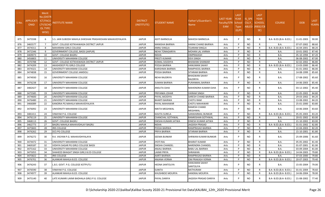| S.No | APPLICATI<br><b>ONID</b> | Merit<br>o.(DISTFا<br><b>ICT/FACU</b><br><b>LTY/SCHO</b><br><b>OL TYPE</b><br>WISE) | NSTITUTE NAME                                              | <b>DISTRICT</b><br>(INSTITUTE) | STUDENT NAME          | Father's/Guardian's<br>Name       | LAST YEAR<br>Faculty/STR School<br><b>EAM</b> | <b>LAST</b><br><b>YEAR</b><br><b>Type</b><br>(G/P) | IS SPE<br><b>CILLY</b> | <b>LAST</b><br><b>YEAR</b><br><b>SCHOOL</b><br>ABLED (RBSE/CB<br>SE) | <b>COURSE</b>          | <b>DOB</b> | <b>LAST</b><br>YEAR% |
|------|--------------------------|-------------------------------------------------------------------------------------|------------------------------------------------------------|--------------------------------|-----------------------|-----------------------------------|-----------------------------------------------|----------------------------------------------------|------------------------|----------------------------------------------------------------------|------------------------|------------|----------------------|
| 875  | 3475598                  | 6                                                                                   | S.S. JAIN SUBODH MAHILA SHIKSHAK PRASHIKSHAN MAHAVIDYALAYA | <b>JAIPUR</b>                  | ADITI BARNOLIA        | <b>MAHESH BARNOLIA</b>            | Arts                                          | P                                                  | NO.                    | R                                                                    | B.A- B.ED.(B.A- B.ED.) | 11-01-2003 | 90.00                |
| 876  | 3465577                  | 7                                                                                   | GOVT. COLLEGE KOTKHAWADA DISTRICT JAIPUR                   | <b>JAIPUR</b>                  | <b>MANISHA BAIRWA</b> | HARAK CHAND BAIRWA                | Arts                                          | P                                                  | <b>NO</b>              | R                                                                    | <b>B.A.</b>            | 07-07-2002 | 88.60                |
| 877  | 3474311                  | -8                                                                                  | <b>MAHARANI GIRLS COLLEGE</b>                              | <b>JAIPUR</b>                  | ANNU SINGLA           | TEJARAM SINGLA                    | Arts                                          | P                                                  | NO.                    | R                                                                    | B.A- B.ED.(B.A- B.ED.) | 16-04-2001 | 88.20                |
| 878  | 3472346                  | 9                                                                                   | <b>GOVERNMENT COLLEGE, BASSI (JAIPUR)</b>                  | <b>JAIPUR</b>                  | NEHA TONAGARIYA       | MOHAN LAL VARMA                   | Arts                                          | P                                                  | NO.                    | $\mathsf{R}$                                                         | B.A.                   | 10-01-2002 | 87.40                |
| 879  | 3469073                  | 10                                                                                  | <b>GOVT. COLLEGE BAGRU</b>                                 | <b>JAIPUR</b>                  | NISHA                 | <b>OMPRAKASH</b>                  | Arts                                          | P                                                  | NO.                    | R                                                                    | B.A.                   | 05-10-1994 | 87.20                |
| 880  | 3456803                  | 11                                                                                  | UNIVERSITY MAHARANI COLLEGE                                | <b>JAIPUR</b>                  | PREETI KUMARI         | <b>DEVI SINGH</b>                 | Arts                                          | P                                                  | NO.                    | R                                                                    | B.A.                   | 06-08-2002 | 87.00                |
| 881  | 3470788                  | 12                                                                                  | GOVT. COLLEGE KOTKHAWADA DISTRICT JAIPUR                   | <b>JAIPUR</b>                  | KOMAL SISODIYA        | BHAWANI SHANKAR                   | Arts                                          | <b>D</b>                                           | NO.                    | $\mathsf{R}$                                                         | B.A.                   | 02-02-2002 | 86.80                |
| 882  | 3474209                  | 13                                                                                  | AKASHDEEP PG GIRLS COLLEGE                                 | <b>JAIPUR</b>                  | POOJA BAIRWA          | HANUMAN SAHAY                     | Arts                                          | P                                                  | <b>NO</b>              | R                                                                    | B.A- B.ED.(B.A- B.ED.) | 13-03-2000 | 86.40                |
| 883  | 3474321                  | 14                                                                                  | UNIVERSITY MAHARANI COLLEGE                                | <b>JAIPUR</b>                  | KARISHMA BAIRWA       | RAMPHOOL BAIRWA                   | Arts                                          | P                                                  | NO.                    | $\mathsf{R}$                                                         | B.A.                   | 01-01-2002 | 86.00                |
| 884  | 3474838                  | 15                                                                                  | <b>GOVERNMENT COLLEGE JAMDOLI</b>                          | <b>JAIPUR</b>                  | POOJA BAIRWA          | SITARAM BAIRWA                    | Arts                                          | P                                                  | NO.                    | R                                                                    | B.A.                   | 14-08-1999 | 85.60                |
| 885  | 3474930                  | 16                                                                                  | UNIVERSITY MAHARANI COLLEGE                                | <b>JAIPUR</b>                  | NEHA RAJORIYA         | BHAGWAN SAHAY<br>RAJORIYA         | Arts                                          | P                                                  | <b>NO</b>              | R                                                                    | B.A.                   | 17-08-2002 | 85.60                |
| 886  | 3476238                  | 17                                                                                  | UNIVERSITY MAHARANI COLLEGE                                | <b>JAIPUR</b>                  | <b>SUMAN BAIRWA</b>   | PURANMAL BAIRWA                   | Arts                                          | P                                                  | NO.                    | $\mathsf{R}$                                                         | B.A.                   | 14-06-2003 | 85.40                |
| 887  | 3482427                  | 18                                                                                  | UNIVERSITY MAHARANI COLLEGE                                | <b>JAIPUR</b>                  | ANSUTA OJHA           | MAHENDRA KUMAR OJHA               | Arts                                          | P                                                  | NO.                    | R                                                                    | B.A.                   | 03-12-2002 | 85.40                |
| 888  | 3475585                  | 19                                                                                  | UNIVERSITY MAHARANI COLLEGE                                | <b>JAIPUR</b>                  | PRIYANKA JOHAR        | VIKRAM SINGH                      | Arts                                          | P                                                  | NO.                    | R                                                                    | B.A.                   | 22-05-2002 | 84.80                |
| 889  | 3474600                  | 20                                                                                  | UNIVERSITY MAHARANI COLLEGE                                | <b>JAIPUR</b>                  | PAYAL AKODIYA         | SARESH CHAND BAIRWA               | Arts                                          | P                                                  | NO.                    | R                                                                    | B.A.                   | 29-03-2002 | 84.20                |
| 890  | 3476480                  | 21                                                                                  | UNIVERSITY MAHARANI COLLEGE                                | <b>JAIPUR</b>                  | BHARTI BAIRWA         | <b>CHOTU RAM</b>                  | Arts                                          | P                                                  | NO.                    | R                                                                    | B.A.                   | 13-08-2002 | 84.20                |
| 891  | 3466089                  | 22                                                                                  | KANORIA PG MAHILA MAHAVIDYALAYA                            | <b>JAIPUR</b>                  | PAYAL MAHAWAR         | CHOTU MAHAWAR                     | Arts                                          | P                                                  | NO                     | R                                                                    | B.A.                   | 25-01-2000 | 83.80                |
| 892  | 3476092                  | 23                                                                                  | UNIVERSITY MAHARANI COLLEGE                                | <b>JAIPUR</b>                  | <b>NIKITA MEGHWAL</b> | RAMESH CHAND<br>MEGHWAL           | Arts                                          |                                                    | NO.                    | R                                                                    | B.A.                   | 10-06-2004 | 83.60                |
| 893  | 3481411                  | 24                                                                                  | VINAYAK P.G. COLLEGE                                       | <b>JAIPUR</b>                  | <b>KAVITA SURELA</b>  | SANWARMAL BUNKAR                  | Arts                                          | P                                                  | <b>NO</b>              | R                                                                    | B.A- B.ED.(B.A- B.ED.) | 05-05-2003 | 83.20                |
| 894  | 3476119                  | 25                                                                                  | UNIVERSITY MAHARANI COLLEGE                                | <b>JAIPUR</b>                  | CHANCHAL GOTHWAL      | RAMKISHAN GOTHWAL                 | Arts                                          | P                                                  | NO.                    | R                                                                    | B.A.                   | 20-01-2002 | 83.00                |
| 895  | 3468113                  | 26                                                                                  | <b>GOVT. COLLEGE BAGRU</b>                                 | <b>JAIPUR</b>                  | DIKSHA KUMARI JATWA   | DINESH KUMAR JATWA                | Arts                                          | P                                                  | NO.                    | R                                                                    | B.A.                   | 21-10-2002 | 83.00                |
| 896  | 3462773                  | 27                                                                                  | BAGRU MAHILA MAHAVIDHLAY BAGRU                             | <b>JAIPUR</b>                  | <b>NISHA</b>          | JAGDISH PRASAD                    | Arts                                          | P                                                  | <b>NO</b>              | R                                                                    | B.A- B.ED.(B.A- B.ED.) | 01-01-2002 | 82.80                |
| 897  | 3475843                  | 28                                                                                  | IRIS COLLEGE                                               | <b>JAIPUR</b>                  | POOJA BAIRWA          | RAMPRASAD BAIRWA                  | Arts                                          | P                                                  | NO.                    | R                                                                    | <b>B.A.</b>            | 22-04-2003 | 82.20                |
| 898  | 3476262                  | 29                                                                                  | DCS PG COLLEGE                                             | <b>JAIPUR</b>                  | PRIYA BAIRWA          | SITARAM BAIRWA                    | Arts                                          | P                                                  | <b>NO</b>              | R                                                                    | B.A.                   | 15-10-2001 | 81.80                |
| 899  | 3476272                  | 30                                                                                  | R.K. VIGYAN P.G. MAHAVIDHYALAYA                            | <b>JAIPUR</b>                  | SEEMA BUNKAR          | SHRWAN KUMAR BUNKAR               | Arts                                          |                                                    | NO.                    | R                                                                    | B.A.                   | 25-09-2006 | 81.60                |
| 900  | 3474472                  | -31                                                                                 | UNIVERSITY MAHARANI COLLEGE                                | <b>JAIPUR</b>                  | <b>JYOTI RAJ</b>      | <b>BHARAT KUMAR</b>               | Arts                                          | P                                                  | <b>NO</b>              | R                                                                    | <b>B.A.</b>            | 05-05-2002 | 81.40                |
| 901  | 3469187                  | 32                                                                                  | VIDHYA SAGAR PG GIRLS COLLEGE BASSI                        | <b>JAIPUR</b>                  | DIKSHA CHANDEL        | NARENDRA CHANDEL                  | Arts                                          | P                                                  | NO.                    | R                                                                    | <b>B.A.</b>            | 01-07-2001 | 81.00                |
| 902  | 3475162                  | 33                                                                                  | UNIVERSITY MAHARANI COLLEGE                                | <b>JAIPUR</b>                  | ANJALI BAIRWA         | <b>BABU LAL BAIRWA</b>            | Arts                                          | P                                                  | NO.                    | $\mathsf{R}$                                                         | <b>B.A.</b>            | 03-09-2004 | 81.00                |
| 903  | 3475055                  | 34                                                                                  | SHAHEED BHAGAT SINGH GIRLS B.ED COLLEGE                    | <b>JAIPUR</b>                  | <b>LAXMI PRIYA</b>    | SHRAWAN                           | Arts                                          | P                                                  | <b>NO</b>              | $\mathsf{R}$                                                         | B.A- B.ED.(B.A- B.ED.) | 14-04-2003 | 79.80                |
| 904  | 3475822                  | 35                                                                                  | <b>IRIS COLLEGE</b>                                        | <b>JAIPUR</b>                  | AARTI BAIRWA          | RAMPRASAD BAIRWA                  | Arts                                          | P                                                  | NO.                    | R                                                                    | <b>B.A.</b>            | 07-03-2000 | 79.80                |
| 905  | 3476701                  | 36                                                                                  | ALANKAR MAHILA B.ED. COLLEGE                               | <b>JAIPUR</b>                  | <b>ANJANA VERMA</b>   | OM PRAKASH VERMA                  | Arts                                          | P                                                  | NO.                    | $\mathsf{R}$                                                         | B.A- B.ED.(B.A- B.ED.) | 20-07-2003 | 79.40                |
| 906  | 3476243                  | 37                                                                                  | L.B.S. GOVT. P.G. COLLEGE KOTPUTLI                         | <b>JAIPUR</b>                  | HEENA SANTOLIYA       | <b>HANUMAN SAHAY</b><br>SANTOLIYA | Arts                                          | p                                                  | NO.                    | R                                                                    | <b>B.A.</b>            | 15-05-2004 | 79.00                |
| 907  | 3476590                  | 38                                                                                  | VINAYAK P.G. COLLEGE                                       | <b>JAIPUR</b>                  | <b>SUNITA</b>         | NATHURAM                          | Arts                                          | P                                                  | NO                     | R                                                                    | B.A- B.ED.(B.A- B.ED.) | 01-01-2004 | 78.60                |
| 908  | 3474977                  | 39                                                                                  | ALANKAR MAHILA B.ED. COLLEGE                               | <b>JAIPUR</b>                  | KHUSHBOO MOURYA       | HANSRAJ MOURYA                    | Arts                                          | P                                                  | ΝO                     | R                                                                    | B.A- B.ED.(B.A- B.ED.) | 14-06-2004 | 78.00                |
| 909  | 3475140                  | 40                                                                                  | LATE KUMARI LAXMI BADHALA GIRLS P.G. COLLEGE               | JAIPUR                         | PAYAL DARIYA          | JAGDISH PRASAD DARIYA             | Arts                                          |                                                    | NO                     | R                                                                    | B.A- B.ED.(B.A- B.ED.) | 21-08-2002 | 77.40                |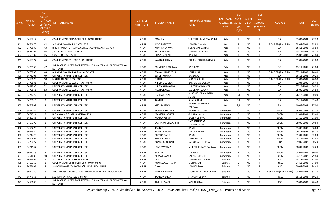| S.No. | APPLICATI<br><b>ONID</b> | Merit<br>No.(DISTR<br><b>ICT/FACL</b><br>LTY/SCHC<br><b>OL TYPE</b><br>WISE) | NSTITUTE NAME                                                         | <b>DISTRICT</b><br>(INSTITUTE) | STUDENT NAME         | Father's/Guardian's<br>Name | LAST YEAR<br>Faculty/STR<br>EAM | <b>LAST</b><br><b>YEAR</b><br>School<br><b>Type</b><br>(G/P) | IS_SPE<br><b>CILLY</b><br><b>ABLED</b> | <b>LAST</b><br><b>YEAR</b><br><b>SCHOOL</b><br>(RBSE/CB<br>SE) | <b>COURSE</b>              | <b>DOB</b> | LAST<br>YEAR% |
|-------|--------------------------|------------------------------------------------------------------------------|-----------------------------------------------------------------------|--------------------------------|----------------------|-----------------------------|---------------------------------|--------------------------------------------------------------|----------------------------------------|----------------------------------------------------------------|----------------------------|------------|---------------|
| 910   | 3469217                  | 41                                                                           | GOVERNMENT GIRLS COLLEGE CHOMU, JAIPUR                                | <b>JAIPUR</b>                  | <b>MONIKA</b>        | SURESH KUMAR MAHOLIYA       | Arts                            | P                                                            | NO.                                    | R                                                              | <b>B.A.</b>                | 03-03-2004 | 77.20         |
| 911   | 3474670                  | 42                                                                           | ALANKAR MAHILA B.ED. COLLEGE                                          | <b>JAIPUR</b>                  | JYOTI BASETIYA       | RAMESH CHAND                | Arts                            | P                                                            | <b>NO</b>                              | R                                                              | B.A- B.ED.(B.A- B.ED.)     | 23-08-2001 | 75.80         |
| 912   | 3475535                  | 43                                                                           | BRIGHT MOON GIRLS P.G. COLLEGE GOVINDGARH (JAIPUR)                    | <b>JAIPUR</b>                  | MONIKA DAYMA         | SURAJ MAL DAYMA             | Arts                            | P                                                            | NO                                     | R                                                              | <b>B.A.</b>                | 16-11-2002 | 75.80         |
| 913   | 3459261                  | 44                                                                           | J.B.GIRLS COLLEGE TOONGA                                              | <b>JAIPUR</b>                  | PINKY BAIRWA         | RAMPHOOL BAIRWA             | Arts                            | P                                                            | <b>NO</b>                              | R                                                              | <b>B.A.</b>                | 15-11-2002 | 74.20         |
| 914   | 3465182                  | 45                                                                           | GOVT. COLLEGE BAGRU                                                   | <b>JAIPUR</b>                  | PRIYA BUNKAR         | RAJU LAL                    | Arts                            | P                                                            | <b>NO</b>                              | $\mathsf{R}$                                                   | <b>B.A.</b>                | 15-07-2003 | 72.80         |
| 915   | 3469772                  | 46                                                                           | <b>GOVERNMENT COLLEGE PHAGI JAIPUR</b>                                | <b>JAIPUR</b>                  | KAVITA BAIRWA        | KAILASH CHAND BAIRWA        | Arts                            | P                                                            | NO.                                    | R                                                              | <b>B.A.</b>                | 01-07-2002 | 71.80         |
| 916   | 3475565                  | 47                                                                           | SHRIMATI PANADEVI MORIJAWALA RAJKIYA KANYA MAHAVIDHYALAYA<br>KOTPUTLI | <b>JAIPUR</b>                  | MANISHA SIROHIWAL    | RAJA RAM                    | Arts                            | <b>D</b>                                                     | NO.                                    | R                                                              | <b>B.A.</b>                | 13-11-2005 | 71.80         |
| 917   | 3475805                  | 48                                                                           | ALANKAR MAHILA P.G. MAHAVIDYLAYA                                      | <b>JAIPUR</b>                  | SONAKSHI BASETHA     | SOHAN LAL                   | Arts                            | P                                                            | NO.                                    | R                                                              | B.A- B.ED.(B.A- B.ED.)     | 07-11-2002 | 70.40         |
| 918   | 3476008                  | 49                                                                           | UNIVERSITY MAHARANI COLLEGE                                           | <b>JAIPUR</b>                  | <b>SEEMA KUMARI</b>  | NAND LAL                    | Arts                            | P                                                            | <b>NO</b>                              | $\mathsf{R}$                                                   | <b>B.A.</b>                | 16-12-2001 | 70.20         |
| 919   | 3469679                  | 50                                                                           | <b>MAHARANI GIRLS COLLEGE</b>                                         | <b>JAIPUR</b>                  | SHALU                | <b>MANOHAR LAL</b>          | Arts                            | P                                                            | <b>NO</b>                              | R                                                              | B.A- B.ED.(B.A- B.ED.)     | 02-02-2001 | 70.00         |
| 920   | 3472631                  | 51                                                                           | GOVERNMENT COLLEGE PHAGI JAIPUR                                       | <b>JAIPUR</b>                  | NIRMA SISODIYA       | RAM SAHAY BAIRWA            | Arts                            | P                                                            | <b>NO</b>                              | R                                                              | <b>B.A.</b>                | 02-04-2000 | 68.40         |
| 921   | 3481233                  | 52                                                                           | UNIVERSITY MAHARANI COLLEGE                                           | <b>JAIPUR</b>                  | NIKITA SANWARIYA     | SURESH SANWARIYA            | Arts                            | P                                                            | <b>NO</b>                              | R                                                              | <b>B.A.</b>                | 07-12-2001 | 68.20         |
| 922   | 3470551                  | 53                                                                           | <b>GOVERNMENT COLLEGE PHAGI JAIPUR</b>                                | <b>JAIPUR</b>                  | KAVITA RAIGAR        | LADURAM RAIGAR              | Arts                            | P                                                            | NO.                                    | $\mathsf{R}$                                                   | <b>B.A.</b>                | 05-05-2002 | 66.80         |
| 923   | 3474772                  | 1                                                                            | UNIVERSITY MAHARANI COLLEGE                                           | <b>JAIPUR</b>                  | LISHITA SOYAL        | DHARMENDRA KUMAR<br>SOYAL   | Arts                            | G/P                                                          | <b>NO</b>                              | C                                                              | B.A.                       | 26-12-2001 | 90.00         |
| 924   | 3475016                  | 2                                                                            | UNIVERSITY MAHARANI COLLEGE                                           | <b>JAIPUR</b>                  | <b>TANUJA</b>        | BHANA RAM                   | Arts                            | G/P                                                          | <b>NO</b>                              | C                                                              | <b>B.A.</b>                | 05-11-2001 | 89.40         |
| 925   | 3474308                  | 3                                                                            | UNIVERSITY MAHARANI COLLEGE                                           | <b>JAIPUR</b>                  | KIRTI PAREWA         | NARENDRA KUMAR<br>PAREWA    | Arts                            | G/P                                                          | NO.                                    | C                                                              | <b>B.A.</b>                | 10-04-2003 | 87.00         |
| 926   | 3461284                  | 1                                                                            | UNIVERSITY MAHARANI COLLEGE                                           | <b>JAIPUR</b>                  | YAAMNA SOGARA        | NARENDR KUMAR               | Commerce                        | G                                                            | <b>NO</b>                              | $\mathsf{R}$                                                   | <b>BCOM</b>                | 15-06-2003 | 83.20         |
| 927   | 3474914                  | $\overline{2}$                                                               | R.K. VIGYAN P.G. MAHAVIDHYALAYA                                       | <b>JAIPUR</b>                  | MANISHA NOGIYA       | GULAB CHAND                 | Commerce                        | G                                                            | <b>NO</b>                              | R                                                              | <b>BCOM</b>                | 11-01-2001 | 75.40         |
| 928   | 3480136                  | 1                                                                            | UNIVERSITY MAHARANI COLLEGE                                           | <b>JAIPUR</b>                  | <b>KANIKA VERMA</b>  | RAJESH VERMA                | Commerce                        | P                                                            | NO.                                    | R                                                              | <b>BCOM</b>                | 27-10-2002 | 91.00         |
| 929   | 3467392                  | 2                                                                            | UNIVERSITY MAHARANI COLLEGE                                           | <b>JAIPUR</b>                  | SAVITA MEGHWANSHI    | SATYANARAYAN<br>MEGHWANSHI  | Commerce                        |                                                              | NO                                     | R                                                              | <b>BCOM</b>                | 08-05-2002 | 90.60         |
| 930   | 3466278                  | $\overline{\mathbf{3}}$                                                      | UNIVERSITY MAHARANI COLLEGE                                           | <b>JAIPUR</b>                  | TANNU                | GANESH                      | Commerce                        | P                                                            | <b>NO</b>                              | R                                                              | <b>BCOM</b>                | 03-07-2000 | 88.60         |
| 931   | 3467334                  | $\overline{a}$                                                               | UNIVERSITY MAHARANI COLLEGE                                           | <b>JAIPUR</b>                  | <b>KOMAL KHATEEK</b> | SW LALCHAND                 | Commerce                        | P                                                            | <b>NO</b>                              | R                                                              | <b>BCOM</b>                | 06-12-1999 | 84.20         |
| 932   | 3471429                  | -5                                                                           | UNIVERSITY MAHARANI COLLEGE                                           | <b>JAIPUR</b>                  | PRERNA RANA          | HASRAJ                      | Commerce                        | P                                                            | NO.                                    | R                                                              | <b>BCOM</b>                | 31-01-2005 | 83.00         |
| 933   | 3474861                  | 6                                                                            | UNIVERSITY MAHARANI COLLEGE                                           | <b>JAIPUR</b>                  | KIRAN VERMA          | KANHAIYA LAL                | Commerce                        | P                                                            | NO.                                    | R                                                              | <b>BCOM</b>                | 08-11-2001 | 81.40         |
| 934   | 3476027                  | - 7                                                                          | UNIVERSITY MAHARANI COLLEGE                                           | <b>JAIPUR</b>                  | <b>KOMAL CHOPDAR</b> | LADDU LAL CHOPDAR           | Commerce                        | P                                                            | <b>NO</b>                              | R                                                              | <b>BBA</b>                 | 09-09-2002 | 80.20         |
| 935   | 3471147                  | 8                                                                            | UNIVERSITY MAHARANI COLLEGE                                           | <b>JAIPUR</b>                  | LOVELY VERMA         | MUKESH KUMAR BAIRWA         | Commerce                        |                                                              | <b>NO</b>                              | R                                                              | <b>BCOM</b>                | 08-09-2003 | 80.20         |
| 936   | 3461713                  | 9                                                                            | UNIVERSITY MAHARANI COLLEGE                                           | <b>JAIPUR</b>                  | <b>SAPANA</b>        | SURAJPAL                    | Commerce                        | P                                                            | NO.                                    | $\mathsf{R}$                                                   | <b>BCOM</b>                | 08-05-2001 | 80.00         |
| 937   | 3461688                  | 10                                                                           | UNIVERSITY MAHARANI COLLEGE                                           | <b>JAIPUR</b>                  | <b>KISMAT NAYAK</b>  | KAILASH SINGH               | Commerce                        | P                                                            | <b>NO</b>                              | R                                                              | <b>BCOM</b>                | 04-12-2002 | 79.80         |
| 938   | 3467307                  | - 1                                                                          | ST. XAVIER'S P.G. COLLEGE PHAGI                                       | <b>JAIPUR</b>                  | ARTI                 | RAMPRASAD KHATIK            | Science                         | G                                                            | <b>NO</b>                              |                                                                | B.SC.                      | 18-12-2001 | 87.00         |
| 939   | 3468760                  | $\overline{2}$                                                               | GOVERNMENT GIRLS COLLEGE CHOMU, JAIPUR                                | <b>JAIPUR</b>                  | KOMAL JALUTHARIA     | <b>MOHAN LAL</b>            | Science                         | G                                                            | <b>NO</b>                              | R                                                              | B.SC.                      | 24-12-2002 | 87.00         |
| 940   | 3475601                  | $\overline{\mathbf{3}}$                                                      | JAYOTI VIDYAPEETH WOMEN'S UNIVERSITY JAIPUR                           | <b>JAIPUR</b>                  | <b>DAYA</b>          | RAMPAL SOYAL                | Science                         | G                                                            | NO                                     | R                                                              | B.SC.                      | 20-07-2003 | 84.40         |
| 941   | 3464740                  | $\overline{4}$                                                               | SHRI AGRASEN SNATKOTTAR SHIKSHA MAHAVIDYALAYA JAMDOLI                 | <b>JAIPUR</b>                  | MONIKA VARMA         | RAJENDRA KUMAR VERMA        | Science                         | G                                                            | NO.                                    |                                                                | B.SC.- B.ED.(B.SC.- B.ED.) | 03-01-2002 | 82.20         |
| 942   | 3474953                  | -5                                                                           | SSG PAREEK PG COLLEGE, JAIPUR                                         | <b>JAIPUR</b>                  | TANNU VERMA          | SITARAM VERMA               | Science                         | G                                                            | NO.                                    | R                                                              | B.SC.                      | 18-12-2002 | 80.20         |
| 943   | 3453690                  | 6                                                                            | SHRIMATI PANADEVI MORIJAWALA RAJKIYA KANYA MAHAVIDHYALAYA<br>KOTPUTLI | <b>JAIPUR</b>                  | ANJU KUMARI          | AMILAL ARYA                 | Science                         | G                                                            | NO                                     |                                                                | B.SC.                      | 09-02-2002 | 78.40         |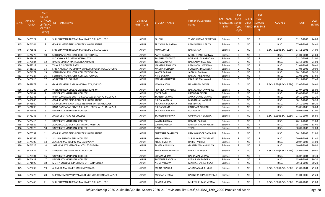| S.No. | <b>APPLICATI</b><br><b>ONID</b> | <b>Merit</b><br>Vo.(DISTF<br>ICT/FACU<br>LTY/SCHO<br>OL TYPE<br>WISE) | NSTITUTE NAME                                             | <b>DISTRICT</b><br>(INSTITUTE) | <b>STUDENT NAME</b>   | Father's/Guardian's<br><b>Name</b> | LAST YEAR<br>Faculty/STR<br><b>EAM</b> | <b>LAST</b><br><b>YEAR</b><br>School<br><b>Type</b><br>(G/P) | IS_SPE<br><b>CILLY</b> | <b>LAST</b><br><b>YEAR</b><br><b>SCHOOL</b><br>ABLED (RBSE/CB<br>SE) | <b>COURSE</b>              | <b>DOB</b> | <b>LAST</b><br>YEAR% |
|-------|---------------------------------|-----------------------------------------------------------------------|-----------------------------------------------------------|--------------------------------|-----------------------|------------------------------------|----------------------------------------|--------------------------------------------------------------|------------------------|----------------------------------------------------------------------|----------------------------|------------|----------------------|
| 944   | 3475927                         | 7                                                                     | SHRI BHAWANI NIKETAN MAHILA PG GIRLS COLLEGE              | <b>JAIPUR</b>                  | SALONI                | VINOD KUMAR DEWATWAL               | Science                                | G                                                            | NO.                    | R                                                                    | B.SC.                      | 01-12-2003 | 74.80                |
| 945   | 3474244                         | 8                                                                     | GOVERNMENT GIRLS COLLEGE CHOMU, JAIPUR                    | <b>JAIPUR</b>                  | PRIYANKA DULARIYA     | RAMDHAN DULARIYA                   | Science                                | G                                                            | NO.                    | R                                                                    | B.SC.                      | 07-07-2003 | 74.40                |
| 946   | 3475541                         | 9                                                                     | ISHRI BHAWANI NIKETAN MAHILA PG GIRLS COLLEGE             | <b>JAIPUR</b>                  | <b>KOMAL DHOBI</b>    | RAMKISHAN                          | Science                                | G                                                            | NO                     | R                                                                    | B.SC.- B.ED.(B.SC.- B.ED.) | 17-11-2001 | 74.00                |
| 947   | 3474276                         | 10                                                                    | SETH RAMVILASH JOSHI COLLEGE TOONGA                       | <b>JAIPUR</b>                  | AARTI BAIRWA          | MOOL CHAND BAIRWA                  | Science                                | G                                                            | <b>NO</b>              | $\mathsf{R}$                                                         | B.SC.                      | 21-01-2004 | 73.60                |
| 948   | 3483629                         | 11                                                                    | R.K. VIGYAN P.G. MAHAVIDHYALAYA                           | <b>JAIPUR</b>                  | RAJ SHRI KARADIYA     | BAJRANG LAL KARADIYA               | Science                                | G                                                            | <b>NO</b>              | R                                                                    | B.SC.                      | 01-10-2003 | 71.00                |
| 949   | 3475584                         | 12                                                                    | BAGRU MAHILA MAHAVIDHLAY BAGRU                            | <b>JAIPUR</b>                  | TEENA MAURYA          | RAMSAHAY MAURYA                    | Science                                | G                                                            | NO                     | R                                                                    | B.SC.                      | 12-12-2003 | 71.00                |
| 950   | 3469512                         | 13                                                                    | TILAK P.G COLLEGE BASSI                                   | <b>JAIPUR</b>                  | MANISHA SIWASIYA      | RAMPHOOL SIWASIYA                  | Science                                | G                                                            | <b>NO</b>              | R                                                                    | B.SC.                      | 01-01-2002 | 70.40                |
| 951   | 3481156                         | 14                                                                    | SHRI NARAYAN PG MAHAVIDHALAYA MORIJA ROAD, CHOMU          | <b>JAIPUR</b>                  | <b>MAMTA KULDEEP</b>  | FOOLCHAND KULDEEP                  | Science                                | G                                                            | <b>NO</b>              | R                                                                    | B.SC.                      | 07-04-2002 | 70.00                |
| 952   | 3474272                         | 15                                                                    | SETH RAMVILASH JOSHI COLLEGE TOONGA                       | <b>JAIPUR</b>                  | <b>KANTA BAIRWA</b>   | JAGDISH BAIRWA                     | Science                                | G                                                            | NO.                    | R                                                                    | B.SC.                      | 10-10-2003 | 68.20                |
| 953   | 3474327                         | 16                                                                    | SETH RAMVILASH JOSHI COLLEGE TOONGA                       | <b>JAIPUR</b>                  | <b>NITU BAIRWA</b>    | RAMAVTAR BAIRWA                    | Science                                | G                                                            | <b>NO</b>              | R                                                                    | B.SC.                      | 02-02-2002 | 67.60                |
| 954   | 3475615                         | 17                                                                    | AGRAWAL P.G. COLLEGE                                      | <b>JAIPUR</b>                  | <b>MEENU MAHAWAR</b>  | PRABHAT MAHAWAR                    | Science                                | G                                                            | NO                     | R.                                                                   | B.SC.                      | 19-11-2000 | 67.40                |
| 955   | 3469973                         | 18                                                                    | GANPATI MAHILA MAHAVIDHYALAYA, KHEJROLI                   | <b>JAIPUR</b>                  | <b>MONIKA SONAL</b>   | <b>HAJARI RAM SONAL</b>            | Science                                | G                                                            | NO                     | R                                                                    | B.SC.- B.ED.(B.SC.- B.ED.) | 12-06-2001 | 66.60                |
| 956   | 3467205                         | 19                                                                    | VIVEKANANDA GLOBAL UNIVERSITY, JAIPUR                     | <b>JAIPUR</b>                  | PRIYNKA SAWASIYA      | RAMAVATAR SAWASIYA                 | Science                                | G                                                            | NO.                    | R                                                                    | B.SC.                      | 23-07-2001 | 65.00                |
| 957   | 3474204                         | -1                                                                    | UNIVERSITY MAHARANI COLLEGE                               | <b>JAIPUR</b>                  | <b>DIVYA RATI</b>     | RAVINDRA SINGH                     | Science                                | P                                                            | <b>NO</b>              | R                                                                    | B.SC.                      | 25-08-2003 | 95.80                |
| 958   | 3480335                         | $\overline{2}$                                                        | BABA GANGADAS GOVT, GIRLS COLLEGE SHAHPURA, JAIPUR        | <b>JAIPUR</b>                  | <b>TANISHA VERMA</b>  | AMAR CHAND VERMA                   | Science                                | P                                                            | NO                     | R                                                                    | B.SC.                      | 09-10-2002 | 92.20                |
| 959   | 3465606                         | $\overline{3}$                                                        | GOVERNMENT GIRLS COLLEGE CHOMU, JAIPUR                    | <b>JAIPUR</b>                  | NIKITA NAROLIA        | MADAN LAL NAROLIA                  | Science                                | P                                                            | NO                     | R                                                                    | B.SC.                      | 08-12-2003 | 90.20                |
| 960   | 3475960                         | $\overline{4}$                                                        | KHANDELWAL VAISH GIRLS INSTITUTE OF TECHNOLOGY            | <b>JAIPUR</b>                  | PRIYANKA KURADIYA     | DEENDAYAL                          | Science                                | P                                                            | <b>NO</b>              | R                                                                    | B.SC.                      | 24-10-2002 | 89.20                |
| 961   | 3474698                         | - 5                                                                   | BABA GANGADAS GOVT, GIRLS COLLEGE SHAHPURA, JAIPUR        | <b>JAIPUR</b>                  | <b>NIKITA VERMA</b>   | KALURAM BUNKAR                     | Science                                | P                                                            | NO.                    | R                                                                    | B.SC.                      | 13-06-2006 | 88.60                |
| 962   | 3475053                         | -6                                                                    | UNIVERSITY MAHARANI COLLEGE                               | <b>JAIPUR</b>                  | PRIYANKA KHARIYA      | ROSHAN LAL                         | Science                                | P                                                            | <b>NO</b>              | R                                                                    | B.SC.                      | 19-02-2003 | 87.00                |
| 963   | 3475243                         | 7                                                                     | AKASHDEEP PG GIRLS COLLEGE                                | <b>JAIPUR</b>                  | TANUSHRI BAIRWA       | OMPRAKASH BAIRWA                   | Science                                | P                                                            | NO.                    | R                                                                    | B.SC.- B.ED.(B.SC.- B.ED.) | 27-10-2004 | 86.80                |
| 964   | 3476416                         | 8                                                                     | UNIVERSITY MAHARANI COLLEGE                               | <b>JAIPUR</b>                  | KAVITA BAIRWA         | <b>HEMRAJ BAIRWA</b>               | Science                                | P                                                            | <b>NO</b>              | R                                                                    | B.SC.                      | 26-11-2002 | 83.80                |
| 965   | 3476529                         | 9                                                                     | JAIPUR COLLEGE OF NURSING AND HOSPITAL                    | <b>JAIPUR</b>                  | <b>GARIMA VERMA</b>   | RAMESH CHAND VERMA                 | Science                                | P                                                            | NO                     | R                                                                    | B.SC.                      | 15-10-2002 | 83.40                |
| 966   | 3474720                         | 10                                                                    | UNIVERSITY MAHARANI COLLEGE                               | <b>JAIPUR</b>                  | <b>NISHA</b>          | <b>TEJPAL</b>                      | Science                                | P                                                            | <b>NO</b>              | R                                                                    | B.SC.                      | 30-09-2003 | 82.00                |
| 967   | 3475757                         | 11                                                                    | GOVERNMENT GIRLS COLLEGE CHOMU, JAIPUR                    | <b>JAIPUR</b>                  | BHAWANA SAMARIYA      | RAMSWAROOP SAMARIYA                | Science                                |                                                              | NO.                    | R                                                                    | B.SC.                      | 06-12-2003 | 81.80                |
| 968   | 3457265                         | 12                                                                    | <b>S.S. JAIN SUBODH GIRLS COLLEGE</b>                     | <b>JAIPUR</b>                  | <b>KIRAN VERMA</b>    | SURAJ NARAYAN VERMA                | Science                                | P                                                            | NO.                    | R                                                                    | B.SC.                      | 20-09-2003 | 81.40                |
| 969   | 3474300                         | 13                                                                    | ALANKAR MAHILA P.G. MAHAVIDYLAYA                          | <b>JAIPUR</b>                  | KHUSHI MEHRA          | <b>HARISH MEHRA</b>                | Science                                | P                                                            | NO.                    | R                                                                    | B.SC.                      | 20-07-2003 | 81.00                |
| 970   | 3474525                         | 14                                                                    | SMT HEMLATA MEMORIAL COLLEGE PAOTA                        | <b>JAIPUR</b>                  | <b>SAMTA AKARNIYA</b> | GHANSHYAM AKARNIYA                 | Science                                | P                                                            | <b>NO</b>              | R                                                                    | B.SC.                      | 10-07-2002 | 80.80                |
| 971   | 3474637                         | 15                                                                    | SADGURU INSTITUTE OF EDUCATION                            | <b>JAIPUR</b>                  | KIRAN KUMARI VERMA    | <b>PAPPULAL REGAR</b>              | Science                                |                                                              | <b>NO</b>              | R                                                                    | B.SC.- B.ED.(B.SC.- B.ED.) | 04-01-2003 | 80.40                |
| 972   | 3475101                         | 16                                                                    | UNIVERSITY MAHARANI COLLEGE                               | <b>JAIPUR</b>                  | <b>SONAM VERMA</b>    | RAJ KAMAL VERMA                    | Science                                | P                                                            | <b>NO</b>              | R                                                                    | B.SC.                      | 06-07-2004 | 80.40                |
| 973   | 3474629                         | 17                                                                    | UNIVERSITY MAHARANI COLLEGE                               | <b>JAIPUR</b>                  | SHIVANEE BAGORIA      | <b>LEELA RAM BAGORIA</b>           | Science                                | <b>D</b>                                                     | <b>NO</b>              | R                                                                    | B.SC.                      | 15-07-2002 | 80.20                |
| 974   | 3471996                         | 18                                                                    | MEHTA COLLEGE & INSTITUTE OF TECHNOLOGY                   | <b>JAIPUR</b>                  | <b>NEHA PARSOYA</b>   | MAKHAN LAL PARSOYA                 | Science                                | P                                                            | NO                     | R                                                                    | B.SC.                      | 30-11-2002 | 80.20                |
| 975   | 3475239                         | 19                                                                    | ALANKAR MAHILA PG MAHAVIDYALAYA                           | JAIPUR                         | MAINA BUNKAR          | ANANDARAM BUNKAR                   | Science                                |                                                              | NO                     |                                                                      | B.SC.- B.ED.(B.SC.- B.ED.) | 21-09-2004 | 79.20                |
| 976   | 3475226                         | 20                                                                    | <b>I</b> SUPREME MAHAVIDAYALAYA HINGONIYA DOONGARI JAIPUR | <b>JAIPUR</b>                  | MUSKAN VERMA          | RAJENDRA PRASAD VERMA              | Science                                |                                                              | NO                     | R                                                                    | B.SC.                      | 11-04-2005 | 79.20                |
| 977   | 3475448                         | 21                                                                    | SHRI BHAWANI NIKETAN MAHILA PG GIRLS COLLEGE              | <b>JAIPUR</b>                  | SANJNA VERMA          | MUKESH KUMAR VERMA                 | Science                                | P                                                            | <b>NO</b>              | R                                                                    | B.SC.- B.ED.(B.SC.- B.ED.) | 19-01-2002 | 79.00                |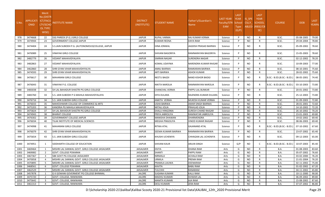| S.No | <b>APPLICATI</b><br><b>ONID</b> | <b>Merit</b><br><b>No.(DISTR</b><br><b>ICT/FACU</b><br>LTY/SCHO<br><b>OL TYPE</b><br>WISE) | NSTITUTE NAME                                    | <b>DISTRICT</b><br>(INSTITUTE) | STUDENT NAME        | Father's/Guardian's<br>Name | <b>LAST YEAR</b><br>Faculty/STR<br><b>EAM</b> | <b>LAST</b><br><b>YEAR</b><br>School<br><b>Type</b><br>(G/P) | IS SPE<br><b>CILLY</b> | <b>LAST</b><br><b>YEAR</b><br><b>SCHOOL</b><br>ABLED (RBSE/CB<br>SE) | <b>COURSE</b>              | <b>DOB</b> | <b>LAST</b><br>YEAR% |
|------|---------------------------------|--------------------------------------------------------------------------------------------|--------------------------------------------------|--------------------------------|---------------------|-----------------------------|-----------------------------------------------|--------------------------------------------------------------|------------------------|----------------------------------------------------------------------|----------------------------|------------|----------------------|
| 978  | 3474668                         | 22                                                                                         | SSG PAREEK (P.G.) GIRLS COLLEGE                  | <b>JAIPUR</b>                  | RUPAL VARMA         | RAJ KUMAR VERMA             | Science                                       | P                                                            | <b>NO</b>              | R                                                                    | B.SC.                      | 05-08-2005 | 79.00                |
| 979  | 3474944                         | 23                                                                                         | <b>GOVERNMENT COLLEGE JAIPUR</b>                 | <b>JAIPUR</b>                  | KUMARI REENA        | <b>DAYA RAM</b>             | Science                                       | P                                                            | <b>NO</b>              | R                                                                    | B.SC.                      | 29-04-2004 | 78.80                |
| 980  | 3474404                         | 24                                                                                         | S.S.JAIN SUBODH P.G. (AUTONOMOUS)COLLEGE, JAIPUR | JAIPUR                         | HINA JONWAL         | JAGDISH PRASAD BAIRWA       | Science                                       | P                                                            | NO.                    | R                                                                    | B.SC.                      | 05-09-2002 | 78.60                |
| 981  | 3476989                         | 25                                                                                         | VINAYAK GIRLS COLLEGE                            | <b>JAIPUR</b>                  | SHIVANI BAGORIYA    | RAMNARAYAN BAGORIYA         | Science                                       |                                                              | <b>NO</b>              | R                                                                    | B.SC.                      | 15-05-2003 | 78.60                |
| 982  | 3482779                         | 26                                                                                         | VEDANT MAHAVIDYALAYA                             | <b>JAIPUR</b>                  | SIMRAN NAGAR        | <b>SURENDRA NAGAR</b>       | Science                                       | P                                                            | <b>NO</b>              | R                                                                    | B.SC.                      | 02-12-2002 | 78.20                |
| 983  | 3482863                         | 27                                                                                         | VEDANT MAHAVIDYALAYA                             | JAIPUR                         | KOMAL UDAYNIA       | NARENDRA KUMAR RAIGAR       | Science                                       |                                                              | <b>NO</b>              | R                                                                    | B.SC.                      | 10-09-2003 | 77.00                |
| 984  | 3462860                         | 28                                                                                         | SHRI GYAN VIHAR MAHAVIDHYALYA                    | <b>JAIPUR</b>                  | ANNU BAIRWA         | RAMKARAN BAIRWA             | Science                                       | P                                                            | <b>NO</b>              | R                                                                    | B.SC.                      | 08-10-2001 | 75.60                |
| 985  | 3474593                         | 29                                                                                         | SHRI GYAN VIHAR MAHAVIDHYALYA                    | <b>JAIPUR</b>                  | ARTI BAIRWA         | <b>ASHOK KUMAR</b>          | Science                                       | P                                                            | <b>NO</b>              | R                                                                    | B.SC.                      | 28-02-2002 | 75.60                |
| 986  | 3476617                         | 30                                                                                         | <b>MAHARANI GIRLS COLLEGE</b>                    | <b>JAIPUR</b>                  | NEETU BAGDI         | <b>NAND KISHOR BADGI</b>    | Science                                       | P                                                            | <b>NO</b>              | R                                                                    | B.SC.- B.ED.(B.SC.- B.ED.) | 08-05-2001 | 74.40                |
| 987  | 3476043                         | 31                                                                                         | VINAYAK P.G. COLLEGE                             | <b>JAIPUR</b>                  | NIKITA NAROLIA      | RAMNARAYAN NAROLIA          | Science                                       | P                                                            | NO.                    | R                                                                    | B.SC.- B.ED.(B.SC.- B.ED.) | 03-10-2003 | 73.80                |
| 988  | 3483038                         | 32                                                                                         | SH LAL BAHADUR SHASTRI PG GIRLS COLLEGE          | <b>JAIPUR</b>                  | CHANCHAL VERMA      | PAPPU LAL BUNKAR            | Science                                       | $\mathsf{P}$                                                 | <b>NO</b>              | R                                                                    | B.SC.                      | 20-01-2002 | 73.80                |
| 989  | 3483760                         | 33                                                                                         | S.S. JAIN SUBODH P G MAHILA MAHAVIDYALAYA        | <b>JAIPUR</b>                  | DIYA DULARA         | RAJENDRA KUMAR DULARA       | Science                                       |                                                              | NO.                    | R                                                                    | B.SC.                      | 25-12-2003 | 73.80                |
| 990  | 3476716                         | 34                                                                                         | S.S. JAIN SUBODH GIRLS COLLEGE                   | <b>JAIPUR</b>                  | ANKITA VERMA        | <b>MUKESH KUMAR VERMA</b>   | Science                                       | D                                                            | NO.                    | R                                                                    | B.SC.                      | 01-09-2003 | 72.80                |
| 991  | 3476033                         | 35                                                                                         | MAHESHWARI COLLEGE OF COMMERCE & ARTS            | <b>JAIPUR</b>                  | USHA BAIRWA         | <b>AMAR SINGH BAIRWA</b>    | Science                                       |                                                              | <b>NO</b>              | R                                                                    | B.SC.                      | 28-01-2001 | 72.60                |
| 992  | 3475203                         | 36                                                                                         | KANORIA PG MAHILA MAHAVIDYALAYA                  | <b>JAIPUR</b>                  | MITALI JOLIA        | PRAHLAD JOLIA               | Science                                       | <b>D</b>                                                     | <b>NO</b>              | R                                                                    | B.SC.                      | 14-10-2002 | 72.20                |
| 993  | 3475824                         | 37                                                                                         | SH LAL BAHADUR SHASTRI PG GIRLS COLLEGE          | <b>JAIPUR</b>                  | SHALU HINGONIA      | <b>SURESH CHAND RAIGAR</b>  | Science                                       | P                                                            | <b>NO</b>              | R                                                                    | B.SC.                      | 26-10-2002 | 70.20                |
| 994  | 3474943                         | 38                                                                                         | <b>BHARAT COLLEGE</b>                            | <b>JAIPUR</b>                  | PRIYA JABROLIYA     | RAMWATAR JABROLIYA          | Science                                       | P                                                            | <b>NO</b>              | R                                                                    | B.SC.                      | 23-01-2003 | 69.80                |
| 995  | 3476302                         | 39                                                                                         | <b>GOVERNMENT COLLEGE JAIPUR</b>                 | <b>JAIPUR</b>                  | MANISHA DHAWAN      | <b>DHARMENDRA</b>           | Science                                       | D                                                            | <b>NO</b>              | R                                                                    | B.SC.                      | 19-02-2002 | 69.40                |
| 996  | 3476034                         | 40                                                                                         | TILAK INSTITUTE OF MEDICAL SCIENCES              | <b>JAIPUR</b>                  | MEGHA PINGOLIYA     | VINOD KUMAR RAIGAR          | Science                                       | P                                                            | <b>NO</b>              | R                                                                    | B.SC.                      | 08-06-2003 | 69.40                |
| 997  | 3474998                         | 41                                                                                         | <b>MAHARANI GIRLS COLLEGE</b>                    | <b>JAIPUR</b>                  | RITIKA ATAL         | <b>GAJANAND ATAL</b>        | Science                                       |                                                              | NO.                    |                                                                      | B.SC.- B.ED.(B.SC.- B.ED.) | 07-10-2002 | 67.60                |
| 998  | 3476079                         | 42                                                                                         | SHRI GYAN VIHAR MAHAVIDHYALYA                    | <b>JAIPUR</b>                  | SEEMA KUMARI BAIRWA | RAMNARAYAN BAIRWA           | Science                                       | P                                                            | <b>NO</b>              | R                                                                    | B.SC.                      | 23-07-2002 | 65.40                |
| 999  | 3475654                         | 43                                                                                         | S.S. JAIN SUBODH GIRLS COLLEGE                   | <b>JAIPUR</b>                  | KHUSHI UCHENIYA     | CHHAGAN LAL UCHENIYA        | Science                                       |                                                              | NO.                    | R                                                                    | B.SC.                      | 09-12-2003 | 65.00                |
| 1000 | 3474951                         | -1                                                                                         | SIDDHARTH COLLEGE OF EDUCATION                   | JAIPUR                         | SHIVANI KAUR        | <b>ARJUN SINGH</b>          | Science                                       | G/P                                                          | NO.                    | C                                                                    | B.SC.- B.ED.(B.SC.- B.ED.) | 10-07-2003 | 85.40                |
| 1001 | 3469464                         | - 1                                                                                        | MISHRI LAL SANWAL GOVT. GIRLS COLLEGE JAISALMER  | JAISALMER                      | DIVYA               | <b>DHANA RAM</b>            | Arts                                          | G                                                            | <b>NO</b>              | R                                                                    | <b>B.A.</b>                | 01-08-2003 | 83.60                |
| 1002 | 3469082                         | 2                                                                                          | <b>GOVT. COLLEGE POKARAN</b>                     | <b>JAISALMER</b>               | SHANTI              | PAPPU RAM                   | Arts                                          | G                                                            | <b>NO</b>              | R                                                                    | <b>B.A.</b>                | 05-07-2002 | 76.60                |
| 1003 | 3467367                         | $\overline{\mathbf{3}}$                                                                    | SBK GOVT PG COLLEGE JAISALMER                    | JAISALMER                      | NIRMALA             | <b>ACHALA RAM</b>           | Arts                                          | G                                                            | <b>NO</b>              | R                                                                    | B.A.                       | 03-02-2000 | 76.20                |
| 1004 | 3470058                         | $\overline{4}$                                                                             | MISHRI LAL SANWAL GOVT. GIRLS COLLEGE JAISALMER  | JAISALMER                      | <b>URMILA</b>       | PREMA RAM                   | Arts                                          | G                                                            | <b>NO</b>              |                                                                      | B.A.                       | 21-01-2004 | 76.20                |
| 1005 | 3470895                         | - 5                                                                                        | MISHRI LAL SANWAL GOVT. GIRLS COLLEGE JAISALMER  | JAISALMER                      | PRAMILA LAUWA       | DEENARAM                    | Arts                                          | G                                                            | <b>NO</b>              | R                                                                    | B.A.                       | 02-11-2002 | 75.00                |
| 1006 | 3468561                         | 6                                                                                          | <b>GOVT. COLLEGE POKARAN</b>                     | JAISALMER                      | KAVITA              | <b>BABU RAM</b>             | Arts                                          | G                                                            | <b>NO</b>              | R                                                                    | B.A.                       | 01-02-2002 | 67.20                |
| 1007 | 3462529                         | $\overline{7}$                                                                             | MISHRI LAL SANWAL GOVT. GIRLS COLLEGE JAISALMER  | JAISALMER                      | <b>TULCHHI</b>      | RANARAM                     | Arts                                          | G                                                            | <b>NO</b>              | R                                                                    | <b>B.A.</b>                | 04-11-2002 | 65.80                |
| 1008 | 3457878                         | - 1                                                                                        | G K GOWANI GOVERMENT PG COLLEGE BHINMAL          | <b>JALORE</b>                  | SUGANA KUMARI       | <b>KALU RAM</b>             | Arts                                          | G                                                            | <b>NO</b>              | R                                                                    | B.A.                       | 10-11-2000 | 90.00                |
| 1009 | 3475720                         | $\overline{2}$                                                                             | GOVT. COLLEGE, RANIWARA                          | <b>JALORE</b>                  | MADHU KUMARI        | <b>ISHWAR LAL</b>           | Arts                                          | G                                                            | <b>NO</b>              | R                                                                    | <b>B.A.</b>                | 06-09-2002 | 89.80                |
| 1010 | 3475642                         | $\overline{\mathbf{3}}$                                                                    | GOVT. COLLEGE, RANIWARA                          | <b>JALORE</b>                  | <b>MAMTA KUMARI</b> | AJA RAM                     | Arts                                          | G                                                            | <b>NO</b>              | R                                                                    | B.A.                       | 15-08-2002 | 87.60                |
| 1011 | 3461313                         | $\overline{4}$                                                                             | GOVT. COLLEGE, RANIWARA                          | JALORE                         | <b>DESU KUMARI</b>  | <b>JERA RAM</b>             | Arts                                          | G                                                            | <b>NO</b>              | R                                                                    | B.A.                       | 07-07-2002 | 86.80                |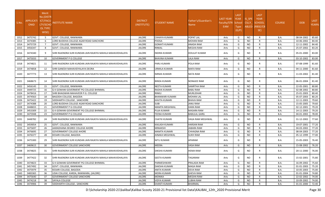| S.No. | APPLICATI<br><b>ONID</b> | <b>Merit</b><br>o.(DISTFا<br>ICT/FACU<br>LTY/SCHO<br>OL TYPE<br>WISE) | NSTITUTE NAME                                                | <b>DISTRICT</b><br>(INSTITUTE) | STUDENT NAME           | Father's/Guardian's<br>Name | LAST YEAR<br>Faculty/STR School<br>EAM | <b>LAST</b><br><b>YEAR</b><br>Type<br>(G/P) | IS SPE<br><b>CILLY</b> | <b>LAST</b><br><b>YEAR</b><br><b>SCHOOL</b><br>ABLED (RBSE/CB<br>SE) | <b>COURSE</b> | <b>DOB</b> | <b>LAST</b><br>YEAR% |
|-------|--------------------------|-----------------------------------------------------------------------|--------------------------------------------------------------|--------------------------------|------------------------|-----------------------------|----------------------------------------|---------------------------------------------|------------------------|----------------------------------------------------------------------|---------------|------------|----------------------|
| 1012  | 3475742                  | - 5                                                                   | GOVT. COLLEGE, RANIWARA                                      | JALORE                         | CHHAYA KUMARI          | POPAT LAL                   | Arts                                   | G                                           | NO                     | R                                                                    | B.A.          | 08-04-2002 | 85.60                |
| 1013  | 3474385                  | -6                                                                    | LORD BUDDHA COLLEGE AGAR ROAD SANCHORE                       | <b>JALORE</b>                  | <b>POOSA</b>           | MOHAN RAM                   | Arts                                   | G                                           | NO.                    | R                                                                    | B.A.          | 10-06-2002 | 84.40                |
| 1014  | 3475729                  | $\overline{7}$                                                        | GOVT. COLLEGE, RANIWARA                                      | JALORE                         | <b>GOMATI KUMARI</b>   | ANADA RAM                   | Arts                                   | G                                           | NO.                    | R                                                                    | B.A.          | 12-11-2002 | 84.40                |
| 1015  | 3456347                  | 8                                                                     | GOVT. COLLEGE, RANIWARA                                      | <b>JALORE</b>                  | RINKAL                 | MEGHA RAM                   | Arts                                   | G                                           | NO.                    | R                                                                    | B.A.          | 25-07-2002 | 83.20                |
| 1016  | 3474340                  | 9                                                                     | SHRI RAJENDRA SURI KUNDAN JAIN RAJKIYA MAHILA MAHAVIDHALAYA  | JALORE                         | <b>INDIRA KUMARI</b>   | DOULAT KUMAR                | Arts                                   | G                                           | NO.                    | R                                                                    | B.A.          | 05-01-2000 | 83.00                |
| 1017  | 3475033                  | 10                                                                    | <b>GOVERNMENT P G COLLEGE</b>                                | JALORE                         | <b>BHAVNA KUMARI</b>   | <b>LALA RAM</b>             | Arts                                   | G                                           | <b>NO</b>              | R                                                                    | B.A.          | 03-10-2002 | 83.00                |
| 1018  | 3474821                  | -11                                                                   | ISHRI RAJENDRA SURI KUNDAN JAIN RAJKIYA MAHILA MAHAVIDHALAYA | JALORE                         | PARU KUMARI            | POLA RAM                    | Arts                                   | G                                           | NO.                    | R                                                                    | B.A.          | 07-08-1999 | 81.60                |
| 1019  | 3474858                  | 12                                                                    | SHRI GANESH MAHAVIDYALAYA DEORA                              | <b>JALORE</b>                  | URMILA KUMARI          | <b>MAFA RAM</b>             | Arts                                   | G                                           | NO.                    | R                                                                    | <b>B.A.</b>   | 04-11-2000 | 81.60                |
| 1020  | 3477773                  | 13                                                                    | SHRI RAJENDRA SURI KUNDAN JAIN RAJKIYA MAHILA MAHAVIDHALAYA  | JALORE                         | <b>NIRMA KUMARI</b>    | <b>NATA RAM</b>             | Arts                                   | G                                           | <b>NO</b>              | R.                                                                   | B.A.          | 11-03-2002 | 81.40                |
| 1021  | 3468673                  | 14                                                                    | SHRI RAJENDRA SURI KUNDAN JAIN RAJKIYA MAHILA MAHAVIDHALAYA  | JALORE                         | BINDA KUMARI           | NONAJEE RAM                 | Arts                                   | G                                           | NO.                    | R                                                                    | B.A.          | 06-01-2004 | 81.40                |
| 1022  | 3456145                  | 15                                                                    | GOVT. COLLEGE, RANIWARA                                      | <b>JALORE</b>                  | NEETA KUMARI           | <b>SAMRTHA RAM</b>          | Arts                                   | G                                           | NO.                    | R                                                                    | <b>B.A.</b>   | 22-05-2001 | 80.80                |
| 1023  | 3449725                  | 16                                                                    | G K GOWANI GOVERMENT PG COLLEGE BHINMAL                      | JALORE                         | RADHA KUMARI           | <b>BABU RAM</b>             | Arts                                   | G                                           | NO.                    | R                                                                    | B.A.          | 02-08-2002 | 80.80                |
| 1024  | 3478416                  | 17                                                                    | SHRI BHAGWAN MAHAVEER P.G. COLLEGE                           | <b>JALORE</b>                  | RINKU                  | <b>MURLIDHAR</b>            | Arts                                   | G                                           | NO.                    | R                                                                    | B.A.          | 25-01-2003 | 80.40                |
| 1025  | 3474563                  | 18                                                                    | BAGODA COLLEGE, BAGODA                                       | JALORE                         | <b>BHANWARI KUMARI</b> | MOHAN LAL                   | Arts                                   | G                                           | NO.                    | R                                                                    | B.A.          | 05-07-2003 | 80.20                |
| 1026  | 3475422                  | 19                                                                    | SIDDHARTH COLLEGE , SANCHORE                                 | JALORE                         | KAVITA KUMARI          | <b>BHAVA RAM</b>            | Arts                                   | G                                           | <b>NO</b>              | R                                                                    | B.A.          | 12-11-2003 | 79.60                |
| 1027  | 3474388                  | 20                                                                    | LORD BUDDHA COLLEGE AGAR ROAD SANCHORE                       | <b>JALORE</b>                  | <b>SUBI</b>            | <b>JANU RAM</b>             | Arts                                   | G                                           | NO.                    | R                                                                    | B.A.          | 15-05-2005 | 79.60                |
| 1028  | 3448655                  | 21                                                                    | <b>GOVERNMENT P G COLLEGE</b>                                | JALORE                         | <b>MAMTA MEGHWAL</b>   | HARA RAM                    | Arts                                   | G                                           | NO.                    | R                                                                    | B.A.          | 02-12-2001 | 79.20                |
| 1029  | 3453309                  | 22                                                                    | G K GOWANI GOVERMENT PG COLLEGE BHINMAL                      | <b>JALORE</b>                  | PUJA KUMARI            | <b>MASARA RAM</b>           | Arts                                   | G                                           | NO.                    | R                                                                    | B.A.          | 14-11-2003 | 79.20                |
| 1030  | 3475948                  | 23                                                                    | <b>GOVERNMENT P G COLLEGE</b>                                | JALORE                         | TEENA KUMARI           | <b>BABULAL GARG</b>         | Arts                                   | G                                           | <b>NO</b>              | R                                                                    | B.A.          | 04-01-2002 | 78.00                |
| 1031  | 3448782                  | 24                                                                    | SHRI RAJENDRA SURI KUNDAN JAIN RAJKIYA MAHILA MAHAVIDHALAYA  | <b>JALORE</b>                  | CHATKI KUMARI          | VAGA RAM MEGHWAL            | Arts                                   | G                                           | NO.                    | R                                                                    | B.A.          | 31-12-2002 | 77.60                |
| 1032  | 3459054                  | 25                                                                    | GOVT. COLLEGE, RANIWARA                                      | JALORE                         | KAILASH KUMARI         | <b>HARSAN RAM</b>           | Arts                                   | G                                           | NO.                    | R                                                                    | <b>B.A.</b>   | 19-07-2001 | 77.20                |
| 1033  | 3475697                  | 26                                                                    | AARADHANA DEGREE COLLEGE AHORE                               | <b>JALORE</b>                  | MINAKSHI               | JABARA RAM                  | Arts                                   | G                                           | NO.                    | R                                                                    | B.A.          | 04-03-2002 | 77.20                |
| 1034  | 3476695                  | 27                                                                    | <b>GOVERNMENT COLLEGE AHORE</b>                              | JALORE                         | MAMTA KUMARI           | CHHAGNA RAM                 | Arts                                   | G                                           | <b>NO</b>              | R                                                                    | B.A.          | 08-04-2003 | 77.20                |
| 1035  | 3476377                  | 28                                                                    | KESARI COLLEGE, BAGODA                                       | JALORE                         | AINAKA MEGHWAL         | SUKH RAM                    | Arts                                   | G                                           | NO.                    | $\mathsf{R}$                                                         | B.A.          | 05-12-1999 | 77.00                |
| 1036  | 3475300                  | 29                                                                    | ISHRI RAJENDRA SURI KUNDAN JAIN RAJKIYA MAHILA MAHAVIDHALAYA | <b>JALORE</b>                  | NITU KUMARI            | APARAM                      | Arts                                   | G                                           | NO.                    | R                                                                    | B.A.          | 15-05-2003 | 76.40                |
| 1037  | 3469615                  | 30                                                                    | <b>GOVERNMENT COLLEGE SANCHORE</b>                           | JALORE                         | <b>MEERA</b>           | VASA RAM                    | Arts                                   | G                                           | NO.                    | R                                                                    | B.A.          | 15-08-2002 | 76.20                |
| 1038  | 3474825                  | 31                                                                    | SHRI RAJENDRA SURI KUNDAN JAIN RAJKIYA MAHILA MAHAVIDHALAYA  | <b>JALORE</b>                  | DIKSHA KUMARI          | HEMA RAM                    | Arts                                   | G                                           | NO                     | R                                                                    | B.A.          | 20-11-2000 | 76.00                |
| 1039  | 3477422                  | 32                                                                    | SHRI RAJENDRA SURI KUNDAN JAIN RAJKIYA MAHILA MAHAVIDHALAYA  | JALORE                         | <b>GEETA KUMARI</b>    | TAGARAM                     | Arts                                   | G                                           | NO.                    | R                                                                    | <b>B.A.</b>   | 15-02-2001 | 75.80                |
| 1040  | 3474823                  | 33                                                                    | G K GOWANI GOVERMENT PG COLLEGE BHINMAL                      | JALORE                         | PARMESHWARI            | PRALADA RAM                 | Arts                                   | G                                           | NO.                    | $\mathsf{R}$                                                         | B.A.          | 16-09-2002 | 75.60                |
| 1041  | 3457492                  | 34                                                                    | GOVT. COLLEGE, RANIWARA                                      | JALORE                         | <b>DAKSHA KUMARI</b>   | MAGA RAM                    | Arts                                   | G                                           | <b>NO</b>              | R                                                                    | <b>B.A.</b>   | 01-01-2003 | 75.20                |
| 1042  | 3475979                  | 35                                                                    | KESARI COLLEGE, BAGODA                                       | JALORE                         | ANITA KUMARI           | DEVA RAM                    | Arts                                   | G                                           | NO.                    | R                                                                    | <b>B.A.</b>   | 10-05-2003 | 75.00                |
| 1043  | 3483365                  | 36                                                                    | UDAI COLLEGE, KARDA, RANIWARA, (JALORE)                      | JALORE                         | MORA KUMARI            | <b>GHEVA RAM</b>            | Arts                                   | G                                           | <b>NO</b>              | R                                                                    | <b>B.A.</b>   | 01-01-2004 | 74.80                |
| 1044  | 3475640                  | 37                                                                    | <b>GOVERNMENT COLLEGE SANCHORE</b>                           | <b>JALORE</b>                  | <b>MONIKA</b>          | <b>MEGHA RAM</b>            | Arts                                   | G                                           | NO.                    | R                                                                    | B.A.          | 22-02-2002 | 74.00                |
| 1045  | 3474218                  | 38                                                                    | SAYALA COLLEGE                                               | JALORE                         | <b>VIDYA KUMARI</b>    | LUBHA RAM                   | Arts                                   | G                                           | NO                     | R                                                                    | B.A.          | 10-09-2002 | 74.00                |
| 1046  | 3474906                  | 39                                                                    | SIDDHARTH COLLEGE, SANCHORE                                  | JALORE                         | <b>SHANTI KUMARI</b>   | <b>BHARMAL</b>              | Arts                                   | G                                           | <b>NO</b>              | $\mathsf{R}$                                                         | <b>B.A.</b>   | 01-01-2000 | 72.40                |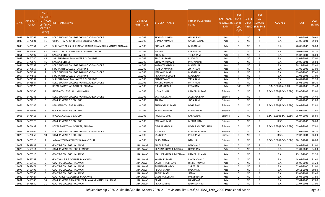| S.No.        | <b>APPLICATI</b><br><b>ONID</b> | <b>Merit</b><br>No.(DISTR<br>ICT/FACU<br><b>LTY/SCHO</b><br><b>OL TYPE</b><br>WISE) | NSTITUTE NAME                                                                      | <b>DISTRICT</b><br>(INSTITUTE) | STUDENT NAME                        | Father's/Guardian's<br>Name  | LAST YEAR<br>Faculty/STR<br>EAM | <b>LAST</b><br><b>YEAR</b><br>School<br><b>Type</b><br>(G/P) | IS_SPE<br><b>CILLY</b> | <b>LAST</b><br><b>YEAR</b><br><b>SCHOOL</b><br>ABLED (RBSE/CB<br>SE) | <b>COURSE</b>              | <b>DOB</b>               | <b>LAST</b><br>YEAR% |
|--------------|---------------------------------|-------------------------------------------------------------------------------------|------------------------------------------------------------------------------------|--------------------------------|-------------------------------------|------------------------------|---------------------------------|--------------------------------------------------------------|------------------------|----------------------------------------------------------------------|----------------------------|--------------------------|----------------------|
| 1047         | 3476762                         | 40                                                                                  | LORD BUDDHA COLLEGE AGAR ROAD SANCHORE                                             | <b>JALORE</b>                  | REVANTI KUMARI                      | <b>GALBA RAM</b>             | Arts                            | G                                                            | <b>NO</b>              | R                                                                    | B.A.                       | 01-01-2002               | 70.60                |
| 1048         | 3472801                         | 41                                                                                  | UKRAJ JI RAJPUROHIT GIRL'S COLLEGE AJODAR                                          | <b>JALORE</b>                  | URMILA KUMARI                       | <b>GANESHA RAM</b>           | Arts                            | G                                                            | NO                     |                                                                      | B.A.                       | 23-06-2001               | 69.00                |
| 1049         | 3476554                         | 42                                                                                  | SHRI RAJENDRA SURI KUNDAN JAIN RAJKIYA MAHILA MAHAVIDHALAYA                        | JALORE                         | POOJA KUMARI                        | MADAN LAL                    | Arts                            | G                                                            | NO.                    | R                                                                    | <b>B.A.</b>                | 28-05-2003               | 68.80                |
| 1050         | 3472804                         | 43                                                                                  | UKRAJ JI RAJPUROHIT GIRL'S COLLEGE AJODAR                                          | <b>JALORE</b>                  | MAMTA                               | <b>KARNA RAM</b>             | Arts                            | G                                                            | <b>NO</b>              |                                                                      | B.A.                       | 10-08-2002               | 68.20                |
| 1051         | 3477597                         | 44                                                                                  | <b>SAYALA COLLEGE</b>                                                              | <b>JALORE</b>                  | KHUSHBU                             | <b>TEEKA RAM</b>             | Arts                            | G                                                            | <b>NO</b>              | R                                                                    | B.A.                       | 15-02-2001               | 68.00                |
| 1052         | 3474740                         | 45                                                                                  | SHRI BHAGWAN MAHAVEER P.G. COLLEGE                                                 | <b>JALORE</b>                  | RINKU KUMARI                        | <b>PUKHRAJ</b>               | Arts                            | G                                                            | <b>NO</b>              | R                                                                    | B.A.                       | 13-09-2001               | 67.00                |
| 1053         | 3477673                         | 46                                                                                  | SAYALA COLLEGE                                                                     | <b>JALORE</b>                  | CHAMPA KUMARI                       | <b>PRATAP RAM</b>            | Arts                            | G                                                            | <b>NO</b>              | R                                                                    | B.A.                       | 29-06-2001               | 66.60                |
| 1054         | 3475558                         | 47                                                                                  | LORD BUDDHA COLLEGE AGAR ROAD SANCHORE                                             | <b>JALORE</b>                  | KOPANTA KUMARI                      | <b>MANGI LAL</b>             | Arts                            | G                                                            | <b>NO</b>              | R                                                                    | B.A.                       | 28-12-2001               | 65.40                |
| 1055         | 3477857                         | 1                                                                                   | SIDDHARTH COLLEGE, SANCHORE                                                        | <b>JALORE</b>                  | RAMILA KUMARI                       | <b>JOITA RAM</b>             | Arts                            | D                                                            | <b>NO</b>              |                                                                      | <b>B.A.</b>                | 01-06-2002               | 83.00                |
| 1056         | 3474584                         | $\overline{2}$                                                                      | LORD BUDDHA COLLEGE AGAR ROAD SANCHORE                                             | <b>JALORE</b>                  | MEENA KUMARI                        | <b>MADAN LAL</b>             | Arts                            | P<br>P                                                       | <b>NO</b>              | R                                                                    | B.A.                       | 15-08-2000               | 77.40                |
| 1057         | 3474568<br>3474562              | $\overline{\mathbf{3}}$<br>$\overline{a}$                                           | SIDDHARTH COLLEGE, SANCHORE<br>SHRI BHAGWAN MAHAVEER P.G. COLLEGE                  | <b>JALORE</b><br><b>JALORE</b> | PRIYANKA KUMARI                     | <b>MALA RAM</b><br>VASA RAM  | Arts                            | D                                                            | <b>NO</b><br><b>NO</b> | R<br>R                                                               | B.A.<br>B.A.               | 02-08-2003<br>24-01-2001 | 77.00<br>69.20       |
| 1058<br>1059 | 3475987                         | -5                                                                                  | LORD BUDDHA COLLEGE AGAR ROAD SANCHORE                                             | <b>JALORE</b>                  | BHAGAYVANTI<br>MADHU KUMARI         | DAYA RAM                     | Arts<br>Arts                    | P                                                            | <b>NO</b>              | R                                                                    | B.A.                       | 15-08-2002               | 69.20                |
| 1060         | 3474578                         | 1                                                                                   | ROYAL RAJASTHAN COLLEGE, BHINMAL                                                   | <b>JALORE</b>                  | NIRMA KUMARI                        | <b>KERA RAM</b>              | Arts                            | G/P                                                          | <b>NO</b>              | $\mathsf{C}$                                                         | B.A- B.ED.(B.A- B.ED.)     | 01-01-2000               | 85.40                |
| 1061         | 3474206                         | 1                                                                                   | INDIRA COLLEGE LAL JI KI DUNGARI                                                   | JALORE                         | NEHA KUMARI                         | <b>RAMESH KUMAR</b>          | Science                         | G                                                            | NO                     |                                                                      | B.SC.- B.ED.(B.SC.- B.ED.) | 23-06-2003               | 75.00                |
| 1062         | 3476241                         | $\overline{2}$                                                                      | LORD BUDDHA COLLEGE AGAR ROAD SANCHORE                                             | <b>JALORE</b>                  | SAKINA KUMARI                       | <b>JAGMALA RAM</b>           | Science                         | G                                                            | <b>NO</b>              | R                                                                    | B.SC.                      | 13-04-2003               | 74.40                |
| 1063         | 3474210                         | $\overline{\mathbf{3}}$                                                             | <b>GOVERNMENT P G COLLEGE</b>                                                      | <b>JALORE</b>                  | ANKITA                              | JOGA RAM                     | Science                         | G                                                            | <b>NO</b>              | R                                                                    | B.SC.                      | 05-01-2003               | 73.80                |
| 1064         | 3474285                         | 4                                                                                   | RAMSEEN COLLEGE, RAMSEEN                                                           | JALORE                         | BHANVARI KUMARI                     | <b>BAGA RAM</b>              | Science                         | G                                                            | <b>NO</b>              |                                                                      | B.SC.- B.ED.(B.SC.- B.ED.) | 14-04-2002               | 72.80                |
| 1065         | 3476006                         | - 5                                                                                 | <b>GOVERNMENT P G COLLEGE</b>                                                      | <b>JALORE</b>                  | SAVITA KUMARI                       | <b>MANGARAM</b>              | Science                         | G                                                            | <b>NO</b>              | R                                                                    | B.SC.                      | 15-08-2000               | 71.40                |
| 1066         | 3476418                         | -6                                                                                  | BAGODA COLLEGE, BAGODA                                                             | JALORE                         | POOJA KUMARI                        | <b>KARNA RAM</b>             | Science                         | G                                                            | NO.                    | R                                                                    | B.SC.- B.ED.(B.SC.- B.ED.) | 05-07-2002               | 68.80                |
| 1067         | 3475129                         | 7                                                                                   | <b>GOVERNMENT P G COLLEGE</b>                                                      | <b>JALORE</b>                  | MEENA KUMARI                        | METHA RAM                    | Science                         | G                                                            | NO                     | R                                                                    | B.SC.                      | 05-06-2003               | 68.60                |
| 1068         | 3474632                         | 8                                                                                   | ROYAL RAJASTHAN COLLEGE, BHINMAL                                                   | JALORE                         | DIMPAL KUMARI                       | <b>NOPA RAM CHOUHAN</b>      | Science                         | G                                                            | <b>NO</b>              |                                                                      | B.SC.- B.ED.(B.SC.- B.ED.) | 03-07-2003               | 67.80                |
| 1069         | 3477064                         | 9                                                                                   | LORD BUDDHA COLLEGE AGAR ROAD SANCHORE                                             | <b>JALORE</b>                  | <b>JOSHANA</b>                      | <b>RAMESH KUMAR</b>          | Science                         | G                                                            | <b>NO</b>              | R                                                                    | B.SC.                      | 07-02-2001               | 66.20                |
| 1070         | 3476063                         | 10                                                                                  | <b>GOVERNMENT P G COLLEGE</b>                                                      | <b>JALORE</b>                  | SANGEETA                            | POLA RAM                     | Science                         | G                                                            | <b>NO</b>              | R                                                                    | B.SC.                      | 09-02-2004               | 66.00                |
| 1071         | 3476715                         | 1                                                                                   | JASWANTPURA COLLEGE JASWANTPURA                                                    | JALORE                         | SAROJ NAMA                          | <b>BABU LAL</b>              | Science                         |                                                              | <b>NO</b>              |                                                                      | B.SC.- B.ED.(B.SC.- B.ED.) | 10-12-2001               | 70.00                |
| 1072         | 3452882                         | 1                                                                                   | GOVT PG COLLEGE JHALAWAR                                                           | <b>JHALAWAR</b>                | ANITA REGAR                         | <b>BALCHAND</b>              | Arts                            | G                                                            | <b>NO</b>              | R                                                                    | <b>B.A.</b>                | 14-07-2001               | 91.00                |
| 1073         | 3460314                         | $\overline{2}$                                                                      | <b>GOVERNMENT COLLEGE KHANPUR</b>                                                  | <b>JHALAWAR</b>                | KRISHNA KUMARI BAIRWA               | <b>DEVKARAN</b>              | Arts                            | G                                                            | NO.                    |                                                                      | B.A.                       | 01-01-2003               | 84.00                |
| 1074         | 3475510                         | 3                                                                                   | GOVT PG COLLEGE JHALAWAR                                                           | JHALAWAR                       | MALLIKA KUMARI MEGHWAL RAMESH CHAND |                              | Arts                            | G                                                            | <b>NO</b>              |                                                                      | <b>B.A.</b>                | 25-12-2000               | 83.20                |
| 1075         | 3465258                         | $\overline{a}$                                                                      | GOVT.GIRLS P.G.COLLEGE JHALAWAR                                                    | <b>JHALAWAR</b>                | KAVITA KUMARI                       | PHOOL CHAND                  | Arts                            | G                                                            | NO                     |                                                                      | B.A.                       | 14-07-2002               | 81.60                |
| 1076         | 3458450                         | - 5                                                                                 | GOVT PG COLLEGE JHALAWAR                                                           | JHALAWAR                       | SAMISHTHA BHANU                     | <b>DINESH KUMAR</b>          | Arts                            | G                                                            | NO                     |                                                                      | B.A.                       | 15-06-2003               | 81.20                |
| 1077         | 3458471                         | - 6                                                                                 | <b>GOVT PG COLLEGE JHALAWAR</b>                                                    | JHALAWAR                       | SHANTI BAI JATAV                    | SHREE LAL                    | Arts                            | G                                                            | NO                     |                                                                      | <b>B.A.</b>                | 02-03-2000               | 81.00                |
| 1078         | 3463493                         | $\overline{7}$                                                                      | GOVT PG COLLEGE JHALAWAR                                                           | JHALAWAR                       | REENA KHATIK                        | <b>BAJARANG</b>              | Arts                            | G                                                            | NO.                    |                                                                      | B.A.                       | 20-11-2001               | 80.80                |
| 1079         | 3475506                         | - 8                                                                                 | GOVT PG COLLEGE JHALAWAR                                                           | <b>JHALAWAR</b>                | ARTI KUMARI                         | JITMAL                       | Arts                            | G                                                            | NO.                    |                                                                      | B.A.                       | 23-05-2001               | 79.40                |
| 1080         | 3475427                         | -9                                                                                  | GOVT.GIRLS P.G.COLLEGE JHALAWAR                                                    | JHALAWAR                       | DEEKSHA KUMARI                      | PARMANAND                    | Arts                            | G                                                            | <b>NO</b>              | R                                                                    | B.A.                       | 25-04-2001               | 77.80                |
| 1081<br>1082 | 3469705<br>3475639              | 10<br>11                                                                            | GOVERNMENT BIRLA COLLEGE BHAWANI MANDI JHALAWAR<br><b>GOVT PG COLLEGE JHALAWAR</b> | JHALAWAR<br>JHALAWAR           | RENU<br>PRIYA KUMARI                | <b>NANURAM</b><br>RADHESHYAM | Arts<br>Arts                    | G<br>G                                                       | NO<br><b>NO</b>        | R<br>R                                                               | B.A.<br><b>B.A.</b>        | 07-04-2003<br>01-07-2003 | 77.80<br>77.00       |
|              |                                 |                                                                                     |                                                                                    |                                |                                     |                              |                                 |                                                              |                        |                                                                      |                            |                          |                      |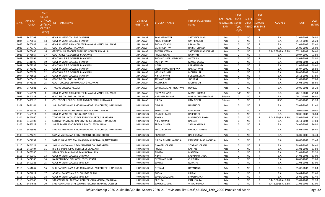| S.No. | <b>APPLICATI</b><br><b>ONID</b> | <b>Merit</b><br>No.(DISTR<br><b>ICT/FACU</b><br>LTY/SCHO<br><b>OL TYPE</b><br>WISE) | <b>ISTITUTE NAME</b>                                  | <b>DISTRICT</b><br>(INSTITUTE) | STUDENT NAME           | Father's/Guardian's<br>Name | <b>LAST YEAR</b><br>Faculty/STR School<br><b>EAM</b> | <b>LAST</b><br><b>YEAR</b><br><b>Type</b><br>(G/P) | IS_SPE<br><b>CILLY</b> | <b>LAST</b><br><b>YEAR</b><br><b>SCHOOL</b><br>ABLED (RBSE/CB<br>SE) | <b>COURSE</b>          | <b>DOB</b> | <b>LAST</b><br>YEAR% |
|-------|---------------------------------|-------------------------------------------------------------------------------------|-------------------------------------------------------|--------------------------------|------------------------|-----------------------------|------------------------------------------------------|----------------------------------------------------|------------------------|----------------------------------------------------------------------|------------------------|------------|----------------------|
| 1083  | 3474203                         | 12                                                                                  | <b>GOVERNMENT COLLEGE KHANPUR</b>                     | <b>JHALAWAR</b>                | RANI MEGHWAL           | SATYANARAYAN                | Arts                                                 | G                                                  | <b>NO</b>              | R                                                                    | <b>B.A.</b>            | 01-01-2002 | 76.80                |
| 1084  | 3476012                         | 13                                                                                  | <b>GOVERNMENT COLLEGE KHANPUR</b>                     | <b>JHALAWAR</b>                | KHUSHI VERMA           | <b>OM PRAKASH</b>           | Arts                                                 | G                                                  | <b>NO</b>              | R                                                                    | B.A.                   | 05-12-2002 | 76.20                |
| 1085  | 3470033                         | 14                                                                                  | GOVERNMENT BIRLA COLLEGE BHAWANI MANDI JHALAWAR       | <b>JHALAWAR</b>                | POOJA SOLANKI          | PRAHALAD                    | Arts                                                 | G                                                  | NO.                    | R                                                                    | B.A.                   | 01-01-2005 | 75.40                |
| 1086  | 3475779                         | 15                                                                                  | GOVT PG COLLEGE JHALAWAR                              | <b>JHALAWAR</b>                | <b>BARKHA JATAV</b>    | <b>HARISH CHAND</b>         | Arts                                                 | G                                                  | <b>NO</b>              | R                                                                    | B.A.                   | 26-06-2002 | 75.00                |
| 1087  | 3475605                         | 16                                                                                  | <b>GREAT INDIA TEACHER TRAINING COLLEGE KHANPUR</b>   | <b>JHALAWAR</b>                | SHIVANI VERMA          | SATYANARAYAN VARMA          | Arts                                                 | G                                                  | <b>NO</b>              | R                                                                    | B.A- B.ED.(B.A- B.ED.) | 07-11-2002 | 74.60                |
| 1088  | 3475667                         | 17                                                                                  | GOVT.GIRLS P.G.COLLEGE JHALAWAR                       | <b>JHALAWAR</b>                | POOJA REGAR            | <b>NARAYAN</b>              | Arts                                                 | G                                                  | <b>NO</b>              | $\mathsf{R}$                                                         | B.A.                   | 10-07-2000 | 73.80                |
| 1089  | 3476391                         | 18                                                                                  | GOVT.GIRLS P.G.COLLEGE JHALAWAR                       | <b>JHALAWAR</b>                | POOJA KUMARI MEGHWAL   | <b>ANTAR LAL</b>            | Arts                                                 | G                                                  | <b>NO</b>              | R                                                                    | <b>B.A.</b>            | 18-03-2003 | 73.80                |
| 1090  | 3481490                         | 19                                                                                  | GOVERNMENT COLLEGE KHANPUR                            | <b>JHALAWAR</b>                | <b>JYOTI JATAV</b>     | <b>MANOJ YADAV</b>          | Arts                                                 | G                                                  | NO.                    | R                                                                    | <b>B.A.</b>            | 10-01-2004 | 73.20                |
| 1091  | 3477337                         | -20                                                                                 | GOVT.GIRLS P.G.COLLEGE JHALAWAR                       | <b>JHALAWAR</b>                | <b>NISHA</b>           | PARMANAND                   | Arts                                                 | G                                                  | <b>NO</b>              | R                                                                    | B.A.                   | 11-09-2002 | 69.40                |
| 1092  | 3475302                         | 21                                                                                  | <b>GOVERNMENT COLLEGE KHANPUR</b>                     | <b>JHALAWAR</b>                | DISHA KUMARI BAIRWA    | <b>RAMESHWAR</b>            | Arts                                                 | G                                                  | NO.                    | $\mathsf{R}$                                                         | <b>B.A.</b>            | 15-07-2000 | 68.80                |
| 1093  | 3475971                         | 22                                                                                  | GOVT.GIRLS P.G.COLLEGE JHALAWAR                       | <b>JHALAWAR</b>                | <b>VIDHYA KUMARI</b>   | <b>MOHAN LAL</b>            | Arts                                                 | G                                                  | <b>NO</b>              | $\mathsf{R}$                                                         | <b>B.A.</b>            | 28-05-2002 | 68.60                |
| 1094  | 3475618                         | 23                                                                                  | <b>GOVERNMENT COLLEGE KHANPUR</b>                     | <b>JHALAWAR</b>                | <b>NIKITA RAWAL</b>    | <b>SURESH KUMAR</b>         | Arts                                                 | G                                                  | <b>NO</b>              | R                                                                    | <b>B.A.</b>            | 08-12-2002 | 67.80                |
| 1095  | 3476419                         | 24                                                                                  | GOVT PG COLLEGE JHALAWAR                              | <b>JHALAWAR</b>                | TEENA KUMARI           | <b>JODHRAJ</b>              | Arts                                                 | G                                                  | NO.                    | R                                                                    | <b>B.A.</b>            | 01-07-2003 | 67.00                |
| 1096  | 3475325                         | 25                                                                                  | GOVT. COLLEGE CHAUMAHALA (JHALAWAR)                   | <b>JHALAWAR</b>                | KAVITA BAI             | <b>MOHAN LAL</b>            | Arts                                                 | G                                                  | NO.                    | R                                                                    | B.A.                   | 06-03-2002 | 65.80                |
| 1097  | 3470981                         | 26                                                                                  | TAGORE COLLEGE AKLERA                                 | <b>JHALAWAR</b>                | SUNITA KUMARI MEGHWAL  | <b>DEV LAL</b>              | Arts                                                 | G                                                  | NO.                    | R                                                                    | B.A.                   | 09-05-2001 | 65.20                |
| 1098  | 3462571                         | - 1                                                                                 | GOVERNMENT BIRLA COLLEGE BHAWANI MANDI JHALAWAR       | <b>JHALAWAR</b>                | DIVYA AKHAND           | <b>MANOJ KUMAR</b>          | Arts                                                 | G/P                                                | <b>NO</b>              | C                                                                    | B.A.                   | 28-10-2001 | 79.80                |
| 1099  | 3474328                         | -1                                                                                  | GOVT PG COLLEGE JHALAWAR                              | <b>JHALAWAR</b>                | <b>HARSHITA MEHAR</b>  | <b>DINESH CHAND MEHAR</b>   | Science                                              | G                                                  | NO.                    | R                                                                    | <b>B.A.</b>            | 29-10-2002 | 86.40                |
| 1100  | 3483218                         | $\overline{2}$                                                                      | COLLEGE OF HORTICULTURE AND FORESTRY, JHALAWAR        | <b>JHALAWAR</b>                | <b>NIKITA</b>          | <b>RAM GOPAL</b>            | Science                                              | G                                                  | <b>NO</b>              | R                                                                    | B.SC.                  | 03-08-2003 | 75.20                |
| 1101  | 3464144                         | 1                                                                                   | SHRI RADHESHYAM R MORARKA GOVT. PG COLLEGE, JHUNJHUNU | <b>JHUNJHUNU</b>               | <b>DIMPAL</b>          | <b>HARPHOOL</b>             | Arts                                                 | G                                                  | NO.                    | R                                                                    | B.A.                   | 05-08-2005 | 91.40                |
| 1102  | 3476325                         | $\overline{2}$                                                                      | SMT. INDRAMANI MANDELIA SHIKSHA NIKET, PILANI         | <b>JHUNJHUNU</b>               | <b>RITU KUMARI</b>     | <b>RAMANAND</b>             | Arts                                                 | G                                                  | N <sub>O</sub>         | R                                                                    | B.A.                   | 20-09-2002 | 90.80                |
| 1103  | 3465914                         | $\overline{\mathbf{3}}$                                                             | GOVERNMENT COLLEGE, GUDHA GORJI                       | <b>JHUNJHUNU</b>               | SANJU KUMARI           | <b>HARPHOOL</b>             | Arts                                                 | G                                                  | N <sub>O</sub>         | R                                                                    | <b>B.A.</b>            | 10-06-2003 | 88.80                |
| 1104  | 3472060                         | $\overline{4}$                                                                      | TAGORE GIRLS COLLEGE OF SCIENCE & ARTS, SURAJGARH     | JHUNJHUNU                      | SONIKA                 | <b>MANPHOOL SINGH</b>       | Arts                                                 | G                                                  | <b>NO</b>              | R                                                                    | B.A- B.ED.(B.A- B.ED.) | 15-05-2002 | 87.80                |
| 1105  | 3466403                         | -5                                                                                  | SETH NETRAM MAGHRAJ GOVT GIRLS COLLEGE JHUNJHUNU      | JHUNJHUNU                      | NIKU KUMARI            | <b>RAKESH</b>               | Arts                                                 | G                                                  | <b>NO</b>              | $\mathsf{R}$                                                         | <b>B.A.</b>            | 06-11-2004 | 87.60                |
| 1106  | 3465328                         | 6                                                                                   | SHREE RAMPRASAD BOHARA PG COLLEGE BUHANA              | JHUNJHUNU                      | REENA KUMARI           | <b>SANJAY KUMAR</b>         | Arts                                                 | G                                                  | <b>NO</b>              | R                                                                    | B.A.                   | 04-06-2004 | 86.80                |
| 1107  | 3463903                         | 7                                                                                   | SHRI RADHESHYAM R MORARKA GOVT. PG COLLEGE, JHUNJHUNU | <b>JHUNJHUNU</b>               | RINKU KUMARI           | PRAMOD KUMAR                | Arts                                                 | G                                                  | <b>NO</b>              | R                                                                    | B.A.                   | 15-03-2005 | 86.40                |
| 1108  | 3474220                         | 8                                                                                   | SWAMI VIVEKANAND GOVERNMENT COLLEGE KHETRI            | <b>JHUNJHUNU</b>               | PRATIBHA               | <b>DALIP KUMAR</b>          | Arts                                                 | G                                                  | <b>NO</b>              | R                                                                    | B.A.                   | 06-09-2006 | 86.40                |
| 1109  | 3472251                         | 9                                                                                   | SMT. KUNANI DEVI MAHILA (PG) MAHAVIDYALYA,NAWALGARH   | <b>JHUNJHUNU</b>               | NIKITA KUMARI KARODIA  | PAWAN KUMAR KARODIA         | Arts                                                 | G                                                  | <b>NO</b>              | R                                                                    | B.A.                   | 26-09-2002 | 85.40                |
| 1110  | 3474221                         | 10                                                                                  | SWAMI VIVEKANAND GOVERNMENT COLLEGE KHETRI            | <b>JHUNJHUNU</b>               | <b>GAYATRI JORASIA</b> | SITARAM JORASIA             | Arts                                                 | G                                                  | NO.                    | R                                                                    | B.A.                   | 28-08-2005 | 84.40                |
| 1111  | 3456404                         | 11                                                                                  | R.K. J.K BARASIA P.G. COLLEGE , SURAJGARH             | <b>JHUNJHUNU</b>               | POOJA                  | <b>KAPTAN</b>               | Arts                                                 | G                                                  | <b>NO</b>              | R                                                                    | B.A.                   | 01-01-2003 | 83.80                |
| 1112  | 3473280                         | 12                                                                                  | RAMA DEVI MAHILA P.G. MAHAVIDYALAYA                   | JHUNJHUNU                      | <b>SUNITA</b>          | MANGILAL                    | Arts                                                 | G                                                  | <b>NO</b>              | $\mathsf{R}$                                                         | <b>B.A.</b>            | 01-01-2003 | 83.20                |
| 1113  | 3469360                         | 13                                                                                  | GOVERNMENT COLLEGE CHIRAWA                            | JHUNJHUNU                      | <b>NIDHI</b>           | SADASUKH SHILA              | Arts                                                 | G                                                  | <b>NO</b>              | R                                                                    | <b>B.A.</b>            | 14-01-2003 | 83.00                |
| 1114  | 3477305                         | 14                                                                                  | NARAYANI DEVI GIRLS COLLEGE SULTANA                   | JHUNJHUNU                      | DEEPIKA KUMARI         | <b>CHET RAM</b>             | Arts                                                 | G                                                  | <b>NO</b>              | $\mathsf{R}$                                                         | <b>B.A.</b>            | 26-06-2003 | 83.00                |
| 1115  | 3452321                         | 15                                                                                  | GOVERNMENT COLLEGE MALSISAR                           | <b>JHUNJHUNU</b>               | <b>SUNITA</b>          | <b>ROHATAS</b>              | Arts                                                 | G                                                  | <b>NO</b>              | R                                                                    | B.A.                   | 02-08-2003 | 83.00                |
| 1116  | 3461847                         | 16                                                                                  | SHRI RADHESHYAM R MORARKA GOVT. PG COLLEGE, JHUNJHUNU | <b>JHUNJHUNU</b>               | NEELAM                 | DAYANAND                    | Arts                                                 | G                                                  | <b>NO</b>              | R                                                                    | B.A.                   | 05-08-2003 | 83.00                |
| 1117  | 3474812                         | 17                                                                                  | ADARSH RAJASTHAN P.G. COLLEGE PILANI                  | JHUNJHUNU                      | POOJA                  | RAJPAL                      | Arts                                                 | G                                                  | <b>NO</b>              | R                                                                    | B.A.                   | 14-04-2003 | 82.60                |
| 1118  | 3467320                         | 18                                                                                  | <b>GOVERNMENT COLLEGE MALSISAR</b>                    | <b>JHUNJHUNU</b>               | <b>SUREKHA KUMARI</b>  | SHUBHKARAN                  | Arts                                                 | G                                                  | <b>NO</b>              | $\mathsf{R}$                                                         | <b>B.A.</b>            | 25-05-2002 | 82.40                |
| 1119  | 3465245                         | 19                                                                                  | SARASWATI BAL NIKETAN COLLEGE - SHYAMPURA , MAINANA   | JHUNJHUNU                      | PRITI RAJ              | <b>KANHEYA LAL</b>          | Arts                                                 | G                                                  | <b>NO</b>              | R                                                                    | B.A- B.ED.(B.A- B.ED.) | 09-01-2002 | 82.20                |
| 1120  | 3464648                         | 20                                                                                  | SHRI RAMAKANT VYAS WOMEN TEACHER TRAINING COLLEGE     | JHUNJHUNU                      | SONIKA KUMARI          | <b>VINOD KUMAR</b>          | Arts                                                 | G                                                  | <b>NO</b>              | $\mathsf{R}$                                                         | B.A- B.ED.(B.A- B.ED.) | 01-01-2002 | 82.00                |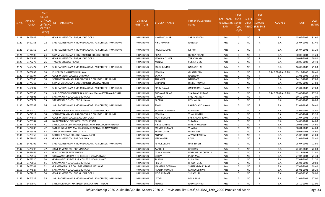| S.No. | APPLICATI<br>ONID | <b>Merit</b><br><b>No.(DISTF</b><br>ICT/FACU<br><b>LTY/SCHO</b><br><b>OL TYPE</b><br>WISE) | NSTITUTE NAME                                          | <b>DISTRICT</b><br>(INSTITUTE) | STUDENT NAME           | Father's/Guardian's<br>Name | LAST YEAR<br>Faculty/STR School<br>EAM | <b>LAST</b><br><b>YEAR</b><br><b>Type</b><br>(G/P) | IS SPE<br><b>CILLY</b> | <b>LAST</b><br><b>YEAR</b><br><b>SCHOOL</b><br>ABLED (RBSE/CB<br>SE) | <b>COURSE</b>          | <b>DOB</b> | <b>LAST</b><br>YEAR% |
|-------|-------------------|--------------------------------------------------------------------------------------------|--------------------------------------------------------|--------------------------------|------------------------|-----------------------------|----------------------------------------|----------------------------------------------------|------------------------|----------------------------------------------------------------------|------------------------|------------|----------------------|
| 1121  | 3475087           | 21                                                                                         | GOVERNMENT COLLEGE, GUDHA GORJI                        | JHUNJHUNU                      | <b>NAKITA KUMARI</b>   | SARDARARAM                  | Arts                                   | G                                                  | NO.                    | R                                                                    | B.A.                   | 15-06-2004 | 81.60                |
| 1122  | 3462758           | 22                                                                                         | SHRI RADHESHYAM R MORARKA GOVT. PG COLLEGE, JHUNJHUNU  | <b>JHUNJHUNU</b>               | <b>NIKU KUMARI</b>     | RANVEER                     | Arts                                   | G                                                  | NO.                    | R.                                                                   | B.A.                   | 05-07-2002 | 81.40                |
| 1123  | 3468752           | 23                                                                                         | ISHRI RADHESHYAM R MORARKA GOVT. PG COLLEGE, JHUNJHUNU | <b>JHUNJHUNU</b>               | POOJA KUMARI           | KISHOR                      | Arts                                   | G                                                  | NO.                    | R                                                                    | B.A.                   | 16-07-2001 | 81.20                |
| 1124  | 3474508           | 24                                                                                         | SWAMI VIVEKANAND GOVERNMENT COLLEGE KHETRI             | <b>JHUNJHUNU</b>               | PRIYA                  | <b>DURGA PRSAD</b>          | Arts                                   | G                                                  | <b>NO</b>              | $\mathsf{R}$                                                         | B.A.                   | 30-08-2004 | 81.20                |
| 1125  | 3474952           | 25                                                                                         | GOVERNMENT COLLEGE, GUDHA GORJI                        | <b>JHUNJHUNU</b>               | MONIKA KUMARI          | TARACHAND                   | Arts                                   | G                                                  | <b>NO</b>              | R                                                                    | B.A.                   | 10-08-2003 | 79.80                |
| 1126  | 3475277           | 26                                                                                         | TAGORE COLLEGE PILANI                                  | <b>JHUNJHUNU</b>               | <b>MENKA</b>           | SUMER SINGH                 | Arts                                   | G                                                  | <b>NO</b>              | R                                                                    | B.A.                   | 08-06-2003 | 79.40                |
| 1127  | 3469477           | 27                                                                                         | SHRI RADHESHYAM R MORARKA GOVT. PG COLLEGE, JHUNJHUNU  | <b>JHUNJHUNU</b>               | <b>SONU KUMARI</b>     | <b>BAJRANG LAL</b>          | Arts                                   | G                                                  | <b>NO</b>              | R                                                                    | B.A.                   | 16-07-2003 | 79.00                |
| 1128  | 3476099           | 28                                                                                         | KULDEEPAK MAHAVIDHYALAYA                               | <b>JHUNJHUNU</b>               | <b>MONIKA</b>          | GHANSHYAM                   | Arts                                   | G                                                  | <b>NO</b>              | R                                                                    | B.A- B.ED.(B.A- B.ED.) | 15-12-2005 | 78.40                |
| 1129  | 3463194           | 29                                                                                         | <b>GOVERNMENT COLLEGE CHIRAWA</b>                      | <b>JHUNJHUNU</b>               | SAPNA                  | RAJENDRA                    | Arts                                   | G                                                  | <b>NO</b>              | R                                                                    | B.A.                   | 01-01-2002 | 78.00                |
| 1130  | 3476286           | 30                                                                                         | SETH NETRAM MAGHRAJ GOVT GIRLS COLLEGE JHUNJHUNU       | <b>UNUHLNUHL</b>               | ANAMIKA                | <b>BALURAM</b>              | Arts                                   | G                                                  | <b>NO</b>              | R                                                                    | B.A.                   | 14-10-2002 | 77.80                |
| 1131  | 3474312           | 31                                                                                         | SWAMI VIVEKANAND GOVERNMENT COLLEGE KHETRI             | <b>JHUNJHUNU</b>               | SIMARAN                | <b>DINESH KUMAR</b>         | Arts                                   | G                                                  | <b>NO</b>              | R                                                                    | B.A.                   | 09-05-2003 | 77.80                |
| 1132  | 3469697           | 32                                                                                         | SHRI RADHESHYAM R MORARKA GOVT. PG COLLEGE, JHUNJHUNU  | <b>JHUNJHUNU</b>               | <b>RINKY NAYAK</b>     | <b>OMPRAKASH NAYAK</b>      | Arts                                   | G                                                  | NO.                    | R                                                                    | B.A.                   | 29-01-2003 | 77.60                |
| 1133  | 3475336           | 33                                                                                         | SHRI GOVIND SHIKSHAK PRASHIKSHAN MAHAVIDYALAYA BISSAU  | <b>JHUNJHUNU</b>               | POONAM BAJAR           | SHARWAN KUMAR               | Arts                                   | G                                                  | <b>NO</b>              | R                                                                    | B.A- B.ED.(B.A- B.ED.) | 03-06-2003 | 77.20                |
| 1134  | 3476501           | -34                                                                                        | SARSAWATI P.G. COLLEGE BUHANA                          | <b>JHUNJHUNU</b>               | URMILA                 | SHIVTAJ SINGH               | Arts                                   | G                                                  | <b>NO</b>              | R                                                                    | <b>B.A.</b>            | 10-10-2003 | 77.00                |
| 1135  | 3475877           | 35                                                                                         | SARSAWATI P.G. COLLEGE BUHANA                          | JHUNJHUNU                      | SAPANA                 | ROSHAN LAL                  | Arts                                   | G                                                  | <b>NO</b>              | R                                                                    | B.A.                   | 15-06-2003 | 76.80                |
| 1136  | 3475583           | -36                                                                                        | SHRI RADHESHYAM R MORARKA GOVT. PG COLLEGE, JHUNJHUNU  | JHUNJHUNU                      | SONU                   | <b>FAKIRCHAND NAYAK</b>     | Arts                                   | G                                                  | NO.                    | R                                                                    | B.A.                   | 22-01-1999 | 76.40                |
| 1137  | 3474310           | 37                                                                                         | GRAMIN BALIKA P.G. MAHAVIDYALYA GUDHA GAURJI           | JHUNJHUNU                      | SANGEETA KUMARI        | <b>MANIRAM</b>              | Arts                                   | G                                                  | <b>NO</b>              | R                                                                    | B.A.                   | 15-05-2004 | 75.40                |
| 1138  | 3474517           | 38                                                                                         | SETH NETRAM MAGHRAJ GOVT GIRLS COLLEGE JHUNJHUNU       | <b>JHUNJHUNU</b>               | <b>MONIKA</b>          | <b>VIJAY KUMAR</b>          | Arts                                   | G                                                  | <b>NO</b>              | R                                                                    | B.A.                   | 02-05-2004 | 75.20                |
| 1139  | 3474957           | 39                                                                                         | GOVERNMENT COLLEGE, GUDHA GORJI                        | JHUNJHUNU                      | <b>JYOTI KUMARI</b>    | SHRICHAND BOYAL             | Arts                                   | G                                                  | <b>NO</b>              | R                                                                    | B.A.                   | 21-07-2003 | 74.80                |
| 1140  | 3476387           | 40                                                                                         | NARAYANI DEVI GIRLS COLLEGE SULTANA                    | <b>JHUNJHUNU</b>               | SAJNA                  | SULATAN                     | Arts                                   | G                                                  | <b>NO</b>              | R                                                                    | B.A.                   | 04-08-2001 | 74.60                |
| 1141  | 3474478           | 41                                                                                         | SMT. KUNANI DEVI MAHILA (PG) MAHAVIDYALYA, NAWALGARH   | <b>JHUNJHUNU</b>               | <b>NIKEE KUMARI</b>    | DINESH KULDEEP              | Arts                                   | G                                                  | <b>NO</b>              | $\mathsf{R}$                                                         | B.A.                   | 20-03-2002 | 74.60                |
| 1142  | 3472286           | 42                                                                                         | SMT. KUNANI DEVI MAHILA (PG) MAHAVIDYALYA, NAWALGARH   | JHUNJHUNU                      | MAMTA KUMARI           | VIJAYPAL                    | Arts                                   | G                                                  | <b>NO</b>              | R                                                                    | B.A.                   | 08-04-2002 | 74.60                |
| 1143  | 3476558           | 43                                                                                         | SMT GOMATI DEVI PG COLLEGE                             | <b>JHUNJHUNU</b>               | <b>RENU KUMARI</b>     | GURUDAYAL                   | Arts                                   | G                                                  | <b>NO</b>              | $\mathsf{R}$                                                         | B.A.                   | 19-03-2003 | 74.60                |
| 1144  | 3473356           | 44                                                                                         | SETH G B PODAR COLLEGE NAWALGARH                       | JHUNJHUNU                      | ANJANA                 | ARVIND PATIDIA              | Arts                                   | G                                                  | <b>NO</b>              | R                                                                    | B.A.                   | 25-07-2003 | 73.60                |
| 1145  | 3471046           | 45                                                                                         | <b>GOVERNMENT COLLEGE CHIRAWA</b>                      | <b>JHUNJHUNU</b>               | MEENAKSHI              | RAJU                        | Arts                                   | G                                                  | <b>NO</b>              | R                                                                    | B.A.                   | 01-01-2003 | 73.40                |
| 1146  | 3475702           | 46                                                                                         | SHRI RADHESHYAM R MORARKA GOVT. PG COLLEGE, JHUNJHUNU  | <b>JHUNJHUNU</b>               | ASHA KUMARI            | <b>HARI SINGH</b>           | Arts                                   | G                                                  | NO.                    | R                                                                    | B.A.                   | 05-07-2002 | 72.80                |
| 1147  | 3470290           | 47                                                                                         | <b>GOVERNMENT COLLEGE MALSISAR</b>                     | <b>JHUNJHUNU</b>               | <b>AACHUKI</b>         | <b>ROHITASH</b>             | Arts                                   | G                                                  | <b>NO</b>              | R                                                                    | B.A.                   | 22-07-2003 | 72.00                |
| 1148  | 3469466           | 48                                                                                         | <b>GOVT COLLEGE NAWALGARH</b>                          | <b>JHUNJHUNU</b>               | <b>ASHA CHAWLA</b>     | <b>NORANG LAL CHAWLA</b>    | Arts                                   | G                                                  | NO.                    | R                                                                    | <b>B.A.</b>            | 13-12-1998 | 71.80                |
| 1149  | 3472517           | 49                                                                                         | GOSWAMI TULSIDAS P G COLLEGE, UDAIPURWATI              | <b>JHUNJHUNU</b>               | SHILPA                 | <b>PURN MAL</b>             | Arts                                   | G                                                  | <b>NO</b>              | R                                                                    | B.A.                   | 27-02-2004 | 71.40                |
| 1150  | 3472520           | 50                                                                                         | GOSWAMI TULSIDAS P G COLLEGE, UDAIPURWATI              | JHUNJHUNU                      | SAPANA                 | <b>PURN MAL</b>             | Arts                                   | G                                                  | <b>NO</b>              |                                                                      | B.A.                   | 27-02-2006 | 71.20                |
| 1151  | 3476653           | 51                                                                                         | SARSAWATI P.G. COLLEGE BUHANA                          | JHUNJHUNU                      | <b>REKHA</b>           | <b>BHOOP SINGH</b>          | Arts                                   | G                                                  | <b>NO</b>              | R                                                                    | <b>B.A.</b>            | 26-03-2003 | 70.80                |
| 1152  | 3475241           | 52                                                                                         | G R MEMORIAL PG COLLEGE MEHARA JATUWAS                 | <b>JHUNJHUNU</b>               | <b>MANISHA GOTHWAL</b> | SHURENDRA KUMAR             | Arts                                   | G                                                  | <b>NO</b>              | R                                                                    | <b>B.A.</b>            | 17-09-2004 | 69.40                |
| 1153  | 3474527           | -53                                                                                        | SARSAWATI P.G. COLLEGE BUHANA                          | <b>JHUNJHUNU</b>               | RAKSHA KUMARI          | <b>MAHENDER PAL</b>         | Arts                                   | G                                                  | NO.                    | R                                                                    | B.A.                   | 15-01-2001 | 69.20                |
| 1154  | 3471623           | 54                                                                                         | GOVERNMENT COLLEGE, GUDHA GORJI                        | JHUNJHUNU                      | JYOTI KUMARI           | SHYAM LAL                   | Arts                                   | G                                                  | <b>NO</b>              | R                                                                    | B.A.                   | 25-08-1999 | 68.00                |
| 1155  | 3474522           | 55                                                                                         | SHRI RADHESHYAM R MORARKA GOVT. PG COLLEGE, JHUNJHUNU  | JHUNJHUNU                      | LAXMI                  | DALA RAM                    | Arts                                   | G                                                  | NO.                    | R.                                                                   | B.A.                   | 01-01-2001 | 67.00                |
| 1156  | 3467079           | - 1                                                                                        | SMT. INDRAMANI MANDELIA SHIKSHA NIKET, PILANI          | JHUNJHUNU                      | ANKITA                 | RADHESHYAM                  | Arts                                   | P                                                  | NO                     | R                                                                    | B.A.                   | 28-10-2004 | 92.00                |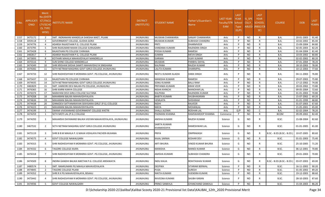| S.No. | <b>APPLICATI</b><br><b>ONID</b> | <b>Merit</b><br>o.(DISTFا<br>ICT/FACU<br>LTY/SCHO<br><b>OL TYPE</b><br>WISE) | NSTITUTE NAME                                            | <b>DISTRICT</b><br>(INSTITUTE) | STUDENT NAME                 | Father's/Guardian's<br>Name | <b>LAST YEAR</b><br>Faculty/STR School<br><b>EAM</b> | <b>LAST</b><br><b>YEAR</b><br><b>Type</b><br>(G/P) | IS SPE<br><b>CILLY</b> | <b>LAST</b><br><b>YEAR</b><br><b>SCHOOL</b><br>ABLED (RBSE/CB<br>SE) | <b>COURSE</b>              | <b>DOB</b>       | <b>LAST</b><br>YEAR% |
|-------|---------------------------------|------------------------------------------------------------------------------|----------------------------------------------------------|--------------------------------|------------------------------|-----------------------------|------------------------------------------------------|----------------------------------------------------|------------------------|----------------------------------------------------------------------|----------------------------|------------------|----------------------|
| 1157  | 3475172                         | $\overline{2}$                                                               | SMT. INDRAMANI MANDELIA SHIKSHA NIKET, PILANI            | <b>JHUNJHUNU</b>               | <b>MUSKAN CHANWARIA</b>      | <b>SANJAY CHANWARIA</b>     | Arts                                                 | P                                                  | <b>NO</b>              | R                                                                    | <b>B.A.</b>                | 20-01-2003       | 91.40                |
| 1158  | 3459118                         | $\overline{\mathbf{3}}$                                                      | GOVERNMENT COLLEGE, GUDHA GORJI                          | <b>JHUNJHUNU</b>               | MUSKAN KUMARI                | <b>SUBHASH CHANDRA</b>      | Arts                                                 | P                                                  | <b>NO</b>              | R                                                                    | B.A.                       | 10-02-2002       | 85.40                |
| 1159  | 3474776                         | $\overline{a}$                                                               | ADARSH RAJASTHAN P.G. COLLEGE PILANI                     | <b>JHUNJHUNU</b>               | PRITI                        | <b>DHARMVEER</b>            | Arts                                                 | P                                                  | <b>NO</b>              | R                                                                    | B.A.                       | 15-09-2004       | 84.80                |
| 1160  | 3473795                         | -5                                                                           | SHRI RAJKUMAR MAAN COLLEGE SURAJGARH                     | JHUNJHUNU                      | VANDANA KUMARI               | RAJENDRA SINGH              | Arts                                                 | D                                                  | NO.                    | R                                                                    | B.A.                       | 02-05-2003       | 82.20                |
| 1161  | 3475428                         | -6                                                                           | RAJASTHAN PG COLLEGE CHIRAWA                             | <b>JHUNJHUNU</b>               | POOJA KUMARI                 | <b>RAMESH</b>               | Arts                                                 | <b>P</b>                                           | <b>NO</b>              | $\mathsf{R}$                                                         | B.A.                       | 01-04-2004       | 81.40                |
| 1162  | 3482817                         | $\overline{7}$                                                               | ADARSH RAJASTHAN P.G. COLLEGE PILANI                     | <b>JHUNJHUNU</b>               | SUMAN                        | <b>MEVA SINGH</b>           | Arts                                                 | P                                                  | <b>NO</b>              | $\mathsf{R}$                                                         | B.A.                       | 10-03-2002       | 80.80                |
| 1163  | 3473693                         | 8                                                                            | KOTHARI MAHILA MAHAVIDYALAY MANDRELLA                    | <b>JHUNJHUNU</b>               | <b>GARIMA</b>                | <b>VIJAY KUMAR</b>          | Arts                                                 | P                                                  | <b>NO</b>              | R                                                                    | B.A.                       | 02-02-2002       | 80.20                |
| 1164  | 3475516                         | -9                                                                           | SUN SHINE COLLEGE MANDRELLA                              | <b>JHUNJHUNU</b>               | <b>MUSKAN</b>                | PARBHU DAYAL                | Arts                                                 | P                                                  | <b>NO</b>              | R                                                                    | B.A.                       | 07-01-2004       | 78.20                |
| 1165  | 3474349                         | 10                                                                           | SHRI KRISHAN SIKSHA SAMITI MAHAVIDHLYA SINGHANA          | <b>JHUNJHUNU</b>               | KALPANA                      | RAJESH KUMAR                | Arts                                                 | P                                                  | NO.                    | R                                                                    | B.A.                       | 18-10-2003       | 78.00                |
| 1166  | 3479282                         | 11                                                                           | SETH NETRAM MAGHRAJ GOVT GIRLS COLLEGE JHUNJHUNU         | <b>JHUNJHUNU</b>               | LALITA KUMARI                | <b>DHARMPAL</b>             | Arts                                                 | <b>P</b>                                           | <b>NO</b>              | $\mathsf{R}$                                                         | <b>B.A.</b>                | 10-12-2003       | 77.60                |
| 1167  | 3474733                         | 12                                                                           | SHRI RADHESHYAM R MORARKA GOVT. PG COLLEGE, JHUNJHUNU    | <b>JHUNJHUNU</b>               | NEETU KUMARI ALADIA          | <b>DARA SINGH</b>           | Arts                                                 | D                                                  | <b>NO</b>              | R                                                                    | B.A.                       | 04-11-2003       | 76.80                |
| 1168  | 3475437                         | 13                                                                           | RAJASTHAN PG COLLEGE CHIRAWA                             | <b>JHUNJHUNU</b>               | MANISHA KUMARI               | RAMESH                      | Arts                                                 | P                                                  | <b>NO</b>              | R                                                                    | B.A.                       | 29-07-2003       | 75.80                |
| 1169  | 3474435                         | 14                                                                           | SETH NETRAM MAGHRAJ GOVT GIRLS COLLEGE JHUNJHUNU         | <b>JHUNJHUNU</b>               | SONU KUMARI                  | <b>BALU RAM</b>             | Arts                                                 | P                                                  | <b>NO</b>              | R                                                                    | B.A.                       | 17-12-2002       | 74.00                |
| 1170  | 3482829                         | 15                                                                           | SMT. HARKORI DEVI BALIKA PG COLLEGE, JHUNJHUNU           | <b>JHUNJHUNU</b>               | PRIYANKA KUMARI              | <b>KRAN VEER</b>            | Arts                                                 | D                                                  | NO.                    | $\mathsf{R}$                                                         | B.A.                       | 20-03-2002       | 73.80                |
| 1171  | 3476365                         | 16                                                                           | SHRI KARNI KANYA COLLEGE                                 | <b>JHUNJHUNU</b>               | NISHA KHINCHI                | <b>MANOHAR LAL</b>          | Arts                                                 | P                                                  | <b>NO</b>              | R                                                                    | B.A.                       | 09-05-2004       | 72.60                |
| 1172  | 3476374                         | 17                                                                           | NARAYANI DEVI GIRLS COLLEGE SULTANA                      | <b>JHUNJHUNU</b>               | KALPANA                      | RAJENDRA KUMAR              | Arts                                                 | P                                                  | <b>NO</b>              | R                                                                    | B.A.                       | 01-01-2003       | 70.80                |
| 1173  | 3474208                         | 18                                                                           | MAHARANI BALIKA MAHAVIDHYALAYA                           | <b>JHUNJHUNU</b>               | <b>BABITA KUMARI</b>         | SHUBHAKARAN                 | Arts                                                 | P                                                  | <b>NO</b>              | R                                                                    | B.A.                       | 15-07-2002       | 69.20                |
| 1174  | 3474636                         | 19                                                                           | MAHARANI BALIKA MAHAVIDHYALAYA                           | <b>JHUNJHUNU</b>               | HEMLATA                      | <b>SHISHRAM</b>             | Arts                                                 | P                                                  | <b>NO</b>              | R                                                                    | B.A.                       | 01-01-1999       | 68.80                |
| 1175  | 3474438                         | 20                                                                           | GINNIDEVI SATYANARAYAN SEKHSARIA GIRLS' (P.G.) COLLEGE   | <b>UNUHLNUHL</b>               | NIDHI                        | <b>RAJVEER</b>              | Arts                                                 | D                                                  | <b>NO</b>              | $\mathsf{R}$                                                         | B.A.                       | 01-07-2003       | 67.60                |
| 1176  | 3474223                         | 21                                                                           | MAHARANI BALIKA MAHAVIDHYALAYA                           | <b>JHUNJHUNU</b>               | MAYA                         | <b>MOHANLAL</b>             | Arts                                                 | P                                                  | <b>NO</b>              | R                                                                    | B.A.                       | 21-05-2001       | 65.00                |
| 1177  | 3474199                         | 1                                                                            | SWAMI VIVEKANAND GOVERNMENT COLLEGE KHETRI               | <b>JHUNJHUNU</b>               | <b>SHALU JILOWA</b>          | <b>ROSHAN LAL</b>           | Arts                                                 | G/P                                                | <b>NO</b>              | C                                                                    | B.A.                       | 02-02-2004       | 78.20                |
| 1178  | 3474259                         | 1                                                                            | SETH MOTI LAL (P.G.) COLLEGE                             | <b>JHUNJHUNU</b>               | PADMANI KHANNA               | RAMSWAROOP KHANNA           | Commerce                                             | P                                                  | <b>NO</b>              | $\mathsf{R}$                                                         | <b>BCOM</b>                | 09-09-2002       | 82.40                |
| 1179  | 3474293                         | 1                                                                            | MAHARSHI DAYANAND BALIKA VIGYAN MAHAVIDYALAYA, JHUNJHUNU | <b>JHUNJHUNU</b>               | ANISHA KUMARI                | <b>RAJESH KUMAR</b>         | Science                                              | G                                                  | NO                     | R                                                                    | B.SC.                      | 15-08-2004       | 82.60                |
| 1180  | 3467532                         | 2                                                                            | SETH NETRAM MAGHRAJ GOVT GIRLS COLLEGE JHUNJHUNU         | <b>JHUNJHUNU</b>               | SARITA KUMARI<br>KHANKHEDIYA | RAMESHWAR LAL               | Science                                              | G                                                  | NO.                    | R                                                                    | B.SC.                      | 01-01-2005       | 81.00                |
| 1181  | 3475119                         | 3                                                                            | SHRI B B M MAHILA P. G MAHA VIDHLAYA PACHERI-BUHANA      | <b>JHUNJHUNU</b>               | PRIYA                        | <b>OMPRAKASH</b>            | Science                                              | G                                                  | NO.                    |                                                                      | B.SC.- B.ED.(B.SC.- B.ED.) | 10-07-2005       | 80.60                |
| 1182  | 3474575                         | $\overline{4}$                                                               | <b>GOVT COLLEGE NAWALGARH</b>                            | <b>JHUNJHUNU</b>               | KAJAL SARWA                  | <b>KESHAR DEV</b>           | Science                                              | G                                                  | <b>NO</b>              | R                                                                    | B.SC.                      | 01-01-2003       | 75.40                |
| 1183  | 3474315                         | -5                                                                           | SHRI RADHESHYAM R MORARKA GOVT. PG COLLEGE, JHUNJHUNU    | <b>JHUNJHUNU</b>               | ARTI BHURIA                  | <b>VINOD KUMAR BHURIA</b>   | Science                                              | G                                                  | NO.                    | R                                                                    | B.SC.                      | 25-10-2005       | 71.20                |
| 1184  | 3474332                         | 6                                                                            | TAGORE COLLEGE KAJRA                                     | <b>JHUNJHUNU</b>               | <b>MANISHA</b>               | <b>MANOJ KUMAR</b>          | Science                                              | G                                                  | NO.                    | R                                                                    | B.SC.                      | 06-12-2001       | 70.80                |
| 1185  | 3476318                         |                                                                              | SHRI RADHESHYAM R MORARKA GOVT. PG COLLEGE, JHUNJHUNU    | JHUNJHUNU                      | AMISHA KUMARI                | <b>SUBHASH CHANDRA</b>      | Science                                              | G                                                  | <b>NO</b>              |                                                                      | B.SC.                      | 29-01-2003 70.80 |                      |
| 1186  | 3474509                         | 8                                                                            | INDIRA GANDHI BALIKA NIKETAN P.G. COLLEGE ARDAWATA       | <b>JHUNJHUNU</b>               | <b>INDU KALIA</b>            | ROHITASHAV KUMAR            | Science                                              | G                                                  | NO.                    | R                                                                    | B.SC.- B.ED.(B.SC.- B.ED.) | 03-07-2003       | 69.00                |
| 1187  | 3480574                         | -1                                                                           | SMT. RAMKUMARI PG MAHILA MAHAVIDYALAYA                   | JHUNJHUNU                      | <b>DEEPIKA</b>               | SITARAM BERWAL              | Science                                              | D                                                  | NO.                    | R                                                                    | B.SC.                      | 16-11-2002       | 90.20                |
| 1188  | 3474845                         | $\overline{2}$                                                               | TAGORE COLLEGE PILANI                                    | JHUNJHUNU                      | PUSA                         | <b>SURESH</b>               | Science                                              | P                                                  | NO.                    | R                                                                    | B.SC.                      | 01-05-2002       | 89.20                |
| 1189  | 3474352                         | $\overline{\mathbf{3}}$                                                      | SHRI R K PG MAHAVIDYALAYA, BISAAU                        | <b>JHUNJHUNU</b>               | NIKITA KUMARI                | VIJENDRA KUMAR              | Science                                              |                                                    | NO.                    | R                                                                    | B.SC.                      | 19-12-2003       | 88.60                |
| 1190  | 3473442                         | $\overline{a}$                                                               | SHRI RADHESHYAM R MORARKA GOVT. PG COLLEGE, JHUNJHUNU    | <b>JHUNJHUNU</b>               | RAVEENA KUMARI               | <b>SHUBH KARAN</b>          | Science                                              |                                                    | NO.                    | R                                                                    | B.SC.                      | 28-10-2003       | 87.60                |
| 1191  | 3474936                         | - 5                                                                          | <b>GOVT COLLEGE NAWALGARH</b>                            | JHUNJHUNU                      | PRINCI SANKHLA               | <b>GYANCHAND SANKHLA</b>    | Science                                              | P                                                  | <b>NO</b>              | $\mathsf{R}$                                                         | B.SC.                      | 15-04-2003       | 86.20                |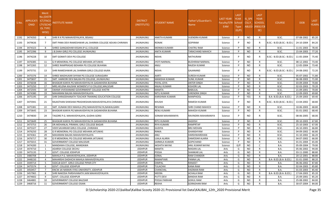| S.No.        | <b>APPLICATI</b><br><b>ONID</b> | <b>Merit</b><br>o.(DISTFا<br><b>ICT/FACU</b><br><b>LTY/SCHO</b><br>OL TYPE<br>WISE) | NSTITUTE NAME                                                                | <b>DISTRICT</b><br>(INSTITUTE)   | <b>STUDENT NAME</b>        | Father's/Guardian's<br>Name        | <b>LAST YEAR</b><br>Faculty/STR School<br><b>EAM</b> | <b>LAST</b><br><b>YEAR</b><br><b>Type</b><br>(G/P) | IS_SPE<br><b>CILLY</b> | <b>LAST</b><br><b>YEAR</b><br><b>SCHOOL</b><br>ABLED (RBSE/CB<br>SE) | <b>COURSE</b>                  | <b>DOB</b>               | <b>LAST</b><br>YEAR% |
|--------------|---------------------------------|-------------------------------------------------------------------------------------|------------------------------------------------------------------------------|----------------------------------|----------------------------|------------------------------------|------------------------------------------------------|----------------------------------------------------|------------------------|----------------------------------------------------------------------|--------------------------------|--------------------------|----------------------|
| 1192         | 3474350                         | 6                                                                                   | SHRI R K PG MAHAVIDYALAYA, BISAAU                                            | JHUNJHUNU                        | <b>ANKITA KUMARI</b>       | <b>VIJENDRA KUMAR</b>              | Science                                              | P                                                  | NO.                    | R                                                                    | B.SC.                          | 07-08-2002               | 85.20                |
| 1193         | 3479636                         | 7                                                                                   | SMT PANA DEVI RAMESHWAR LAL SHARMA COLLEGE ADUKA CHIRAWA                     | <b>JHUNJHUNU</b>                 | RONAK                      | <b>GOPIRAM</b>                     | Science                                              |                                                    | <b>NO</b>              |                                                                      | B.SC.- B.ED.(B.SC.- B.ED.)     | 24-10-2004               | 84.20                |
| 1194         | 3474323                         | - 8                                                                                 | SHREE GANGADHAR KISSAN (P.G.) COLLEGE                                        | <b>JHUNJHUNU</b>                 | MONIKA KUMARI              | <b>CHATRU RAM</b>                  | Science                                              |                                                    | <b>NO</b>              | R                                                                    | B.SC.                          | 11-01-2003               | 78.40                |
| 1195         | 3472396                         | -9                                                                                  | J.B.SHAH GIRLS PG COLLEGE JHUNJHUNU                                          | <b>UNUHLNUHL</b>                 | <b>ANITA KUMARI</b>        | <b>TARACHAND MAHICH</b>            | Science                                              | D                                                  | NO.                    | $\mathsf{R}$                                                         | B.SC.                          | 15-04-2003               | 77.20                |
| 1196         | 3474228                         | 10                                                                                  | SMT GOMATI DEVI PG COLLEGE                                                   | <b>JHUNJHUNU</b>                 | NISHA                      | <b>NATHURAM</b>                    | Science                                              |                                                    | <b>NO</b>              |                                                                      | B.SC.- B.ED.(B.SC.- B.ED.)     | 11-05-2004               | 75.40                |
| 1197         | 3476385                         | -11                                                                                 | G R MEMORIAL PG COLLEGE MEHARA JATUWAS                                       | <b>JHUNJHUNU</b>                 | <b>JYOTI NARWAL</b>        | <b>BUDHRAM NARWAL</b>              | Science                                              | P                                                  | <b>NO</b>              | $\mathsf{R}$                                                         | B.SC.                          | 08-12-2002               | 73.40                |
| 1198         | 3472265                         | 12                                                                                  | SHREE RAMPRASAD BOHARA PG COLLEGE BUHANA                                     | <b>JHUNJHUNU</b>                 | UlMA                       | RAJESH KUMAR                       | Science                                              | P                                                  | <b>NO</b>              | R                                                                    | B.SC.                          | 12-05-2004               | 73.40                |
| 1199         | 3475731                         | 13                                                                                  | SHRI RAMESHWAR LAL SHARMA GIRLS COLLEGE KAJRA                                | JHUNJHUNU                        | <b>NISHA</b>               | <b>GAJANAND</b>                    | Science                                              |                                                    | <b>NO</b>              |                                                                      | B.SC.- B.ED.(B.SC.- B.ED.)     | 24-08-2002               | 72.20                |
| 1200         | 3475376                         | 14                                                                                  | SHREE MADHUKAR SHYAM PG COLLEGE SURAJGARH                                    | <b>JHUNJHUNU</b>                 | AARTI                      | <b>SURESH KUMAR</b>                | Science                                              |                                                    | <b>NO</b>              | R                                                                    | B.SC.                          | 05-07-2002               | 71.80                |
| 1201         | 3475837                         | 15                                                                                  | SMT. HARKORI DEVI BALIKA PG COLLEGE. JHUNJHUNU                               | <b>JHUNJHUNU</b>                 | MANISHA KUMARI             | <b>SUNIL KUMAR</b>                 | Science                                              | D                                                  | <b>NO</b>              | R                                                                    | B.SC.                          | 06-08-2003               | 71.00                |
| 1202         | 3476038                         | 16                                                                                  | BHASKAR KANYA PG MAHAVIDHYALYA GADAKHERA BUHANA                              | <b>JHUNJHUNU</b>                 | PAYAL JOYA                 | <b>ANTER SINGH</b>                 | Science                                              | P                                                  | <b>NO</b>              | R                                                                    | B.SC.                          | 03-09-2004               | 70.80                |
| 1203         | 3475250                         | 17                                                                                  | MRS.HELENA KAUSHIK WOMEN'S P.G COLLEGE, MALSISAR                             | <b>JHUNJHUNU</b>                 | ANJALI KUMARI              | <b>KISHORI LAL</b>                 | Science                                              | D                                                  | <b>NO</b>              | $\mathsf{R}$                                                         | B.SC.                          | 02-03-2003               | 70.20                |
| 1204         | 3472593                         | 18                                                                                  | SWAMI VIVEKANAND GOVERNMENT COLLEGE KHETRI                                   | JHUNJHUNU                        | <b>MAMTA</b>               | <b>BABULAL</b>                     | Science                                              | P                                                  | <b>NO</b>              | R                                                                    | B.SC.                          | 21-09-2001               | 70.00                |
| 1205         | 3474380                         | 19                                                                                  | MAHARANI BALIKA MAHAVIDHYALAYA                                               | <b>JHUNJHUNU</b>                 | <b>NITU KUMARI</b>         | <b>VIRENDRA SINGH</b>              | Science                                              | P                                                  | <b>NO</b>              | R                                                                    | B.SC.                          | 12-09-2003               | 69.80                |
| 1206         | 3475195                         | -20                                                                                 | SHRI SHRADDHANATH TEACHER TRAINING EDUCATION COLLEGE                         | <b>JHUNJHUNU</b>                 | KARISHMA KUMARI            | <b>MANPHOOL</b>                    | Science                                              | <b>P</b>                                           | YES                    | $\mathsf{R}$                                                         | B.A- B.ED.(B.A- B.ED.)         | 25-09-2003               | 69.40                |
| 1207         | 3475941                         | 21                                                                                  | RAJASTHAN SHIKSHAK PRASHIKSHAN MAHAVIDYALAYA CHIRAWA                         | <b>JHUNJHUNU</b>                 | KHUSHI                     | <b>RAMESH KUMAR</b>                | Science                                              |                                                    | <b>NO</b>              | R                                                                    | B.SC.- B.ED.(B.SC.- B.ED.)     | 13-04-2002               | 68.80                |
| 1208         | 3475381                         | 22                                                                                  | SMT. KUNANI DEVI MAHILA (PG) MAHAVIDYALYA, NAWALGARH                         | <b>JHUNJHUNU</b>                 | RESHMA                     | <b>SHRI CHAND MAHICH</b>           | Science                                              | <b>P</b>                                           | <b>NO</b>              | R                                                                    | B.SC.                          | 10-06-2003               | 68.80                |
| 1209         | 3473645                         | 23                                                                                  | BHASKAR KANYA PG MAHAVIDHYALYA GADAKHERA BUHANA                              | <b>JHUNJHUNU</b>                 | <b>RENU KUMARI</b>         | <b>MAHESH KUMAR</b>                | Science                                              | P                                                  | <b>NO</b>              | R                                                                    | B.SC.                          | 01-01-2002               | 68.40                |
| 1210         | 3474830                         | 24                                                                                  | TAGORE P.G. MAHAVIDYALAYA, GUDHA GORJI                                       | <b>JHUNJHUNU</b>                 | SONAM MAHARANIYA           | RAVINDRA MAHARANIYA                | Science                                              |                                                    | <b>NO</b>              | R                                                                    | B.SC.                          | 08-06-2005               | 68.00                |
| 1211         | 3473649                         | 25                                                                                  | BHASKAR KANYA PG MAHAVIDHYALYA GADAKHERA BUHANA                              | JHUNJHUNU                        | RITU KUMARI                | <b>JAGDISH</b>                     | Science                                              | P                                                  | <b>NO</b>              | R                                                                    | B.SC.                          | 09-10-2003               | 67.80                |
| 1212         | 3473753                         | 26                                                                                  | DR.MOHANLAL PIRAMAL GIRLS COLLEGE BAGAR                                      | <b>JHUNJHUNU</b>                 | RIYA KUMARI                | <b>RAMPRTAP</b>                    | Science                                              | P                                                  | <b>NO</b>              | $\mathsf{R}$                                                         | B.SC.                          | 25-10-2003               | 67.00                |
| 1213         | 3475327                         | 27                                                                                  | VEER SAVARKAR GIRLS COLLEGE, CHIRAWA                                         | JHUNJHUNU                        | <b>GUDIYA</b>              | <b>BRIJ MOHAN</b>                  | Science                                              | P                                                  | NO.                    | R                                                                    | B.SC.                          | 26-10-2001               | 66.80                |
| 1214         | 3476250                         | 28                                                                                  | G R MEMORIAL PG COLLEGE MEHARA JATUWAS                                       | <b>JHUNJHUNU</b>                 | RINKA                      | <b>GHANSHYAM</b>                   | Science                                              | P                                                  | <b>NO</b>              | R                                                                    | B.SC.                          | 04-09-2002               | 66.80                |
| 1215         | 3474361                         | 29                                                                                  | MAHARANI BALIKA MAHAVIDHYALAYA                                               | <b>JHUNJHUNU</b>                 | ANU                        | <b>HARSHWARDHAN</b>                | Science                                              | P                                                  | <b>NO</b>              | R                                                                    | B.SC.                          | 31-10-2002               | 66.20                |
| 1216         | 3476717                         | 30                                                                                  | G R MEMORIAL PG COLLEGE MEHARA JATUWAS                                       | JHUNJHUNU                        | <b>UJALA ALARIA</b>        | DAMODAR ALARIA                     | Science                                              | P                                                  | <b>NO</b>              | R                                                                    | B.SC.                          | 04-07-2002               | 66.00                |
| 1217         | 3475015                         | 31                                                                                  | <b>GOVERNMENT COLLEGE MALSISAR</b>                                           | <b>JHUNJHUNU</b>                 | <b>SARMILA KUMARI</b>      | <b>GOPICHAND</b>                   | Science                                              | P                                                  | <b>NO</b>              | $\mathsf{R}$                                                         | B.A.                           | 01-01-2004               | 65.00                |
| 1218         | 3474200                         | $\overline{1}$                                                                      | MANDAWA COLLEGE, MANDAWA                                                     | JHUNJHUNU                        | AKSHITA NAYAK              | <b>ANIL KUMAR NAYAK</b>            | Science                                              | G/P                                                | NO.                    | C                                                                    | B.A.                           | 05-09-2004               | 79.00                |
| 1219         | 3474710                         | 1                                                                                   | ADARSH COLLEGE DECHU                                                         | <b>JODHPUR</b>                   | <b>MAMTA</b>               | <b>MADAN LAL</b>                   | Arts                                                 | G                                                  | NO.                    | R                                                                    | B.A.                           | 05-06-2002               | 94.00                |
| 1220         | 3475135                         | $\overline{2}$                                                                      | <b>GOVT. COLLEGE JODHPUR</b>                                                 | <b>JODHPUR</b>                   | POOJA                      | <b>SHANKAR LAL</b>                 | Arts                                                 | G                                                  | <b>NO</b>              | $\mathsf{R}$                                                         | <b>B.A.</b>                    | 03-11-2000               | 88.80                |
| 1221         | 3480708                         | $\overline{\mathbf{3}}$                                                             | MAHILA P.G. MAHAVIDYALAYA, JODHPUR<br>MAHARSHI DADHICHI MAHILA MAHAVIDYALAYA | <b>JODHPUR</b>                   | SONAL                      | <b>RAM CHANDER</b>                 | Arts                                                 | G                                                  | NO.                    | R                                                                    | B.A.<br>B.A- B.ED.(B.A- B.ED.) | 20-12-2001               | 88.80                |
| 1222         | 3448150<br>3449714              | $\overline{4}$<br>-5                                                                | SSDCLB GOVT. GIRLS COLLEGE PIPAR CITY                                        | <b>JODHPUR</b><br><b>JODHPUR</b> | RAMAPYARI<br><b>DIMPAL</b> | <b>PANNA LAL</b><br><b>RANJEET</b> | Arts                                                 | G<br>G                                             | <b>NO</b><br><b>NO</b> | $\mathsf{R}$<br>$\mathsf{R}$                                         |                                | 01-01-2000<br>06-06-2002 | 88.20<br>87.80       |
| 1223<br>1224 | 3475574                         | 6                                                                                   | GOVT. COLLEGE JODHPUR                                                        | <b>JODHPUR</b>                   | <b>TULACHHI</b>            | <b>KANA RAM</b>                    | Arts<br>Arts                                         | G                                                  | <b>NO</b>              | R                                                                    | B.A.<br><b>B.A.</b>            | 02-04-2003               | 85.80                |
| 1225         | 3450457                         | $\overline{7}$                                                                      | KNCW JAI NARAIN VYAS UNIVERSITY, JODHPUR                                     | <b>JODHPUR</b>                   | CHANCHAL                   | <b>HADMAN RAM</b>                  | Arts                                                 | G                                                  | <b>NO</b>              | R                                                                    | <b>B.A.</b>                    | 01-03-2003               | 85.40                |
| 1226         | 3457965                         | -8                                                                                  | SHRI NAKODA PARSHVANATH JAIN MAHAVIDYALAYA                                   | <b>JODHPUR</b>                   | <b>MEERA</b>               | <b>ACHALA RAM</b>                  | Arts                                                 | G                                                  | <b>NO</b>              |                                                                      | B.A- B.ED.(B.A- B.ED.)         | 17-04-2003               | 85.20                |
| 1227         | 3474602                         | - 9                                                                                 | GOVT. COLLEGE JODHPUR                                                        | <b>JODHPUR</b>                   | PUTTI DEVI                 | <b>BANSHA RAM</b>                  | Arts                                                 | G                                                  | <b>NO</b>              | R                                                                    | B.A.                           | 25-09-2001               | 85.20                |
| 1228         | 3464881                         | 10                                                                                  | <b>GOVERNMENT COLLEGE BALESAR</b>                                            | <b>JODHPUR</b>                   | POOJA PARIHAR              | <b>GOKUL RAM</b>                   | Arts                                                 | G                                                  | <b>NO</b>              | R                                                                    | B.A.                           | 25-08-2002               | 84.00                |
| 1229         | 3468716                         | 11                                                                                  | <b>GOVERNMENT COLLEGE OSIAN</b>                                              | <b>JODHPUR</b>                   | <b>REKHA</b>               | <b>GORADHAN RAM</b>                | Arts                                                 | G                                                  | <b>NO</b>              | $\mathsf{R}$                                                         | B.A.                           | 30-07-2004               | 84.00                |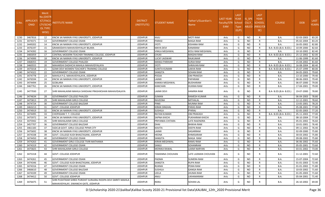| S.No | APPLICATI<br><b>ONID</b> | Merit<br>Vo.(DISTF<br>ICT/FACL<br>LTY/SCHO<br>OL TYPE<br>WISE) | NSTITUTE NAME                                                                                          | <b>DISTRICT</b><br>(INSTITUTE) | STUDENT NAME         | Father's/Guardian's<br>Name | LAST YEAR<br><b>Faculty/STR</b><br>EAM | <b>LAST</b><br><b>YEAR</b><br>School<br><b>Type</b><br>(G/P) | IS SPE<br><b>CILLY</b><br><b>ABLED</b> | <b>LAST</b><br><b>YEAR</b><br><b>SCHOOL</b><br>(RBSE/CB<br>SE) | <b>COURSE</b>          | <b>DOB</b>       | <b>LAST</b><br>YEAR% |
|------|--------------------------|----------------------------------------------------------------|--------------------------------------------------------------------------------------------------------|--------------------------------|----------------------|-----------------------------|----------------------------------------|--------------------------------------------------------------|----------------------------------------|----------------------------------------------------------------|------------------------|------------------|----------------------|
| 1230 | 3467816                  | 12                                                             | KNCW JAI NARAIN VYAS UNIVERSITY, JODHPUR                                                               | <b>JODHPUR</b>                 | KAJU                 | <b>MOTI RAM</b>             | Arts                                   | G                                                            | <b>NO</b>                              | R                                                              | <b>B.A.</b>            | 02-03-2003       | 83.20                |
| 1231 | 3474371                  | 13                                                             | <b>GOVERNMENT COLLEGE OSIAN</b>                                                                        | <b>JODHPUR</b>                 | PARASI               | <b>MAGA RAM</b>             | Arts                                   | G                                                            | <b>NO</b>                              | R                                                              | <b>B.A.</b>            | 05-02-2004       | 83.20                |
| 1232 | 3449202                  | 14                                                             | KNCW JAI NARAIN VYAS UNIVERSITY, JODHPUR                                                               | <b>JODHPUR</b>                 | IYOTI                | <b>KISHANA RAM</b>          | Arts                                   | G                                                            | <b>NO</b>                              | R                                                              | <b>B.A.</b>            | 16-05-2002       | 82.80                |
| 1233 | 3476197                  | 15                                                             | GRAMODAYA MAHAVIDHYALAY BILARA                                                                         | <b>JODHPUR</b>                 | MAYA DEVI            | <b>KANARAM</b>              | Arts                                   | G                                                            | <b>NO</b>                              | R                                                              | B.A- B.ED.(B.A- B.ED.) | 10-09-2000       | 82.60                |
| 1234 | 3474392                  | 16                                                             | <b>GOVERNMENT COLLEGE OSIAN</b>                                                                        | <b>JODHPUR</b>                 | <b>VIMLA MEGHWAL</b> | <b>KESU RAM MEGHWAL</b>     | Arts                                   | G                                                            | <b>NO</b>                              | R                                                              | <b>B.A.</b>            | 10-10-2002       | 82.40                |
| 1235 | 3483059                  | 17                                                             | CENTRAL MODERN TEACHER TRAINING COLLEGE, JODHPUR                                                       | <b>JODHPUR</b>                 | CHUKI                | <b>MAGHA RAM</b>            | Arts                                   | G                                                            | <b>NO</b>                              | R                                                              | B.A- B.ED.(B.A- B.ED.) | 25-12-2002       | 82.00                |
| 1236 | 3474999                  | 18                                                             | KNCW JAI NARAIN VYAS UNIVERSITY, JODHPUR                                                               | <b>JODHPUR</b>                 | LUCKY JAISWAR        | <b>RAJKUMAR</b>             | Arts                                   | G                                                            | <b>NO</b>                              | R                                                              | <b>B.A.</b>            | 11-06-1999       | 81.60                |
| 1237 | 3468355                  | 19                                                             | <b>GOVERNMENT COLLEGE PHALODI</b>                                                                      | <b>JODHPUR</b>                 | MANJU PARIHAR        | <b>SURJA RAM</b>            | Arts                                   | G                                                            | NO.                                    | R                                                              | <b>B.A.</b>            | 15-04-2002       | 81.60                |
| 1238 | 3460555                  | 20                                                             | MAHARSHI DADHICHI MAHILA MAHAVIDYALAYA                                                                 | <b>JODHPUR</b>                 | iyoti                | <b>SHRAVAN RAM</b>          | Arts                                   | G                                                            | <b>NO</b>                              | R                                                              | B.A- B.ED.(B.A- B.ED.) | 16-08-2004       | 80.40                |
| 1239 | 3475018                  | 21                                                             | GOMI DEVI WOMEN TEACHER'S TRAINING COLLEGE                                                             | <b>JODHPUR</b>                 | SUNITA KUMARI        | <b>LAKHA RAM</b>            | Arts                                   | G                                                            | <b>NO</b>                              | $\mathsf{R}$                                                   | B.A- B.ED.(B.A- B.ED.) | 25-07-1999       | 80.00                |
| 1240 | 3474322                  | 22                                                             | <b>GOVERNMENT COLLEGE OSIAN</b>                                                                        | <b>JODHPUR</b>                 | SANGITA              | <b>SOHAN RAM</b>            | Arts                                   | G                                                            | <b>NO</b>                              | R                                                              | <b>B.A.</b>            | 04-05-2003       | 79.60                |
| 1241 | 3474778                  | 23                                                             | MAHILA P.G. MAHAVIDYALAYA, JODHPUR                                                                     | <b>JODHPUR</b>                 | POOJA                | <b>OM PRAKESH</b>           | Arts                                   | G                                                            | <b>NO</b>                              | R                                                              | <b>B.A.</b>            | 13-10-2000       | 79.40                |
| 1242 | 3476594                  | 24                                                             | KNCW JAI NARAIN VYAS UNIVERSITY, JODHPUR                                                               | <b>JODHPUR</b>                 | LAXMI                | <b>PAPARAM</b>              | Arts                                   | G                                                            | NO.                                    | R                                                              | <b>B.A.</b>            | 08-06-2003       | 79.40                |
| 1243 | 3474494                  | 25                                                             | <b>GCBILARA</b>                                                                                        | <b>JODHPUR</b>                 | KANIKA MEGHWAL       | <b>BUDHARAM</b>             | Arts                                   | G                                                            | <b>NO</b>                              | R                                                              | <b>B.A.</b>            | 06-07-2000       | 79.00                |
| 1244 | 3467761                  | 26                                                             | KNCW JAI NARAIN VYAS UNIVERSITY, JODHPUR                                                               | <b>JODHPUR</b>                 | KANCHAN              | <b>HUKMA RAM</b>            | Arts                                   | G                                                            | <b>NO</b>                              | R                                                              | B.A.                   | 17-04-2001       | 79.00                |
| 1245 | 3477930                  | 27                                                             | SHRI MAHALAXMI MAHILA SHIKSHAK PRASHIKSHAN MAHAVIDALAYA                                                | <b>JODHPUR</b>                 | LAXMI DEVI           | <b>HAMIRA RAM</b>           | Arts                                   | G                                                            | NO                                     | R                                                              | B.A- B.ED.(B.A- B.ED.) | 19-07-2000       | 78.80                |
| 1246 | 3474634                  | 28                                                             | <b>GOVERNMENT COLLEGE PHALODI</b>                                                                      | <b>JODHPUR</b>                 | SUMAN                | <b>RAMESH KUMAR</b>         | Arts                                   | G                                                            | NO.                                    | R                                                              | <b>B.A.</b>            | 06-04-2003       | 78.80                |
| 1247 | 3475813                  | 29                                                             | SHRI MAHALAXMI GIRLS COLLEGE                                                                           | <b>JODHPUR</b>                 | RAVEENA              | MITHALAL                    | Arts                                   | G                                                            | <b>NO</b>                              | R                                                              | <b>B.A.</b>            | 12-12-2001       | 78.60                |
| 1248 | 3474724                  | 30                                                             | <b>GOVERNMENT COLLEGE BALESAR</b>                                                                      | <b>JODHPUR</b>                 | PINKI                | <b>MUNNA RAM</b>            | Arts                                   | G                                                            | <b>NO</b>                              | R                                                              | <b>B.A.</b>            | 13-05-2001       | 78.20                |
| 1249 | 3463213                  | 31                                                             | <b>GOVT. COLLEGE JODHPUR</b>                                                                           | <b>JODHPUR</b>                 | KIRAN SINGHAL        | <b>PARAS RAM</b>            | Arts                                   | G                                                            | <b>NO</b>                              | R                                                              | <b>B.A.</b>            | 05-08-2001       | 77.80                |
| 1250 | 3474919                  | 32                                                             | KNCW JAI NARAIN VYAS UNIVERSITY, JODHPUR                                                               | <b>JODHPUR</b>                 | SUSHILA              | PYKRAJ                      | Arts                                   | G                                                            | <b>NO</b>                              | R                                                              | <b>B.A.</b>            | 02-05-2003       | 77.20                |
| 1251 | 3474495                  | -33                                                            | CHOPASANI T. T. COLLEGE                                                                                | <b>JODHPUR</b>                 | RATAN KUMARI         | <b>OM PRAKASH</b>           | Arts                                   | G                                                            | <b>NO</b>                              | R                                                              | B.A- B.ED.(B.A- B.ED.) | 05-11-2003       | 77.00                |
| 1252 | 3475972                  | 34                                                             | KNCW JAI NARAIN VYAS UNIVERSITY, JODHPUR                                                               | <b>JODHPUR</b>                 | SAPNA KHICHI         | PUKHARAM KHICHI             | Arts                                   | G                                                            | <b>NO</b>                              | R                                                              | <b>B.A.</b>            | 08-10-2004       | 77.00                |
| 1253 | 3475942                  | 35                                                             | SHRI MAHALAXMI GIRLS COLLEGE                                                                           | <b>JODHPUR</b>                 | PRIYANKA CHITARA     | <b>LATE RAJENDRA</b>        | Arts                                   | G                                                            | <b>NO</b>                              | R                                                              | <b>B.A.</b>            | 05-01-2002       | 76.60                |
| 1254 | 3457707                  | 36                                                             | <b>GOVERNMENT COLLEGE BALESAR</b>                                                                      | <b>JODHPUR</b>                 | DHAI                 | <b>BHIKHA RAM</b>           | Arts                                   | G                                                            | <b>NO</b>                              | R                                                              | <b>B.A.</b>            | 10-01-2001       | 76.40                |
| 1255 | 3461183                  | 37                                                             | SSDCLB GOVT. GIRLS COLLEGE PIPAR CITY                                                                  | <b>JODHPUR</b>                 | KAVITA               | <b>DEEPA RAM</b>            | Arts                                   | G                                                            | <b>NO</b>                              | R                                                              | B.A.                   | 09-11-2002       | 76.40                |
| 1256 | 3475692                  | 38                                                             | KNCW JAI NARAIN VYAS UNIVERSITY, JODHPUR                                                               | <b>JODHPUR</b>                 | LAXMI                | SAGARRAM                    | Arts                                   | G                                                            | <b>NO</b>                              | R                                                              | <b>B.A.</b>            | 02-09-2000       | 75.80                |
| 1257 | 3474338                  | 39                                                             | GOVT. COLLEGE KUDI BHAGTASANI, JODHPUR                                                                 | <b>JODHPUR</b>                 | <b>HEENA</b>         | <b>KHMISARAM</b>            | Arts                                   | G                                                            | <b>NO</b>                              | R                                                              | <b>B.A.</b>            | 30-03-2002       | 75.80                |
| 1258 | 3474450                  | 40                                                             | <b>GOVERNMENT COLLEGE OSIAN</b>                                                                        | <b>JODHPUR</b>                 | SANGITA              | <b>MAGA RAM</b>             | Arts                                   | G                                                            | <b>NO</b>                              | R                                                              | <b>B.A.</b>            | 09-08-2002       | 75.80                |
| 1259 | 3474263                  | 41                                                             | GOVERNMENT GIRLS COLLEGE TIVRI MATHANIA                                                                | <b>JODHPUR</b>                 | KIRAN MEGHWAL        | <b>RAMU RAM</b>             | Arts                                   | G                                                            | <b>NO</b>                              | R                                                              | <b>B.A.</b>            | 06-06-2002       | 75.60                |
| 1260 | 3474319                  | 42                                                             | <b>GOVERNMENT COLLEGE OSIAN</b>                                                                        | <b>JODHPUR</b>                 | SANJU                | SOHANRAM                    | Arts                                   | G                                                            | <b>NO</b>                              | R                                                              | B.A.                   | 05-05-2001       | 73.60                |
| 1261 | 3475825                  | 43                                                             | SHRI MAHALAXMI GIRLS COLLEGE                                                                           | <b>JODHPUR</b>                 | MONIKA RAWAL         | <b>LAXMI NARYAN</b>         | Arts                                   | G                                                            | <b>NO</b>                              | R                                                              | <b>B.A.</b>            | 03-01-2002       | 73.00                |
| 1262 | 3475318                  | 44                                                             | GOVT. COLLEGE JODHPUR                                                                                  | <b>JODHPUR</b>                 | TAMANNA CHOUHAN      | LATE LAXMAN CHOUHAN         | Arts                                   | G                                                            | <b>NO</b>                              |                                                                | <b>B.A.</b>            | 11-12-2001 72.60 |                      |
| 1263 | 3474261                  | 45                                                             | <b>GOVERNMENT COLLEGE OSIAN</b>                                                                        | <b>JODHPUR</b>                 | PADMA                | <b>SUMERA RAM</b>           | Arts                                   | G                                                            | NO.                                    | $\mathsf{R}$                                                   | B.A.                   | 15-07-2004       | 72.60                |
| 1264 | 3474346                  | 46                                                             | GOVT. COLLEGE KUDI BHAGTASANI, JODHPUR                                                                 | <b>JODHPUR</b>                 | SANGITA              | <b>RUPA RAM</b>             | Arts                                   | G                                                            | <b>NO</b>                              | R                                                              | B.A.                   | 01-01-2003       | 72.40                |
| 1265 | 3474316                  | 47                                                             | <b>GOVERNMENT COLLEGE OSIAN</b>                                                                        | <b>JODHPUR</b>                 | <b>RUKMA</b>         | PEMA RAM                    | Arts                                   | G                                                            | <b>NO</b>                              | R                                                              | <b>B.A.</b>            | 01-01-2002       | 71.80                |
| 1266 | 3466610                  | 48                                                             | GOVERNMENT COLLEGE BALESAR                                                                             | <b>JODHPUR</b>                 | SUSHILA              | <b>GANGA RAM</b>            | Arts                                   | G                                                            | <b>NO</b>                              | R                                                              | B.A.                   | 10-03-2002       | 71.60                |
| 1267 | 3474339                  | 49                                                             | <b>GOVERNMENT COLLEGE OSIAN</b>                                                                        | JODHPUR                        | LEELA                | <b>JHUMA RAM</b>            | Arts                                   | G                                                            | <b>NO</b>                              | R                                                              | B.A.                   | 01-05-2003       | 71.60                |
| 1268 | 3474412                  | 50                                                             | <b>GOVT. COLLEGE JODHPUR</b>                                                                           | <b>JODHPUR</b>                 | <b>ULIA</b>          | LIKHAMARAM                  | Arts                                   | G                                                            | <b>NO</b>                              | R                                                              | B.A.                   | 05-04-2001       | 71.40                |
| 1269 | 3476475                  | 51                                                             | SHRI PUSHTIKAR SHREE PUROHIT SURAJRAJ ROOPA DEVI SMRITI MAHILA<br>MAHAVIDYALAY, SIWANCHI GATE, JODHPUR | <b>JODHPUR</b>                 | RANU                 | SOHAN LAL                   | Arts                                   | G                                                            | NO                                     | R                                                              | B.A.                   | 26-10-2002       | 69.00                |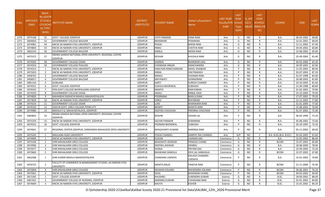| S.No. | <b>APPLICATI</b><br><b>ONID</b> | <b>Merit</b><br>No.(DISTR<br>ICT/FACU<br>LTY/SCHO<br><b>OL TYPE</b><br>WISE) | <b>ISTITUTE NAME</b>                                                           | <b>DISTRICT</b><br>(INSTITUTE) | STUDENT NAME            | Father's/Guardian's<br>Name       | LAST YEAR<br>Faculty/STR School<br><b>EAM</b> | <b>LAST</b><br><b>YEAR</b><br>Type<br>(G/P) | IS SPE<br><b>CILLY</b> | <b>LAST</b><br><b>YEAR</b><br><b>SCHOOL</b><br>ABLED (RBSE/CB<br>SE) | <b>COURSE</b>          | <b>DOB</b> | <b>LAST</b><br>YEAR% |
|-------|---------------------------------|------------------------------------------------------------------------------|--------------------------------------------------------------------------------|--------------------------------|-------------------------|-----------------------------------|-----------------------------------------------|---------------------------------------------|------------------------|----------------------------------------------------------------------|------------------------|------------|----------------------|
| 1270  | 3475148                         | 52                                                                           | GOVT. COLLEGE JODHPUR                                                          | <b>JODHPUR</b>                 | JYOTI PANWAR            | <b>RANA RAM</b>                   | Arts                                          | G                                           | <b>NO</b>              | R                                                                    | <b>B.A.</b>            | 06-03-2002 | 68.80                |
| 1271  | 3464650                         | 53                                                                           | GOVERNMENT COLLEGE BALESAR                                                     | <b>JODHPUR</b>                 | <b>BHANWARI</b>         | PEMARAM                           | Arts                                          | G                                           | <b>NO</b>              | R                                                                    | B.A.                   | 22-01-2001 | 68.00                |
| 1272  | 3474961                         | 54                                                                           | KNCW JAI NARAIN VYAS UNIVERSITY, JODHPUR                                       | <b>JODHPUR</b>                 | POOJA                   | <b>BHERA RAM</b>                  | Arts                                          | G                                           | NO.                    | R                                                                    | B.A.                   | 12-11-2002 | 67.40                |
| 1273  | 3474804                         | 55                                                                           | KNCW JAI NARAIN VYAS UNIVERSITY, JODHPUR                                       | <b>JODHPUR</b>                 | RINKU                   | <b>CHOTHA RAM</b>                 | Arts                                          | G                                           | NO.                    | R                                                                    | B.A.                   | 04-04-2002 | 66.80                |
| 1274  | 3462154                         | 56                                                                           | GOVERNMENT COLLEGE BALESAR                                                     | <b>JODHPUR</b>                 | KAMLA                   | <b>MODA RAM</b>                   | Arts                                          | G                                           | <b>NO</b>              | R                                                                    | B.A.                   | 15-08-2002 | 65.60                |
| 1275  | 3475372                         | 57                                                                           | INDIRA GANDHI NATIONAL OPEN UNIVERSITY. REGIONAL CENTRE<br>JODHPUR             | <b>JODHPUR</b>                 | KESHAR                  | <b>KHUSHLA RAM</b>                | Arts                                          | G                                           | <b>NO</b>              | R                                                                    | B.A.                   | 25-09-2003 | 65.40                |
| 1276  | 3474202                         | -58                                                                          | GOVERNMENT COLLEGE OSIAN                                                       | <b>JODHPUR</b>                 | SHARDA                  | <b>BHANWAR LAAL</b>               | Arts                                          | G                                           | NO.                    | R                                                                    | B.A.                   | 04-03-2000 | 65.20                |
| 1277  | 3474554                         | 59                                                                           | GOVERNMENT COLLEGE PHALODI                                                     | <b>JODHPUR</b>                 | CHANDANI JINGAR         | RAMCHANDRA                        | Arts                                          | G                                           | <b>NO</b>              | R                                                                    | B.A.                   | 24-09-2002 | 65.00                |
| 1278  | 3474313                         | $\overline{1}$                                                               | KNCW JAI NARAIN VYAS UNIVERSITY, JODHPUR                                       | <b>JODHPUR</b>                 | KANCHAN RAMCHANDANI     | <b>MOOL SHANKAR</b>               | Arts                                          | D                                           | <b>NO</b>              | $\mathsf{R}$                                                         | B.A.                   | 11-05-2005 | 89.40                |
| 1279  | 3475433                         | $\overline{2}$                                                               | KNCW JAI NARAIN VYAS UNIVERSITY, JODHPUR                                       | <b>JODHPUR</b>                 | <b>KIRAN</b>            | <b>OM PRAKASH</b>                 | Arts                                          | P                                           | <b>NO</b>              | R                                                                    | B.A.                   | 03-07-2003 | 87.20                |
| 1280  | 3458762                         | $\overline{3}$                                                               | <b>GOVERNMENT COLLEGE BALESAR</b>                                              | <b>JODHPUR</b>                 | MANJU                   | <b>HUKAMA RAM</b>                 | Arts                                          | P                                           | <b>NO</b>              | R                                                                    | B.A.                   | 01-07-1998 | 83.40                |
| 1281  | 3458017                         | $\overline{4}$                                                               | GOVERNMENT COLLEGE BALESAR                                                     | <b>JODHPUR</b>                 | MAYAWATI                | <b>GOMADRAM</b>                   | Arts                                          | P                                           | <b>NO</b>              | R                                                                    | B.A.                   | 26-08-2003 | 81.80                |
| 1282  | 3481154                         | - 5                                                                          | GCBILARA                                                                       | <b>JODHPUR</b>                 | AARTI                   | <b>SURESH CHANDR</b>              | Arts                                          | P                                           | <b>NO</b>              | R                                                                    | B.A.                   | 10-10-2003 | 81.60                |
| 1283  | 3474521                         | 6                                                                            | GOVT. COLLEGE JODHPUR                                                          | <b>JODHPUR</b>                 | <b>SUSHILA BHORIWAL</b> | <b>SUBHASH</b>                    | Arts                                          | D                                           | <b>NO</b>              | R                                                                    | B.A.                   | 21-04-1998 | 80.80                |
| 1284  | 3476543                         | $\overline{7}$                                                               | SPM GOVT.COLLEGE BHOPALGARH JODHPUR                                            | <b>JODHPUR</b>                 | <b>MAMTA</b>            | <b>RAM KARAN</b>                  | Arts                                          | P                                           | <b>NO</b>              | R                                                                    | B.A.                   | 01-02-2003 | 79.80                |
| 1285  | 3474250                         | 8                                                                            | GOVERNMENT COLLEGE OSIAN                                                       | <b>JODHPUR</b>                 | ANJALI                  | <b>BIRBAL RAM</b>                 | Arts                                          | P                                           | <b>NO</b>              | R                                                                    | B.A.                   | 10-10-2004 | 79.40                |
| 1286  | 3474826                         | 9                                                                            | MAHARSHI DADHICHI MAHILA MAHAVIDYALAYA                                         | <b>JODHPUR</b>                 | POORNIMA                | <b>BHALLA RAM</b>                 | Arts                                          | P                                           | <b>NO</b>              | R                                                                    | B.A.                   | 17-07-2001 | 79.20                |
| 1287  | 3477839                         | 10                                                                           | KNCW JAI NARAIN VYAS UNIVERSITY, JODHPUR                                       | <b>JODHPUR</b>                 | SAROJ                   | <b>BHIYARAM</b>                   | Arts                                          | P                                           | <b>NO</b>              | R                                                                    | B.A.                   | 12-12-2003 | 77.80                |
| 1288  | 3474324                         | 11                                                                           | GOVERNMENT COLLEGE OSIAN                                                       | <b>JODHPUR</b>                 | LUNI                    | <b>BHANWARA RAM</b>               | Arts                                          | D                                           | <b>NO</b>              | R                                                                    | B.A.                   | 01-01-2000 | 77.60                |
| 1289  | 3476520                         | 12                                                                           | SSDCLB GOVT. GIRLS COLLEGE PIPAR CITY                                          | <b>JODHPUR</b>                 | <b>BHARTI</b>           | <b>BHAKTA RAM</b>                 | Arts                                          | P                                           | <b>NO</b>              | R                                                                    | B.A.                   | 15-08-2002 | 76.00                |
| 1290  | 3474980                         | 13                                                                           | MAHILA P.G. MAHAVIDYALAYA, JODHPUR                                             | <b>JODHPUR</b>                 | DEEPIKA CHOUHAN         | PREMRAJ CHOUHAN                   | Arts                                          | P                                           | <b>NO</b>              | R                                                                    | B.A.                   | 01-07-2002 | 75.40                |
| 1291  | 3483855                         | 14                                                                           | INDIRA GANDHI NATIONAL OPEN UNIVERSITY, REGIONAL CENTRE<br>JODHPUR             | <b>JODHPUR</b>                 | ROSHNI                  | <b>SOHAN LAL</b>                  | Arts                                          |                                             | NO.                    | R                                                                    | B.A.                   | 06-03-1999 | 75.20                |
| 1292  | 3475259                         | 15                                                                           | KNCW JAI NARAIN VYAS UNIVERSITY, JODHPUR                                       | <b>JODHPUR</b>                 | SACHIN PANWAR           | SOMARAM                           | Arts                                          | P                                           | <b>NO</b>              | R                                                                    | <b>B.A.</b>            | 05-08-2002 | 72.60                |
| 1293  | 3474532                         | 16                                                                           | GOVT. COLLEGE JODHPUR                                                          | <b>JODHPUR</b>                 | POONAM BHORIWAL         | <b>SUBHASH</b>                    | Arts                                          | P                                           | <b>NO</b>              | R                                                                    | B.A.                   | 20-10-1995 | 72.20                |
| 1294  | 3474641                         | 17                                                                           | REGIONAL CENTER JODHPUR, VARDHMAN MAHAVEER OPEN UNIVERSITY                     | <b>JODHPUR</b>                 | BHAGAVANTI KUMARI       | <b>NARINGA RAM</b>                | Arts                                          |                                             | <b>NO</b>              | R                                                                    | B.A.                   | 05-11-2002 | 68.00                |
| 1295  | 3475245                         | - 1                                                                          | MAULANA AZAD UNIVERSITY                                                        | <b>JODHPUR</b>                 | POOJA CHANDEL           | <b>SAMPAT RAJ CHANDEL</b>         | Arts                                          | G/P                                         | <b>NO</b>              | C                                                                    | B.A- B.ED.(B.A- B.ED.) | 02-03-2005 | 91.60                |
| 1296  | 3474994                         | - 1                                                                          | KNCW JAI NARAIN VYAS UNIVERSITY, JODHPUR                                       | <b>JODHPUR</b>                 | KUSUM                   | <b>LAXMAN DAS</b>                 | Commerce                                      | G                                           | <b>NO</b>              | R                                                                    | <b>B.A.</b>            | 15-05-2002 | 86.40                |
| 1297  | 3475106                         | $\overline{2}$                                                               | SHRI MAHALAXMI GIRLS COLLEGE                                                   | <b>JODHPUR</b>                 | <b>BHAGWATI JEENGAR</b> | <b>PRAKESH CHAND</b>              | Commerce                                      | G                                           | <b>NO</b>              | R                                                                    | <b>BCOM</b>            | 15-07-2001 | 82.80                |
| 1298  | 3474996                         | $\overline{3}$                                                               | SHRI MAHALAXMI GIRLS COLLEGE                                                   | <b>JODHPUR</b>                 | DEEPIKA JAISWAR         | <b>HEMRAJ</b>                     | Commerce                                      | G                                           | <b>NO</b>              | R                                                                    | B.A.                   | 18-08-2000 | 78.00                |
| 1299  | 3475077                         | $\overline{4}$                                                               | SHRI MAHALAXMI GIRLS COLLEGE                                                   | <b>JODHPUR</b>                 | <b>DURGA</b>            | PRITAM DAS                        | Commerce                                      | G                                           | <b>NO</b>              | R                                                                    | <b>B.A.</b>            | 22-09-2002 | 72.20                |
| 1300  | 3475660                         | -5                                                                           | SHRI MAHALAXMI GIRLS COLLEGE                                                   | <b>JODHPUR</b>                 | <b>BHAWANA SANKHLA</b>  | <b>DEVI LAL SANKHALA</b>          | Commerce                                      | G                                           | <b>NO</b>              | R                                                                    | <b>BCOM</b>            | 22-07-2002 | 67.80                |
| 1301  | 3462588                         | 1                                                                            | SHRI SUMER MAHILA MAHAVIDYALAYA                                                | <b>JODHPUR</b>                 | CHANDANI UDENIYA        | KAILASH CHANDRA<br><b>UDENIYA</b> | Commerce                                      | P                                           | NO.                    | R                                                                    | B.A.                   | 15-01-2002 | 76.80                |
| 1302  | 3476725                         | $\overline{2}$                                                               | FACULTY OF COMMERCE & MANAGEMENT STUDIES. JAI NARAIN VYAS<br><b>UNIVERSITY</b> | <b>JODHPUR</b>                 | <b>MAMTA BALAI</b>      | PANCHA RAM                        | Commerce                                      |                                             | NO.                    | R                                                                    | <b>BCOM</b>            | 21-11-2000 | 76.40                |
| 1303  | 3475858                         | $\overline{\mathbf{3}}$                                                      | SHRI MAHALAXMI GIRLS COLLEGE                                                   | <b>JODHPUR</b>                 | MUSKAN SOLANKI          | <b>MAHENDRA SOLANKI</b>           | Commerce                                      | P                                           | <b>NO</b>              | R                                                                    | <b>BCOM</b>            | 30-06-2001 | 76.20                |
| 1304  | 3475461                         | $\overline{4}$                                                               | KNCW JAI NARAIN VYAS UNIVERSITY, JODHPUR                                       | <b>JODHPUR</b>                 | SEJAL                   | <b>BHAGWAN CHAND</b>              | Commerce                                      |                                             | <b>NO</b>              | R                                                                    | <b>BCOM</b>            | 04-02-2002 | 69.00                |
| 1305  | 3471265                         | 1                                                                            | GOVT. COLLEGE JODHPUR                                                          | <b>JODHPUR</b>                 | <b>KHUSHBU</b>          | <b>SURENDRA KUMAR</b>             | Science                                       | G                                           | <b>NO</b>              | $\mathsf{R}$                                                         | B.SC.                  | 18-09-2002 | 88.00                |
| 1306  | 3467425                         | 2                                                                            | GOVERNMENT COLLEGE OF NURSING, JODHPUR                                         | <b>JODHPUR</b>                 | NARANGI KUMARI          | <b>CHHAGANA RAM</b>               | Science                                       | G                                           | <b>NO</b>              | R                                                                    | B.SC.                  | 01-01-2002 | 84.80                |
| 1307  | 3474644                         | $\overline{\mathbf{3}}$                                                      | KNCW JAI NARAIN VYAS UNIVERSITY, JODHPUR                                       | <b>JODHPUR</b>                 | <b>KAVITA</b>           | <b>KISHOR</b>                     | Science                                       | G                                           | <b>NO</b>              | $\mathsf{R}$                                                         | B.SC.                  | 15-01-2002 | 84.20                |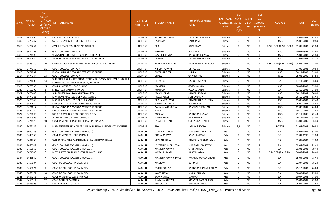| S.No. | <b>APPLICATI</b><br>ONID | <b>Merit</b><br>No.(DISTR<br><b>ICT/FACL</b><br>LTY/SCHO<br><b>OL TYPE</b><br>WISE) | NSTITUTE NAME                                                                                          | <b>DISTRICT</b><br>(INSTITUTE) | <b>STUDENT NAME</b>   | Father's/Guardian's<br>Name | LAST YEAR<br>Faculty/STR School<br>EAM | <b>LAST</b><br><b>YEAR</b><br><b>Type</b><br>(G/P) | IS SPE<br><b>CILLY</b> | <b>LAST</b><br><b>YEAR</b><br><b>SCHOOL</b><br>ABLED (RBSE/CB<br>SE) | <b>COURSE</b>              | <b>DOB</b> | <b>LAST</b><br>YEAR% |
|-------|--------------------------|-------------------------------------------------------------------------------------|--------------------------------------------------------------------------------------------------------|--------------------------------|-----------------------|-----------------------------|----------------------------------------|----------------------------------------------------|------------------------|----------------------------------------------------------------------|----------------------------|------------|----------------------|
| 1308  | 3474394                  | $\overline{4}$                                                                      | DR. S. N. MEDICAL COLLEGE                                                                              | <b>JODHPUR</b>                 | SAKSHI CHOUHAN        | SHYAMLAL CHOUHAN            | Science                                | G                                                  | <b>NO</b>              | R                                                                    | B.SC.                      | 08-01-2003 | 82.40                |
| 1309  | 3476747                  | - 5                                                                                 | SSDCLB GOVT. GIRLS COLLEGE PIPAR CITY                                                                  | <b>JODHPUR</b>                 | SARASWATI             | <b>KALU RAM</b>             | Science                                | G                                                  | <b>NO</b>              | R                                                                    | B.SC.                      | 15-08-2004 | 80.80                |
| 1310  | 3472254                  | 6                                                                                   | AMBIKA TEACHERS` TRAINING COLLEGE                                                                      | <b>JODHPUR</b>                 | BEBI                  | <b>UGARARAM</b>             | Science                                | G                                                  | NO                     | R                                                                    | B.SC.- B.ED.(B.SC.- B.ED.) | 01-05-2003 | 79.80                |
| 1311  | 3474769                  | $\overline{7}$                                                                      | <b>GOVT. COLLEGE JODHPUR</b>                                                                           | <b>JODHPUR</b>                 | <b>JAISHREE</b>       | <b>JAIKISHAN</b>            | Science                                | G                                                  | <b>NO</b>              | R                                                                    | B.SC.                      | 10-02-1999 | 78.60                |
| 1312  | 3474896                  | -8                                                                                  | VIJAYA RAJE COLLEGE OF NURSING JODHPUR                                                                 | <b>JODHPUR</b>                 | <b>GAYTREE DEVDA</b>  | RAJ KUMAR DEVDA             | Science                                | G                                                  | <b>NO</b>              | R                                                                    | B.SC.                      | 05-01-2003 | 75.80                |
| 1313  | 3474940                  | 9                                                                                   | S.K.G. MEMORIAL NURSING INSTITUTE, JODHPUR                                                             | <b>JODHPUR</b>                 | ANKITA                | LALCHAND CHOUHAN            | Science                                | G                                                  | <b>NO</b>              | $\mathsf{R}$                                                         | B.SC.                      | 27-08-2002 | 73.20                |
| 1314  | 3476150                  | 10                                                                                  | CENTRAL MODERN TEACHER TRAINING COLLEGE, JODHPUR                                                       | <b>JODHPUR</b>                 | KANCHAN BARWAR        | BHANWAR LAL BARWAR          | Science                                | G                                                  | N <sub>O</sub>         | R                                                                    | B.SC.- B.ED.(B.SC.- B.ED.) | 04-08-2003 | 73.00                |
| 1315  | 3474766                  | 11                                                                                  | <b>GOVT. COLLEGE JODHPUR</b>                                                                           | <b>JODHPUR</b>                 | NIRMA PANWAR          | <b>KISHAL LAL</b>           | Science                                | G                                                  | <b>NO</b>              | R                                                                    | B.SC.                      | 27-08-2001 | 70.60                |
| 1316  | 3474887                  | 12                                                                                  | KNCW JAI NARAIN VYAS UNIVERSITY, JODHPUR                                                               | <b>JODHPUR</b>                 | DIVYA KULDEEP         | SHIVLAL                     | Science                                | G                                                  | <b>NO</b>              | R                                                                    | B.SC.                      | 04-11-2003 | 69.60                |
| 1317  | 3474764                  | 13                                                                                  | <b>GOVT. COLLEGE JODHPUR</b>                                                                           | <b>JODHPUR</b>                 | VIMLA                 | GHANSHYAM                   | Science                                | G                                                  | <b>NO</b>              | R                                                                    | B.SC.                      | 25-05-2000 | 67.80                |
| 1318  | 3474609                  | 14                                                                                  | SHRI PUSHTIKAR SHREE PUROHIT SURAJRAJ ROOPA DEVI SMRITI MAHILA<br>MAHAVIDYALAY, SIWANCHI GATE, JODHPUR | <b>JODHPUR</b>                 | DEEKSHA               | <b>KISHOR PANWAR</b>        | Science                                | G                                                  | N <sub>O</sub>         | R                                                                    | <b>B.A.</b>                | 17-11-2002 | 66.60                |
| 1319  | 3476396                  | 15                                                                                  | <b>GOVERNMENT COLLEGE PHALODI</b>                                                                      | <b>JODHPUR</b>                 | MANISHA               | <b>GORDHANRAM</b>           | Science                                | G                                                  | NO.                    | R                                                                    | B.SC.                      | 08-07-2002 | 65.00                |
| 1320  | 3455702                  | 1                                                                                   | SHREE RAM MAHAVIDHYALAY                                                                                | <b>JODHPUR</b>                 | KUMKUM                | <b>VIJAY SOLANKI</b>        | Science                                | P                                                  | <b>NO</b>              | R                                                                    | <b>B.A.</b>                | 03-10-2003 | 87.00                |
| 1321  | 3475449                  | $\overline{2}$                                                                      | SHRI SUMER MAHILA MAHAVIDYALAYA                                                                        | <b>JODHPUR</b>                 | <b>MANSI JORAM</b>    | RAMESH JORAM                | Science                                | P                                                  | <b>NO</b>              | R                                                                    | B.SC.                      | 06-12-2004 | 84.60                |
| 1322  | 3474721                  | $\overline{\mathbf{3}}$                                                             | MAYURAKSHI COLLEGE OF NURSING B.SC                                                                     | <b>JODHPUR</b>                 | POOJA VERMA           | <b>SUNIL VERMA</b>          | Science                                | P                                                  | <b>NO</b>              | R                                                                    | B.SC.                      | 06-10-2003 | 81.40                |
| 1323  | 3476749                  | $\overline{4}$                                                                      | MAYURAKSHI COLLEGE OF NURSING B.SC                                                                     | <b>JODHPUR</b>                 | REKHA MEGHWAL         | RAMKARAN KUCHERIYA          | Science                                | P                                                  | <b>NO</b>              | R                                                                    | B.SC.                      | 19-06-2002 | 77.40                |
| 1324  | 3474832                  | - 5                                                                                 | SPM GOVT.COLLEGE BHOPALGARH JODHPUR                                                                    | <b>JODHPUR</b>                 | SUMAN KATARIYA        | <b>HUKMA RAM</b>            | Science                                | P                                                  | <b>NO</b>              | R                                                                    | B.SC.                      | 05-09-2003 | 75.60                |
| 1325  | 3474617                  | - 6                                                                                 | KNCW JAI NARAIN VYAS UNIVERSITY, JODHPUR                                                               | <b>JODHPUR</b>                 | AAKANSHA CHOUHAN      | <b>HANSRAJ CHOUHAN</b>      | Science                                | P                                                  | <b>NO</b>              | R                                                                    | B.SC.                      | 11-08-2001 | 74.60                |
| 1326  | 3474747                  | $\overline{7}$                                                                      | KNCW JAI NARAIN VYAS UNIVERSITY, JODHPUR                                                               | <b>JODHPUR</b>                 | NEHA                  | LALIT                       | Science                                | P                                                  | <b>NO</b>              | R                                                                    | B.SC.                      | 19-10-2001 | 73.60                |
| 1327  | 3472099                  | -8                                                                                  | SSDCLB GOVT. GIRLS COLLEGE PIPAR CITY                                                                  | <b>JODHPUR</b>                 | MUSKAN                | RAJENDRA KUMAR              | Science                                | P                                                  | <b>NO</b>              | R                                                                    | B.SC.                      | 21-11-2006 | 72.40                |
| 1328  | 3474395                  | -9                                                                                  | ANNIE BESANT COLLEGE JODHPUR                                                                           | <b>JODHPUR</b>                 | NEETU NAVAL           | <b>ANIL KUMAR</b>           | Science                                | P                                                  | <b>NO</b>              | R                                                                    | B.SC.                      | 26-11-2001 | 68.00                |
| 1329  | 3474875                  | 10                                                                                  | GOVERNMENT GIRLS COLLEGE MAGRA PUNJALA                                                                 | <b>JODHPUR</b>                 | LAKSITHA CHANDEL      | <b>SURENDRA CHANDEL</b>     | Science                                | P                                                  | N <sub>O</sub>         | R                                                                    | B.SC.                      | 13-01-2005 | 66.40                |
| 1330  | 3475147                  | 1                                                                                   | MBM ENGINEERING COLLEGE, JAI NARAIN VYAS UNIVERSITY, JODHPUR                                           | <b>JODHPUR</b>                 | RIYA                  | <b>SANJAY SISODIYA</b>      | Science                                | G/P                                                | <b>NO</b>              | C                                                                    | <b>B.TECH</b>              | 21-02-2003 | 90.80                |
| 1331  | 3460148                  | - 1                                                                                 | GOVT. COLLEGE TODABHIM (KARAULI)                                                                       | KARAULI                        | GUDDI BAI JATAV       | <b>MANGATI RAM JATAV</b>    | Arts                                   | G                                                  | <b>NO</b>              | R                                                                    | <b>B.A.</b>                | 28-03-2004 | 87.00                |
| 1332  | 3448960                  | $\overline{2}$                                                                      | GOVERNMENT COLLEGE KARAULI                                                                             | KARAULI                        | POOJA BAIRWA          | <b>NAVAL BAIRWA</b>         | Arts                                   | G                                                  | <b>NO</b>              | R                                                                    | B.A.                       | 01-01-1997 | 81.80                |
| 1333  | 3481263                  | 3                                                                                   | SMT. INDIRA PRIYADARSHANI MAHILA MAHAVIDHALAYA                                                         | KARAULI                        | KRISHNA JATAV         | RAMESHA CHAMD JATAV         | Arts                                   | G                                                  | NO.                    | R                                                                    | B.A.                       | 01-07-2003 | 81.60                |
| 1334  | 3460043                  | $\overline{4}$                                                                      | GOVT. COLLEGE TODABHIM (KARAULI)                                                                       | KARAULI                        | LALTESH KUMARI JATAV  | <b>MANGATI RAM JATAV</b>    | Arts                                   | G                                                  | <b>NO</b>              | R                                                                    | <b>B.A.</b>                | 03-08-2003 | 81.40                |
| 1335  | 3452560                  | - 5                                                                                 | GOVT. COLLEGE TODABHIM (KARAULI)                                                                       | KARAULI                        | MANISHA KUMARI        | <b>CHUTTAN LAL</b>          | Arts                                   | G                                                  | <b>NO</b>              | R                                                                    | B.A.                       | 01-01-2003 | 79.40                |
| 1336  | 3474343                  | - 6                                                                                 | MOTHER TERESA TEACHER TRAINING COLLAGE                                                                 | KARAULI                        | KOMAL KUMARI          | <b>NARESH JATAV</b>         | Arts                                   | G                                                  | <b>NO</b>              | R                                                                    | B.A- B.ED.(B.A- B.ED.)     | 06-07-2004 | 78.40                |
| 1337  | 3448832                  | 7                                                                                   | GOVT. COLLEGE TODABHIM (KARAULI)                                                                       | KARAULI                        | MANISHA KUMARI DHOBI  | PRAHLAD KUMAR DHOBI         | Arts                                   | G                                                  | <b>NO</b>              | R                                                                    | <b>B.A.</b>                | 15-04-2002 | 78.40                |
| 1338  | 3457084                  | 8                                                                                   | GOVT PG COLLEGE HINDAUN CITY                                                                           | KARAULI                        | MAUSAM                | <b>NETRAM</b>               | Arts                                   | G                                                  | <b>NO</b>              | R                                                                    | <b>B.A.</b>                | 02-07-2002 | 78.20                |
| 1339  | 3450074                  | 9                                                                                   | GOVT PG COLLEGE HINDAUN CITY                                                                           | KARAULI                        | SAKSHI POHIYA         | RAJENDRA PRASAD POHIYA      | Arts                                   | G                                                  | NO.                    | R                                                                    | <b>B.A.</b>                | 25-12-2003 | 76.60                |
| 1340  | 3469177                  | 10                                                                                  | GOVT PG COLLEGE HINDAUN CITY                                                                           | KARAULI                        | KANTI JATAV           | DINESH CHAND                | Arts                                   | G                                                  | <b>NO</b>              | R                                                                    | <b>B.A.</b>                | 08-03-2002 | 75.80                |
| 1341  | 3457251                  | 11                                                                                  | <b>GOVERNMENT COLLEGE KARAULI</b>                                                                      | KARAULI                        | <b>SAPNA JATAV</b>    | <b>MAKHAN</b>               | Arts                                   | G                                                  | <b>NO</b>              | R                                                                    | <b>B.A.</b>                | 10-07-2003 | 74.00                |
| 1342  | 3456114                  | 12                                                                                  | <b>GOVT COLLEGE SAPOTRA</b>                                                                            | KARAULI                        | <b>JHARANA BAIRWA</b> | <b>BASANTA RAM BAIRWA</b>   | Arts                                   | G                                                  | <b>NO</b>              | R                                                                    | B.A.                       | 15-02-2001 | 73.60                |
| 1343  | 3465308                  | 13                                                                                  | SATYA SADHNA COLLEGE                                                                                   | KARAULI                        | <b>ARTI JATAV</b>     | RAM ROOP JATAV              | Arts                                   | G                                                  | <b>NO</b>              | $\mathsf{R}$                                                         | <b>B.A.</b>                | 05-05-2002 | 72.40                |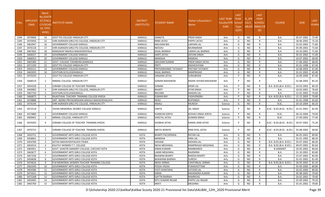| S.No. | <b>APPLICATI</b><br><b>ONID</b> | Merit<br>No.(DISTR<br><b>ICT/FACU</b><br>LTY/SCHO<br><b>OL TYPE</b><br>WISE) | <b>ISTITUTE NAME</b>                           | <b>DISTRICT</b><br>(INSTITUTE) | STUDENT NAME            | Father's/Guardian's<br>Name | LAST YEAR<br>Faculty/STR School<br><b>EAM</b> | <b>LAST</b><br><b>YEAR</b><br><b>Type</b><br>(G/P) | IS_SPE<br><b>CILLY</b> | <b>LAST</b><br><b>YEAR</b><br><b>SCHOOL</b><br>ABLED (RBSE/CB<br>SE) | <b>COURSE</b>              | <b>DOB</b> | <b>LAST</b><br>YEAR% |
|-------|---------------------------------|------------------------------------------------------------------------------|------------------------------------------------|--------------------------------|-------------------------|-----------------------------|-----------------------------------------------|----------------------------------------------------|------------------------|----------------------------------------------------------------------|----------------------------|------------|----------------------|
| 1344  | 3470069                         | 14                                                                           | GOVT PG COLLEGE HINDAUN CITY                   | KARAULI                        | SANGITA                 | <b>PREM SINGH</b>           | Arts                                          | G                                                  | <b>NO</b>              | R                                                                    | <b>B.A.</b>                | 05-07-2002 | 72.40                |
| 1345  | 3470430                         | 15                                                                           | SHRI AGRASEN GIRLS PG COLLEGE, HINDAUN CITY    | KARAULI                        | RINKI JATAV             | PAPPU JATAV                 | Arts                                          | G                                                  | <b>NO</b>              | R                                                                    | B.A.                       | 18-06-2003 | 72.20                |
| 1346  | 3462947                         | 16                                                                           | GOVERNMENT COLLEGE KARAULI                     | <b>KARAULI</b>                 | <b>MAUSAM BAI</b>       | <b>LAKHAN LAL</b>           | Arts                                          | G                                                  | NO.                    | R                                                                    | B.A.                       | 22-02-2003 | 71.80                |
| 1347  | 3476118                         | 17                                                                           | SHRI AGRASEN GIRLS PG COLLEGE, HINDAUN CITY    | <b>KARAULI</b>                 | NEESHU                  | <b>MUNNARAM</b>             | Arts                                          | G                                                  | <b>NO</b>              | R                                                                    | B.A.                       | 05-09-2001 | 71.60                |
| 1348  | 3467602                         | 18                                                                           | RAMSAHAY MAHILA MAHAVIDHYALA                   | KARAULI                        | KAJAL BAIRWA            | LAKKHI LAL BAIRWA           | Arts                                          | G                                                  | <b>NO</b>              | R                                                                    | <b>B.A.</b>                | 10-10-2001 | 71.60                |
| 1349  | 3468327                         | 19                                                                           | <b>GOVERNMENT COLLEGE KARAULI</b>              | KARAULI                        | <b>AARTI JATAV</b>      | JEEVAN SINGH                | Arts                                          | G                                                  | <b>NO</b>              | $\mathsf{R}$                                                         | B.A.                       | 05-01-2002 | 71.00                |
| 1350  | 3468353                         | -20                                                                          | GOVERNMENT COLLEGE KARAULI                     | KARAULI                        | MANISHA                 | <b>RAMDAS</b>               | Arts                                          | G                                                  | <b>NO</b>              | R                                                                    | B.A.                       | 10-07-2002 | 69.00                |
| 1351  | 3465384                         | 21                                                                           | GOVT. COLLEGE TODABHIM (KARAULI)               | <b>KARAULI</b>                 | MAUSAM SUMAN            | PREM SINGH JATAV            | Arts                                          | G                                                  | NO.                    | R                                                                    | <b>B.A.</b>                | 17-06-2002 | 68.40                |
| 1352  | 3471339                         | 22                                                                           | GOVT PG COLLEGE HINDAUN CITY                   | <b>KARAULI</b>                 | PRITY                   | RADHESHYAM                  | Arts                                          | G                                                  | <b>NO</b>              | R                                                                    | B.A.                       | 01-01-1998 | 67.40                |
| 1353  | 3450111                         | 23                                                                           | <b>GOVERNMENT COLLEGE KARAULI</b>              | <b>KARAULI</b>                 | PRIYDARSHINEE TATAWAT   | PEETAM TATAWAT              | Arts                                          | G                                                  | NO.                    | $\mathsf{R}$                                                         | <b>B.A.</b>                | 14-08-2003 | 67.40                |
| 1354  | 3465935                         | 24                                                                           | GOVTGIRLSCOLLEGEKARAULI                        | KARAULI                        | KAJAL BAIRWA            | RAMPRASAD                   | Arts                                          | G                                                  | <b>NO</b>              | $\mathsf{R}$                                                         | B.A.                       | 01-01-2003 | 65.80                |
| 1355  | 3470229                         | - 1                                                                          | GOVT PG COLLEGE HINDAUN CITY                   | <b>KARAULI</b>                 | SANJANA JATAV           | <b>SURAJBHAN</b>            | Arts                                          | P                                                  | <b>NO</b>              | R                                                                    | B.A.                       | 16-09-2000 | 87.40                |
| 1356  | 3448519                         | 2                                                                            | NIRMAL COLLEGE, HINDAUN CITY                   | KARAULI                        | SONAM MAHAWAR           | RADHE SHYAM MAHAWAR         | Arts                                          | P                                                  | NO.                    | R                                                                    | B.A.                       | 31-08-2003 | 85.20                |
| 1357  | 3454528                         | $\overline{3}$                                                               | SORABH COLLEGE OF TEACHER TRAINING             | KARAULI                        | SONAM                   | <b>MISRI LAL</b>            | Arts                                          | D                                                  | <b>NO</b>              |                                                                      | B.A- B.ED.(B.A- B.ED.)     | 20-03-2003 | 80.20                |
| 1358  | 3469982                         | $\overline{4}$                                                               | SHRI AGRASEN GIRLS PG COLLEGE, HINDAUN CITY    | <b>KARAULI</b>                 | <b>BHARTI</b>           | <b>ATAR SINGH</b>           | Arts                                          | P                                                  | <b>NO</b>              | R                                                                    | B.A.                       | 10-03-2001 | 76.60                |
| 1359  | 3467750                         | -5                                                                           | GOVTGIRLSCOLLEGEKARAULI                        | <b>KARAULI</b>                 | <b>RACHNA</b>           | <b>MADAN LAL</b>            | Arts                                          | P                                                  | <b>NO</b>              | R                                                                    | B.A.                       | 12-01-2002 | 74.60                |
| 1360  | 3466875                         | 6                                                                            | RAJASTHAN TEACHER TRAINING COLLEGE KHEDA       | <b>KARAULI</b>                 | <b>SUMAN RAY</b>        | YASHVENDRA                  | Arts                                          | P                                                  | NO.                    | $\mathsf{R}$                                                         | B.A- B.ED.(B.A- B.ED.)     | 12-12-2003 | 70.80                |
| 1361  | 3478888                         | 7                                                                            | SMT. INDIRA PRIYADARSHANI MAHILA MAHAVIDHALAYA | KARAULI                        | RENU                    | <b>RUPSINGH</b>             | Arts                                          | P                                                  | <b>NO</b>              | R                                                                    | <b>B.A.</b>                | 01-01-1998 | 65.60                |
| 1362  | 3476194                         | $\overline{\mathbf{1}}$                                                      | SHRI AGRASEN GIRLS PG COLLEGE, HINDAUN CITY    | KARAULI                        | ANJALI                  | <b>MUKESH</b>               | Science                                       | G                                                  | <b>NO</b>              | $\mathsf{R}$                                                         | B.SC.                      | 20-10-2004 | 66.20                |
| 1363  | 3472518                         | 1                                                                            | VEENA MEMORIAL DEGREE COLLEGE KARAULI          | KARAULI                        | VINITA                  | <b>JAL SINGH</b>            | Science                                       |                                                    | <b>NO</b>              | R                                                                    | B.SC.- B.ED.(B.SC.- B.ED.) | 01-01-2001 | 82.00                |
| 1364  | 3473880                         | $\overline{2}$                                                               | GOVERNMENT COLLEGE KARAULI                     | <b>KARAULI</b>                 | KUMKUM JERIYA           | <b>KESHAV SINGH JERIYA</b>  | Science                                       |                                                    | <b>NO</b>              | R                                                                    | B.SC.                      | 30-10-2004 | 79.00                |
| 1365  | 3469401                         | $\overline{3}$                                                               | NIRMAL COLLEGE, HINDAUN CITY                   | KARAULI                        | SHEETAL JATAV           | <b>GUMAN SINGH</b>          | Science                                       | P                                                  | <b>NO</b>              | R.                                                                   | B.SC.                      | 27-09-2003 | 77.40                |
| 1366  | 3470293                         | $\overline{4}$                                                               | SORABH COLLEGE OF TEACHER TRAINING KHEDA       | <b>KARAULI</b>                 | SHOBHA JATAV            | KAMAL RAM JATAV             | Science                                       |                                                    | <b>NO</b>              | R                                                                    | B.SC.- B.ED.(B.SC.- B.ED.) | 20-07-2002 | 75.20                |
| 1367  | 3470715                         | 5                                                                            | SORABH COLLEGE OF TEACHER TRAINING KHEDA       | KARAULI                        | NIKITA NONIYA           | RAM DYAL JATAV              | Science                                       |                                                    | NO.                    | R                                                                    | B.SC.- B.ED.(B.SC.- B.ED.) | 02-08-2002 | 68.80                |
| 1368  | 3450751                         | - 1                                                                          | GOVERNMENT ARTS GIRLS COLLEGE KOTA             | KOTA                           | <b>BHARTI PACHERWAL</b> | <b>RATAN LAL</b>            | Arts                                          | G                                                  | <b>NO</b>              | R                                                                    | B.A.                       | 06-05-2001 | 89.80                |
| 1369  | 3458601                         | $\overline{2}$                                                               | GOVERNMENT ARTS GIRLS COLLEGE KOTA             | KOTA                           | MANISHA                 | <b>HIRA LAL</b>             | Arts                                          | G                                                  | <b>NO</b>              | R                                                                    | <b>B.A.</b>                | 01-01-1992 | 88.20                |
| 1370  | 3454760                         | $\overline{3}$                                                               | ASTHA MAHAVIDHYALAYA ITAWA                     | KOTA                           | SHIVANI                 | <b>MOHAN LAL</b>            | Arts                                          | G                                                  | <b>NO</b>              | $\mathsf{R}$                                                         | B.A- B.ED.(B.A- B.ED.)     | 03-07-2002 | 86.00                |
| 1371  | 3454514                         | $\overline{4}$                                                               | KAUTILY WOMEN T.T. COLLEGE                     | <b>KOTA</b>                    | <b>NEHA MEGHWAL</b>     | RAMPRASAD MEGHWAL           | Arts                                          | G                                                  | <b>NO</b>              | R                                                                    | B.A- B.ED.(B.A- B.ED.)     | 09-07-2002 | 85.60                |
| 1372  | 3465051                         | -5                                                                           | GOVT. SHASTRI SANSKRIT COLLEGE, CHECHAT KOTA   | <b>KOTA</b>                    | KIRAN KUMARI            | <b>RAMBHAROS</b>            | Arts                                          | G                                                  | <b>NO</b>              | R                                                                    | <b>B SANSKRIT</b>          | 10-05-2002 | 84.60                |
| 1373  | 3463677                         | 6                                                                            | <b>GOVERNMENT ARTS GIRLS COLLEGE KOTA</b>      | <b>KOTA</b>                    | <b>LAXMI MEGHWAL</b>    | RAJENDRA                    | Arts                                          | G                                                  | <b>NO</b>              | $\mathsf{R}$                                                         | B.A.                       | 31-10-2001 | 83.80                |
| 1374  | 3457236                         | 7                                                                            | GOVERNMENT ARTS GIRLS COLLEGE KOTA             | KOTA                           | BHAWNA BHARTI           | <b>RAKESH BHARTI</b>        | Arts                                          | G                                                  | <b>NO</b>              | R                                                                    | <b>B.A.</b>                | 15-07-2003 | 82.00                |
| 1375  | 3456838                         | 8                                                                            | GOVERNMENT ARTS GIRLS COLLEGE KOTA             | KOTA                           | <b>BHAWANA BAIRWA</b>   | <b>SURESH</b>               | Arts                                          | G                                                  | <b>NO</b>              | $\mathsf{R}$                                                         | <b>B.A.</b>                | 01-01-2002 | 81.40                |
| 1376  | 3474616                         | 9                                                                            | R M MEMORIAL WOMEN TEACHER TRAINING COLLEGE    | KOTA                           | <b>NEHA VERMA</b>       | CHHITARLAL VERMA            | Arts                                          | G                                                  | <b>NO</b>              | R                                                                    | B.A- B.ED.(B.A- B.ED.)     | 26-05-2002 | 81.20                |
| 1377  | 3463349                         | 10                                                                           | GOVERNMENT ARTS GIRLS COLLEGE KOTA             | <b>KOTA</b>                    | POOJA YADAV             | PURASHOTTAM                 | Arts                                          | G                                                  | <b>NO</b>              | R                                                                    | <b>B.A.</b>                | 05-09-2000 | 80.80                |
| 1378  | 3454586                         | 11                                                                           | GOVERNMENT ARTS GIRLS COLLEGE KOTA             | KOTA                           | JYOTI SHAKYWAL          | <b>LATOOR LAL</b>           | Arts                                          | G                                                  | <b>NO</b>              | R                                                                    | <b>B.A.</b>                | 20-02-2000 | 80.00                |
| 1379  | 3474431                         | 12                                                                           | GOVERNMENT ARTS GIRLS COLLEGE KOTA             | KOTA                           | KIRAN                   | <b>MAHENDRA KUMAR</b>       | Arts                                          | G                                                  | <b>NO</b>              | R                                                                    | B.A.                       | 05-08-2002 | 79.60                |
| 1380  | 3475268                         | 13                                                                           | GOVERNMENT ARTS GIRLS COLLEGE KOTA             | KOTA                           | <b>GAYTRI BAIRWA</b>    | RAMNIVAS                    | Arts                                          | G                                                  | <b>NO</b>              | $\mathsf{R}$                                                         | B.A.                       | 24-02-2001 | 79.40                |
| 1381  | 3450405                         | 14                                                                           | GOVERNMENT ARTS GIRLS COLLEGE KOTA             | KOTA                           | RITU KUMARI REGAR       | PAPPU LAL REGAR             | Arts                                          | G                                                  | <b>NO</b>              | R                                                                    | B.A.                       | 25-09-2003 | 79.20                |
| 1382  | 3465760                         | 15                                                                           | GOVERNMENT ARTS GIRLS COLLEGE KOTA             | KOTA                           | <b>ARATI</b>            | MEGHRAJ                     | Arts                                          | G                                                  | <b>NO</b>              | R                                                                    | <b>B.A.</b>                | 01-01-2002 | 78.80                |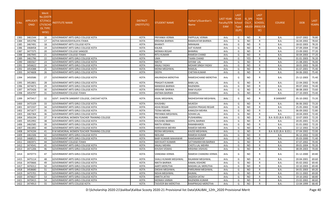| S.No. | <b>APPLICATI</b><br><b>ONID</b> | <b>Merit</b><br>Vo.(DISTF<br><b>ICT/FACL</b><br>LTY/SCHO<br>OL TYPE<br>WISE) | NSTITUTE NAME                                | <b>DISTRICT</b><br>(INSTITUTE) | STUDENT NAME               | Father's/Guardian's<br>Name | LAST YEAR<br><b>Faculty/STR</b><br>EAM | <b>LAST</b><br><b>YEAR</b><br>School<br><b>Type</b><br>(G/P) | IS SPE<br><b>CILLY</b> | <b>LAST</b><br><b>YEAR</b><br><b>SCHOOL</b><br>ABLED (RBSE/CB<br>SE) | <b>COURSE</b>          | <b>DOB</b> | <b>LAST</b><br>YEAR% |
|-------|---------------------------------|------------------------------------------------------------------------------|----------------------------------------------|--------------------------------|----------------------------|-----------------------------|----------------------------------------|--------------------------------------------------------------|------------------------|----------------------------------------------------------------------|------------------------|------------|----------------------|
| 1383  | 3461544                         | 16                                                                           | <b>GOVERNMENT ARTS GIRLS COLLEGE KOTA</b>    | <b>KOTA</b>                    | PRIYANKA VERMA             | PAPPULAL VERMA              | Arts                                   | G                                                            | <b>NO</b>              | R                                                                    | <b>B.A.</b>            | 10-07-2002 | 78.80                |
| 1384  | 3453796                         | 17                                                                           | ASTHA MAHAVIDHYALAYA ITAWA                   | <b>KOTA</b>                    | KRISHNA BAIRWA             | RAMAVATAR BAIRWA            | Arts                                   | G                                                            | <b>NO</b>              | R                                                                    | <b>B.A.</b>            | 16-04-2002 | 78.60                |
| 1385  | 3467491                         | -18                                                                          | <b>GOVERNMENT ARTS COLLEGE KOTA</b>          | <b>KOTA</b>                    | BHARATI                    | <b>NIRANJAN</b>             | Arts                                   | G                                                            | <b>NO</b>              | R                                                                    | <b>B.A.</b>            | 18-02-2003 | 78.20                |
| 1386  | 3468458                         | 19                                                                           | GOVERNMENT ARTS GIRLS COLLEGE KOTA           | KOTA                           | KALIKA                     | <b>AJIT KUMAR</b>           | Arts                                   | G                                                            | NO                     | R                                                                    | B.A.                   | 07-09-2004 | 77.80                |
| 1387  | 3477375                         | 20                                                                           | <b>GOVERNMENT COLLEGE SANGOD</b>             | <b>KOTA</b>                    | MONIKA REGAR               | <b>BHIMRAJ</b>              | Arts                                   | G                                                            | <b>NO</b>              | R                                                                    | <b>B.A.</b>            | 23-09-2002 | 77.20                |
| 1388  | 3467945                         | 21                                                                           | <b>GOVERNMENT COLLEGE ITAWA</b>              | <b>KOTA</b>                    | RITU KUMARI                | <b>RAMESH CHAND</b>         | Arts                                   | G                                                            | <b>NO</b>              | R                                                                    | <b>B.A.</b>            | 30-04-2003 | 77.20                |
| 1389  | 3461796                         | 22                                                                           | GOVERNMENT ARTS GIRLS COLLEGE KOTA           | <b>KOTA</b>                    | UMA                        | <b>TAARA CHAND</b>          | Arts                                   | G                                                            | YES                    | R                                                                    | <b>B.A.</b>            | 01-01-2003 | 76.20                |
| 1390  | 3483567                         | 23                                                                           | GOVERNMENT ARTS GIRLS COLLEGE KOTA           | <b>KOTA</b>                    | NIKITA                     | SHYAM LAL                   | Arts                                   | G                                                            | NO.                    | R                                                                    | <b>B.A.</b>            | 21-08-2001 | 76.00                |
| 1391  | 3456622                         | 24                                                                           | GOVERNMENT ARTS GIRLS COLLEGE KOTA           | KOTA                           | ANJALI YADAV               | MOHAR SINGH YADAV           | Arts                                   | G                                                            | NO                     | R                                                                    | B.A.                   | 18-01-2002 | 76.00                |
| 1392  | 3454388                         | 25                                                                           | <b>GOVERNMENT ARTS GIRLS COLLEGE KOTA</b>    | <b>KOTA</b>                    | MONA MEGHWAL               | <b>RAMLAL</b>               | Arts                                   | G                                                            | <b>NO</b>              | R                                                                    | <b>B.A.</b>            | 01-07-2001 | 75.40                |
| 1393  | 3474608                         | 26                                                                           | <b>GOVERNMENT ARTS GIRLS COLLEGE KOTA</b>    | <b>KOTA</b>                    | <b>DEEPA</b>               | <b>CHETAN KUMAR</b>         | Arts                                   | G                                                            | <b>NO</b>              | R                                                                    | B.A.                   | 04-06-2002 | 75.40                |
| 1394  | 3450586                         | 27                                                                           | GOVERNMENT ARTS GIRLS COLLEGE KOTA           | <b>KOTA</b>                    | ANURADHA MEROTHA           | RAMESHCHAND MEROTHA         | Arts                                   | G                                                            | NO                     | R                                                                    | B.A.                   | 25-12-2003 | 75.40                |
| 1395  | 3452801                         | 28                                                                           | <b>GOVERNMENT ARTS GIRLS COLLEGE KOTA</b>    | <b>KOTA</b>                    | PRAGATI KUMARI             | <b>BABU LAL</b>             | Arts                                   | G                                                            | <b>NO</b>              | R                                                                    | <b>B.A.</b>            | 22-04-2002 | 74.40                |
| 1396  | 3474473                         | 29                                                                           | GOVERNMENT ARTS GIRLS COLLEGE KOTA           | KOTA                           | MANISHA BAIRWA             | <b>RAJENDRA</b>             | Arts                                   | G                                                            | <b>NO</b>              | R                                                                    | <b>B.A.</b>            | 09-07-2002 | 74.40                |
| 1397  | 3475426                         | 30                                                                           | GOVERNMENT ARTS GIRLS COLLEGE KOTA           | <b>KOTA</b>                    | KRISHNA BAIRWA             | <b>RAM VILASH</b>           | Arts                                   | G                                                            | <b>NO</b>              | R                                                                    | B.A.                   | 08-08-2003 | 73.60                |
| 1398  | 3454797                         | 31                                                                           | <b>GOVERNMENT COLLEGE ITAWA</b>              | <b>KOTA</b>                    | ANTIMA BAIRWA              | <b>DHANRAJ</b>              | Arts                                   | G                                                            | <b>NO</b>              | R                                                                    | B.A.                   | 27-10-2003 | 73.40                |
| 1399  | 3475417                         | 32                                                                           | GOVT. SHASTRI SANSKRIT COLLEGE, CHECHAT KOTA | KOTA                           | KAJAL MEGHWAL              | RADHESHYAM MEGHWAL          | Arts                                   | G                                                            | NO.                    | R                                                                    | <b>B SANSKRIT</b>      | 05-10-2002 | 73.20                |
| 1400  | 3475109                         | 33                                                                           | <b>GOVERNMENT ARTS GIRLS COLLEGE KOTA</b>    | <b>KOTA</b>                    | KHUSHBU                    | <b>MUKESH</b>               | Arts                                   | G                                                            | <b>NO</b>              | R                                                                    | <b>B.A.</b>            | 06-06-2002 | 73.20                |
| 1401  | 3472337                         | 34                                                                           | <b>GOVERNMENT ARTS GIRLS COLLEGE KOTA</b>    | <b>KOTA</b>                    | ASHA REGAR                 | JAGDISH PRASAD REGAR        | Arts                                   | G                                                            | <b>NO</b>              | R                                                                    | <b>B.A.</b>            | 25-05-2002 | 72.80                |
| 1402  | 3471677                         | 35                                                                           | <b>GOVERNMENT ARTS GIRLS COLLEGE KOTA</b>    | <b>KOTA</b>                    | TEENA MEHRA                | <b>KAMLESH MEHRA</b>        | Arts                                   | G                                                            | NO                     | R                                                                    | <b>B.A.</b>            | 06-09-2002 | 72.80                |
| 1403  | 3467364                         | 36                                                                           | GOVERNMENT ARTS GIRLS COLLEGE KOTA           | <b>KOTA</b>                    | PRIYANKA MEGHWAL           | <b>SOHAN LAL</b>            | Arts                                   | G                                                            | <b>NO</b>              | $\mathsf{R}$                                                         | <b>B.A.</b>            | 18-04-2003 | 72.40                |
| 1404  | 3456194                         | 37                                                                           | R M MEMORIAL WOMEN TEACHER TRAINING COLLEGE  | <b>KOTA</b>                    | RAJ KUMARI                 | PUSHKARRAJ                  | Arts                                   | G                                                            | <b>NO</b>              | R                                                                    | B.A- B.ED.(B.A- B.ED.) | 10-07-2003 | 72.20                |
| 1405  | 3452992                         | 38                                                                           | <b>GOVERNMENT ARTS GIRLS COLLEGE KOTA</b>    | KOTA                           | KHUSHBU BAIRWA             | <b>GOPAL BAIRWA</b>         | Arts                                   | G                                                            | <b>NO</b>              | R                                                                    | <b>B.A.</b>            | 20-05-2001 | 72.20                |
| 1406  | 3462585                         | 39                                                                           | GOVERNMENT ARTS GIRLS COLLEGE KOTA           | <b>KOTA</b>                    | NIKITA VERMA               | <b>RAMABHAROS</b>           | Arts                                   | G                                                            | <b>NO</b>              | R                                                                    | B.A.                   | 01-01-2002 | 72.20                |
| 1407  | 3461892                         | 40                                                                           | <b>GOVERNMENT ARTS GIRLS COLLEGE KOTA</b>    | <b>KOTA</b>                    | HARSHIKHA MEHRA            | <b>RAMESH MEHRA</b>         | Arts                                   | G                                                            | NO                     | R                                                                    | <b>B.A.</b>            | 22-12-2002 | 72.20                |
| 1408  | 3474194                         | 41                                                                           | R M MEMORIAL WOMEN TEACHER TRAINING COLLEGE  | <b>KOTA</b>                    | REENA MEGHWAL              | <b>KAJOD MEGHWAL</b>        | Arts                                   | G                                                            | <b>NO</b>              | R                                                                    | B.A- B.ED.(B.A- B.ED.) | 07-04-2002 | 72.00                |
| 1409  | 3461506                         | 42                                                                           | GOVERNMENT ARTS GIRLS COLLEGE KOTA           | <b>KOTA</b>                    | NEELAM                     | <b>RAMESH KUMAR</b>         | Arts                                   | G                                                            | <b>NO</b>              | R                                                                    | <b>B.A.</b>            | 06-12-2002 | 72.00                |
| 1410  | 3468521                         | 43                                                                           | <b>GOVERNMENT ARTS GIRLS COLLEGE KOTA</b>    | KOTA                           | <b>BABY KUMARI MAHAWAR</b> | <b>RAMSWAROOP</b>           | Arts                                   | G                                                            | <b>NO</b>              | R                                                                    | <b>B.A.</b>            | 05-03-2000 | 71.40                |
| 1411  | 3465971                         | 44                                                                           | <b>GOVERNMENT COLLEGE ITAWA</b>              | <b>KOTA</b>                    | MAYAVATI KUMARI            | SATYANARAYAN BAIRWA         | Arts                                   | G                                                            | <b>NO</b>              | R                                                                    | <b>B.A.</b>            | 07-07-2002 | 70.40                |
| 1412  | 3474541                         | 45                                                                           | GOVERNMENT ARTS GIRLS COLLEGE KOTA           | <b>KOTA</b>                    | ANJALI MEHRA               | <b>CHOTU LAL MEHRA</b>      | Arts                                   | G                                                            | <b>NO</b>              | R                                                                    | B.A.                   | 09-01-2004 | 70.20                |
| 1413  | 3471206                         | 46                                                                           | GOVERNMENT ARTS GIRLS COLLEGE KOTA           | <b>KOTA</b>                    | KHUSHI VISWAS              | <b>KRISHNA VISHVAS</b>      | Arts                                   | G                                                            | <b>NO</b>              | R                                                                    | <b>B.A.</b>            | 08-09-2003 | 70.00                |
| 1414  | 3470773                         | 47                                                                           | GOVERNMENT ARTS GIRLS COLLEGE KOTA           | KOTA                           | VANDANA VERMA              | RAMESH CHANDRA VERMA        | Arts                                   | G                                                            | <b>NO</b>              |                                                                      | <b>B.A.</b>            | 01-12-2000 | 69.80                |
| 1415  | 3475114                         | 48                                                                           | <b>GOVERNMENT ARTS GIRLS COLLEGE KOTA</b>    | <b>KOTA</b>                    | SHALU KUMARI MEGHWAL       | RAJARAM MEGHWAL             | Arts                                   | G                                                            | <b>NO</b>              | R                                                                    | <b>B.A.</b>            | 20-04-2001 | 69.60                |
| 1416  | 3470666                         | 49                                                                           | <b>GOVERNMENT ARTS GIRLS COLLEGE KOTA</b>    | <b>KOTA</b>                    | NIKITA BAIRWA              | <b>KAMAL KISHORE</b>        | Arts                                   | G                                                            | <b>NO</b>              | R                                                                    | B.A.                   | 05-02-2002 | 69.40                |
| 1417  | 3476312                         | 50                                                                           | GOVERNMENT ARTS GIRLS COLLEGE KOTA           | <b>KOTA</b>                    | AARTI MERUTHA              | MADAN LAL MERUTHA           | Arts                                   | G                                                            | <b>NO</b>              | R                                                                    | <b>B.A.</b>            | 10-10-2003 | 69.40                |
| 1418  | 3458680                         | 51                                                                           | GOVERNMENT ARTS GIRLS COLLEGE KOTA           | <b>KOTA</b>                    | DIKSHA MEGHWAL             | PARSURAM MEGHWAL            | Arts                                   | G                                                            | <b>NO</b>              | R                                                                    | B.A.                   | 04-01-2003 | 69.20                |
| 1419  | 3475701                         | 52                                                                           | GOVERNMENT ARTS GIRLS COLLEGE KOTA           | <b>KOTA</b>                    | NISHA MEGHWAL              | RAJMAL                      | Arts                                   | G                                                            | <b>NO</b>              | R                                                                    | B.A.                   | 03-11-2002 | 69.00                |
| 1420  | 3476637                         | 53                                                                           | GOVERNMENT ARTS GIRLS COLLEGE KOTA           | <b>KOTA</b>                    | ANKITA JATAV               | JAGDISH JATAV               | Arts                                   | G                                                            | <b>NO</b>              | R                                                                    | <b>B.A.</b>            | 19-10-2002 | 68.80                |
| 1421  | 3470415                         | 54                                                                           | <b>GOVERNMENT ARTS GIRLS COLLEGE KOTA</b>    | <b>KOTA</b>                    | MONIKA VARMA               | RAJENDRA KUMAR              | Arts                                   | G                                                            | <b>NO</b>              | R                                                                    | B.A.                   | 23-02-2002 | 68.60                |
| 1422  | 3474913                         | 55                                                                           | GOVERNMENT ARTS COLLEGE KOTA                 | <b>KOTA</b>                    | TASVEER BAI MEROTHA        | RAMPRASAD MEROTHA           | Arts                                   | G                                                            | <b>NO</b>              | R                                                                    | <b>B.A.</b>            | 13-04-1999 | 68.40                |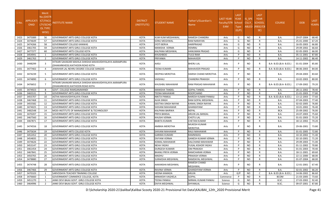| S.No. | <b>APPLICATI</b><br><b>ONID</b> | <b>Merit</b><br>Vo.(DISTF<br><b>ICT/FACL</b><br>LTY/SCHO<br>OL TYPE<br>WISE) | NSTITUTE NAME                                                                                | <b>DISTRICT</b><br>(INSTITUTE) | STUDENT NAME             | Father's/Guardian's<br>Name           | LAST YEAR<br>Faculty/STR<br>EAM | <b>LAST</b><br><b>YEAR</b><br>School<br>Type<br>(G/P) | IS SPE<br><b>CILLY</b> | <b>LAST</b><br><b>YEAR</b><br><b>SCHOOL</b><br>ABLED (RBSE/CB<br>SE) | <b>COURSE</b>          | <b>DOB</b> | <b>LAST</b><br>YEAR% |
|-------|---------------------------------|------------------------------------------------------------------------------|----------------------------------------------------------------------------------------------|--------------------------------|--------------------------|---------------------------------------|---------------------------------|-------------------------------------------------------|------------------------|----------------------------------------------------------------------|------------------------|------------|----------------------|
| 1423  | 3475089                         | 56                                                                           | <b>GOVERNMENT ARTS GIRLS COLLEGE KOTA</b>                                                    | <b>KOTA</b>                    | KUM KUM MEGHAWAL         | <b>RAMESH CHANDRA</b>                 | Arts                            | G                                                     | <b>NO</b>              | R                                                                    | <b>B.A.</b>            | 29-07-2004 | 68.40                |
| 1424  | 3474649                         | 57                                                                           | <b>GOVERNMENT ARTS GIRLS COLLEGE KOTA</b>                                                    | <b>KOTA</b>                    | SONU MEGHWAL             | <b>RAM NARAYAN</b>                    | Arts                            | G                                                     | <b>NO</b>              | R                                                                    | <b>B.A.</b>            | 25-01-2000 | 67.20                |
| 1425  | 3474266                         | 58                                                                           | <b>GOVERNMENT COLLEGE KANWAS</b>                                                             | <b>KOTA</b>                    | <b>IYOTI BERVA</b>       | <b>HARIPRASAD</b>                     | Arts                            | G                                                     | <b>NO</b>              | R                                                                    | <b>B.A.</b>            | 16-05-2003 | 66.80                |
| 1426  | 3461705                         | 59                                                                           | GOVERNMENT ARTS GIRLS COLLEGE KOTA                                                           | <b>KOTA</b>                    | MANISHA VERMA            | <b>HEMRAJ</b>                         | Arts                            | G                                                     | NO                     | R                                                                    | B.A.                   | 29-09-2002 | 66.60                |
| 1427  | 3477377                         | 60                                                                           | <b>GOVERNMENT ARTS COLLEGE KOTA</b>                                                          | <b>KOTA</b>                    | KALPANA MEGHWAL          | <b>HANUMAN PRASAD</b>                 | Arts                            | G                                                     | NO.                    | R                                                                    | <b>B.A.</b>            | 02-05-2003 | 66.00                |
| 1428  | 3454941                         | 1                                                                            | <b>GOVERNMENT ARTS GIRLS COLLEGE KOTA</b>                                                    | KOTA                           | KHUSHBOO                 | <b>TULSI RAM</b>                      | Arts                            | P                                                     | <b>NO</b>              | R                                                                    | <b>B.A.</b>            | 05-11-2001 | 87.80                |
| 1429  | 3461763                         | $\overline{2}$                                                               | <b>GOVERNMENT ARTS GIRLS COLLEGE KOTA</b>                                                    | <b>KOTA</b>                    | PRIYANKA                 | <b>MAHAVEER</b>                       | Arts                            | P                                                     | <b>NO</b>              | R                                                                    | B.A.                   | 14-11-2002 | 86.40                |
| 1430  | 3448299                         | 3                                                                            | HITKARI SAHAKARI MAHILA SHIKSHA MAHAVIDHYALAYA AARAMPURA<br>(DHAKARKHEDI) KAITHOON ROAD KOTA | <b>KOTA</b>                    | AASU                     | <b>BHERU LAL</b>                      | Arts                            | P                                                     | NO.                    | R                                                                    | B.A- B.ED.(B.A- B.ED.) | 01-01-2004 | 85.80                |
| 1431  | 3477402                         | 4                                                                            | JAWAHAR LAL NEHRU DEGREE COLLEGE SANGOD                                                      | <b>KOTA</b>                    | TEENA KUMARI             | <b>MAHAVEER PRASAD</b>                | Arts                            | P                                                     | <b>NO</b>              | R                                                                    | B.A- B.ED.(B.A- B.ED.) | 08-06-2003 | 84.00                |
| 1432  | 3474239                         | 5                                                                            | GOVERNMENT ARTS GIRLS COLLEGE KOTA                                                           | <b>KOTA</b>                    | DEEPIKA MEROTHA          | <b>HARISH CHAND MEROTHA</b>           | Arts                            | P                                                     | <b>NO</b>              | R                                                                    | <b>B.A.</b>            | 29-04-2003 | 83.60                |
| 1433  | 3474890                         | - 6                                                                          | GOVERNMENT ARTS GIRLS COLLEGE KOTA                                                           | <b>KOTA</b>                    | VAISHALI                 | <b>CHANDRA PRAKASH</b>                | Arts                            | P                                                     | <b>NO</b>              | R                                                                    | B.A.                   | 10-02-2003 | 80.00                |
| 1434  | 3476652                         | 7                                                                            | HITKARI SAHAKARI MAHILA SHIKSHA MAHAVIDHYALAYA AARAMPURA<br>(DHAKARKHEDI) KAITHOON ROAD KOTA | <b>KOTA</b>                    | KHUSHBU MAHAWAR          | RAM PRASAD MAHAWAR                    | Arts                            | P                                                     | NO.                    | R                                                                    | B.A- B.ED.(B.A- B.ED.) | 17-09-2002 | 79.20                |
| 1435  | 3474923                         | -8                                                                           | GOVT. COLLEGE RAMGANJMANDI                                                                   | <b>KOTA</b>                    | MANISHA TANDEL           | <b>GOPAL TANDEL</b>                   | Arts                            | P                                                     | <b>NO</b>              | R                                                                    | B.A.                   | 28-11-2002 | 78.40                |
| 1436  | 3465531                         | 9                                                                            | GOVERNMENT ARTS GIRLS COLLEGE KOTA                                                           | <b>KOTA</b>                    | TEENA MAHAWAR            | <b>ROOPCHAND</b>                      | Arts                            | P                                                     | NO                     | R                                                                    | <b>B.A.</b>            | 21-01-2003 | 77.80                |
| 1437  | 3455707                         | 10                                                                           | ASTHA MAHAVIDHYALAYA ITAWA                                                                   | <b>KOTA</b>                    | NIKITA PANKAJ            | NARESH KUMAR PANKAJ                   | Arts                            | P                                                     | NO.                    | R                                                                    | B.A- B.ED.(B.A- B.ED.) | 13-12-2003 | 77.60                |
| 1438  | 3467468                         | -11                                                                          | GOVERNMENT ARTS GIRLS COLLEGE KOTA                                                           | <b>KOTA</b>                    | ALKA SINGH               | RAM GOPAL MEGHWAL                     | Arts                            | P                                                     | <b>NO</b>              | R                                                                    | B.A.                   | 07-04-2003 | 77.40                |
| 1439  | 3455582                         | 12                                                                           | <b>GOVERNMENT ARTS GIRLS COLLEGE KOTA</b>                                                    | KOTA                           | GEETIKA SINGH NAYAK      | <b>KAMAL SINGH NAYAK</b>              | Arts                            | P                                                     | <b>NO</b>              | R                                                                    | <b>B.A.</b>            | 02-02-2005 | 76.80                |
| 1440  | 3474025                         | 13                                                                           | <b>GOVERNMENT ARTS GIRLS COLLEGE KOTA</b>                                                    | <b>KOTA</b>                    | SHIVANI MAHAWAR          | <b>GHANSHYAM</b>                      | Arts                            | P                                                     | <b>NO</b>              | R                                                                    | <b>B.A.</b>            | 10-01-2002 | 76.40                |
| 1441  | 3482548                         | 14                                                                           | MODI INSTITUTE OF MANAGEMENT & TECHNOLOGY                                                    | <b>KOTA</b>                    | KALPANA BAIRWA           | <b>NEPAL</b>                          | Arts                            | P                                                     | NO                     | R                                                                    | <b>BCA</b>             | 25-09-2002 | 76.00                |
| 1442  | 3470207                         | 15                                                                           | <b>GOVERNMENT ARTS GIRLS COLLEGE KOTA</b>                                                    | <b>KOTA</b>                    | PRIYA BANSAL             | <b>ARJUN LAL BANSAL</b>               | Arts                            | P                                                     | NO.                    | R                                                                    | <b>B.A.</b>            | 24-07-2003 | 75.60                |
| 1443  | 3467560                         | 16                                                                           | GOVERNMENT ARTS GIRLS COLLEGE KOTA                                                           | <b>KOTA</b>                    | KHUSHI VERMA             | <b>CHOTU LAL</b>                      | Arts                            | P                                                     | <b>NO</b>              | R                                                                    | B.A.                   | 01-01-2003 | 75.20                |
| 1444  | 3467871                         | 17                                                                           | <b>GOVERNMENT ARTS GIRLS COLLEGE KOTA</b>                                                    | KOTA                           | BABITA KUMARI            | <b>CHETAN KUMAR</b>                   | Arts                            | P                                                     | <b>NO</b>              | $\mathsf{R}$                                                         | B.A.                   | 18-12-2002 | 74.20                |
| 1445  | 3474556                         | 18                                                                           | <b>GOVERNMENT ARTS GIRLS COLLEGE KOTA</b>                                                    | KOTA                           | AMBIKA MEROTHA           | <b>MUKESH KUMAR</b><br><b>MEROTHA</b> | Arts                            |                                                       | NO                     | R                                                                    | B.A.                   | 29-06-2001 | 73.80                |
| 1446  | 3475634                         | -19                                                                          | <b>GOVERNMENT ARTS COLLEGE KOTA</b>                                                          | <b>KOTA</b>                    | SHIVANI MAHAWAR          | RAJU MAHAWAR                          | Arts                            | D                                                     | <b>NO</b>              | R                                                                    | <b>B.A.</b>            | 01-01-2005 | 72.80                |
| 1447  | 3452452                         | 20                                                                           | GOVERNMENT ARTS GIRLS COLLEGE KOTA                                                           | <b>KOTA</b>                    | GARIMA KUMARI            | RAMNIWAS                              | Arts                            | P                                                     | <b>NO</b>              | R                                                                    | <b>B.A.</b>            | 10-10-2002 | 71.40                |
| 1448  | 3454835                         | 21                                                                           | <b>GOVERNMENT ARTS GIRLS COLLEGE KOTA</b>                                                    | <b>KOTA</b>                    | DIVYANI VERMA            | <b>GANESH KUMAR VERMA</b>             | Arts                            | P                                                     | <b>NO</b>              | R                                                                    | <b>B.A.</b>            | 02-10-2001 | 71.20                |
| 1449  | 3474626                         | 22                                                                           | GOVERNMENT ARTS GIRLS COLLEGE KOTA                                                           | <b>KOTA</b>                    | KOMAL MAHAWAR            | DALCHAND MAHAWAR                      | Arts                            | P                                                     | <b>NO</b>              | R                                                                    | <b>B.A.</b>            | 29-09-2003 | 71.00                |
| 1450  | 3453147                         | 23                                                                           | GOVERNMENT ARTS GIRLS COLLEGE KOTA                                                           | <b>KOTA</b>                    | NEHA YADAV               | YUGAL KISHOR YADAV                    | Arts                            | P                                                     | <b>NO</b>              | R                                                                    | B.A.                   | 01-11-2002 | 70.80                |
| 1451  | 3461454                         | 24                                                                           | GOVERNMENT ARTS GIRLS COLLEGE KOTA                                                           | <b>KOTA</b>                    | DURGESH KUMARI           | <b>OM PRAKASH</b>                     | Arts                            | P                                                     | NO                     | R                                                                    | <b>B.A.</b>            | 01-01-2003 | 70.40                |
| 1452  | 3467841                         | 25                                                                           | <b>GOVERNMENT ARTS GIRLS COLLEGE KOTA</b>                                                    | <b>KOTA</b>                    | <b>BHANU PRIYA VERMA</b> | RAMCHARAN VERMA                       | Arts                            | P                                                     | <b>NO</b>              | R                                                                    | <b>B.A.</b>            | 18-11-2001 | 69.60                |
| 1453  | 3450765                         | 26                                                                           | GOVERNMENT ARTS GIRLS COLLEGE KOTA                                                           | KOTA                           | MADHU                    | PRAKASH VERMA                         | Arts                            | P                                                     | <b>NO</b>              | R                                                                    | <b>B.A.</b>            | 22-11-2000 | 68.00                |
| 1454  | 3478880                         | 27                                                                           | <b>GOVERNMENT ARTS GIRLS COLLEGE KOTA</b>                                                    | <b>KOTA</b>                    | SURAKSHA MEGHWAL         | RAMDAYAL MEGHWAL                      | Arts                            | <b>P</b>                                              | <b>NO</b>              | R                                                                    | <b>B.A.</b>            | 01-07-2004 | 68.00                |
| 1455  | 3474748                         | 28                                                                           | GOVERNMENT ARTS GIRLS COLLEGE KOTA                                                           | KOTA                           | AAKANSHA MEGHWAL         | RAMESH CHAND<br><b>MEGHWAL</b>        | Arts                            | P                                                     | NO.                    | R                                                                    | <b>B.A.</b>            | 12-01-2001 | 67.40                |
| 1456  | 3467466                         | 29                                                                           | <b>GOVERNMENT ARTS GIRLS COLLEGE KOTA</b>                                                    | KOTA                           | RAVINA VERMA             | <b>GHANSHYAM VERMA</b>                | Arts                            | P                                                     | <b>NO</b>              | R                                                                    | <b>B.A.</b>            | 02-01-2002 | 66.20                |
| 1457  | 3470103                         | -1                                                                           | SARVODAYA TEACHER TRAINING COLLEGE                                                           | <b>KOTA</b>                    | HEENA KAMADA             | ARJUN                                 | Arts                            | G/P                                                   | NO.                    | $\mathsf{C}$                                                         | B.A- B.ED.(B.A- B.ED.) | 14-06-2002 | 86.60                |
| 1458  | 3476660                         | 1                                                                            | <b>GOVERNMENT COMMERCE COLLEGE, KOTA</b>                                                     | <b>KOTA</b>                    | MINAKSHI VAGHELA         | <b>GOPAL</b>                          | Commerce                        | P                                                     | <b>NO</b>              | R                                                                    | <b>BCOM</b>            | 21-03-2005 | 73.60                |
| 1459  | 3451270                         | 1                                                                            | JANKI DEVI BAJAJ GOVT. GIRLS COLLEGE KOTA                                                    | <b>KOTA</b>                    | TEENA PANKAJ             | NIRMAL KUMAR PANKAJ                   | Science                         | G                                                     | <b>NO</b>              | R                                                                    | B.SC.                  | 27-03-2002 | 92.40                |
| 1460  | 3464996                         | $\overline{2}$                                                               | JANKI DEVI BAJAJ GOVT. GIRLS COLLEGE KOTA                                                    | <b>KOTA</b>                    | DIVYA MEGHWAL            | SHYAMLAL                              | Science                         | G                                                     | <b>NO</b>              | R                                                                    | B.SC.                  | 09-07-2001 | 87.80                |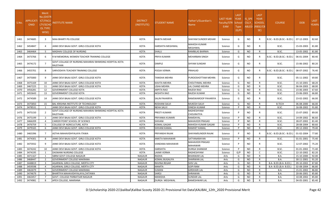| S.No | <b>APPLICATI</b><br><b>ONID</b> | Merit<br><b>No.(DISTF</b><br>ICT/FACU<br>LTY/SCHO<br><b>OL TYPE</b><br>WISE) | NSTITUTE NAME                                                      | <b>DISTRICT</b><br>(INSTITUTE) | <b>STUDENT NAME</b> | Father's/Guardian's<br>Name | <b>LAST YEAR</b><br>Faculty/STR School<br><b>EAM</b> | <b>LAST</b><br><b>YEAR</b><br><b>Type</b><br>(G/P) | IS SPE<br><b>CILLY</b> | <b>LAST</b><br><b>YEAR</b><br>SCHOOL<br>ABLED (RBSE/CB<br>SE) | <b>COURSE</b>              | <b>DOB</b> | <b>LAST</b><br>YEAR% |
|------|---------------------------------|------------------------------------------------------------------------------|--------------------------------------------------------------------|--------------------------------|---------------------|-----------------------------|------------------------------------------------------|----------------------------------------------------|------------------------|---------------------------------------------------------------|----------------------------|------------|----------------------|
| 1461 | 3474685                         | 3                                                                            | <b>MAA BHARTI PG COLLEGE</b>                                       | KOTA                           | <b>BABITA MEHAR</b> | <b>SHAYAM SUNDER MEHAR</b>  | Science                                              | G                                                  | <b>NO</b>              | R                                                             | B.SC.- B.ED.(B.SC.- B.ED.) | 07-12-2003 | 82.60                |
| 1462 | 3454847                         | $\overline{a}$                                                               | JANKI DEVI BAJAJ GOVT. GIRLS COLLEGE KOTA                          | KOTA                           | HARSHITA MEGHWAL    | MAHESH KUMAR<br>MEGHWAL     | Science                                              | G                                                  | NO.                    | R                                                             | B.SC.                      | 15-03-2003 | 81.80                |
| 1463 | 3464464                         | -5                                                                           | MADHAV COLLEGE OF NURSING                                          | <b>KOTA</b>                    | SHALU               | RAMBILAS BAIRWA             | Science                                              | G                                                  | <b>NO</b>              | R                                                             | B.SC.                      | 13-05-2002 | 81.80                |
| 1464 | 3473766                         | 6                                                                            | R M MEMORIAL WOMEN TEACHER TRAINING COLLEGE                        | KOTA                           | PRIYA KUMARI        | <b>MEHARBAN SINGH</b>       | Science                                              | G                                                  | NO.                    | R                                                             | B.SC.- B.ED.(B.SC.- B.ED.) | 06-01-2004 | 80.40                |
| 1465 | 3474172                         | $\overline{7}$                                                               | GOVT.COLLAGE OF NURSING MAHARAV BHIMSING HOSPITAL KOTA<br>RAJSTHAN | KOTA                           | <b>DIMPLE</b>       | SHYAM SUNDAR                | Science                                              | G                                                  | NO.                    | R                                                             | B.SC.                      | 15-06-2002 | 80.20                |
| 1466 | 3455701                         | 8                                                                            | SARVODAYA TEACHER TRAINING COLLEGE                                 | KOTA                           | POOJA VERMA         | <b>PRAHLAD</b>              | Science                                              | G                                                  | <b>NO</b>              | R                                                             | B.SC.- B.ED.(B.SC.- B.ED.) | 08-07-2002 | 76.40                |
| 1467 | 3475000                         | 9                                                                            | JANKI DEVI BAJAJ GOVT. GIRLS COLLEGE KOTA                          | KOTA                           | TANISHA MEHRA       | PUROOSHOTTAM MEHRA          | Science                                              | G                                                  | NO.                    | R.                                                            | B.SC.                      | 05-11-2002 | 69.80                |
| 1468 | 3475169                         | 10                                                                           | JANKI DEVI BAJAJ GOVT. GIRLS COLLEGE KOTA                          | <b>KOTA</b>                    | KAVITA MEHRA        | CHOUTHMAL MEHRA             | Science                                              | G                                                  | NO.                    | R                                                             | B.SC.                      | 15-10-2001 | 68.20                |
| 1469 | 3467225                         | 11                                                                           | JANKI DEVI BAJAJ GOVT. GIRLS COLLEGE KOTA                          | <b>KOTA</b>                    | JSHA MEHRA          | LAL CHAND MEHRA             | Science                                              | G                                                  | <b>NO</b>              | R                                                             | B.SC.                      | 06-04-2003 | 68.00                |
| 1470 | 3456281                         | 12                                                                           | <b>GOVERNMENT COLLEGE KOTA</b>                                     | <b>KOTA</b>                    | <b>ARPITA RAO</b>   | RAJESH RAO                  | Science                                              | G                                                  | NO.                    | R                                                             | B.SC.                      | 23-06-2003 | 67.60                |
| 1471 | 3455643                         | 13                                                                           | <b>GOVERNMENT COLLEGE KOTA</b>                                     | <b>KOTA</b>                    | AKSHITA RAO         | RAJESH KUMAR                | Science                                              | G                                                  | NO.                    | $\mathsf{R}$                                                  | B.SC.                      | 23-06-2003 | 66.80                |
| 1472 | 3474589                         | -14                                                                          | JANKI DEVI BAJAJ GOVT. GIRLS COLLEGE KOTA                          | <b>KOTA</b>                    | SALIN PAHARIYA      | RAMSWAROOP PAHARIYA         | Science                                              | G                                                  | <b>NO</b>              | R                                                             | B.SC.                      | 23-02-2002 | 66.00                |
| 1473 | 3475850                         | 15                                                                           | BAL KRISHNA INSTITUTE OF TECHNOLOGY                                | <b>KOTA</b>                    | ROSHANI SALVI       | <b>MUKESH SALVI</b>         | Science                                              | G                                                  | <b>NO</b>              | R                                                             | <b>B.TECH</b>              | 06-08-2000 | 66.00                |
| 1474 | 3478531                         | $\overline{1}$                                                               | JANKI DEVI BAJAJ GOVT. GIRLS COLLEGE KOTA                          | <b>KOTA</b>                    | <b>NEHA SALVI</b>   | DINESH KUMAR                | Science                                              | <b>D</b>                                           | NO.                    | $\mathsf{R}$                                                  | B.SC.                      | 16-08-2002 | 91.80                |
| 1475 | 3475150                         | $\overline{2}$                                                               | GOVT.COLLAGE OF NURSING MAHARAV BHIMSING HOSPITAL KOTA<br>RAJSTHAN | KOTA                           | PREETI KUMARI       | RADHESHYAM<br>CHOURATIYA    | Science                                              |                                                    | <b>NO</b>              | R.                                                            | B.SC.                      | 15-07-2002 | 89.00                |
| 1476 | 3475199                         | $\overline{\mathbf{3}}$                                                      | JANKI DEVI BAJAJ GOVT. GIRLS COLLEGE KOTA                          | <b>KOTA</b>                    | PRIYANKA KUMARI     | RAMDAYAL                    | Science                                              | P                                                  | NO.                    | R                                                             | B.SC.                      | 14-09-2002 | 86.60                |
| 1477 | 3466209                         | 4                                                                            | CAREER POINT SCHOOL OF SCIENCE                                     | <b>KOTA</b>                    | SHIVANI             | MAHAVEER PRASAD             | Science                                              | P                                                  | <b>NO</b>              | R                                                             | B.SC.                      | 28-07-2002 | 81.40                |
| 1478 | 3476759                         | -5                                                                           | COLLEGE OF AGRICULTURE, KOTA                                       | <b>KOTA</b>                    | KOMAL GAGAR         | MAHESH KUMAR GAGAR          | Science                                              | p                                                  | <b>NO</b>              | $\mathsf{R}$                                                  | B.SC.                      | 28-08-2004 | 80.60                |
| 1479 | 3479165                         | 6                                                                            | JANKI DEVI BAJAJ GOVT. GIRLS COLLEGE KOTA                          | <b>KOTA</b>                    | SHIVANI KAMAL       | RAMHET KAMAL                | Science                                              | P                                                  | NO.                    | $\mathsf{R}$                                                  | B.SC.                      | 09-12-2002 | 79.40                |
| 1480 | 3465396                         | 7                                                                            | ASTHA MAHAVIDHYALAYA ITAWA                                         | KOTA                           | PRIYANSHI RAJAK     | SHAYAMSUNDER RAJAK          | Science                                              |                                                    | NO.                    |                                                               | B.SC.- B.ED.(B.SC.- B.ED.) | 01-02-2004 | 77.80                |
| 1481 | 3474301                         | 8                                                                            | JANKI DEVI BAJAJ GOVT. GIRLS COLLEGE KOTA                          | <b>KOTA</b>                    | ANKITA MAHAWAR      | SATYANARAYAN                | Science                                              | P                                                  | NO.                    | R                                                             | B.SC.                      | 01-01-2001 | 75.40                |
| 1482 | 3475932                         | 9                                                                            | JANKI DEVI BAJAJ GOVT. GIRLS COLLEGE KOTA                          | <b>KOTA</b>                    | VANDANA MAHAWAR     | MAHAVEER PRASAD<br>MAHAWAR  | Science                                              |                                                    | <b>NO</b>              | R                                                             | B.SC.                      | 12-07-2002 | 75.20                |
| 1483 | 3474242                         | 10                                                                           | JANKI DEVI BAJAJ GOVT. GIRLS COLLEGE KOTA                          | <b>KOTA</b>                    | HARSHITA            | DURGA SHANKAR               | Science                                              | P                                                  | NO                     | R                                                             | B.SC.                      | 01-01-2002 | 71.40                |
| 1484 | 3474195                         | 1                                                                            | DASWANI NURSING COLLEGE                                            | <b>KOTA</b>                    | <b>LAXMI VERMA</b>  | RADHESHYAM                  | Science                                              | G/P                                                | NO.                    | C                                                             | B.SC.                      | 22-10-2002 | 82.20                |
| 1485 | 3471167                         | -1                                                                           | SBRM GOVT COLLEGE NAGAUR                                           | <b>NAGAUR</b>                  | <b>RADHA</b>        | <b>BHANWAR LAL</b>          | Arts                                                 | G                                                  | NO                     | R                                                             | B.A.                       | 15-10-2000 | 92.00                |
| 1486 | 3468447                         | $\overline{2}$                                                               | <b>GOVERNMENT COLLEGE MAKRANA</b>                                  | <b>NAGAUR</b>                  | KOMAL BUGALIYA      | <b>SHARWAN LAL</b>          | Arts                                                 | G                                                  | <b>NO</b>              |                                                               | <b>B.A.</b>                | 30-11-2001 | 91.20                |
| 1487 | 3448819                         | $\overline{\mathbf{3}}$                                                      | AGARWAL GIRLS COLLEGE, MERTA CITY                                  | <b>NAGAUR</b>                  | RAVINA REGAR        | <b>SHIV LAL</b>             | Arts                                                 | G                                                  | NO.                    | R                                                             | B.A- B.ED.(B.A- B.ED.)     | 09-10-2002 | 87.80                |
| 1488 | 3459598                         | $\overline{4}$                                                               | AGARWAL GIRLS COLLEGE, MERTA CITY                                  | <b>NAGAUR</b>                  | <b>MAMTA</b>        | <b>GOPI RAM</b>             | Arts                                                 | G                                                  | <b>NO</b>              | R                                                             | B.A- B.ED.(B.A- B.ED.)     | 02-08-2004 | 86.80                |
| 1489 | 3463079                         | - 5                                                                          | <b>GOVERNMENT COLLEGE MAKRANA</b>                                  | <b>NAGAUR</b>                  | SUMAN               | <b>GIRDHARI LAL</b>         | Arts                                                 | G                                                  | NO.                    | $\mathsf{R}$                                                  | <b>B.A.</b>                | 15-01-2002 | 86.80                |
| 1490 | 3474679                         | -6                                                                           | BHARTIYA MAHAVIDHYALAYA, CHITAWA                                   | <b>NAGAUR</b>                  | SAROJ               | SHRAWAN                     | Arts                                                 | G                                                  | NO.                    | R                                                             | B.A.                       | 20-06-2001 | 85.80                |
| 1491 | 3463457                         | 7                                                                            | GOVT. COLLEGE PARBATSAR NAGAUR                                     | <b>NAGAUR</b>                  | MANISHA             | <b>SUNDAR LAL</b>           | Arts                                                 | G                                                  | <b>NO</b>              | R                                                             | <b>B.A.</b>                | 10-08-2002 | 85.80                |
| 1492 | 3474981                         | - 8                                                                          | APEX COLLEGE, MAKRANA                                              | <b>NAGAUR</b>                  | DURGA MEGHWAL       | RAMESHWAR LAL               | Arts                                                 | G                                                  | NO                     | R                                                             | B.A.                       | 04-05-2001 | 85.40                |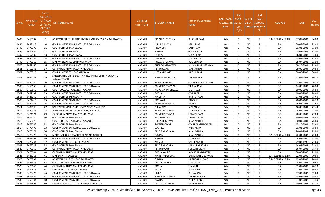| S.No. | <b>APPLICATI</b><br><b>ONID</b> | Merit<br>o.(DISTF) ا<br><b>ICT/FACU</b><br><b>LTY/SCHC</b><br><b>OL TYPE</b><br>WISE) | NSTITUTE NAME                                                             | <b>DISTRICT</b><br>(INSTITUTE) | STUDENT NAME         | Father's/Guardian's<br>Name | LAST YEAR<br>Faculty/STR<br><b>EAM</b> | <b>LAST</b><br><b>YEAR</b><br>School<br><b>Type</b><br>(G/P) | IS SPE<br><b>CILLY</b><br>ABLED | <b>LAST</b><br><b>YEAR</b><br><b>SCHOOL</b><br>(RBSE/CB<br>SE) | <b>COURSE</b>          | <b>DOB</b> | <b>LAST</b><br>YEAR% |
|-------|---------------------------------|---------------------------------------------------------------------------------------|---------------------------------------------------------------------------|--------------------------------|----------------------|-----------------------------|----------------------------------------|--------------------------------------------------------------|---------------------------------|----------------------------------------------------------------|------------------------|------------|----------------------|
| 1493  | 3465982                         | 9                                                                                     | AGARWAL SHIKSHAK PRASHIKSHAN MAHAVIDYALYA, MERTA CITY                     | <b>NAGAUR</b>                  | BINDU CHOROTIYA      | DHARMA RAM                  | Arts                                   | G                                                            | <b>NO</b>                       |                                                                | B.A- B.ED.(B.A- B.ED.) | 07-07-2003 | 84.80                |
| 1494  | 3482112                         | 10                                                                                    | GOVERNMENT BANGUR COLLEGE. DIDWANA                                        | <b>NAGAUR</b>                  | NIRMLA JILOYA        | <b>DEBU RAM</b>             | Arts                                   | G                                                            | <b>NO</b>                       | R                                                              | <b>B.A.</b>            | 20-04-2004 | 83.40                |
| 1495  | 3475192                         | 11                                                                                    | <b>GOVT COLLEGE MANGLANA</b>                                              | <b>NAGAUR</b>                  | PREM DEVI            | <b>KANA RAM</b>             | Arts                                   | G                                                            | <b>NO</b>                       | R                                                              | B.A.                   | 01-01-2003 | 83.00                |
| 1496  | 3474852                         | 12                                                                                    | <b>GOVT COLLEGE MERTA CITY</b>                                            | <b>NAGAUR</b>                  | SUNITA               | <b>GUTHA RAM</b>            | Arts                                   | G                                                            | <b>NO</b>                       |                                                                | B.A.                   | 25-02-2004 | 83.00                |
| 1497  | 3467882                         | 13                                                                                    | <b>GOVT COLLEGE MANGLANA</b>                                              | <b>NAGAUR</b>                  | DURGA                | <b>GOPAL RAM</b>            | Arts                                   | G                                                            | <b>NO</b>                       | R                                                              | <b>B.A.</b>            | 16-04-2003 | 82.60                |
| 1498  | 3454757                         | 14                                                                                    | GOVERNMENT BANGUR COLLEGE, DIDWANA                                        | <b>NAGAUR</b>                  | DHANPATI             | <b>MAGNA RAM</b>            | Arts                                   | G                                                            | <b>NO</b>                       | R                                                              | B.A.                   | 15-09-2002 | 82.40                |
| 1499  | 3476112                         | 15                                                                                    | MARWAR MAHILA MAHAVIDHYALAY                                               | <b>NAGAUR</b>                  | POOJA KHORWAL        | <b>DULI CHAND</b>           | Arts                                   | G                                                            | <b>NO</b>                       | R                                                              | <b>B.A.</b>            | 05-07-2003 | 82.00                |
| 1500  | 3469160                         | 16                                                                                    | GOVERNMENT BANGUR COLLEGE, DIDWANA                                        | <b>NAGAUR</b>                  | CHANDA MEGHWAL       | <b>BUDHA RAM MEGHWAL</b>    | Arts                                   | G                                                            | <b>NO</b>                       |                                                                | B.A.                   | 09-10-2001 | 81.60                |
| 1501  | 3452141                         | 17                                                                                    | GURUKUL MAHAVIDYALAYA MOLASAR                                             | <b>NAGAUR</b>                  | RENU REGAR           | LAXMAN RAM                  | Arts                                   | G                                                            | <b>NO</b>                       |                                                                | B.A.                   | 08-05-2004 | 80.60                |
| 1502  | 3475726                         | 18                                                                                    | GOVERNMENT COLLEGE MAKRANA                                                | <b>NAGAUR</b>                  | NEELAM KHATTI        | <b>NATHU RAM</b>            | Arts                                   | G                                                            | <b>NO</b>                       | R                                                              | B.A.                   | 30-05-2003 | 80.40                |
| 1503  | 3466238                         | 19                                                                                    | SHREEMATI MOHARI DEVI TAPARIA BALIKA MAHAVIDYALAYA,<br><b>JASWANTGARH</b> | NAGAUR                         | SUMAN MEGHWAL        | SHIVAKARAN                  | Arts                                   | G                                                            | NO.                             |                                                                | B.A.                   | 11-04-2003 | 80.20                |
| 1504  | 3470022                         | 20                                                                                    | GOVERNMENT BANGUR COLLEGE, DIDWANA                                        | <b>NAGAUR</b>                  | KOMAL CHOPRA         | <b>GULAB CHAND CHOPRA</b>   | Arts                                   | G                                                            | NO                              |                                                                | B.A.                   | 23-05-2004 | 79.20                |
| 1505  | 3465160                         | 21                                                                                    | GOVERNMENT BANGUR COLLEGE, DIDWANA                                        | <b>NAGAUR</b>                  | MANISHA PANWAR       | <b>TILOKA RAM</b>           | Arts                                   | G                                                            | <b>NO</b>                       | R                                                              | B.A.                   | 14-08-2003 | 78.80                |
| 1506  | 3468550                         | 22                                                                                    | GOVT. COLLEGE PARBATSAR NAGAUR                                            | <b>NAGAUR</b>                  | KANCHAN MEGHWAL      | <b>MOTI RAM</b>             | Arts                                   | G                                                            | <b>NO</b>                       | R                                                              | <b>B.A.</b>            | 10-05-2002 | 78.60                |
| 1507  | 3482187                         | 23                                                                                    | GOVERNMENT BANGUR COLLEGE, DIDWANA                                        | <b>NAGAUR</b>                  | POOJA                | <b>OMPRAKASH</b>            | Arts                                   | G                                                            | <b>NO</b>                       |                                                                | <b>B.A.</b>            | 10-03-2002 | 78.40                |
| 1508  | 3448039                         | 24                                                                                    | <b>GOVT COLLEGE MERTA CITY</b>                                            | <b>NAGAUR</b>                  | <b>MAMATA</b>        | <b>HARAKA RAM</b>           | Arts                                   | G                                                            | <b>NO</b>                       |                                                                | <b>B.A.</b>            | 07-08-2003 | 78.40                |
| 1509  | 3474416                         | 25                                                                                    | GOVERNMENT BANGUR COLLEGE, DIDWANA                                        | <b>NAGAUR</b>                  | POONAM               | RAMSUKH                     | Arts                                   | G                                                            | <b>NO</b>                       | R                                                              | <b>B.A.</b>            | 20-03-2003 | 78.20                |
| 1510  | 3474245                         | 26                                                                                    | GOVERNMENT BANGUR COLLEGE, DIDWANA                                        | <b>NAGAUR</b>                  | ANKITA CHOUHAN       | <b>RAJESH</b>               | Arts                                   | G                                                            | <b>NO</b>                       | R                                                              | B.A.                   | 15-08-2003 | 77.80                |
| 1511  | 3482999                         | 27                                                                                    | SARASWATI MAHILA MAHAVIDYALAYA MAKRANA                                    | <b>NAGAUR</b>                  | NIMA DEVI            | <b>MADAN LAL</b>            | Arts                                   | G                                                            | <b>NO</b>                       | R                                                              | B.A.                   | 16-06-2004 | 77.40                |
| 1512  | 3470946                         | 28                                                                                    | VIVEKANAND COLLEGE, MOLASAR, NAGAUR                                       | <b>NAGAUR</b>                  | KOMAL MEGHWAL        | MUKESH KUMAR                | Arts                                   | G                                                            | <b>NO</b>                       |                                                                | <b>B.A.</b>            | 24-04-2003 | 77.00                |
| 1513  | 3474971                         | 29                                                                                    | GURUKUL MAHAVIDYALAYA MOLASAR                                             | <b>NAGAUR</b>                  | MANISHA BAWARI       | <b>SOMANI RAM</b>           | Arts                                   | G                                                            | <b>NO</b>                       |                                                                | B.A.                   | 20-06-2003 | 77.00                |
| 1514  | 3475784                         | 30                                                                                    | <b>GOVT COLLEGE MANGLANA</b>                                              | <b>NAGAUR</b>                  | POONAM DEVI          | <b>SAMDAR RAM</b>           | Arts                                   | G                                                            | <b>NO</b>                       | R                                                              | B.A.                   | 30-04-2003 | 76.80                |
| 1515  | 3450029                         | 31                                                                                    | GOVT. COLLEGE PARBATSAR NAGAUR                                            | <b>NAGAUR</b>                  | LEELA MEGHWAL        | <b>BHANWAR LAL</b>          | Arts                                   | G                                                            | <b>NO</b>                       | R                                                              | B.A.                   | 30-04-2001 | 76.60                |
| 1516  | 3475252                         | 32                                                                                    | <b>GOVT COLLEGE MANGLANA</b>                                              | <b>NAGAUR</b>                  | SHANTI BAWARI        | OM PRAKASH BAWARI           | Arts                                   | G                                                            | <b>NO</b>                       | R                                                              | B.A.                   | 15-10-2001 | 75.60                |
| 1517  | 3476493                         | 33                                                                                    | GOVERNMENT BANGUR COLLEGE, DIDWANA                                        | <b>NAGAUR</b>                  | SUSHILA              | PREMARAM                    | Arts                                   | G                                                            | <b>NO</b>                       | R                                                              | <b>B.A.</b>            | 01-01-2004 | 75.60                |
| 1518  | 3475171                         | -34                                                                                   | <b>GOVT COLLEGE MANGLANA</b>                                              | <b>NAGAUR</b>                  | PINKI RAJ BOHARA     | <b>BHANWAR LAL</b>          | Arts                                   | G                                                            | <b>NO</b>                       | R                                                              | <b>B.A.</b>            | 26-01-2004 | 73.80                |
| 1519  | 3479473                         | 35                                                                                    | MAITREYEE GIRLS TEACHER TRAINING COLLEGE                                  | <b>NAGAUR</b>                  | SUMAN                | <b>BHANWAR LAL</b>          | Arts                                   | G                                                            | <b>NO</b>                       | R                                                              | B.A- B.ED.(B.A- B.ED.) | 22-04-2003 | 73.60                |
| 1520  | 3461509                         | 36                                                                                    | GOVERNMENT BANGUR COLLEGE, DIDWANA                                        | <b>NAGAUR</b>                  | SUNITA               | <b>KISHANA RAM</b>          | Arts                                   | G                                                            | NO.                             | R                                                              | B.A.                   | 04-03-2000 | 72.00                |
| 1521  | 3475234                         | 37                                                                                    | <b>GOVERNMENT COLLEGE KHIVNSAR</b>                                        | <b>NAGAUR</b>                  | MANJU                | <b>OM PRAKASH</b>           | Arts                                   | G                                                            | <b>NO</b>                       | R                                                              | B.A.                   | 29-03-1998 | 71.60                |
| 1522  | 3475249                         | 38                                                                                    | <b>GOVT COLLEGE MANGLANA</b>                                              | <b>NAGAUR</b>                  | PINKI RAJ BOHRA      | PAPPU RAJ BOHRA             | Arts                                   | G                                                            | <b>NO</b>                       | R                                                              | <b>B.A.</b>            | 14-03-2003 | 71.40                |
| 1523  | 3476166                         | 39                                                                                    | GURUKUL MAHAVIDYALAYA MOLASAR                                             | <b>NAGAUR</b>                  | RENU BAGARI          | <b>SURESH KUMAR</b>         | Arts                                   | G                                                            | NO.                             |                                                                | <b>B.A.</b>            | 16-07-2003 | 71.40                |
| 1524  | 3475044                         | 40                                                                                    | GURUKUL MAHAVIDYALAYA MOLASAR                                             | <b>NAGAUR</b>                  | POOJA NAYAK          | <b>AMARCHAND NAYAK</b>      | Arts                                   | G                                                            | <b>NO</b>                       | R                                                              | <b>B.A.</b>            | 08-08-2005 | 71.00                |
| 1525  | 3483716                         | 41                                                                                    | <b>MAKRANA T T COLLEGE</b>                                                | <b>NAGAUR</b>                  | MAINA MEGHWAL        | RAMKARAN MEGHWAL            | Arts                                   | G                                                            | NO                              |                                                                | B.A- B.ED.(B.A- B.ED.) | 02-04-2000 | 70.60                |
| 1526  | 3476201                         | 42                                                                                    | AGARWAL GIRLS COLLEGE, MERTA CITY                                         | <b>NAGAUR</b>                  | SUMAN                | RAJENDRA KUMAR              | Arts                                   | G                                                            | <b>NO</b>                       |                                                                | B.A- B.ED.(B.A- B.ED.) | 12-02-2003 | 70.60                |
| 1527  | 3475648                         | 43                                                                                    | GOVT. COLLEGE PARBATSAR NAGAUR                                            | <b>NAGAUR</b>                  | <b>VINITA KERAPA</b> | <b>TULSI RAM</b>            | Arts                                   | G                                                            | NO                              | R                                                              | B.A.                   | 24-05-2003 | 70.40                |
| 1528  | 3475046                         | 44                                                                                    | GURUKUL MAHAVIDYALAYA MOLASAR                                             | <b>NAGAUR</b>                  | POOJA                | SHANKAR                     | Arts                                   | G                                                            | <b>NO</b>                       |                                                                | B.A.                   | 02-07-2003 | 70.20                |
| 1529  | 3467475                         | 45                                                                                    | SHRI SAWAI COLLEGE, DIDWANA                                               | NAGAUR                         | RAJNI                | <b>RUGA RAM</b>             | Arts                                   | G                                                            | NO                              |                                                                | B.A.                   | 01-01-2001 | 69.60                |
| 1530  | 3476476                         | 46                                                                                    | GOVERNMENT BANGUR COLLEGE, DIDWANA                                        | <b>NAGAUR</b>                  | KRIPA                | <b>CHENA RAM</b>            | Arts                                   | G                                                            | NO                              |                                                                | B.A.                   | 07-03-2002 | 69.60                |
| 1531  | 3475657                         | 47                                                                                    | GOVERNMENT BANGUR COLLEGE, DIDWANA                                        | <b>NAGAUR</b>                  | SUSHILA MEGHWAL      | <b>SHRAWAN RAM</b>          | Arts                                   | G                                                            | NO.                             | R                                                              | B.A.                   | 15-08-2003 | 69.40                |
| 1532  | 3453934                         | 48                                                                                    | GOVERNMENT BANGUR COLLEGE, DIDWANA                                        | <b>NAGAUR</b>                  | KAVITA               | <b>INDRA CHAND</b>          | Arts                                   | G                                                            | NO                              | R                                                              | <b>B.A.</b>            | 07-07-2002 | 67.40                |
| 1533  | 3463495                         | 49                                                                                    | SHAHEED BHAGAT SINGH COLLEGE NAWA CITY                                    | <b>NAGAUR</b>                  | POOJA MEGHWAL        | <b>BHANWAR LAL</b>          | Arts                                   | G                                                            | <b>NO</b>                       | R                                                              | <b>B.A.</b>            | 10-03-2003 | 67.20                |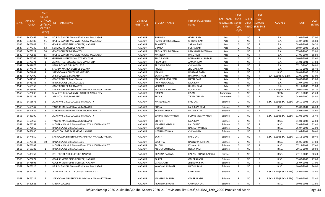| S.No. | <b>APPLICATI</b><br><b>ONID</b> | <b>Merit</b><br>Vo.(DISTF<br><b>ICT/FACU</b><br>LTY/SCHO<br>OL TYPE<br>WISE) | NSTITUTE NAME                                | <b>DISTRICT</b><br>(INSTITUTE) | STUDENT NAME          | Father's/Guardian's<br>Name | LAST YEAR<br>Faculty/STR<br><b>EAM</b> | <b>LAST</b><br><b>YEAR</b><br>School<br><b>Type</b><br>(G/P) | IS SPE<br><b>CILLY</b> | <b>LAST</b><br><b>YEAR</b><br><b>SCHOOL</b><br>ABLED (RBSE/CB<br>SE) | <b>COURSE</b>              | <b>DOB</b>       | <b>LAST</b><br>YEAR% |
|-------|---------------------------------|------------------------------------------------------------------------------|----------------------------------------------|--------------------------------|-----------------------|-----------------------------|----------------------------------------|--------------------------------------------------------------|------------------------|----------------------------------------------------------------------|----------------------------|------------------|----------------------|
| 1534  | 3480462                         | 50                                                                           | RAJEEV GANDHI MAHAVIDHYALYA, MAULASAR        | <b>NAGAUR</b>                  | SURGYAN               | <b>GOPAL RAM</b>            | Arts                                   | G                                                            | <b>NO</b>              | R                                                                    | <b>B.A.</b>                | 01-01-2002       | 67.00                |
| 1535  | 3482486                         | 51                                                                           | RAJEEV GANDHI MAHAVIDHYALYA, MAULASAR        | <b>NAGAUR</b>                  | PAPPU DEVI MEGHWAL    | <b>CHHOTU RAM</b>           | Arts                                   | G                                                            | <b>NO</b>              | R                                                                    | <b>B.A.</b>                | 03-07-2003       | 66.80                |
| 1536  | 3475047                         | 52                                                                           | GOVERNMENT GIRLS COLLEGE, NAGAUR             | <b>NAGAUR</b>                  | SANGEETA              | <b>SARJAN RAM</b>           | Arts                                   | G                                                            | <b>NO</b>              | R                                                                    | <b>B.A.</b>                | 08-09-2002       | 66.20                |
| 1537  | 3474330                         | 53                                                                           | SBRM GOVT COLLEGE NAGAUR                     | <b>NAGAUR</b>                  | URMILA                | <b>SUKHA RAM</b>            | Arts                                   | G                                                            | N <sub>O</sub>         | R                                                                    | B.A.                       | 10-07-2003       | 66.20                |
| 1538  | 3475222                         | 54                                                                           | <b>GOVT COLLEGE MERTA CITY</b>               | <b>NAGAUR</b>                  | REKHA DEVI MEGHWAL    | RAMSAGAR MEGHWAL            | Arts                                   | G                                                            | <b>NO</b>              | R                                                                    | <b>B.A.</b>                | 07-07-2000       | 65.80                |
| 1539  | 3479926                         | 55                                                                           | RAJEEV GANDHI MAHAVIDHYALYA, MAULASAR        | <b>NAGAUR</b>                  | MANISHA               | <b>DALU RAM</b>             | Arts                                   | G                                                            | <b>NO</b>              | R                                                                    | <b>B.A.</b>                | 27-09-2004       | 65.80                |
| 1540  | 3476705                         | 56                                                                           | GURUKUL MAHAVIDYALAYA MOLASAR                | <b>NAGAUR</b>                  | PINKI BAGARI          | <b>BANWARI LAL BAGARI</b>   | Arts                                   | G                                                            | <b>NO</b>              | R                                                                    | <b>B.A.</b>                | 10-05-2002       | 65.60                |
| 1541  | 3476371                         | -1                                                                           | ADARSH P.G. COLLEGE ,KUCHAMAN CITY           | <b>NAGAUR</b>                  | PREM DEVI             | AMARA RAM                   | Arts                                   | P                                                            | <b>NO</b>              | R                                                                    | <b>B.A.</b>                | 01-01-2001       | 87.60                |
| 1542  | 3481075                         | $\overline{2}$                                                               | RANA ROYALS GIRLS COLLEGE                    | <b>NAGAUR</b>                  | PRIYANKA DEVI         | <b>CHENA RAM</b>            | Arts                                   | D                                                            | N <sub>O</sub>         | R                                                                    | B.A.                       | 07-10-2000       | 86.80                |
| 1543  | 3474374                         | $\overline{\mathbf{3}}$                                                      | SHARDA MAHILA COLLEGE DEGANA                 | <b>NAGAUR</b>                  | POOJA                 | <b>JHUMAR RAM</b>           | Arts                                   | P                                                            | <b>NO</b>              | R                                                                    | <b>B.A.</b>                | 02-10-2003       | 85.40                |
| 1544  | 3474847                         | $\overline{4}$                                                               | SARVODAYA COLLEGE OF NURSING                 | <b>NAGAUR</b>                  | MANJU                 | <b>UGAMAA RAAM</b>          | Arts                                   | P                                                            | <b>NO</b>              | R                                                                    | B.SC.                      | 18-01-2003       | 85.20                |
| 1545  | 3472499                         | - 5                                                                          | APEX COLLEGE, MAKRANA                        | <b>NAGAUR</b>                  | SAVITA GAUR           | <b>HANUMAN RAM</b>          | Arts                                   | P                                                            | <b>NO</b>              | R                                                                    | B.A- B.ED.(B.A- B.ED.)     | 02-09-2003       | 83.00                |
| 1546  | 3482549                         | - 6                                                                          | <b>GOVT COLLEGE MANGLANA</b>                 | <b>NAGAUR</b>                  | MANISHA MEGHWAL       | <b>DAYAL RAM</b>            | Arts                                   | P                                                            | <b>NO</b>              | R                                                                    | <b>B.A.</b>                | 10-02-2002       | 79.00                |
| 1547  | 3475745                         | $\overline{7}$                                                               | RANA ROYALS GIRLS COLLEGE                    | <b>NAGAUR</b>                  | PUJA MEGHAWAL         | <b>LALA RAM</b>             | Arts                                   | D                                                            | N <sub>O</sub>         | R                                                                    | B.A.                       | 01-07-2004       | 77.80                |
| 1548  | 3469359                         | 8                                                                            | <b>GOVT COLLEGE MERTA CITY</b>               | <b>NAGAUR</b>                  | VISHAKA               | <b>DHARU RAM</b>            | Arts                                   | D                                                            | <b>NO</b>              | $\mathsf{R}$                                                         | <b>B.A.</b>                | 12-11-2003       | 69.80                |
| 1549  | 3478005                         | -9                                                                           | SARVODAYA SHIKSHAK PRASHIKSHAN MAHAVIDYALAYA | <b>NAGAUR</b>                  | PRIYANKA KATARIYA     | <b>ROOPCHAND</b>            | Arts                                   | P                                                            | <b>NO</b>              | R                                                                    | B.A- B.ED.(B.A- B.ED.)     | 20-09-2006       | 68.20                |
| 1550  | 3475030                         | -1                                                                           | SHAHEED BHAGAT SINGH COLLEGE NAWA CITY       | <b>NAGAUR</b>                  | <b>DIMPAL</b>         | <b>KISAN</b>                | Commerce                               | G                                                            | <b>NO</b>              | R                                                                    | <b>BCOM</b>                | 29-10-2002       | 75.20                |
| 1551  | 3475288                         | $\overline{2}$                                                               | APEX COLLEGE, MAKRANA                        | <b>NAGAUR</b>                  | REKHA                 | <b>TIKAM CHAND</b>          | Commerce                               | G                                                            | <b>NO</b>              | $\mathsf{R}$                                                         | <b>BCOM</b>                | 04-01-2000       | 68.80                |
| 1552  | 3458675                         | 1                                                                            | AGARWAL GIRLS COLLEGE, MERTA CITY            | <b>NAGAUR</b>                  | MANJU REGAR           | <b>SHIV LAL</b>             | Science                                | G                                                            | NO.                    | R                                                                    | B.SC.- B.ED.(B.SC.- B.ED.) | 09-10-2003       | 79.20                |
| 1553  | 3468947                         | $\overline{2}$                                                               | TAGORE MAHAVIDHYALYA MOLASAR                 | <b>NAGAUR</b>                  | POOJA                 | <b>LALA RAM SANEL</b>       | Science                                | G                                                            | <b>NO</b>              | R                                                                    | B.SC.                      | 15-09-2001       | 76.20                |
| 1554  | 3474639                         | $\overline{3}$                                                               | MARWAR MAHAVIDHYALAY KUCHAMAN CITY           | <b>NAGAUR</b>                  | KRISHNA REGAR         | <b>NATWAR LAL</b>           | Science                                | G                                                            | <b>NO</b>              | R                                                                    | B.SC.                      | 05-07-2001       | 75.60                |
| 1555  | 3483309                         | $\overline{4}$                                                               | AGARWAL GIRLS COLLEGE, MERTA CITY            | NAGAUR                         | SUMAN MEGHWANSHI      | SODAN MEGHWANSHI            | Science                                | G                                                            | NO.                    |                                                                      | B.SC.- B.ED.(B.SC.- B.ED.) | 12-08-2002       | 75.40                |
| 1556  | 3468965                         | - 5                                                                          | TAGORE MAHAVIDHYALYA MOLASAR                 | <b>NAGAUR</b>                  | СННОТІ                | <b>LALA RAM</b>             | Science                                | G                                                            | <b>NO</b>              | R                                                                    | B.SC.                      | 01-01-2003       | 72.60                |
| 1557  | 3475253                         | - 6                                                                          | MODERN MAHILA MAHAVIDHALAYA KUCHAMAN CITY    | <b>NAGAUR</b>                  | MANISHA KUMARI        | <b>LAL CHAND</b>            | Science                                | G                                                            | <b>NO</b>              | R                                                                    | B.SC.                      | 03-07-2003       | 72.40                |
| 1558  | 3475060                         | $\overline{7}$                                                               | RANA ROYALS GIRLS COLLEGE                    | <b>NAGAUR</b>                  | <b>DURGESH</b>        | RAMESHWAR LAL               | Science                                | G                                                            | <b>NO</b>              | R                                                                    | B.SC.                      | 06-07-2003       | 72.00                |
| 1559  | 3466880                         | 8                                                                            | GOVT. COLLEGE PARBATSAR NAGAUR               | <b>NAGAUR</b>                  | NEELU MEGHWAL         | <b>CHENA RAM</b>            | Science                                | G                                                            | <b>NO</b>              | R                                                                    | B.A.                       | 11-04-2001       | 70.60                |
| 1560  | 3474859                         | 9                                                                            | SARVODAYA SHIKSHAK PRASHIKSHAN MAHAVIDYALAYA | <b>NAGAUR</b>                  | SARITA                | <b>BABU LAL</b>             | Science                                | G                                                            | NO.                    | R                                                                    | B.SC.- B.ED.(B.SC.- B.ED.) | 21-12-2001       | 69.40                |
| 1561  | 3475141                         | 10                                                                           | RANA ROYALS GIRLS COLLEGE                    | <b>NAGAUR</b>                  | SUMITRA               | RAJENDRA PARIHAR            | Science                                | G                                                            | <b>NO</b>              | R                                                                    | B.SC.                      | 15-06-2002       | 67.80                |
| 1562  | 3476303                         | 11                                                                           | MODERN MAHILA MAHAVIDHALAYA KUCHAMAN CITY    | <b>NAGAUR</b>                  | SALONI                | <b>KISHAN LAL</b>           | Science                                | G                                                            | <b>NO</b>              | R                                                                    | B.SC.                      | 07-12-2004       | 67.60                |
| 1563  | 3468382                         | -1                                                                           | RANA ROYALS GIRLS COLLEGE                    | <b>NAGAUR</b>                  | ANISHA GOTHWAL        | <b>HEMA RAM</b>             | Science                                | P                                                            | NO.                    | R                                                                    | B.SC.                      | 20-10-2004       | 89.60                |
| 1564  | 3483752                         |                                                                              | COLLEGE OF AGRICULTURE, NAGAUR               | NAGAUR                         | <b>KRISHNA BAIRWA</b> | KAILASH CHAND BAIRWA        | Science                                |                                                              | <b>NO</b>              |                                                                      | B.SC.                      | 27-10-2002 80.20 |                      |
| 1565  | 3476077                         | $\overline{3}$                                                               | GOVERNMENT GIRLS COLLEGE, NAGAUR             | <b>NAGAUR</b>                  | SARITA                | <b>OM PRAKASH</b>           | Science                                | <b>P</b>                                                     | <b>NO</b>              | $\mathsf{R}$                                                         | B.SC.                      | 05-02-2003       | 77.60                |
| 1566  | 3475603                         | $\overline{4}$                                                               | <b>GOVERNMENT GIRLS COLLEGE. NAGAUR</b>      | <b>NAGAUR</b>                  | <b>USHA KHATI</b>     | <b>JITENDRA KHATI</b>       | Science                                |                                                              | <b>NO</b>              | R                                                                    | B.SC.                      | 25-07-2003       | 77.00                |
| 1567  | 3475326                         | -5                                                                           | RAJEEV GANDHI MAHAVIDHYALYA, MAULASAR        | NAGAUR                         | KANCHAN KUMARI        | <b>NATHU RAM</b>            | Science                                | P                                                            | <b>NO</b>              | R                                                                    | B.SC.                      | 10-05-2004       | 76.00                |
| 1568  | 3477794                         | 6                                                                            | AGARWAL GIRLS T T COLLEGE, MERTA CITY        | NAGAUR                         | KAVITA                | <b>KANA RAM</b>             | Science                                | P                                                            | <b>NO</b>              | R                                                                    | B.SC.- B.ED.(B.SC.- B.ED.) | 04-09-2001       | 75.80                |
| 1569  | 3476217                         | $\overline{7}$                                                               | SARVODAYA SHIKSHAK PRASHIKSHAN MAHAVIDYALAYA | NAGAUR                         | MANISHA BARUPAL       | <b>OM PRAKASH</b>           | Science                                |                                                              | <b>NO</b>              | R                                                                    | B.SC.- B.ED.(B.SC.- B.ED.) | 25-01-2004       | 75.40                |
| 1570  | 3480626                         | 8                                                                            | KANHA COLLEGE                                | NAGAUR                         | PRATIBHA JINGAR       | <b>CHHAGAN LAL</b>          | Science                                | P                                                            | <b>NO</b>              | R                                                                    | B.SC.                      | 10-06-2003       | 72.80                |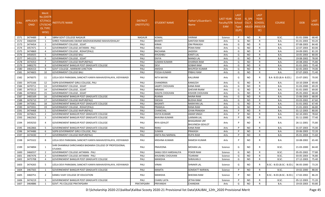| S.No. | <b>APPLICATI</b><br><b>ONID</b> | <b>Merit</b><br>o.(DISTFا<br>ICT/FACU<br>LTY/SCHO<br><b>OL TYPE</b><br>WISE) | NSTITUTE NAME                                                                | <b>DISTRICT</b><br>(INSTITUTE) | STUDENT NAME          | Father's/Guardian's<br>Name                   | LAST YEAR<br>Faculty/STR School<br><b>EAM</b> | <b>LAST</b><br><b>YEAR</b><br><b>Type</b><br>(G/P) | IS SPE<br><b>CILLY</b> | <b>LAST</b><br><b>YEAR</b><br><b>SCHOOL</b><br>ABLED (RBSE/CB<br>SE) | <b>COURSE</b>              | <b>DOB</b> | <b>LAST</b><br>YEAR% |
|-------|---------------------------------|------------------------------------------------------------------------------|------------------------------------------------------------------------------|--------------------------------|-----------------------|-----------------------------------------------|-----------------------------------------------|----------------------------------------------------|------------------------|----------------------------------------------------------------------|----------------------------|------------|----------------------|
| 1571  | 3474489                         | -9                                                                           | SBRM GOVT COLLEGE NAGAUR                                                     | <b>NAGAUR</b>                  | KOMAL                 | <b>VIKRAM</b>                                 | Science                                       | P                                                  | <b>NO</b>              | R                                                                    | B.SC.                      | 01-01-2006 | 68.40                |
| 1572  | 3466594                         | -1                                                                           | SHREE PARAMHANS SWAMI MADHAWANAND MAHAVIDHALAY                               | PALI                           | <b>BHARTI</b>         | <b>SANTOSH RAM</b>                            | Arts                                          | G                                                  | NO.                    | R                                                                    | B.A.                       | 01-01-2003 | 93.20                |
| 1573  | 3474454                         | $\overline{2}$                                                               | GOVERNMENT COLLEGE, SOJAT                                                    | PALI                           | <b>KIRAN</b>          | <b>OM PRAKASH</b>                             | Arts                                          | G                                                  | <b>NO</b>              | R                                                                    | B.A.                       | 07-08-2003 | 84.40                |
| 1574  | 3457471                         | $\overline{3}$                                                               | GOVERNMENT COLLEGE JAITARAN - PALI                                           | PALI                           | VIMLA                 | <b>PEMA RAM</b>                               | Arts                                          | G                                                  | NO.                    | R                                                                    | B.A.                       | 22-07-2003 | 83.00                |
| 1575  | 3474869                         | $\overline{4}$                                                               | <b>GOVERNMENT COLLEGE, ROHAT(PALI)</b>                                       | PALI                           | RACHANA               | <b>JAGDISH</b>                                | Arts                                          | G                                                  | <b>NO</b>              | R                                                                    | B.A.                       | 24-09-2001 | 81.20                |
| 1576  | 3456925                         | - 5                                                                          | <b>GOVERNMENT COLLEGE BALI</b>                                               | PALI                           | KHUSHBU               | <b>KANTI LAL</b>                              | Arts                                          | G                                                  | <b>NO</b>              | $\mathsf{R}$                                                         | B.A.                       | 10-05-2003 | 80.00                |
| 1577  | 3451223                         | 6                                                                            | <b>GOVERNMENT COLLEGE, SOJAT</b>                                             | PALI                           | <b>DIVYA</b>          | <b>MANGI LAL</b>                              | Arts                                          | G                                                  | <b>NO</b>              | R                                                                    | B.A.                       | 19-08-2002 | 78.00                |
| 1578  | 3474353                         | $\overline{7}$                                                               | GOVERNMENT COLLEGE RAIPUR(PALI)                                              | PALI                           | <b>SUMAN KUMARI</b>   | <b>DHARMA RAM</b>                             | Arts                                          | G                                                  | <b>NO</b>              | R                                                                    | B.A.                       | 20-08-2002 | 75.80                |
| 1579  | 3480270                         | 8                                                                            | GOVERNEMENT BANGUR POST GRADUATE COLLEGE                                     | PALI                           | DEVI                  | <b>GOBAR RAM</b>                              | Arts                                          | G                                                  | NO.                    | R                                                                    | B.A.                       | 01-01-2001 | 75.40                |
| 1580  | 3464153                         | 9                                                                            | GOVT COLLEGE, MARWAR JUNCTION                                                | PALI                           | ANISHA                | <b>BHUPESH KUMAR</b>                          | Arts                                          | G                                                  | <b>NO</b>              | R                                                                    | B.A.                       | 02-05-2003 | 74.00                |
| 1581  | 3474603                         | 10                                                                           | <b>GOVERNMENT COLLEGE BALI</b>                                               | PALI                           | POOJA KUMARI          | <b>PRBHU RAM</b>                              | Arts                                          | G                                                  | <b>NO</b>              | R                                                                    | <b>B.A.</b>                | 07-07-2003 | 71.40                |
| 1582  | 3476075                         | 11                                                                           | LEELA DEVI PARASMAL SANCHETI KANYA MAHAVIDYALAYA, VIDYAWADI                  | PALI                           | NITA NAYAK            | KALURAM                                       | Arts                                          | G                                                  | NO.                    | R                                                                    | B.A- B.ED.(B.A- B.ED.)     | 15-07-2001 | 70.00                |
| 1583  | 3475166                         | 12                                                                           | SGPB GOVERNMENT GIRLS COLLEGE, PALI                                          | PALI                           | CHANDRIKA             | <b>KAMLESH</b>                                | Arts                                          | G                                                  | <b>NO</b>              | R                                                                    | B.A.                       | 10-10-2004 | 69.40                |
| 1584  | 3470711                         | 13                                                                           | <b>GOVERNMENT COLLEGE, SOJAT</b>                                             | PALI                           | <b>JAGRTI CHOUHAN</b> | <b>KANA RAM</b>                               | Arts                                          | G                                                  | NO.                    | $\mathsf{R}$                                                         | B.A.                       | 31-03-2000 | 69.20                |
| 1585  | 3475513                         | 14                                                                           | <b>GOVERNMENT COLLEGE, SOJAT</b>                                             | PALI                           | <b>NIRAMA</b>         | <b>GHEVAR RAAM</b>                            | Arts                                          | G                                                  | <b>NO</b>              | R                                                                    | B.A.                       | 01-01-2005 | 69.00                |
| 1586  | 3470650                         | 15                                                                           | <b>GOVERNMENT COLLEGE, SOJAT</b>                                             | PALI                           | SHILPA CHOUHAN        | KISHOR CHOUHAN                                | Arts                                          | G                                                  | <b>NO</b>              | R                                                                    | B.A.                       | 05-05-2002 | 68.40                |
| 1587  | 3483169                         | 16                                                                           | GOVERNEMENT BANGUR POST GRADUATE COLLEGE                                     | PALI                           | <b>RUKMA</b>          | <b>NAINA RAM</b>                              | Arts                                          | G                                                  | <b>NO</b>              | R                                                                    | B.A.                       | 15-06-2003 | 68.00                |
| 1588  | 3476710                         | 17                                                                           | <b>GOVERNMENT COLLEGE RAIPUR(PALI)</b>                                       | PALI                           | <b>DIKSHA</b>         | <b>BUDHA RAM</b>                              | Arts                                          | G                                                  | <b>NO</b>              | R                                                                    | B.A.                       | 03-03-2002 | 67.60                |
| 1589  | 3475061                         | 18                                                                           | GOVERNEMENT BANGUR POST GRADUATE COLLEGE                                     | PALI                           | <b>BASANTI</b>        | <b>NARAYAN LAL</b>                            | Arts                                          | G                                                  | <b>NO</b>              | $\mathsf{R}$                                                         | B.A.                       | 31-01-2002 | 67.40                |
| 1590  | 3475931                         | 19                                                                           | GOVERNMENT COLLEGE, ROHAT(PALI)                                              | PALI                           | PRAMILA               | <b>RANA RAM</b>                               | Arts                                          | G                                                  | <b>NO</b>              | R                                                                    | B.A.                       | 21-01-2003 | 66.80                |
| 1591  | 3474468                         | 1                                                                            | <b>GOVERNMENT COLLEGE RAIPUR(PALI)</b>                                       | PALI                           | CHANCHAL              | <b>GYAN PRAKASH</b>                           | Arts                                          | P                                                  | <b>NO</b>              | R                                                                    | B.A.                       | 01-12-2003 | 80.00                |
| 1592  | 3476621                         | $\overline{2}$                                                               | GOVERNEMENT BANGUR POST GRADUATE COLLEGE                                     | PALI                           | DIVYA KUMARI          | <b>AMAR SINGH</b>                             | Arts                                          | P                                                  | <b>NO</b>              | R                                                                    | B.A.                       | 02-10-2001 | 78.60                |
| 1593  | 3462563                         | $\overline{3}$                                                               | GOVERNEMENT BANGUR POST GRADUATE COLLEGE                                     | PALI                           | BHAVNA KUMARI         | LAXMAN LAL                                    | Arts                                          | P                                                  | NO.                    | R                                                                    | B.A.                       | 01-11-2000 | 77.40                |
| 1594  | 3459250                         | $\overline{a}$                                                               | <b>GOVERNEMENT BANGUR POST GRADUATE COLLEGE</b>                              | PALI                           | RIYA GEHLOT           | <b>BHAGARAM URF</b><br><b>BHUVNESH GEHLOT</b> | Arts                                          |                                                    | NO.                    | R                                                                    | B.A.                       | 26-11-2001 | 75.80                |
| 1595  | 3462866                         | - 5                                                                          | GOVERNEMENT BANGUR POST GRADUATE COLLEGE                                     | PALI                           | RANU                  | <b>KANA RAM</b>                               | Arts                                          | P                                                  | N <sub>O</sub>         | R                                                                    | B.A.                       | 01-07-2003 | 75.00                |
| 1596  | 3474486                         | -6                                                                           | SGPB GOVERNMENT GIRLS COLLEGE, PALI                                          | PALI                           | SUMAN                 | <b>PRAKASH</b>                                | Arts                                          | D                                                  | <b>NO</b>              | R                                                                    | B.A.                       | 20-06-2003 | 72.20                |
| 1597  | 3474430                         | $\overline{7}$                                                               | <b>GOVERNMENT COLLEGE RAIPUR(PALI)</b>                                       | PALI                           | ANITA RAJ NARWAL      | <b>RUPA RAM</b>                               | Arts                                          | P                                                  | NO.                    | R                                                                    | B.A.                       | 05-01-2004 | 71.60                |
| 1598  | 3475322                         | 8                                                                            | LEELA DEVI PARASMAL SANCHETI KANYA MAHAVIDYALAYA, VIDYAWADI                  | PALI                           | KRISHNA KUMARI        | <b>RAMESH KUMAR</b>                           | Arts                                          |                                                    | <b>NO</b>              | R                                                                    | B.A.                       | 10-08-2002 | 65.40                |
| 1599  | 3474894                         | 1                                                                            | SHRI DHANRAJJI SHRICHANDJI BADAMIA COLLEGE OF PROFESSIONAL<br><b>STUDIES</b> | PALI                           | PRAVEENA              | <b>MOHAN LAL</b>                              | Science                                       | G                                                  | NO.                    | R                                                                    | B.SC.                      | 21-03-2000 | 84.40                |
| 1600  | 3466557                         | 2                                                                            | <b>GOVERNMENT COLLEGE JAITARAN - PALI</b>                                    | PALI                           | SANJU DEVI HARSHALIYA | <b>POKER RAM</b>                              | Science                                       | G                                                  | <b>NO</b>              | R                                                                    | B.SC.                      | 05-05-2002 | 77.80                |
| 1601  | 3467476                         | $\overline{\mathbf{3}}$                                                      | <b>GOVERNMENT COLLEGE JAITARAN - PALI</b>                                    | PALI                           | KHUSHBU CHOUHAN       | TEJARAM                                       | Science                                       | G                                                  | NO.                    | R                                                                    | B.SC.                      | 03-05-2003 | 76.80                |
| 1602  | 3475708                         | $\overline{a}$                                                               | GOVERNEMENT BANGUR POST GRADUATE COLLEGE                                     | PALI                           | MANISHA               | <b>SHRAVAN JI</b>                             | Science                                       | G                                                  | <b>NO</b>              | $\mathsf{R}$                                                         | B.SC.                      | 27-12-2003 | 75.40                |
| 1603  | 3474265                         | .5                                                                           | LEELA DEVI PARASMAL SANCHETI KANYA MAHAVIDYALAYA, VIDYAWADI                  | PALI                           | VINAA                 | <b>SHNAKR LAL</b>                             | Science                                       | G                                                  | <b>NO</b>              |                                                                      | B.SC.- B.ED.(B.SC.- B.ED.) | 06-05-2000 | 73.20                |
| 1604  | 3467565                         | 1                                                                            | <b>GOVERNEMENT BANGUR POST GRADUATE COLLEGE</b>                              | PALI                           | <b>MAMTA</b>          | SOMDATT NARWAL                                | Science                                       | P                                                  | NO                     | $\mathsf{R}$                                                         | B.SC.                      | 19-02-2000 | 88.00                |
| 1605  | 3460751                         | 2                                                                            | KANKU VIJAY COLLEGE OF EDUCATION                                             | PALI                           | MANISHA               | <b>BHEEMA RAM</b>                             | Science                                       |                                                    | NO.                    |                                                                      | B.SC.- B.ED.(B.SC.- B.ED.) | 17-02-2002 | 86.20                |
| 1606  | 3474219                         | $\overline{\mathbf{3}}$                                                      | GOVERNEMENT BANGUR POST GRADUATE COLLEGE                                     | PALI                           | CHARU LATA            | <b>JETHA RAM</b>                              | Science                                       | P                                                  | <b>NO</b>              | R                                                                    | B.SC.                      | 05-12-2003 | 71.20                |
| 1607  | 3464886                         |                                                                              | GOVT. PG COLLEGE PRATAPGARH                                                  | PRATAPGARH                     | PRIYANSHI             | CHANDAN                                       | Arts                                          | G                                                  | <b>NO</b>              | R                                                                    | <b>B.A.</b>                | 19-03-2003 | 93.80                |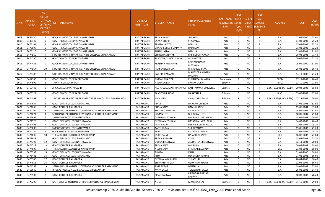| S.No. | <b>APPLICATI</b><br><b>ONID</b> | <b>Merit</b><br>No.(DISTR<br><b>ICT/FACU</b><br>LTY/SCHO<br><b>OL TYPE</b><br>WISE) | <b>ISTITUTE NAME</b>                                     | <b>DISTRICT</b><br>(INSTITUTE) | STUDENT NAME            | Father's/Guardian's<br>Name            | LAST YEAR<br>Faculty/STR School<br><b>EAM</b> | <b>LAST</b><br><b>YEAR</b><br><b>Type</b><br>(G/P) | IS_SPE<br><b>CILLY</b> | <b>LAST</b><br><b>YEAR</b><br><b>SCHOOL</b><br>ABLED (RBSE/CB<br>SE) | <b>COURSE</b>              | <b>DOB</b> | <b>LAST</b><br>YEAR% |
|-------|---------------------------------|-------------------------------------------------------------------------------------|----------------------------------------------------------|--------------------------------|-------------------------|----------------------------------------|-----------------------------------------------|----------------------------------------------------|------------------------|----------------------------------------------------------------------|----------------------------|------------|----------------------|
| 1608  | 3455530                         | $\overline{2}$                                                                      | <b>GOVERNMENT COLLEGE CHHOTI SADRI</b>                   | PRATAPGARH                     | <b>REKHA NAYAK</b>      | <b>JUNJHAR</b>                         | Arts                                          | G                                                  | <b>NO</b>              | R                                                                    | <b>B.A.</b>                | 07-05-2000 | 75.60                |
| 1609  | 3449142                         | $\overline{\mathbf{3}}$                                                             | GOVT. PG COLLEGE PRATAPGARH                              | PRATAPGARH                     | SAPNA DHOBI             | SHYAMLAL                               | Arts                                          | G                                                  | <b>NO</b>              | R                                                                    | B.A.                       | 14-03-2003 | 75.20                |
| 1610  | 3476101                         | $\overline{4}$                                                                      | GOVERNMENT COLLEGE CHHOTI SADRI                          | PRATAPGARH                     | RENUKA JATIYA           | <b>BABU LAL</b>                        | Arts                                          | G                                                  | NO.                    | R                                                                    | B.A.                       | 15-02-2004 | 73.20                |
| 1611  | 3473597                         | -5                                                                                  | GOVT. PG COLLEGE PRATAPGARH                              | PRATAPGARH                     | DHAPU KUMARI MALVIYA    | <b>BALURAM JI</b>                      | Arts                                          | G                                                  | NO.                    | R                                                                    | B.A.                       | 01-01-2002 | 72.20                |
| 1612  | 3476110                         | 6                                                                                   | GOVERNMENT COLLEGE CHHOTI SADRI                          | PRATAPGARH                     | <b>ANJALI JATIYA</b>    | <b>BABU LAL</b>                        | Arts                                          | G                                                  | <b>NO</b>              | R                                                                    | <b>B.A.</b>                | 01-02-2001 | 71.80                |
| 1613  | 3474560                         | $\overline{7}$                                                                      | SIDDHESHWAR VINAYAK P.G. ARTS COLLEGE, DHARIYAWAD        | PRATAPGARH                     | <b>CHANCHAL NAYAK</b>   | <b>BRIJ KUMAR NAYAK</b>                | Arts                                          | G                                                  | <b>NO</b>              | R                                                                    | B.A.                       | 26-03-2001 | 71.40                |
| 1614  | 3474750                         | 8                                                                                   | GOVT. PG COLLEGE PRATAPGARH                              | PRATAPGARH                     | SANTOSH KUMARI NAYAK    | <b>DILIP NAYAK</b>                     | Arts                                          | G                                                  | <b>NO</b>              | R                                                                    | B.A.                       | 09-04-2004 | 71.20                |
| 1615  | 3474485                         | 9                                                                                   | GOVERNMENT COLLEGE CHHOTI SADRI                          | PRATAPGARH                     | KRASHNA MEGHWAL         | SATYANARAYAN<br><b>MEGHWAL</b>         | Arts                                          | G                                                  | N <sub>O</sub>         | R                                                                    | B.A.                       | 05-05-2000 | 67.00                |
| 1616  | 3474564                         | 10                                                                                  | SIDDHESHWAR VINAYAK P.G. ARTS COLLEGE, DHARIYAWAD        | PRATAPGARH                     | RAM KANYA BHAAT         | <b>BHERU LAL BHAAT</b>                 | Arts                                          | G                                                  | <b>NO</b>              | R                                                                    | <b>B.A.</b>                | 26-01-2003 | 66.40                |
| 1617  | 3476405                         | 1                                                                                   | SIDDHESHWAR VINAYAK P.G. ARTS COLLEGE, DHARIYAWAD        | PRATAPGARH                     | <b>SWEETY DAMAMI</b>    | <b>MAHENDRA KUMAR</b><br><b>DAMAMI</b> | Arts                                          | P                                                  | <b>NO</b>              | R                                                                    | B.A.                       | 14-11-2000 | 73.20                |
| 1618  | 3462360                         | -1                                                                                  | GOVT. PG COLLEGE PRATAPGARH                              | PRATAPGARH                     | SIMRAN BHATIYA          | PURANMAL BHATIYA                       | Commerce                                      | D                                                  | <b>NO</b>              | R                                                                    | <b>BCOM</b>                | 17-11-2002 | 76.40                |
| 1619  | 3474592                         | 1                                                                                   | TRINITY COLLEGE DALOT                                    | PRATAPGARH                     | HEENA GOSAR             | <b>SANJAY GOSAR</b>                    | Science                                       | G                                                  | <b>NO</b>              | R                                                                    | B.SC.                      | 13-10-2002 | 72.80                |
| 1620  | 3469443                         | $\overline{2}$                                                                      | APC COLLEGE PRATAPGARH                                   | PRATAPGARH                     | KALPANA KUMARI MALAVIYA | KANR KUMAR MALAVIYA                    | Science                                       | G                                                  | N <sub>O</sub>         |                                                                      | B.SC.- B.ED.(B.SC.- B.ED.) | 20-04-2003 | 65.60                |
| 1621  | 3475321                         | -3                                                                                  | GOVT. PG COLLEGE PRATAPGARH                              | PRATAPGARH                     | SANTOSHI RAIDAS         | <b>NARAYAN JI</b>                      | Science                                       | G                                                  | <b>NO</b>              | R                                                                    | B.SC.                      | 09-05-2002 | 65.00                |
| 1622  | 3474368                         | 1                                                                                   | SIDDHESHWAR VINAYAK TEACHER TRAINING COLLEGE, DHARIYAWAD | PRATAPGARH                     | JAYA SALVI              | <b>CHAND MAL SALVI</b>                 | Science                                       |                                                    | NO.                    |                                                                      | B.SC.- B.ED.(B.SC.- B.ED.) | 07-12-2002 | 79.00                |
| 1623  | 3464637                         | -1                                                                                  | GOVT. GIRLS COLLEGE, RAJSAMAND                           | RAJSAMAND                      | PINKY                   | <b>DHARAM CHANDR</b>                   | Arts                                          | G                                                  | <b>NO</b>              | R                                                                    | <b>B.A.</b>                | 17-06-2003 | 83.80                |
| 1624  | 3474249                         | 2                                                                                   | GOVT COLLEGE RAILMAGRA                                   | RAJSAMAND                      | POOJA SALVI             | <b>RAMLAL SALVI</b>                    | Arts                                          | G                                                  | <b>NO</b>              | $\mathsf{R}$                                                         | B.A.                       | 15-07-2004 | 83.60                |
| 1625  | 3450704                         | $\overline{3}$                                                                      | SETH RANGLAL KOTHARI GOVERNMENT COLLEGE RAJSAMAND        | RAJSAMAND                      | KHUSHBU JEENGAR         | <b>KISHAN LAL</b>                      | Arts                                          | G                                                  | <b>NO</b>              | R                                                                    | B.A.                       | 14-09-2001 | 81.80                |
| 1626  | 3474871                         | $\overline{4}$                                                                      | SETH RANGLAL KOTHARI GOVERNMENT COLLEGE RAJSAMAND        | RAJSAMAND                      | <b>SUMAN LOT</b>        | <b>BHERU LAL LOT</b>                   | Arts                                          | G                                                  | N <sub>O</sub>         | R                                                                    | <b>B.A.</b>                | 10-09-2001 | 79.80                |
| 1627  | 3477697                         | - 5                                                                                 | SMBGOVTPGCOLLEGENATHDWARA                                | RAJSAMAND                      | DEEPIKA MEGHWAL         | BHERU LAL MEGHWAL                      | Arts                                          | G                                                  | <b>NO</b>              | R                                                                    | B.A.                       | 18-01-2003 | 79.00                |
| 1628  | 3474529                         | 6                                                                                   | GOVT. GIRLS COLLEGE NATHDWARA                            | RAJSAMAND                      | DEEPIKA MEGHWAL         | RATAN LAL MEGHWAL                      | Arts                                          | G                                                  | <b>NO</b>              | R                                                                    | B.A.                       | 04-03-2003 | 76.40                |
| 1629  | 3474401                         | $\overline{7}$                                                                      | GOVT. GIRLS COLLEGE NATHDWARA                            | RAJSAMAND                      | JYOTI YADAV             | DEEPAK KUMAR YADAV                     | Arts                                          | G                                                  | <b>NO</b>              | $\mathsf{R}$                                                         | B.A.                       | 01-01-2002 | 75.20                |
| 1630  | 3475003                         | 8                                                                                   | SMBGOVTPGCOLLEGENATHDWARA                                | RAJSAMAND                      | AARTI YADAV             | <b>SURAJ YADAV</b>                     | Arts                                          | G                                                  | <b>NO</b>              | R                                                                    | B.A.                       | 15-06-2002 | 75.20                |
| 1631  | 3474784                         | 9                                                                                   | GOVERTMENT COLLEGE DEOGARH                               | RAJSAMAND                      | RANI                    | <b>RATAN LAL REGAR</b>                 | Arts                                          | G                                                  | NO.                    | R                                                                    | <b>B.A.</b>                | 21-04-2001 | 74.20                |
| 1632  | 3474899                         | 10                                                                                  | THE ANKUR B.ED.COLLEGE NATHDWARA                         | RAJSAMAND                      | SAROJ SALVI             | <b>HAJARI LAL SALVI</b>                | Arts                                          | G                                                  | <b>NO</b>              | R                                                                    | <b>BED</b>                 | 16-07-2002 | 73.80                |
| 1633  | 3473928                         | 11                                                                                  | GOVT. GIRLS COLLEGE, RAJSAMAND                           | RAJSAMAND                      | REENA KUMARI            | RAJU                                   | Arts                                          | G                                                  | <b>NO</b>              | R                                                                    | <b>B.A.</b>                | 15-08-2002 | 72.20                |
| 1634  | 3474393                         | 12                                                                                  | GOVT. GIRLS COLLEGE NATHDWARA                            | RAJSAMAND                      | DURGA MEGHWAL           | JAGDISH LAL MEGHWAL                    | Arts                                          | G                                                  | NO.                    | $\mathsf{R}$                                                         | B.A.                       | 02-11-2001 | 70.60                |
| 1635  | 3474719                         | 13                                                                                  | <b>GOVT COLLEGE RAILMAGRA</b>                            | RAJSAMAND                      | REKHA SALVI             | <b>BHERU LAL</b>                       | Arts                                          | G                                                  | <b>NO</b>              | R                                                                    | B.A.                       | 06-03-2002 | 69.60                |
| 1636  | 3474907                         | 14                                                                                  | THE ANKUR B.ED.COLLEGE NATHDWARA                         | RAJSAMAND                      | NEETU SALVI             | <b>SHANKAR LAL SALVI</b>               | Arts                                          | G                                                  | N <sub>O</sub>         | R                                                                    | <b>BED</b>                 | 21-03-2001 | 69.00                |
| 1637  | 3475593                         | 15                                                                                  | GOVT. GIRLS COLLEGE NATHDWARA                            | RAJSAMAND                      | <b>SUNITA</b>           | <b>KALU</b>                            | Arts                                          | G                                                  | <b>NO</b>              | $\mathsf{R}$                                                         | B.A.                       | 01-01-2000 | 68.80                |
| 1638  | 3475481                         | 16                                                                                  | GOVT. GIRLS COLLEGE, RAJSAMAND                           | RAJSAMAND                      | RITU                    | <b>DEVENDRA KUMAR</b>                  | Arts                                          | G                                                  | <b>NO</b>              | R                                                                    | <b>B.A.</b>                | 27-01-2001 | 66.60                |
| 1639  | 3476546                         | 17                                                                                  | <b>GOVT COLLEGE RAILMAGRA</b>                            | RAJSAMAND                      | DEEPIKA JAIN KHATIK     | <b>SHYAM LAL</b>                       | Arts                                          | G                                                  | <b>NO</b>              | $\mathsf{R}$                                                         | B.A.                       | 28-04-2003 | 66.40                |
| 1640  | 3474855                         | 18                                                                                  | GOVT COLLEGE RAILMAGRA                                   | RAJSAMAND                      | <b>BHAWANA REGAR</b>    | <b>UDAY RAM REGAR</b>                  | Arts                                          | G                                                  | <b>NO</b>              | R                                                                    | B.A.                       | 12-04-2004 | 66.40                |
| 1641  | 3474258                         | 19                                                                                  | SETH RANGLAL KOTHARI GOVERNMENT COLLEGE RAJSAMAND        | RAJSAMAND                      | <b>SIMA REGAR</b>       | <b>BANSHI LAL</b>                      | Arts                                          | G                                                  | <b>NO</b>              | R                                                                    | <b>B.A.</b>                | 19-09-2002 | 65.80                |
| 1642  | 3468649                         | -1                                                                                  | BHUPAL NOBLES P.G.GIRLS COLLEGE RAJSAMAND                | RAJSAMAND                      | MAYA SALVI              | TULASI RAM SALVI                       | Arts                                          | P                                                  | <b>NO</b>              | R                                                                    | B.A.                       | 06-02-2003 | 84.40                |
| 1643  | 3475902                         | $\overline{2}$                                                                      | <b>GOVT COLLEGE RAILMAGRA</b>                            | RAJSAMAND                      | KIRAN BAIRWA            | RAJENDRA PRASAD<br><b>BAIRWA</b>       | Arts                                          |                                                    | <b>NO</b>              | R                                                                    | B.A.                       | 10-03-2003 | 78.20                |
| 1644  | 3475299                         | $\mathbf{1}$                                                                        | NATHDWARA INSTITUTE OF BIOTECHNOLOGY & MANAGEMENT        | RAJSAMAND                      | <b>NEHA</b>             | <b>MANOHAR LAL</b>                     | Science                                       | G                                                  | <b>NO</b>              |                                                                      | B.SC.- B.ED.(B.SC.- B.ED.) | 01-10-2002 | 79.60                |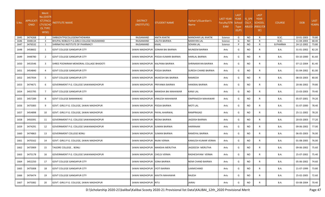| S.No | <b>APPLICATI</b><br><b>ONID</b> | Merit<br>No.(DISTR<br><b>ICT/FACU</b><br>LTY/SCHO<br><b>OL TYPE</b><br>WISE) | NSTITUTE NAME                             | <b>DISTRICT</b><br>(INSTITUTE) | <b>STUDENT NAME</b>                | Father's/Guardian's<br>Name | <b>LAST YEAR</b><br>Faculty/STR School<br>EAM | <b>LAST</b><br><b>YEAR</b><br><b>Type</b><br>(G/P) | IS_SPE<br><b>CILLY</b> | <b>LAST</b><br><b>YEAR</b><br><b>SCHOOL</b><br>ABLED (RBSE/CB<br>SE) | <b>COURSE</b>   | <b>DOB</b> | <b>LAST</b><br>YEAR% |
|------|---------------------------------|------------------------------------------------------------------------------|-------------------------------------------|--------------------------------|------------------------------------|-----------------------------|-----------------------------------------------|----------------------------------------------------|------------------------|----------------------------------------------------------------------|-----------------|------------|----------------------|
| 1645 | 3474268                         | $\overline{2}$                                                               | SMBGOVTPGCOLLEGENATHDWARA                 | RAJSAMAND                      | <b>ANITA KHATIK</b>                | <b>MANOHAR LAL KHATIK</b>   | Science                                       | G                                                  | <b>NO</b>              | $\mathsf{R}$                                                         | B.SC.           | 10-01-2003 | 70.80                |
| 1646 | 3448134                         | $\overline{\mathbf{3}}$                                                      | BHUPAL NOBLES P.G.GIRLS COLLEGE RAJSAMAND | RAJSAMAND                      | LALITA BAIRWA                      | <b>NARAYAN LAL</b>          | Science                                       | G                                                  | <b>NO</b>              | R                                                                    | B.SC.           | 11-04-2003 | 68.40                |
| 1647 | 3476532                         | 1                                                                            | SHRINATHJI INSTITUTE OF PHARMACY          | RAJSAMAND                      | KAJAL                              | SOHAN LAL                   | Science                                       | P                                                  | <b>NO</b>              | R                                                                    | <b>B.PHARMA</b> | 24-12-2002 | 73.80                |
| 1648 | 3458602                         | 1                                                                            | <b>GOVT COLLEGE GANGAPUR CITY</b>         | SAWAI MADHOPUR                 | <b>SONAM BAI BAIRWA</b>            | <b>MUNEEM BAIRWA</b>        | Arts                                          | G                                                  | NO.                    | R                                                                    | <b>B.A.</b>     | 31-01-2002 | 82.20                |
| 1649 | 3448780                         | $\overline{2}$                                                               | <b>GOVT COLLEGE GANGAPUR CITY</b>         | SAWAI MADHOPUR                 | <b>POOJA KUMARI BAIRWA</b>         | HARILAL BAIRWA              | Arts                                          | G                                                  | NO.                    | R                                                                    | B.A.            | 03-10-2000 | 81.60                |
| 1650 | 3453546                         | 3                                                                            | SHREE POONIRAM MEMORIAL COLLAGE BHADOTI   | SAWAI MADHOPUR                 | KALPANA BAIRWA                     | SHRINARAYAN BAIRWA          | Arts                                          | G                                                  | NO.                    | R.                                                                   | B.A.            | 07-12-2004 | 81.40                |
| 1651 | 3454840                         | $\overline{a}$                                                               | <b>GOVT COLLEGE GANGAPUR CITY</b>         | SAWAI MADHOPUR POOJA BAIRWA    |                                    | SURESH CHAND BAIRWA         | Arts                                          | G                                                  | <b>NO</b>              | R.                                                                   | B.A.            | 01-04-2002 | 81.00                |
| 1652 | 3457934                         | .5                                                                           | <b>GOVT COLLEGE GANGAPUR CITY</b>         |                                | SAWAI MADHOPUR MUKESHI BAI BAIRWA  | RAMKESH                     | Arts                                          | G                                                  | NO.                    | R                                                                    | B.A.            | 08-03-2003 | 80.00                |
| 1653 | 3474671                         | 6                                                                            | GOVERNMENT P.G. COLLEGE SAWAIMADHOPUR     | SAWAI MADHOPUR PRIYANKA BAIRWA |                                    | HANSRAJ BAIRWA              | Arts                                          | G                                                  | NO.                    | R                                                                    | B.A.            | 20-06-2002 | 79.80                |
| 1654 | 3455795                         | $\overline{7}$                                                               | <b>GOVT COLLEGE GANGAPUR CITY</b>         |                                | SAWAI MADHOPUR MANISHA BAI MAHAWAR | <b>KANJI LAL</b>            | Arts                                          | G                                                  | <b>NO</b>              | R                                                                    | B.A.            | 15-03-2003 | 79.40                |
| 1655 | 3457289                         | 8                                                                            | <b>GOVT COLLEGE BAMANWAS</b>              | SAWAI MADHOPUR                 | <b>VIMLESH MAHAWAR</b>             | <b>OMPRAKESH MAHAWAR</b>    | Arts                                          | G                                                  | NO.                    | R.                                                                   | B.A.            | 05-07-2001 | 79.20                |
| 1656 | 3475083                         | 9                                                                            | GOVT. GIRLS P.G. COLLEGE, SAWAI MADHOPUR  | SAWAI MADHOPUR POOJA BAIRWA    |                                    | <b>MOTI LAL</b>             | Arts                                          | G                                                  | <b>NO</b>              | R.                                                                   | B.A.            | 01-07-2000 | 78.40                |
| 1657 | 3454898                         | 10                                                                           | GOVT. GIRLS P.G. COLLEGE, SAWAI MADHOPUR  | SAWAI MADHOPUR                 | PAYAL AHARWAL                      | RAMPRASAD                   | Arts                                          | G                                                  | NO.                    | R                                                                    | B.A.            | 25-11-2002 | 78.20                |
| 1658 | 3450391                         | 11                                                                           | GOVERNMENT P.G. COLLEGE SAWAIMADHOPUR     | SAWAI MADHOPUR REENA BAIRWA    |                                    | JAGDISH BAIRWA              | Arts                                          | G                                                  | NO.                    | R                                                                    | B.A.            | 20-03-2003 | 77.20                |
| 1659 | 3474291                         | 12                                                                           | GOVERNMENT P.G. COLLEGE SAWAIMADHOPUR     | SAWAI MADHOPUR SUMAN BAIRWA    |                                    | HARIRAAM                    | Arts                                          | G                                                  | <b>NO</b>              | R                                                                    | <b>B.A.</b>     | 09-06-2002 | 77.00                |
| 1660 | 3474863                         | 13                                                                           | <b>GOVERNMENT COLLEGE BONLI</b>           | SAWAI MADHOPUR SUMAN BAIRWA    |                                    | RAMDYAL BAIRWA              | Arts                                          | G                                                  | NO.                    | R                                                                    | B.A.            | 06-05-2003 | 76.00                |
| 1661 | 3470162                         | 14                                                                           | GOVT. GIRLS P.G. COLLEGE, SAWAI MADHOPUR  | SAWAI MADHOPUR RAJNI VERMA     |                                    | KAMLESH KUMAR VERMA         | Arts                                          | G                                                  | NO.                    | R                                                                    | B.A.            | 01-08-2005 | 76.00                |
| 1662 | 3473909                         | 15                                                                           | TAGORE COLLEGE, BONLI                     |                                | SAWAI MADHOPUR MANSHA MERUTHA      | JAGDEESH MERUTHA            | Arts                                          | G                                                  | <b>NO</b>              | R.                                                                   | B.A.            | 09-06-2002 | 75.60                |
| 1663 | 3475178                         | 16                                                                           | GOVERNMENT P.G. COLLEGE SAWAIMADHOPUR     | SAWAI MADHOPUR CHELSI VERMA    |                                    | RADHESHYAM VERMA            | Arts                                          | G                                                  | <b>NO</b>              | $\mathsf{R}$                                                         | <b>B.A.</b>     | 25-07-2002 | 75.40                |
| 1664 | 3452250                         | 17                                                                           | <b>GOVT COLLEGE GANGAPUR CITY</b>         | SAWAI MADHOPUR SONA BAIRWA     |                                    | <b>NEMI CHAND BAIRWA</b>    | Arts                                          | G                                                  | NO                     | R                                                                    | <b>B.A.</b>     | 05-06-2002 | 74.60                |
| 1665 | 3475008                         | 18                                                                           | <b>GOVT COLLEGE GANGAPUR CITY</b>         | SAWAI MADHOPUR JYOTI BAIRWA    |                                    | LAXMICHAND                  | Arts                                          | G                                                  | <b>NO</b>              | R                                                                    | <b>B.A.</b>     | 21-07-1999 | 73.80                |
| 1666 | 3476474                         | 19                                                                           | <b>GOVT COLLEGE GANGAPUR CITY</b>         | SAWAI MADHOPUR KAVITA MAHAWAR  |                                    | RAJESH                      | Arts                                          | G                                                  | NO                     | R                                                                    | <b>B.A.</b>     | 25-02-2005 | 72.60                |
| 1667 | 3475082                         | 20                                                                           | GOVT. GIRLS P.G. COLLEGE, SAWAI MADHOPUR  | SAWAI MADHOPUR RITU            |                                    | JAIRAJ                      | Arts                                          | G                                                  | <b>NO</b>              | R                                                                    | <b>B.A.</b>     | 03-08-2004 | 70.40                |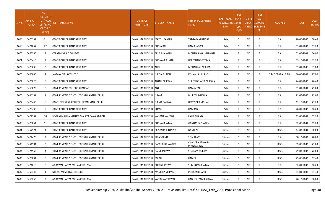| S.No. | <b>APPLICATI</b><br><b>ONID</b> | Merit<br>No.(DISTF<br><b>ICT/FACU</b><br>LTY/SCHC<br><b>OL TYPE</b><br>WISE) | <b>NSTITUTE NAME</b>                     | <b>DISTRICT</b><br>(INSTITUTE) | <b>STUDENT NAME</b>              | Father's/Guardian's<br><b>Name</b> | <b>LAST YEAR</b><br>Faculty/STR<br>EAM | <b>LAST</b><br><b>YEAR</b><br>School<br><b>Type</b><br>(G/P) | IS_SPE<br><b>CILLY</b> | <b>LAST</b><br><b>YEAR</b><br><b>SCHOOL</b><br>ABLED (RBSE/CB<br>SE) | <b>COURSE</b>          | <b>DOB</b> | LAST<br>YEAR% |
|-------|---------------------------------|------------------------------------------------------------------------------|------------------------------------------|--------------------------------|----------------------------------|------------------------------------|----------------------------------------|--------------------------------------------------------------|------------------------|----------------------------------------------------------------------|------------------------|------------|---------------|
| 1668  | 3475352                         | 21                                                                           | <b>GOVT COLLEGE GANGAPUR CITY</b>        | SAWAI MADHOPUR MATOL RAIGAR    |                                  | YADAARAM RAIGAR                    | Arts                                   | G                                                            | <b>NO</b>              | R                                                                    | B.A.                   | 20-05-2003 | 68.40         |
| 1669  | 3474867                         | 22                                                                           | <b>GOVT COLLEGE GANGAPUR CITY</b>        | SAWAI MADHOPUR POOJA BAI       |                                  | RAMBHAROSI                         | Arts                                   | G                                                            | NO                     | R.                                                                   | <b>B.A.</b>            | 01-01-2002 | 67.20         |
| 1670  | 3468259                         | 1                                                                            | <b>CREATIVE GIRLS COLLEGE</b>            | SAWAI MADHOPUR RINKI KHANGAR   |                                  | <b>MOHAN SINGH KHANGAR</b>         | Arts                                   |                                                              | NO                     | R.                                                                   | B.A.                   | 02-09-2001 | 94.00         |
| 1671  | 3475419                         | $\overline{2}$                                                               | <b>GOVT COLLEGE GANGAPUR CITY</b>        | SAWAI MADHOPUR POONAM KUMARI   |                                  | DEEPCHAND VERMA                    | Arts                                   | P                                                            | <b>NO</b>              | R.                                                                   | B.A.                   | 03-10-2001 | 83.20         |
| 1672  | 3470638                         | 3                                                                            | <b>GOVT COLLEGE GANGAPUR CITY</b>        | SAWAI MADHOPUR ARTI            |                                  | MOHAR LAL BAIRWA                   | Arts                                   | P                                                            | NO                     | R                                                                    | <b>B.A.</b>            | 01-01-2000 | 81.80         |
| 1673  | 3469043                         | $\overline{a}$                                                               | JAMVAY GIRLS COLLEGE                     | SAWAI MADHOPUR NIKITA KHINCHI  |                                  | KISHAN LAL KHINCHI                 | Arts                                   | P                                                            | NO                     | R                                                                    | B.A- B.ED.(B.A- B.ED.) | 10-06-2002 | 77.00         |
| 1674  | 3476023                         | -5                                                                           | <b>GOVT COLLEGE GANGAPUR CITY</b>        | SAWAI MADHOPUR ANJALI PAREWA   |                                  | <b>SURESH CHAND PAREWA</b>         | Arts                                   | P                                                            | <b>NO</b>              | R                                                                    | B.A.                   | 24-07-2003 | 76.40         |
| 1675  | 3463075                         | 6                                                                            | GOVERNMENT COLLEGE, KHANDAR              | SAWAI MADHOPUR ANJU            |                                  | <b>RAMAVTAR</b>                    | Arts                                   |                                                              | <b>NO</b>              | R.                                                                   | B.A.                   | 01-01-2001 | 75.60         |
| 1676  | 3453157                         | 7                                                                            | GOVERNMENT P.G. COLLEGE SAWAIMADHOPUR    | SAWAI MADHOPUR NILAM           |                                  | MUKESH BAIRWA                      | Arts                                   | P                                                            | NO                     | R                                                                    | <b>B.A.</b>            | 21-03-2003 | 73.60         |
| 1677  | 3476445                         | 8                                                                            | GOVT. GIRLS P.G. COLLEGE, SAWAI MADHOPUR | SAWAI MADHOPUR NIRMA BAIRWA    |                                  | DEVENDRA MOHAN                     | Arts                                   | P                                                            | NO                     | R                                                                    | <b>B.A.</b>            | 11-10-2000 | 71.20         |
| 1678  | 3475436                         | 9                                                                            | <b>GOVT COLLEGE GANGAPUR CITY</b>        | SAWAI MADHOPUR KOMAL           |                                  | RAMBABU                            | Arts                                   |                                                              | <b>NO</b>              | R.                                                                   | <b>B.A.</b>            | 26-09-2003 | 66.20         |
| 1679  | 3474962                         | 10                                                                           | SOGANI MAHILA MAHAVIDYALAYA RAWASA-BONLI | SAWAI MADHOPUR VANDNA VALMIKI  |                                  | <b>FAKIR CHAND</b>                 | Arts                                   | P                                                            | NO                     | R.                                                                   | <b>B.A.</b>            | 12-05-2001 | 65.20         |
| 1680  | 3475054                         | 11                                                                           | <b>GOVT COLLEGE GANGAPUR CITY</b>        | SAWAI MADHOPUR POONAM JATAV    |                                  | <b>GANGASHAY JATAV</b>             | Arts                                   | P                                                            | <b>NO</b>              | R                                                                    | <b>B.A.</b>            | 02-08-2001 | 65.20         |
| 1681  | 3467571                         | 1                                                                            | <b>GOVT COLLEGE GANGAPUR CITY</b>        |                                | SAWAI MADHOPUR PRIYANKA BILONIYA | NANDLAL                            | Science                                | G                                                            | NO                     | R                                                                    | B.SC.                  | 14-03-2001 | 80.00         |
| 1682  | 3474479                         | $\overline{2}$                                                               | GOVERNMENT P.G. COLLEGE SAWAIMADHOPUR    | SAWAI MADHOPUR JAYA VERMA      |                                  | <b>SITA RAAM</b>                   | Science                                | G                                                            | NO                     | R.                                                                   | <b>B.A.</b>            | 08-12-2002 | 78.80         |
| 1683  | 3454504                         | 3                                                                            | GOVERNMENT P.G. COLLEGE SAWAIMADHOPUR    |                                | SAWAI MADHOPUR PAYAL PHULWARIYA  | CHANDRA PRAKASH<br>PHULWARIYA      | Science                                | G                                                            | <b>NO</b>              | R.                                                                   | B.SC.                  | 05-08-2003 | 73.60         |
| 1684  | 3474963                         | $\overline{a}$                                                               | GOVERNMENT P.G. COLLEGE SAWAIMADHOPUR    | SAWAI MADHOPUR RAJNI BAIRWA    |                                  | SITARAM BAIRWA                     | Science                                | G                                                            | NO                     | R                                                                    | B.SC.                  | 29-03-2002 | 72.00         |
| 1685  | 3475034                         | -5                                                                           | GOVERNMENT P.G. COLLEGE SAWAIMADHOPUR    | SAWAI MADHOPUR MADHU           |                                  | RAMESH                             | Science                                | G                                                            | <b>NO</b>              | R                                                                    | B.SC.                  | 25-06-2003 | 67.40         |
| 1686  | 3474610                         | 6                                                                            | AGRAWAL KANYA MAHAVIDHALAYA              | SAWAI MADHOPUR CHETNA JATAV    |                                  | SHIV KUMAR JATAV                   | Science                                | G                                                            | NO                     | R                                                                    | <b>B.A.</b>            | 02-01-2003 | 66.20         |
| 1687  | 3456442                         | 1                                                                            | NEERAJ MEMORIAL COLLEGE                  | SAWAI MADHOPUR MANISHA VERMA   |                                  | POORAN CHAND                       | Science                                | P                                                            | NO                     | R.                                                                   | B.SC.                  | 01-01-2002 | 81.40         |
| 1688  | 3466255                         | $\overline{2}$                                                               | AGRAWAL KANYA MAHAVIDHALAYA              | SAWAI MADHOPUR VANDANA TATWAL  |                                  | RADHESHYAM BAIRWA                  | Science                                | P                                                            | <b>NO</b>              | R                                                                    | B.SC.                  | 26-12-2003 | 80.80         |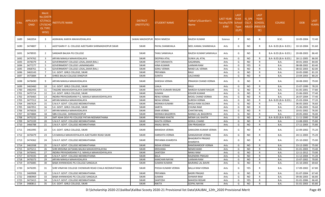| S.No. | <b>APPLICATI</b><br><b>ONID</b> | <b>Merit</b><br>o.(DISTFا<br>ICT/FACU<br>LTY/SCHO<br><b>OL TYPE</b><br>WISE) | NSTITUTE NAME                                        | <b>DISTRICT</b><br>(INSTITUTE) | STUDENT NAME          | Father's/Guardian's<br>Name                | <b>LAST YEAR</b><br>Faculty/STR School<br><b>EAM</b> | <b>LAST</b><br><b>YEAR</b><br><b>Type</b><br>(G/P) | IS_SPE<br><b>CILLY</b> | <b>LAST</b><br><b>YEAR</b><br><b>SCHOOL</b><br>ABLED (RBSE/CB<br>SE) | <b>COURSE</b>          | <b>DOB</b> | <b>LAST</b><br>YEAR% |
|-------|---------------------------------|------------------------------------------------------------------------------|------------------------------------------------------|--------------------------------|-----------------------|--------------------------------------------|------------------------------------------------------|----------------------------------------------------|------------------------|----------------------------------------------------------------------|------------------------|------------|----------------------|
| 1689  | 3462054                         | 3                                                                            | AGRAWAL KANYA MAHAVIDHALAYA                          | SAWAI MADHOPUR                 | <b>RIDHI NIMESH</b>   | <b>RAJESH KUMAR</b>                        | Science                                              | P                                                  | <b>NO</b>              | R                                                                    | B.SC.                  | 10-09-2004 | 72.40                |
| 1690  | 3474807                         | 1                                                                            | AJEETGARH P. G. COLLEGE AJEETGARH SHRIMADHOPUR SIKAR | <b>SIKAR</b>                   | PAYAL SHANKHALA       | NEEL KAMAL SHANKHALA                       | Arts                                                 | G                                                  | NO                     | R                                                                    | B.A- B.ED.(B.A- B.ED.) | 10-10-2004 | 91.60                |
| 1691  | 3478935                         | 2                                                                            | SANSAKR BALIKA PG COLLEGE                            | <b>SIKAR</b>                   | <b>TANU SANKHALA</b>  | RAJESH KUMAR SANKHALA                      | Arts                                                 | G                                                  | NO.                    | R                                                                    | B.A- B.ED.(B.A- B.ED.) | 20-08-2003 | 86.40                |
| 1692  | 3474762                         | $\overline{3}$                                                               | ARYAN MAHILA MAHAVIDALAYA                            | <b>SIKAR</b>                   | <b>DEEPIKA ATAL</b>   | <b>SUWA LAL ATAL</b>                       | Arts                                                 | G                                                  | NO.                    | R                                                                    | B.A- B.ED.(B.A- B.ED.) | 18-11-2005 | 86.00                |
| 1693  | 3478379                         | $\overline{4}$                                                               | GOVERNMENT COLLEGE LOSAL, SIKAR (RAJ.)               | <b>SIKAR</b>                   | <b>JYOTI SIRAWATA</b> | SAGARMAL                                   | Arts                                                 | G                                                  | <b>NO</b>              | R                                                                    | <b>B.A.</b>            | 30-01-2003 | 84.00                |
| 1694  | 3477277                         | - 5                                                                          | GOVERNMENT COLLEGE LAXMANGARH                        | <b>SIKAR</b>                   | HINA KUMARI           | LAXMAN RAM                                 | Arts                                                 | G                                                  | YES                    | R                                                                    | B.A.                   | 08-08-2002 | 83.40                |
| 1695  | 3468761                         | 6                                                                            | GOVERNMENT COLLEGE LOSAL, SIKAR (RAJ.)               | <b>SIKAR</b>                   | <b>SONU VERMA</b>     | <b>NAND LAL VERMA</b>                      | Arts                                                 | G                                                  | <b>NO</b>              | $\mathsf{R}$                                                         | B.A.                   | 08-02-2003 | 82.00                |
| 1696  | 3463143                         | $\overline{7}$                                                               | S.K. GOVT. GIRLS COLLEGE, SIKAR                      | <b>SIKAR</b>                   | PRIYANKA              | RAJU                                       | Arts                                                 | G                                                  | <b>NO</b>              | R                                                                    | B.A.                   | 10-05-2000 | 81.20                |
| 1697  | 3475884                         | 8                                                                            | SHREE BALAJI COLLEGE DINGPUR                         | <b>SIKAR</b>                   | <b>SUNITA</b>         | LALCHAND                                   | Arts                                                 | G                                                  | <b>NO</b>              | R                                                                    | B.A.                   | 23-04-2003 | 80.20                |
| 1698  | 3478490                         | 9                                                                            | ARYAN MAHILA MAHAVIDALAYA                            | SIKAR                          | SHIKSHA VERMA         | PRAKASH CHAND VERMA                        | Arts                                                 | G                                                  | NO.                    | R                                                                    | B.A.                   | 18-08-2002 | 79.00                |
| 1699  | 3463460                         | 10                                                                           | S.K. GOVT. GIRLS COLLEGE, SIKAR                      | <b>SIKAR</b>                   | <b>UJALA</b>          | RAJU                                       | Arts                                                 | G                                                  | <b>NO</b>              | R                                                                    | B.A.                   | 15-07-1999 | 78.20                |
| 1700  | 3482493                         | 11                                                                           | TAGORE MAHAVIDHYALAYA DANTARAMGARH                   | <b>SIKAR</b>                   | KAVITA KUMARI RAIGAR  | <b>NARESH KUMAR RAIGAR</b>                 | Arts                                                 | G                                                  | <b>NO</b>              | $\mathsf{R}$                                                         | B.A.                   | 01-05-2001 | 77.80                |
| 1701  | 3475714                         | 12                                                                           | S.K. GOVT. GIRLS COLLEGE. SIKAR                      | <b>SIKAR</b>                   | SUMAN                 | <b>KISHOR KUMAR</b>                        | Arts                                                 | G                                                  | <b>NO</b>              | R                                                                    | B.A.                   | 15-06-2003 | 77.40                |
| 1702  | 3476465                         | 13                                                                           | INDIRA PRIYADARSHINI P.G. MAHILA MAHAVIDHYALAYA      | <b>SIKAR</b>                   | RENU VERMA            | MOOL CHAND VERMA                           | Arts                                                 | G                                                  | <b>NO</b>              | R                                                                    | B.A.                   | 26-07-2004 | 77.40                |
| 1703  | 3477312                         | 14                                                                           | ARYAN MAHILA MAHAVIDALAYA                            | <b>SIKAR</b>                   | NEHA VERMA            | SURESH VERMA                               | Arts                                                 | G                                                  | <b>NO</b>              | R                                                                    | B.A- B.ED.(B.A- B.ED.) | 25-03-2004 | 77.20                |
| 1704  | 3467624                         | 15                                                                           | S.N.K.P. GOVT. COLLEGE.NEEMKATHANA                   | <b>SIKAR</b>                   | MONIKA KUMARI         | BHOLA RAM JILOWA                           | Arts                                                 | G                                                  | <b>NO</b>              | R                                                                    | B.A.                   | 06-05-2003 | 76.60                |
| 1705  | 3467051                         | 16                                                                           | S.K. GOVT. GIRLS COLLEGE, SIKAR                      | <b>SIKAR</b>                   | <b>SARITA</b>         | <b>CHUNA RAM</b>                           | Arts                                                 | G                                                  | <b>NO</b>              | $\mathsf{R}$                                                         | B.A.                   | 25-06-2003 | 76.60                |
| 1706  | 3476026                         | 17                                                                           | ARYAN MAHILA MAHAVIDALAYA                            | <b>SIKAR</b>                   | SIMA VERMA            | <b>CHHITAR MAL</b>                         | Arts                                                 | G                                                  | <b>NO</b>              | R                                                                    | B.A.                   | 10-01-2002 | 76.00                |
| 1707  | 3474884                         | 18                                                                           | SBN COLLEGE, SHRIMADHOPUR                            | <b>SIKAR</b>                   | MONIKA BAGORIYA       | <b>MANGI LAL BAGORIYA</b>                  | Arts                                                 | G                                                  | <b>NO</b>              | R                                                                    | B.A.                   | 20-05-2002 | 76.00                |
| 1708  | 3475232                         | 19                                                                           | SMT ASHA DEVI PG COLLEGE PATAN NEEMKATHANA           | <b>SIKAR</b>                   | PRIYANKA KHATIK       | <b>MEWA LAL KHATIK</b>                     | Arts                                                 | G                                                  | <b>NO</b>              | R                                                                    | B.A- B.ED.(B.A- B.ED.) | 11-11-2000 | 75.80                |
| 1709  | 3475339                         | 20                                                                           | S.N.K.P. GOVT. COLLEGE.NEEMKATHANA                   | <b>SIKAR</b>                   | KAVITA VERMA          | <b>GOKUL CHAND</b>                         | Arts                                                 | G                                                  | <b>NO</b>              | R                                                                    | B.A.                   | 13-08-2003 | 75.80                |
| 1710  | 3466788                         | 21                                                                           | S.N.K.P. GOVT. COLLEGE.NEEMKATHANA                   | <b>SIKAR</b>                   | ANJALI BAYAL          | <b>OM PRASAKESH</b>                        | Arts                                                 | G                                                  | <b>NO</b>              | $\mathsf{R}$                                                         | B.A.                   | 17-11-2003 | 75.80                |
| 1711  | 3461995                         | 22                                                                           | S.K. GOVT. GIRLS COLLEGE, SIKAR                      | SIKAR                          | MANISHA VERMA         | SAMUDRA KUMAR VERMA                        | Arts                                                 | G                                                  | NO.                    | R                                                                    | B.A.                   | 22-09-2002 | 75.20                |
| 1712  | 3476479                         | 23                                                                           | S.R.MAHILA MAHAVIDYALAYA AJEETGARH ROAD SIKAR        | <b>SIKAR</b>                   | HARSHITA VERMA        | <b>GANGADHAR VERMA</b>                     | Arts                                                 | G                                                  | <b>NO</b>              | R                                                                    | B.A.                   | 24-11-2003 | 75.20                |
| 1713  | 3474362                         | 24                                                                           | S.N.K.P. GOVT. COLLEGE.NEEMKATHANA                   | <b>SIKAR</b>                   | PRIYANKA KHARDIYA     | <b>BHAGIRATH PRASAD</b><br><b>KHARDIYA</b> | Arts                                                 | G                                                  | NO.                    | R                                                                    | B.A.                   | 25-10-2002 | 75.00                |
| 1714  | 3461938                         | 25                                                                           | S.N.K.P. GOVT. COLLEGE.NEEMKATHANA                   | <b>SIKAR</b>                   | NISHA VERAM           | <b>RAMSWAROOP VERMA</b>                    | Arts                                                 | G                                                  | <b>NO</b>              | R                                                                    | B.A.                   | 23-12-2005 | 75.00                |
| 1715  | 3475211                         | 26                                                                           | SHRI KRISHNA SATSANG BALIKA MAHAVIDYALAYAA           | <b>SIKAR</b>                   | <b>KRISHANA</b>       | <b>NEMICHAND</b>                           | Arts                                                 | G                                                  | NO.                    |                                                                      | B.A.                   | 01-01-2003 | 73.40                |
| 1716  | 3476441                         | 27                                                                           | INDIRA PRIYADARSHINI P.G. MAHILA MAHAVIDHYALAYA      | <b>SIKAR</b>                   | SANTOSH               | <b>NANU RAM</b>                            | Arts                                                 | G                                                  | <b>NO</b>              | $\mathsf{R}$                                                         | B.A.                   | 12-11-2012 | 73.00                |
| 1717  | 3474335                         | 28                                                                           | S.N.K.P. GOVT. COLLEGE.NEEMKATHANA                   | <b>SIKAR</b>                   | <b>BALA</b>           | RAJENDRA PRASAD                            | Arts                                                 | G                                                  | <b>NO</b>              | R                                                                    | B.A.                   | 11-12-2004 | 71.20                |
| 1718  | 3476373                         | 29                                                                           | ARYAN MAHILA MAHAVIDALAYA                            | <b>SIKAR</b>                   | <b>KANCHAN NAYAK</b>  | <b>LAXMAN RAM</b>                          | Arts                                                 | G                                                  | <b>NO</b>              | R                                                                    | <b>B.A.</b>            | 15-07-2002 | 70.00                |
| 1719  | 3476085                         | 30                                                                           | BABA KHINWADAS PG COLLEGE SANGALIA                   | SIKAR                          | <b>SUMAN KUMARI</b>   | <b>BAJRANG LAL BAVRI</b>                   | Arts                                                 | G                                                  | <b>NO</b>              | R                                                                    | <b>B.A.</b>            | 15-10-2003 | 69.60                |
| 1720  | 3476395                         | 31                                                                           | SHRI VINAYAK COLLEGE CHOWKARI ROAD CHALA NEEMKATHANA | <b>SIKAR</b>                   | POOJA KUMARI VERMA    | <b>BALLA RAM VERMA</b>                     | Arts                                                 | G                                                  | YES                    | R.                                                                   | B.A.                   | 17-09-2002 | 67.80                |
| 1721  | 3469908                         | 32                                                                           | S.N.K.P. GOVT. COLLEGE.NEEMKATHANA                   | <b>SIKAR</b>                   | PRIYANKA              | <b>BADRI PRASAD</b>                        | Arts                                                 | G                                                  | <b>NO</b>              | R                                                                    | B.A.                   | 01-07-2004 | 67.40                |
| 1722  | 3480969                         | 33                                                                           | BABA KHINWADAS PG COLLEGE SANGALIA                   | <b>SIKAR</b>                   | SUMAN                 | <b>ISHWAR RAM</b>                          | Arts                                                 | G                                                  | <b>NO</b>              | R                                                                    | B.A.                   | 09-06-2003 | 66.80                |
| 1723  | 3473415                         | 34                                                                           | S.N.K.P. GOVT. COLLEGE.NEEMKATHANA                   | SIKAR                          | SANTOSH               | <b>MAHESH REGAR</b>                        | Arts                                                 | G                                                  | YES                    | R                                                                    | B.A.                   | 01-01-2006 | 66.40                |
| 1724  | 3480811                         | 35                                                                           | S.K. GOVT. GIRLS COLLEGE, SIKAR                      | SIKAR                          | <b>NIKITA</b>         | <b>GOPAL NAYAK</b>                         | Arts                                                 | G                                                  | <b>NO</b>              | $\mathsf{R}$                                                         | <b>B.A.</b>            | 01-01-2003 | 65.80                |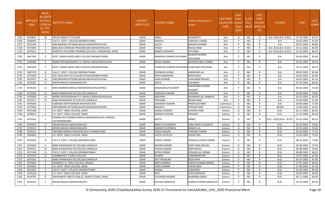| S.No. | <b>APPLICATI</b><br><b>ONID</b> | <b>Merit</b><br>No.(DISTR<br><b>ICT/FACU</b><br>LTY/SCHO<br><b>OL TYPE</b><br>WISE) | <b>ISTITUTE NAME</b>                                             | <b>DISTRICT</b><br>(INSTITUTE) | STUDENT NAME                               | Father's/Guardian's<br>Name             | LAST YEAR<br>Faculty/STR<br><b>EAM</b> | <b>LAST</b><br><b>YEAR</b><br>School<br><b>Type</b><br>(G/P) | <b>IS SPE</b><br><b>CILLY</b> | <b>LAST</b><br><b>YEAR</b><br><b>SCHOOL</b><br>ABLED (RBSE/CB<br>SE) | <b>COURSE</b>              | <b>DOB</b> | <b>LAST</b><br>YEAR% |
|-------|---------------------------------|-------------------------------------------------------------------------------------|------------------------------------------------------------------|--------------------------------|--------------------------------------------|-----------------------------------------|----------------------------------------|--------------------------------------------------------------|-------------------------------|----------------------------------------------------------------------|----------------------------|------------|----------------------|
| 1725  | 3475847                         | 36                                                                                  | TRILOK SINGH TT COLLEGE                                          | <b>SIKAR</b>                   | SARJU                                      | <b>BHAGIRATH</b>                        | Arts                                   | G                                                            | <b>NO</b>                     | R                                                                    | B.A- B.ED.(B.A- B.ED.)     | 17-10-2002 | 65.20                |
| 1726  | 3469365                         | - 1                                                                                 | S.N.K.P. GOVT. COLLEGE.NEEMKATHANA                               | <b>SIKAR</b>                   | AMISHA                                     | <b>SUBHASH CHAND</b>                    | Arts                                   | P                                                            | N <sub>O</sub>                | R                                                                    | <b>B.A.</b>                | 10-02-2004 | 91.00                |
| 1727  | 3475184                         | $\overline{2}$                                                                      | SHRI KRISHNA SATSANG BALIKA MAHAVIDYALAYAA                       | <b>SIKAR</b>                   | LALITA                                     | <b>MAHESH KUMAR</b>                     | Arts                                   | P                                                            | NO.                           | R                                                                    | B.A.                       | 05-05-2004 | 89.80                |
| 1728  | 3475849                         | $\overline{\mathbf{3}}$                                                             | BARJI DEVI SHIKSHAK PRASHIKSHAN MAHAVIDYALAYA                    | <b>SIKAR</b>                   | POOJA                                      | <b>BHAGU RAM</b>                        | Arts                                   | P                                                            | N <sub>O</sub>                | R                                                                    | B.A- B.ED.(B.A- B.ED.)     | 29-11-2002 | 86.80                |
| 1729  | 3475351                         | $\overline{4}$                                                                      | BHARTIYA TEACHERS TRAINING COLLEGE, CHANDPURA, SIKAR             | <b>SIKAR</b>                   | <b>MAMTA DHANIYA</b>                       | <b>SITA RAM</b>                         | Arts                                   | P                                                            | <b>NO</b>                     | $\mathsf{R}$                                                         | B.A- B.ED.(B.A- B.ED.)     | 21-03-2005 | 86.20                |
| 1730  | 3467580                         | 5                                                                                   | GOVT. KAMLA MODI GIRLS COLLEGE NEEMKATHANA                       | <b>SIKAR</b>                   | MANISHA KUMARI DOCHANIA                    | <b>MUKESH KUMAR</b><br><b>DOCHANIA</b>  | Arts                                   |                                                              | <b>NO</b>                     | R                                                                    | B.A.                       | 29-04-2003 | 85.80                |
| 1731  | 3476490                         | 6                                                                                   | INDIRA PRIYADARSHINI P.G. MAHILA MAHAVIDHYALAYA                  | <b>SIKAR</b>                   | REENA VERMA                                | <b>BAHADUR MAL VERMA</b>                | Arts                                   | P                                                            | NO.                           | $\mathsf{R}$                                                         | B.A.                       | 31-01-2003 | 85.20                |
| 1732  | 3467249                         | -7                                                                                  | GOVT. KAMLA MODI GIRLS COLLEGE NEEMKATHANA                       | <b>SIKAR</b>                   | AVANTIKA KUMARI DOCHANIA SUNA RAM DOCHANIA |                                         | Arts                                   |                                                              | NO.                           | R                                                                    | B.A.                       | 12-11-2002 | 82.20                |
| 1733  | 3467570                         | 8                                                                                   | S.N.K.P. GOVT. COLLEGE.NEEMKATHANA                               | <b>SIKAR</b>                   | POONAM JILOWA                              | <b>MANOHAR LAL</b>                      | Arts                                   | P                                                            | <b>NO</b>                     | R                                                                    | <b>B.A.</b>                | 09-07-2002 | 81.80                |
| 1734  | 3475949                         | q                                                                                   | SMT ASHA DEVI PG COLLEGE PATAN NEEMKATHANA                       | <b>SIKAR</b>                   | PRIYA MANDAIYA                             | <b>BHUPSINGH</b>                        | Arts                                   | P                                                            | N <sub>O</sub>                | R                                                                    | B.A.                       | 28-09-2004 | 81.80                |
| 1735  | 3475027                         | 10                                                                                  | SHRI KRISHNA SATSANG BALIKA MAHAVIDYALAYAA                       | <b>SIKAR</b>                   | ASHA KUMARI                                | <b>HANUMAN PRASAD</b>                   | Arts                                   | P                                                            | <b>NO</b>                     | R                                                                    | <b>B.A.</b>                | 10-02-2003 | 81.20                |
| 1736  | 3476187                         | 11                                                                                  | ARYAN MAHILA MAHAVIDALAYA                                        | <b>SIKAR</b>                   | ANITA                                      | <b>DULARAM</b>                          | Arts                                   | P                                                            | <b>NO</b>                     | R                                                                    | B.A.                       | 07-10-2004 | 80.40                |
| 1737  | 3476230                         | 12                                                                                  | SHRI SHANKAR MAHILA MAHAVIDHALAYA,DIVRALA                        | <b>SIKAR</b>                   | MADHUBALA KULDEEP                          | <b>MAHENDRA KUMAR</b><br><b>KULDEEP</b> | Arts                                   |                                                              | <b>NO</b>                     | R                                                                    | <b>B.A.</b>                | 05-05-2002 | 72.40                |
| 1738  | 3474396                         | 13                                                                                  | BABA KHINWADAS PG COLLEGE SANGALIA                               | <b>SIKAR</b>                   | SANTOSH KUMARI                             | <b>SHISHPAL</b>                         | Arts                                   | P                                                            | N <sub>O</sub>                | R                                                                    | B.A.                       | 20-04-2004 | 70.00                |
| 1739  | 3476460                         | 14                                                                                  | INDIRA PRIYADARSHINI P.G. MAHILA MAHAVIDHYALAYA                  | <b>SIKAR</b>                   | <b>NIRUPMA</b>                             | <b>BHANWAR LAL SAMRIYA</b>              | Arts                                   | P                                                            | NO.                           | R                                                                    | <b>B.A.</b>                | 01-01-2003 | 69.20                |
| 1740  | 3474357                         | 15                                                                                  | BABA KHINWADAS PG COLLEGE SANGALIA                               | <b>SIKAR</b>                   | PRIYANKA                                   | NEMICHAND                               | Arts                                   | P                                                            | <b>NO</b>                     | R                                                                    | <b>B.A.</b>                | 10-04-2004 | 67.40                |
| 1741  | 3476439                         | -1                                                                                  | SUBHASH VIDYA MANDIR MAHAVIDLAYA                                 | <b>SIKAR</b>                   | JHUMAKA KUMARI                             | PRAHALAD RAM                            | Commerce                               | G                                                            | <b>NO</b>                     | $\mathsf{R}$                                                         | <b>B.A.</b>                | 20-08-2000 | 72.40                |
| 1742  | 3475696                         | $\overline{2}$                                                                      | SHRI KRISHNA SATSANG BALIKA MAHAVIDYALAYAA                       | <b>SIKAR</b>                   | <b>BHAGOTI</b>                             | PHOOSA RAM                              | Commerce                               | G                                                            | <b>NO</b>                     | R                                                                    | <b>BCOM</b>                | 15-08-2002 | 65.00                |
| 1743  | 3472368                         | -1                                                                                  | S.K. GOVT. GIRLS COLLEGE, SIKAR                                  | <b>SIKAR</b>                   | <b>GANGA KUMARI</b>                        | <b>SHYOPAL RAM</b>                      | Science                                | G                                                            | N <sub>O</sub>                | R                                                                    | B.SC.                      | 02-11-2002 | 85.60                |
| 1744  | 3478915                         | 2                                                                                   | S.K. GOVT. GIRLS COLLEGE, SIKAR                                  | <b>SIKAR</b>                   | MONIKA KUMARI                              | <b>PRAKASH</b>                          | Science                                | G                                                            | <b>NO</b>                     | $\mathsf{R}$                                                         | B.SC.                      | 11-12-2003 | 85.00                |
| 1745  | 3475301                         | 3                                                                                   | MOHINI DEVI GOENKA MAHILA MAHAVIDYALAYA, GHASSU,<br>LACHHMANGARH | <b>SIKAR</b>                   | NIKITA                                     | <b>BIRBAL</b>                           | Science                                | G                                                            | NO.                           | R.                                                                   | B.SC.- B.ED.(B.SC.- B.ED.) | 03-10-2005 | 80.20                |
| 1746  | 3479970                         | $\overline{4}$                                                                      | ARYAN MAHILA MAHAVIDALAYA                                        | <b>SIKAR</b>                   | <b>BABITA FULWARIYA</b>                    | DEBU RAM FULWARIYA                      | Science                                | G                                                            | <b>NO</b>                     | R                                                                    | B.SC.                      | 03-10-2003 | 79.40                |
| 1747  | 3476157                         | -5                                                                                  | ARYAN MAHILA MAHAVIDALAYA                                        | <b>SIKAR</b>                   | SANGEETA DENWAL                            | <b>BANSHI LAL</b>                       | Science                                | G                                                            | N <sub>O</sub>                | R                                                                    | B.SC.                      | 02-05-2003 | 78.20                |
| 1748  | 3476313                         | 6                                                                                   | FRIENDRS MAHILA MAHAVIDYALAY SANWALPURA                          | <b>SIKAR</b>                   | POOJA RAIGAR                               | <b>PARKASH CHAND</b>                    | Science                                | G                                                            | N <sub>O</sub>                | R                                                                    | B.SC.                      | 20-10-2001 | 77.20                |
| 1749  | 3483816                         | $\overline{7}$                                                                      | S.K. GOVT. GIRLS COLLEGE, SIKAR                                  | <b>SIKAR</b>                   | LALITA JATOLIYA                            | <b>SAGAR MAL</b>                        | Science                                | G                                                            | <b>NO</b>                     | R                                                                    | B.SC.                      | 14-05-2003 | 74.40                |
| 1750  | 3473560                         | 8                                                                                   | S.N.K.P. GOVT. COLLEGE.NEEMKATHANA                               | <b>SIKAR</b>                   | <b>KOMAL VERMA</b>                         | <b>PRAKASH CHAND VERMA</b>              | Science                                | G                                                            | N <sub>O</sub>                | R                                                                    | B.SC.                      | 08-10-2003 | 73.60                |
| 1751  | 3474436                         | 9                                                                                   | BABA KHINWADAS PG COLLEGE SANGALIA                               | <b>SIKAR</b>                   | MUNNI KUMARI                               | <b>NOPA RAM MEEDAL</b>                  | Science                                | G                                                            | NO.                           | R                                                                    | B.SC.                      | 20-06-2003 | 72.20                |
| 1752  | 3474251                         | 10                                                                                  | BABA KHINWADAS PG COLLEGE SANGALIA                               | <b>SIKAR</b>                   | POOJA KUMARI                               | <b>DEEN DAYAL</b>                       | Science                                | G                                                            | <b>NO</b>                     |                                                                      | B.SC.                      | 05-08-2004 | 70.60                |
| 1753  | 3471248                         | 11                                                                                  | S.N.K.P. GOVT. COLLEGE.NEEMKATHANA                               | <b>SIKAR</b>                   | RITIKA VERMA                               | ROSHAN LAL VERMA                        | Science                                | G                                                            | <b>NO</b>                     | $\mathsf{R}$                                                         | B.SC.                      | 08-08-2003 | 68.20                |
| 1754  | 3475078                         | 12                                                                                  | CAMBRIDGE P G GIRLS COLLEGE                                      | <b>SIKAR</b>                   | SUMAN                                      | LAXMINARAYAN                            | Science                                | G                                                            | <b>NO</b>                     | R                                                                    | B.SC.                      | 14-07-2002 | 67.80                |
| 1755  | 3474267                         | 1                                                                                   | BABA KHINWADAS PG COLLEGE SANGALIA                               | SIKAR                          | ARTI ROHALAN                               | <b>BEGA RAM</b>                         | Science                                | P                                                            | <b>NO</b>                     | $\mathsf{R}$                                                         | B.SC.                      | 05-07-2004 | 91.00                |
| 1756  | 3475002                         | $\overline{2}$                                                                      | VEDANTA P.G. GIRLS COLLEGE, RINGUS                               | SIKAR                          | NIKITA NIRMAL                              | RAKESH KUMAR NIRMAL                     | Science                                |                                                              | <b>NO</b>                     | R                                                                    | B.SC.                      | 17-07-2004 | 90.40                |
| 1757  | 3474363                         | $\overline{\mathbf{3}}$                                                             | S.K. GOVT. GIRLS COLLEGE, SIKAR                                  | SIKAR                          | USHA KUMARI                                | <b>CHENA RAM</b>                        | Science                                | P                                                            | <b>NO</b>                     | R                                                                    | B.SC.                      | 17-09-2003 | 87.20                |
| 1758  | 3451021                         | $\overline{4}$                                                                      | S.N.K.P. GOVT. COLLEGE.NEEMKATHANA                               | SIKAR                          | KOMAL                                      | <b>JOGENDRA</b>                         | Science                                | P                                                            | <b>NO</b>                     | R                                                                    | B.SC.                      | 01-06-2004 | 85.40                |
| 1759  | 3476136                         | - 5                                                                                 | S.K. GOVT. GIRLS COLLEGE, SIKAR                                  | SIKAR                          | NITU                                       | <b>GOPALKRISHAN</b>                     | Science                                |                                                              | <b>NO</b>                     | R                                                                    | B.SC.                      | 19-04-2003 | 83.60                |
| 1760  | 3474781                         | 6                                                                                   | SHEKHAWATI INSTITUTE(B.SC. AGRICULTURE), SIKAR                   | SIKAR                          | <b>TEJSWANI RAJORIA</b>                    | RAJENDRA SINGH                          | Science                                | P                                                            | <b>NO</b>                     | $\mathsf{R}$                                                         | B.SC.                      | 05-11-2003 | 83.40                |
| 1761  | 3476316                         | 7                                                                                   | ARYAN MAHILA MAHAVIDALAYA                                        | SIKAR                          | KUSUM SANKHALA                             | <b>SURESH KUMAR SANKHALA</b>            | Science                                |                                                              | NO                            | R                                                                    | B.SC.                      | 16-10-2004 | 83.20                |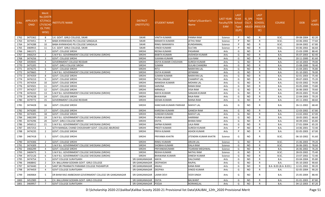| S.No. | <b>APPLICATI</b><br><b>ONID</b> | <b>Merit</b><br>o.(DISTFا<br>ICT/FACL<br>LTY/SCHO<br><b>OL TYPE</b><br>WISE) | NSTITUTE NAME                                          | <b>DISTRICT</b><br>(INSTITUTE) | STUDENT NAME           | Father's/Guardian's<br>Name | LAST YEAR<br>Faculty/STR<br>EAM | <b>LAST</b><br><b>YEAR</b><br>School<br><b>Type</b><br>(G/P) | IS_SPE<br><b>CILLY</b> | <b>LAST</b><br><b>YEAR</b><br><b>SCHOOL</b><br>ABLED (RBSE/CB<br>SE) | <b>COURSE</b>          | <b>DOB</b> | <b>LAST</b><br><b>/EAR%</b> |
|-------|---------------------------------|------------------------------------------------------------------------------|--------------------------------------------------------|--------------------------------|------------------------|-----------------------------|---------------------------------|--------------------------------------------------------------|------------------------|----------------------------------------------------------------------|------------------------|------------|-----------------------------|
| 1762  | 3475362                         | 8                                                                            | S.K. GOVT. GIRLS COLLEGE, SIKAR                        | <b>SIKAR</b>                   | <b>VINITA KUMARI</b>   | PANNA RAM                   | Science                         | P                                                            | NO.                    | R                                                                    | B.SC.                  | 09-08-2004 | 82.20                       |
| 1763  | 3474451                         | 9                                                                            | BABA KHINWADAS PG COLLEGE SANGALIA                     | <b>SIKAR</b>                   | MAMATA KUMARI          | <b>IETHU RAM</b>            | Science                         | P                                                            | <b>NO</b>              | R                                                                    | B.SC.                  | 10-06-2002 | 77.60                       |
| 1764  | 3474288                         | 10                                                                           | BABA KHINWADAS PG COLLEGE SANGALIA                     | <b>SIKAR</b>                   | RINKU BAMANIYA         | KUNDANMAL                   | Science                         | P                                                            | NO                     | R                                                                    | B.SC.                  | 18-04-2002 | 67.80                       |
| 1765  | 3469915                         | 11                                                                           | S.K. GOVT. GIRLS COLLEGE, SIKAR                        | <b>SIKAR</b>                   | <b>VINOD KUMARI</b>    | <b>SULTAN</b>               | Science                         | P                                                            | <b>NO</b>              | R                                                                    | B.SC.                  | 03-06-2002 | 66.60                       |
| 1766  | 3461371                         | 1                                                                            | <b>GOVT. COLLEGE SIROHI</b>                            | <b>SIROHI</b>                  | REENA KUMARI           | PASARAM                     | Arts                            | G                                                            | NO                     | R                                                                    | B.A.                   | 15-03-1999 | 88.40                       |
| 1767  | 3466254                         | $\overline{2}$                                                               | S.M.P.B.J. GOVERNMENT COLLEGE SHEOGANJ (SIROHI)        | <b>SIROHI</b>                  | <b>BABITA KUMARI</b>   | AVDHESH KUMAR               | Arts                            | G                                                            | <b>NO</b>              | R                                                                    | B.A.                   | 05-07-2003 | 82.40                       |
| 1768  | 3474256                         | $\overline{\mathbf{3}}$                                                      | <b>GOVT. COLLEGE SIROHI</b>                            | <b>SIROHI</b>                  | SUKANA KUMARI          | LILA RAM                    | Arts                            | G                                                            | <b>NO</b>              | R                                                                    | B.A.                   | 20-11-2000 | 81.60                       |
| 1769  | 3459045                         | $\overline{4}$                                                               | GOVERNMENT COLLEGE REODAR                              | <b>SIROHI</b>                  | DIVYA KUMARI CHOUHAN   | <b>SURESH KUMAR</b>         | Arts                            | G                                                            | NO                     | R                                                                    | B.A.                   | 10-10-2003 | 79.00                       |
| 1770  | 3475205                         | - 5                                                                          | GOVT. GIRLS COLLEGE SIROHI                             | <b>SIROHI</b>                  | SUMAN                  | <b>GULAB CHANDRA</b>        | Arts                            | G                                                            | <b>NO</b>              | R                                                                    | B.A.                   | 15-08-2000 | 78.40                       |
| 1771  | 3474275                         | - 6                                                                          | <b>GOVT. COLLEGE SIROHI</b>                            | <b>SIROHI</b>                  | <b>RITU</b>            | <b>NARAYAN LAL</b>          | Arts                            | G                                                            | NO                     | R                                                                    | B.A.                   | 15-04-2001 | 76.80                       |
| 1772  | 3479665                         | $\overline{7}$                                                               | S.M.P.B.J. GOVERNMENT COLLEGE SHEOGANJ (SIROHI)        | <b>SIROHI</b>                  | <b>DIVYA KUMARI</b>    | <b>JEPARAM</b>              | Arts                            | G                                                            | <b>NO</b>              | R                                                                    | B.A.                   | 01-10-2001 | 76.00                       |
| 1773  | 3474359                         | 8                                                                            | <b>GOVT. COLLEGE SIROHI</b>                            | <b>SIROHI</b>                  | <b>SUMAN KUMARI</b>    | <b>NARAYAN LAL</b>          | Arts                            | G                                                            | <b>NO</b>              | R                                                                    | B.A.                   | 02-01-2003 | 75.40                       |
| 1774  | 3476153                         | -9                                                                           | GOVT. COLLEGE SIROHI                                   | <b>SIROHI</b>                  | RITIKA JINGAR          | <b>CHAMPAT LAL</b>          | Arts                            | G                                                            | NO                     | R                                                                    | B.A.                   | 09-07-2003 | 75.20                       |
| 1775  | 3474354                         | 10                                                                           | <b>GOVT. COLLEGE SIROHI</b>                            | <b>SIROHI</b>                  | MANISHA KUMARI         | MOHAN LAL                   | Arts                            | G                                                            | <b>NO</b>              | R                                                                    | B.A.                   | 02-03-2002 | 74.00                       |
| 1776  | 3474501                         | 11                                                                           | <b>GOVT. COLLEGE SIROHI</b>                            | <b>SIROHI</b>                  | SARVINA                | <b>RAMA RAM</b>             | Arts                            | G                                                            | NO                     | R                                                                    | B.A.                   | 03-05-2000 | 73.80                       |
| 1777  | 3474257                         | 12                                                                           | <b>GOVT. COLLEGE SIROHI</b>                            | <b>SIROHI</b>                  | NIRMALA                | <b>VISA RAM</b>             | Arts                            | G                                                            | <b>NO</b>              | R                                                                    | B.A.                   | 26-06-2003 | 70.60                       |
| 1778  | 3476333                         | 13                                                                           | S.M.P.B.J. GOVERNMENT COLLEGE SHEOGANJ (SIROHI)        | <b>SIROHI</b>                  | <b>MAYA KUMARI</b>     | <b>SANJJAN KUMAR</b>        | Arts                            | G                                                            | <b>NO</b>              | R                                                                    | B.A.                   | 09-03-2001 | 70.40                       |
| 1779  | 3474238                         | 14                                                                           | <b>GOVT. COLLEGE SIROHI</b>                            | <b>SIROHI</b>                  | BHAWANA                | RAJA RAM                    | Arts                            | G                                                            | NO                     | R                                                                    | B.A.                   | 22-04-2003 | 70.20                       |
| 1780  | 3479772                         | 15                                                                           | <b>GOVERNMENT COLLEGE REODAR</b>                       | <b>SIROHI</b>                  | SEEMA KUMARI           | MANA RAM                    | Arts                            | G                                                            | <b>NO</b>              | R                                                                    | B.A.                   | 20-11-2002 | 68.60                       |
| 1781  | 3474428                         | 16                                                                           | <b>GOVT. COLLEGE SIROHI</b>                            | <b>SIROHI</b>                  | KANCHAN KUMARI PARIHAR | <b>MAFAT LAL</b>            | Arts                            | G                                                            | NO.                    | R                                                                    | B.A.                   | 26-11-2002 | 68.40                       |
| 1782  | 3476285                         | 17                                                                           | <b>GOVT. COLLEGE SIROHI</b>                            | <b>SIROHI</b>                  | KAREENA KUMARI         | <b>GANESH RAM</b>           | Arts                            | G                                                            | NO.                    | R                                                                    | B.A.                   | 12-03-2002 | 67.80                       |
| 1783  | 3474305                         | 18                                                                           | <b>GOVT. COLLEGE SIROHI</b>                            | <b>SIROHI</b>                  | SUNDAR KUMARI          | <b>MAFAT LAL</b>            | Arts                            | G                                                            | NO                     | R                                                                    | B.A.                   | 13-02-2002 | 67.00                       |
| 1784  | 3482399                         | 19                                                                           | S.M.P.B.J. GOVERNMENT COLLEGE SHEOGANJ (SIROHI)        | <b>SIROHI</b>                  | PURAN KUMARI           | HARIRAM                     | Arts                            | G                                                            | <b>NO</b>              | R                                                                    | B.A.                   | 18-05-2001 | 66.60                       |
| 1785  | 3474296                         | 20                                                                           | <b>GOVT. GIRLS COLLEGE SIROHI</b>                      | <b>SIROHI</b>                  | <b>DIVYA</b>           | <b>BHIMA RAM</b>            | Arts                            | G                                                            | <b>NO</b>              |                                                                      | B.A.                   | 30-09-2002 | 65.80                       |
| 1786  | 3456512                         | 21                                                                           | S.M.P.B.J. GOVERNMENT COLLEGE SHEOGANJ (SIROHI)        | <b>SIROHI</b>                  | SAPNA KUMARI           | LALA RAM                    | Arts                            | G                                                            | NO                     | R                                                                    | B.A.                   | 27-01-2004 | 65.20                       |
| 1787  | 3457253                         | -1                                                                           | SETH MANGAL CHAND CHOUDHARY GOVT. COLLEGE ABUROAD      | <b>SIROHI</b>                  | PREETI KUMARI          | <b>SURESH KUMAR</b>         | Arts                            | P                                                            | NO.                    | R                                                                    | B.A.                   | 14-06-2001 | 72.40                       |
| 1788  | 3474235                         | $\overline{2}$                                                               | <b>GOVT. COLLEGE SIROHI</b>                            | <b>SIROHI</b>                  | PRIYA KUMARI           | ASHOK KUMAR                 | Arts                            | P                                                            | NO                     | R                                                                    | B.A.                   | 02-05-2003 | 67.00                       |
| 1789  | 3467418                         | 1                                                                            | <b>GOVT. COLLEGE SIROHI</b>                            | <b>SIROHI</b>                  | PRIYANKA KHATRI        | IITENDRA KUMAR KHATRI       | Science                         | G                                                            | NO.                    | R                                                                    | B.SC.                  | 06-10-2002 | 91.60                       |
| 1790  | 3474306                         | $\overline{2}$                                                               | <b>GOVT. COLLEGE SIROHI</b>                            | <b>SIROHI</b>                  | <b>RINKU KUMARI</b>    | <b>ARJUN LAL</b>            | Science                         | G                                                            | NO                     | R                                                                    | B.SC.                  | 15-06-2003 | 79.20                       |
| 1791  | 3474309                         | -3                                                                           | S.M.P.B.J. GOVERNMENT COLLEGE SHEOGANJ (SIROHI)        | <b>SIROHI</b>                  | SHOBHA KUMARI          | <b>DALA RAM</b>             | Science                         | G                                                            | NO.                    | R                                                                    | B.SC.                  | 26-06-2001 | 78.60                       |
| 1792  | 3466299                         | $\overline{4}$                                                               | <b>GOVT. COLLEGE SIROHI</b>                            | <b>SIROHI</b>                  | PRIYANKAKUMARI         | TEJARAM MEGHWAL             | Science                         | G                                                            | <b>NO</b>              |                                                                      | B.A.                   | 26-06-2002 | 76.20                       |
| 1793  | 3469473                         | -5                                                                           | S.M.P.B.J. GOVERNMENT COLLEGE SHEOGANJ (SIROHI)        | <b>SIROHI</b>                  | <b>REKHA KUMARI</b>    | <b>NATHU RAM</b>            | Science                         | G                                                            | NO.                    | R                                                                    | B.SC.                  | 28-03-2002 | 75.40                       |
| 1794  | 3472126                         | 6                                                                            | S.M.P.B.J. GOVERNMENT COLLEGE SHEOGANJ (SIROHI)        | <b>SIROHI</b>                  | <b>BHAWANA KUMARI</b>  | <b>DINESH KUMAR</b>         | Science                         | G                                                            | NO.                    | R                                                                    | B.SC.                  | 23-07-2002 | 72.40                       |
| 1795  | 3474754                         | -1                                                                           | <b>GOVT COLLEGE SURATGARH</b>                          | SRI GANGANAGAR                 | <b>MAYA</b>            | DALCHAND                    | Arts                            | G                                                            | NO.                    | R                                                                    | <b>B.A.</b>            | 03-04-2004 | 95.80                       |
| 1796  | 3468842                         | $\overline{2}$                                                               | CH. BALLURAM GODARA GOVT. GIRLS COLLEGE                | SRI GANGANAGAR                 | <b>DEEPAKSHI</b>       | RAJPAL                      | Arts                            | G                                                            | NO                     | R                                                                    | B.A.                   | 05-10-2003 | 90.60                       |
| 1797  | 3474440                         | $\overline{\mathbf{3}}$                                                      | SANT SRI PRANNATH PARANMI COLLEGE PADAMPUR             | SRI GANGANAGAR                 | ANJALI                 | KANA RAM                    | Arts                            | G                                                            | <b>NO</b>              |                                                                      | B.A- B.ED.(B.A- B.ED.) | 12-01-2002 | 90.20                       |
| 1798  | 3474459                         | $\overline{4}$                                                               | <b>GOVT COLLEGE SURATGARH</b>                          | SRI GANGANAGAR                 | DEEPIKA                | VINOD KUMAR                 | Arts                            | G                                                            | NO                     | R                                                                    | <b>B.A.</b>            | 02-05-2004 | 90.20                       |
| 1799  | 3469064                         | 5                                                                            | DR BHIM RAO AMBEDKAR GOVERNMENT COLLEGE SRI GANGANAGAR | SRI GANGANAGAR                 | LAXMI DEVI             | <b>VEER SINGH</b>           | Arts                            | G                                                            | <b>NO</b>              |                                                                      | B.A.                   | 25-05-2004 | 88.40                       |
| 1800  | 3452989                         | - 6                                                                          | CH. BALLURAM GODARA GOVT. GIRLS COLLEGE                | SRI GANGANAGAR                 | <b>DIVYA</b>           | <b>BALWANT</b>              | Arts                            | G                                                            | <b>NO</b>              |                                                                      | B.A.                   | 01-01-2003 | 87.80                       |
| 1801  | 3469957                         | $\overline{7}$                                                               | <b>GOVT COLLEGE SURATGARH</b>                          | SRI GANGANAGAR POOJA           |                        | NORANGLAL                   | Arts                            | G                                                            | NO.                    | R                                                                    | B.A.                   | 04-12-2003 | 87.20                       |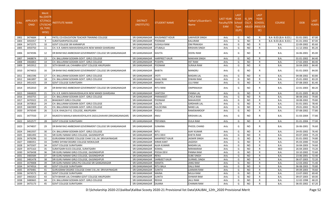| S.No. | APPLICATI<br><b>ONID</b> | Merit<br><b>No.(DISTF</b><br><b>ICT/FACU</b><br>LTY/SCHO<br>OL TYPE<br>WISE) | NSTITUTE NAME                                             | <b>DISTRICT</b><br>(INSTITUTE) | <b>STUDENT NAME</b>   | Father's/Guardian's<br>Name | <b>LAST YEAR</b><br>Faculty/STR School<br>EAM | <b>LAST</b><br><b>YEAR</b><br><b>Type</b><br>(G/P) | IS SPE<br><b>CILLY</b> | <b>LAST</b><br><b>YEAR</b><br><b>SCHOOL</b><br>ABLED (RBSE/CB<br>SE) | <b>COURSE</b>          | <b>DOB</b> | <b>LAST</b><br>YEAR% |
|-------|--------------------------|------------------------------------------------------------------------------|-----------------------------------------------------------|--------------------------------|-----------------------|-----------------------------|-----------------------------------------------|----------------------------------------------------|------------------------|----------------------------------------------------------------------|------------------------|------------|----------------------|
| 1802  | 3474684                  | -8                                                                           | PATEL CO-EDUCATION TEACHER TRAINING COLLEGE               | SRI GANGANAGAR                 | <b>KHUSHNEET KOUR</b> | LAKHVEER SINGH              | Arts                                          | G                                                  | NO.                    | R                                                                    | B.A- B.ED.(B.A- B.ED.) | 01-01-2001 | 87.00                |
| 1803  | 3450357                  | -9                                                                           | <b>SURATGARHPGCOLLEGE</b>                                 | SRI GANGANAGAR                 | POONAM                | KALURAM                     | Arts                                          | G                                                  | <b>NO</b>              | R                                                                    | B.A- B.ED.(B.A- B.ED.) | 01-01-2002 | 87.00                |
| 1804  | 3472375                  | 10                                                                           | <b>GOVT COLLEGE SRI KARANPUR</b>                          | SRI GANGANAGAR                 | <b>SUSHILA RANI</b>   | OM PRAKASH                  | Arts                                          | G                                                  | <b>NO</b>              | R                                                                    | B.A.                   | 22-09-2002 | 85.60                |
| 1805  | 3450750                  | 11                                                                           | CH. K.R. KANYA MAHAVIDHALAYA NEW MANDI GHARSANA           | SRI GANGANAGAR                 | <b>JITUBALA</b>       | KRISHAN SINGH               | Arts                                          | G                                                  | <b>NO</b>              | R                                                                    | B.A.                   | 11-12-2002 | 85.20                |
| 1806  | 3474596                  | 12                                                                           | DR BHIM RAO AMBEDKAR GOVERNMENT COLLEGE SRI GANGANAGAR    | SRI GANGANAGAR                 | <b>KAVITA</b>         | VEERU RAM                   | Arts                                          | G                                                  | NO.                    | R                                                                    | B.A.                   | 16-06-2001 | 85.00                |
| 1807  | 3468874                  | 13                                                                           | CH. BALLURAM GODARA GOVT. GIRLS COLLEGE                   | SRI GANGANAGAR                 | <b>HARPREET KAUR</b>  | <b>MAKHAN SINGH</b>         | Arts                                          | G                                                  | <b>NO</b>              | R                                                                    | B.A.                   | 01-01-2002 | 84.40                |
| 1808  | 3466863                  | 14                                                                           | CH. BALLURAM GODARA GOVT. GIRLS COLLEGE                   | SRI GANGANAGAR                 | PUSHPA                | <b>HET RAM</b>              | Arts                                          | G                                                  | <b>NO</b>              | R                                                                    | B.A.                   | 17-02-2003 | 84.40                |
| 1809  | 3455912                  | 15                                                                           | SETH BIHARI LAL CHHABRA GOVT COLLEGE ANUPGARH             | SRI GANGANAGAR                 | POONAM                | SURAJA RAM                  | Arts                                          | G                                                  | <b>NO</b>              | R                                                                    | B.A.                   | 16-04-2003 | 84.40                |
| 1810  | 3474653                  | 16                                                                           | DR BHIM RAO AMBEDKAR GOVERNMENT COLLEGE SRI GANGANAGAR    | SRI GANGANAGAR                 | <b>BABITA</b>         | MANGRU                      | Arts                                          | G                                                  | <b>NO</b>              | R                                                                    | B.A.                   | 01-01-2003 | 84.00                |
| 1811  | 3461596                  | 17                                                                           | CH. BALLURAM GODARA GOVT. GIRLS COLLEGE                   | SRI GANGANAGAR                 | <b>ITOYI</b>          | <b>MADAN LAL</b>            | Arts                                          | G                                                  | <b>NO</b>              | R                                                                    | B.A.                   | 04-08-2002 | 83.80                |
| 1812  | 3461897                  | 18                                                                           | CH. BALLURAM GODARA GOVT. GIRLS COLLEGE                   | SRI GANGANAGAR                 | KAJAL RANI            | DIWAN RAM                   | Arts                                          | G                                                  | <b>NO</b>              | R                                                                    | B.A.                   | 25-01-2002 | 83.20                |
| 1813  | 3451425                  | 19                                                                           | <b>GOVT COLLEGE SURATGARH</b>                             | SRI GANGANAGAR                 | MAMTA                 | LILU RAM                    | Arts                                          | G                                                  | <b>NO</b>              | R                                                                    | B.A.                   | 07-08-2003 | 81.40                |
| 1814  | 3452010                  | 20                                                                           | DR BHIM RAO AMBEDKAR GOVERNMENT COLLEGE SRI GANGANAGAR    | SRI GANGANAGAR                 | <b>RITU RANI</b>      | <b>OMPRAKASH</b>            | Arts                                          | G                                                  | NO.                    | R                                                                    | B.A.                   | 22-01-2003 | 80.20                |
| 1815  | 3466820                  | 21                                                                           | CH. K.R. KANYA MAHAVIDHALAYA NEW MANDI GHARSANA           | SRI GANGANAGAR                 | SANTOSH               | PANNA LAL                   | Arts                                          | G                                                  | <b>NO</b>              | R                                                                    | B.A.                   | 01-01-2005 | 80.20                |
| 1816  | 3450755                  | 22                                                                           | CH. BALLURAM GODARA GOVT. GIRLS COLLEGE                   | SRI GANGANAGAR                 | PARAMJEET             | CHELA RAM                   | Arts                                          | G                                                  | <b>NO</b>              | R                                                                    | <b>B.A.</b>            | 08-08-2002 | 79.80                |
| 1817  | 3470322                  | 23                                                                           | <b>BHAGWATI GIRLS COLLEGE</b>                             | SRI GANGANAGAR                 | POONAM                | MAHAVEER                    | Arts                                          | G                                                  | <b>NO</b>              | R                                                                    | B.A.                   | 18-08-2002 | 79.80                |
| 1818  | 3470810                  | 24                                                                           | CH. BALLURAM GODARA GOVT. GIRLS COLLEGE                   | SRI GANGANAGAR                 | LALITA                | <b>GIRDHARI LAL</b>         | Arts                                          | G                                                  | <b>NO</b>              | $\mathsf{R}$                                                         | B.A.                   | 01-01-2001 | 78.40                |
| 1819  | 3465909                  | 25                                                                           | CH. BALLURAM GODARA GOVT. GIRLS COLLEGE                   | SRI GANGANAGAR                 | SULOCHNA              | <b>NAND LAL</b>             | Arts                                          | G                                                  | NO                     | R                                                                    | B.A.                   | 29-01-2002 | 78.20                |
| 1820  | 3476549                  | 26                                                                           | S.G.N. KHALSA P.G. COLLEGE, ANUPGARH                      | SRI GANGANAGAR                 | POOJA                 | RAMSWAROOP                  | Arts                                          | G                                                  | <b>NO</b>              | R                                                                    | B.A.                   | 07-08-2002 | 77.80                |
| 1821  | 3477550                  | 27                                                                           | RAJKEEYA MAHILA MAHAVIDYALAYA SADULSHAHAR (SRIGANGANAGAR) | SRI GANGANAGAR                 | ANJU                  | KRISHAN LAL                 | Arts                                          | G                                                  | NO.                    | R                                                                    | B.A.                   | 31-03-2004 | 77.80                |
| 1822  | 3452577                  | 28                                                                           | <b>GOVT COLLEGE SURATGARH</b>                             | SRI GANGANAGAR                 | PRIYANKA              | <b>DULA RAM</b>             | Arts                                          | G                                                  | <b>NO</b>              | R                                                                    | B.A.                   | 01-01-2004 | 77.00                |
| 1823  | 3474837                  | 29                                                                           | DR BHIM RAO AMBEDKAR GOVERNMENT COLLEGE SRI GANGANAGAR    | SRI GANGANAGAR                 | SUNAINA               | PHOOL CHAND                 | Arts                                          | G                                                  | NO.                    | R                                                                    | B.A.                   | 26-06-2001 | 76.60                |
| 1824  | 3461937                  | 30                                                                           | CH. BALLURAM GODARA GOVT. GIRLS COLLEGE                   | SRI GANGANAGAR                 | RITU                  | AJAY KUMAR                  | Arts                                          | G                                                  | <b>NO</b>              | R                                                                    | B.A.                   | 24-05-2002 | 76.40                |
| 1825  | 3481493                  | 31                                                                           | SRI GURU NANAK GIRLS COLLEGE, GAJSINGHPUR                 | SRI GANGANAGAR                 | RITU DEVI             | KHETA RAM                   | Arts                                          | G                                                  | <b>NO</b>              | R                                                                    | B.A.                   | 03-07-2003 | 75.20                |
| 1826  | 3476296                  | 32                                                                           | GURUGRAM DEGREE COLLEGE CHAK 5 B.L.M. SRIVIJAYNAGAR       | SRI GANGANAGAR                 | <b>MANPREET KAUR</b>  | JASWIR SINGH                | Arts                                          | G                                                  | <b>NO</b>              | R                                                                    | B.A.                   | 01-01-2002 | 74.80                |
| 1827  | 3480351                  | 33                                                                           | SHREE SHYAM DEGREE COLLEGE MOKALSAR                       | SRI GANGANAGAR                 | <b>KIRAN KANT</b>     | JAGDISH                     | Arts                                          | G                                                  | <b>NO</b>              | R                                                                    | B.A.                   | 05-03-2000 | 74.60                |
| 1828  | 3475507                  | 34                                                                           | <b>GOVT COLLEGE SURATGARH</b>                             | SRI GANGANAGAR                 | ALKA KUMARI           | <b>MADAN LAL</b>            | Arts                                          | G                                                  | <b>NO</b>              | R                                                                    | B.A.                   | 16-04-2003 | 74.60                |
| 1829  | 3475163                  | 35                                                                           | SURATGARH B.ED.COLLEGE, SURATGARH                         | SRI GANGANAGAR                 | KOMAL                 | NIRANARAM                   | Arts                                          | G                                                  | <b>NO</b>              | R                                                                    | <b>BED</b>             | 26-04-2003 | 73.20                |
| 1830  | 3476438                  | 36                                                                           | SRI GURU NANAK GIRLS COLLEGE, GAJSINGHPUR                 | SRI GANGANAGAR                 | POOJA DEVI            | PANNA RAM                   | Arts                                          | G                                                  | <b>NO</b>              | $\mathsf{R}$                                                         | B.A.                   | 10-10-2002 | 72.60                |
| 1831  | 3483584                  | -37                                                                          | SRI GURU NANAK GIRLS COLLEGE, GAJSINGHPUR                 | SRI GANGANAGAR                 | RENU                  | <b>SUBE SINGH</b>           | Arts                                          | G                                                  | NO.                    | R                                                                    | B.A.                   | 23-06-2001 | 72.40                |
| 1832  | 3481478                  | 38                                                                           | SRI GURU NANAK GIRLS COLLEGE, GAJSINGHPUR                 | SRI GANGANAGAR                 | <b>SARBJEET KAUR</b>  | <b>GURMEL SINGH</b>         | Arts                                          | G                                                  | <b>NO</b>              | R                                                                    | <b>B.A.</b>            | 06-07-2003 | 72.20                |
| 1833  | 3479008                  | 39                                                                           | SRI GURU NANAK GIRLS PG COLLEGE SRI GANGANAGAR            | SRI GANGANAGAR                 | <b>MAMTA</b>          | <b>JANG RAM</b>             | Arts                                          | G                                                  | <b>NO</b>              | R                                                                    | B.A.                   | 12-03-2002 | 71.40                |
| 1834  | 3474916                  | 40                                                                           | <b>GOVT COLLEGE SURATGARH</b>                             | SRI GANGANAGAR                 | RITU BALA             | <b>DALU RAM</b>             | Arts                                          | G                                                  | <b>NO</b>              | R                                                                    | B.A.                   | 06-08-2003 | 70.80                |
| 1835  | 3476481                  | 41                                                                           | GURUGRAM DEGREE COLLEGE CHAK 5 B.L.M. SRIVIJAYNAGAR       | SRI GANGANAGAR                 | <b>SUNITA</b>         | LAXMAN RAM                  | Arts                                          | G                                                  | NO.                    | R                                                                    | <b>B.A.</b>            | 09-09-2003 | 70.60                |
| 1836  | 3474573                  | 42                                                                           | <b>GOVT COLLEGE SURATGARH</b>                             | SRI GANGANAGAR                 | <b>MAINA</b>          | MULA RAM                    | Arts                                          | G                                                  | <b>NO</b>              | R                                                                    | B.A.                   | 13-07-2002 | 69.40                |
| 1837  | 3460263                  | 43                                                                           | SETH BIHARI LAL CHHABRA GOVT COLLEGE ANUPGARH             | SRI GANGANAGAR                 | <b>SUNITA</b>         | <b>ISHWAR RAM</b>           | Arts                                          | G                                                  | NO.                    | R                                                                    | B.A.                   | 09-07-2003 | 69.00                |
| 1838  | 3480665                  | 44                                                                           | CH. BALLURAM GODARA GOVT. GIRLS COLLEGE                   | SRI GANGANAGAR                 | <b>REKHA</b>          | <b>JALU RAM</b>             | Arts                                          | G                                                  | <b>NO</b>              | R                                                                    | B.A.                   | 12-02-1998 | 68.20                |
| 1839  | 3475173                  | 45                                                                           | <b>GOVT COLLEGE SURATGARH</b>                             | SRI GANGANAGAR                 | SAJANA                | <b>CHANAN RAM</b>           | Arts                                          | G                                                  | <b>NO</b>              | $\mathsf{R}$                                                         | B.A.                   | 06-05-2002 | 67.20                |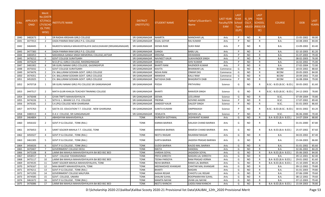| S.No. | <b>APPLICATI</b><br><b>ONID</b> | <b>Merit</b><br>√o.(DISTR<br>ICT/FACU<br>LTY/SCHO<br><b>OL TYPE</b><br>WISE) | NSTITUTE NAME                                             | <b>DISTRICT</b><br>(INSTITUTE) | STUDENT NAME         | Father's/Guardian's<br>Name | <b>LAST YEAR</b><br>Faculty/STR<br>EAM | <b>LAST</b><br><b>YEAR</b><br>School<br><b>Type</b><br>(G/P) | IS_SPE<br><b>CILLY</b> | <b>LAST</b><br><b>YEAR</b><br><b>SCHOOL</b><br>ABLED (RBSE/CB<br>SE) | <b>COURSE</b>              | <b>DOB</b> | <b>LAST</b><br>YEAR% |
|-------|---------------------------------|------------------------------------------------------------------------------|-----------------------------------------------------------|--------------------------------|----------------------|-----------------------------|----------------------------------------|--------------------------------------------------------------|------------------------|----------------------------------------------------------------------|----------------------------|------------|----------------------|
| 1840  | 3482673                         | <sup>1</sup>                                                                 | DR RADHA KRISHAN GIRLS COLLEGE                            | SRI GANGANAGAR                 | NAMRTA               | <b>MANOHAR LAL</b>          | Arts                                   | D                                                            | NO                     | R                                                                    | <b>B.A.</b>                | 15-05-2002 | 90.00                |
| 1841  | 3477013                         | $\overline{2}$                                                               | DADA PAMMA RAM GIRLS P.G. COLLEGE                         | SRI GANGANAGAR                 | KAJAL GOYAR          | <b>RAJ KUMAR</b>            | Arts                                   | D                                                            | <b>NO</b>              |                                                                      | B.A.                       | 10-08-2003 | 84.00                |
| 1842  | 3464445                         | 3                                                                            | RAJKEEYA MAHILA MAHAVIDYALAYA SADULSHAHAR (SRIGANGANAGAR) | SRI GANGANAGAR                 | SEEMA RANI           | <b>SUKH RAM</b>             | Arts                                   | D                                                            | NO.                    | R                                                                    | B.A.                       | 13-09-2002 | 83.40                |
| 1843  | 3477383                         | $\overline{a}$                                                               | DADA PAMMA RAM GIRLS P.G. COLLEGE                         | SRI GANGANAGAR                 | GANGA                | <b>BABU LAL</b>             | Arts                                   | D                                                            | <b>NO</b>              | R                                                                    | B.A.                       | 02-10-2003 | 81.20                |
| 1844  | 3483053                         | - 5                                                                          | MAHARAJA GANGA SINGH MEMORIAL COLLEGE, JAITSAR            | SRI GANGANAGAR                 | KRISHNA              | <b>DEVKARAN</b>             | Arts                                   | P                                                            | <b>NO</b>              | R                                                                    | B.A.                       | 01-07-2003 | 79.40                |
| 1845  | 3476212                         | 6                                                                            | <b>GOVT COLLEGE SURATGARH</b>                             | SRI GANGANAGAR                 | <b>NAVNEET KAUR</b>  | <b>SUKHVINDER SINGH</b>     | Arts                                   | D                                                            | <b>NO</b>              |                                                                      | B.A.                       | 08-02-2003 | 76.00                |
| 1846  | 3475629                         | 7                                                                            | M.D.(P.G.) GIRLS COLLEGE, RAISINGHNAGAR                   | SRI GANGANAGAR                 | DIKSHA               | <b>SHIV KUMAR</b>           | Arts                                   | P                                                            | <b>NO</b>              | R                                                                    | B.A.                       | 16-02-2002 | 75.00                |
| 1847  | 3481002                         | -8                                                                           | SRI GURU NANAK GIRLS COLLEGE, GAJSINGHPUR                 | SRI GANGANAGAR                 | BHARTI RANI          | RAJENDER KUMAR              | Arts                                   | P                                                            | <b>NO</b>              |                                                                      | B.A.                       | 27-02-2004 | 72.00                |
| 1848  | 3475032                         | 1                                                                            | <b>GOVT COLLEGE SURATGARH</b>                             | SRI GANGANAGAR                 | KAVITA               | <b>BHANWAR LAL</b>          | Commerce                               | G                                                            | <b>NO</b>              | R                                                                    | <b>BCOM</b>                | 18-03-2002 | 88.60                |
| 1849  | 3474476                         | $\overline{2}$                                                               | CH. BALLURAM GODARA GOVT. GIRLS COLLEGE                   | SRI GANGANAGAR                 | NISHA RANI           | <b>ONKAR DAS</b>            | Commerce                               | G                                                            | <b>NO</b>              | R                                                                    | <b>BCOM</b>                | 20-05-2003 | 84.00                |
| 1850  | 3474351                         | $\overline{\mathbf{3}}$                                                      | CH. BALLURAM GODARA GOVT. GIRLS COLLEGE                   | SRI GANGANAGAR                 | MANISHA              | <b>KALU RAM</b>             | Commerce                               | G                                                            | <b>NO</b>              |                                                                      | <b>BCOM</b>                | 20-09-2002 | 75.60                |
| 1851  | 3452025                         | 1                                                                            | CH. BALLURAM GODARA GOVT. GIRLS COLLEGE                   | SRI GANGANAGAR                 | NATASHA DABI         | <b>BHAGIRATH DABI</b>       | Commerce                               | P                                                            | <b>NO</b>              | R                                                                    | <b>BCOM</b>                | 16-08-2004 | 79.00                |
| 1852  | 3470718                         | 1                                                                            | SRI GURU NANAK GIRLS PG COLLEGE SRI GANGANAGAR            | SRI GANGANAGAR                 | POOJA                | PRITHVIRAJ                  | Science                                | G                                                            | <b>NO</b>              |                                                                      | B.SC.- B.ED.(B.SC.- B.ED.) | 30-05-2002 | 81.60                |
| 1853  | 3447517                         | 2                                                                            | MATA GUJRI KHALSA TEACHER TRAINING COLLEGE                | SRI GANGANAGAR                 | BHARTI               | <b>RANVEER SINGH</b>        | Science                                | G                                                            | <b>NO</b>              |                                                                      | B.SC.- B.ED.(B.SC.- B.ED.) | 24-12-2003 | 78.80                |
| 1854  | 3476048                         | $\overline{3}$                                                               | GYAN TRIPTI MAHAVIDHYALYA                                 | SRI GANGANAGAR                 | SEEMA                | LEELURAM                    | Science                                | G                                                            | <b>NO</b>              | R                                                                    | B.SC.                      | 07-09-2004 | 70.80                |
| 1855  | 3474226                         | -1                                                                           | SETH G. L. BIHANI S.D. P.G. COLLEGE                       | SRI GANGANAGAR                 | PRERNA               | <b>GOVIND AASERI</b>        | Science                                | D                                                            | <b>NO</b>              | R                                                                    | B.SC.                      | 17-07-2002 | 89.40                |
| 1856  | 3476181                         | $\overline{2}$                                                               | S.K.(PG) COLLEGE NEW GHARSANA                             | SRI GANGANAGAR                 | SANDEEP KAUR         | <b>DALEEP SINGH</b>         | Science                                | D                                                            | <b>NO</b>              | $\mathsf{R}$                                                         | B.SC.                      | 01-01-2003 | 86.60                |
| 1857  | 3475763                         | 3                                                                            | GEETA CO. EDUCATION T.T. COLLEGE . NEW GHARSANA           | SRI GANGANAGAR                 | SUNITA KUMARI        | <b>OMPRAKASH</b>            | Science                                |                                                              | NO                     |                                                                      | B.SC.- B.ED.(B.SC.- B.ED.) | 30-01-2002 | 83.20                |
| 1858  | 3480313                         | $\overline{a}$                                                               | D.A.V. COLLEGE, SRI GANGANAGAR                            | SRI GANGANAGAR                 | HEMLATA              | <b>MOHAN LAL</b>            | Science                                | D                                                            | <b>NO</b>              | R                                                                    | B.SC.                      | 06-06-2000 | 70.40                |
| 1859  | 3464804                         | 1                                                                            | ABHIGHYAN MAHAVIDAYALA                                    | <b>TONK</b>                    | DURGESH GOTHWAL      | <b>JASHWANT KUMAR</b>       | Arts                                   | G                                                            | NO                     | R                                                                    | B.A- B.ED.(B.A- B.ED.)     | 14-07-2004 | 88.80                |
| 1860  | 3456102                         | 2                                                                            | GOVT.P.G.COLLEGE, TONK (RAJ.)                             | TONK                           | KARMA BAIRWA         | KAILASH CHAND BAIRWA        | Arts                                   | G                                                            | NO.                    | R                                                                    | B.A.                       | 01-01-2000 | 87.80                |
| 1861  | 3476453                         | 3                                                                            | SAINT SOLDIER MAHILA T.T. COLLEGE, TONK                   | <b>TONK</b>                    | MANISHA BAIRWA       | RAMESH CHAND BAIRWA         | Arts                                   | G                                                            | <b>NO</b>              |                                                                      | B.A- B.ED.(B.A- B.ED.)     | 25-07-2002 | 87.60                |
| 1862  | 3450327                         | $\overline{4}$                                                               | GOVT.P.G.COLLEGE , TONK (RAJ.)                            | <b>TONK</b>                    | NEETU RAIGAR         | RAJARAM RAIGAR              | Arts                                   | G                                                            | <b>NO</b>              | R                                                                    | <b>B.A.</b>                | 04-03-2002 | 87.40                |
| 1863  | 3461305                         | 5                                                                            | GOVT.P.G.COLLEGE, TONK (RAJ.)                             | <b>TONK</b>                    | SURTA BAIRWA         | JAGDISH PRASAD BARIWA       | Arts                                   | G                                                            | <b>NO</b>              | R                                                                    | B.A.                       | 15-04-2003 | 86.80                |
| 1864  | 3456026                         | 6                                                                            | GOVT.P.G.COLLEGE, TONK (RAJ.)                             | <b>TONK</b>                    | <b>GUDDI BAIRWA</b>  | KAJOD MAL BAIRWA            | Arts                                   | G                                                            | <b>NO</b>              | R                                                                    | B.A.                       | 01-01-2002 | 85.60                |
| 1865  | 3470407                         | - 7                                                                          | <b>GOVERNMENT COLLEGE DEOLI</b>                           | <b>TONK</b>                    | NIKITA               | <b>HANSRAJ</b>              | Arts                                   | G                                                            | <b>NO</b>              | R                                                                    | <b>B.A.</b>                | 02-06-2002 | 84.20                |
| 1866  | 3475108                         | 8                                                                            | LAXMI BAI MAHILA MAHAVIDHYALAYA BA BED BSC BED            | <b>TONK</b>                    | VARSHA SOYAL         | <b>JAGADISH SOYAL</b>       | Arts                                   | G                                                            | NO                     | R.                                                                   | B.A- B.ED.(B.A- B.ED.)     | 05-06-2003 | 84.00                |
| 1867  | 3458557                         | - 9                                                                          | GOVT COLLEGE TODARAISINGH                                 | <b>TONK</b>                    | PRIYA SHRESTH        | MADAN LAL SHRESTH           | Arts                                   | G                                                            | NO                     | R                                                                    | <b>B.A.</b>                | 09-12-2001 | 82.40                |
| 1868  | 3475117                         | 10                                                                           | LAXMI BAI MAHILA MAHAVIDHYALAYA BA BED BSC BED            | <b>TONK</b>                    | <b>TEENA PARSOYA</b> | RAM PRASAD VERMA            | Arts                                   | G                                                            | <b>NO</b>              | R                                                                    | B.A- B.ED.(B.A- B.ED.)     | 29-01-2002 | 81.60                |
| 1869  | 3474535                         | 11                                                                           | SAINT SOLDIER MAHILA MAHAVIDYALAYA, TONK                  | <b>TONK</b>                    | <b>NEHA BAIRWA</b>   | RAMJI LAL BAIRWA            | Arts                                   | G                                                            | <b>NO</b>              |                                                                      | B.A- B.ED.(B.A- B.ED.)     | 15-10-2005 | 80.20                |
| 1870  | 3476167                         | 12                                                                           | MAA BHARTI MAHAVIDYALAYA, TONK                            | <b>TONK</b>                    | MEENAKSHEE KHANGAR   | <b>CHHITAR MAL KHANGAR</b>  | Arts                                   | G                                                            | NO                     | R                                                                    | <b>B.A.</b>                | 09-12-2002 | 79.80                |
| 1871  | 3474211                         | 13                                                                           | GOVT.P.G.COLLEGE, TONK (RAJ.)                             | <b>TONK</b>                    | BHARTI               | <b>MADAN</b>                | Arts                                   | G                                                            | NO                     |                                                                      | <b>B.A.</b>                | 01-01-2003 | 79.80                |
| 1872  | 3471293                         | 14                                                                           | GOVERNMENT COLLEGE MALPURA                                | <b>TONK</b>                    | AASHA REGAR          | <b>CHHOTU LAL REGAR</b>     | Arts                                   | G                                                            | NO                     |                                                                      | B.A.                       | 07-06-1999 | 79.60                |
| 1873  | 3474585                         | 15                                                                           | GOVT. COLLEGE, UNIARA                                     | <b>TONK</b>                    | <b>SHALINI SUHAL</b> | ROOPNARAYAN SUHAL           | Arts                                   | G                                                            | NO                     | R                                                                    | B.A.                       | 08-12-2002 | 79.60                |
| 1874  | 3461672                         | 16                                                                           | GOVT.P.G.COLLEGE, TONK (RAJ.)                             | <b>TONK</b>                    | <b>MAMTA NAYAK</b>   | JIVAN LAL NAYAK             | Arts                                   | G                                                            | <b>NO</b>              | R                                                                    | <b>B.A.</b>                | 07-12-2003 | 79.40                |
| 1875  | 3476086                         | 17                                                                           | LAXMI BAI MAHILA MAHAVIDHYALAYA BA BED BSC BED            | <b>TONK</b>                    | NEETU KHINCHI        | LADDU RAM KHINCHI           | Arts                                   | G                                                            | <b>NO</b>              |                                                                      | B.A- B.ED.(B.A- B.ED.)     | 15-04-2003 | 78.80                |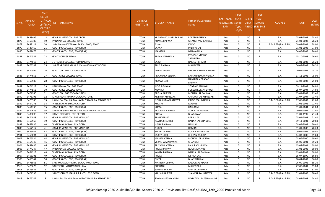| S.No.        | <b>APPLICATI</b><br><b>ONID</b> | <b>Merit</b><br>No.(DISTR<br>ICT/FACU<br>LTY/SCHO<br><b>OL TYPE</b><br>WISE) | NSTITUTE NAME                                                | <b>DISTRICT</b><br>(INSTITUTE) | STUDENT NAME                      | Father's/Guardian's<br>Name                    | LAST YEAR<br>Faculty/STR School<br><b>EAM</b> | <b>LAST</b><br><b>YEAR</b><br><b>Type</b><br>(G/P) | IS SPE<br><b>CILLY</b> | <b>LAST</b><br><b>YEAR</b><br><b>SCHOOL</b><br>ABLED (RBSE/CB<br>SE) | <b>COURSE</b>          | <b>DOB</b>               | <b>LAST</b><br>YEAR% |
|--------------|---------------------------------|------------------------------------------------------------------------------|--------------------------------------------------------------|--------------------------------|-----------------------------------|------------------------------------------------|-----------------------------------------------|----------------------------------------------------|------------------------|----------------------------------------------------------------------|------------------------|--------------------------|----------------------|
| 1876         | 3458406                         | 18                                                                           | <b>GOVERNMENT COLLEGE DEOLI</b>                              | <b>TONK</b>                    | KRISHMA KUMARI BAIRWA             | RAKESH BAIRWA                                  | Arts                                          | G                                                  | <b>NO</b>              | R                                                                    | <b>B.A.</b>            | 25-02-2002               | 78.40                |
| 1877         | 3465785                         | 19                                                                           | PANNADHAY COLLEGE TONK                                       | <b>TONK</b>                    | KOMAL BAIRWA                      | <b>GHANSHYAM BAIRWA</b>                        | Arts                                          | G                                                  | <b>NO</b>              | R                                                                    | <b>B.A.</b>            | 21-01-2003               | 78.20                |
| 1878         | 3452111                         | 20                                                                           | SHIV MAHAVIDYALAYA, SAROLI MOD, TONK                         | <b>TONK</b>                    | ASHA                              | <b>KAJOD</b>                                   | Arts                                          | G                                                  | NO.                    | R                                                                    | B.A- B.ED.(B.A- B.ED.) | 09-07-2004               | 78.00                |
| 1879         | 3448460                         | 21                                                                           | GOVT.P.G.COLLEGE , TONK (RAJ.)                               | <b>TONK</b>                    | SAPNA                             | <b>PREBHU LAL</b>                              | Arts                                          | G                                                  | NO.                    | R                                                                    | B.A.                   | 01-01-2003               | 77.00                |
| 1880         | 3461675                         | 22                                                                           | GOVT.P.G.COLLEGE, TONK (RAJ.)                                | <b>TONK</b>                    | <b>MANISHA</b>                    | <b>BANWARI LAL</b>                             | Arts                                          | G                                                  | <b>NO</b>              | R                                                                    | <b>B.A.</b>            | 04-05-2003               | 76.60                |
| 1881         | 3474581                         | 23                                                                           | GOVT COLLEGE NEWAI                                           | <b>TONK</b>                    | REENA SANKHALA                    | <b>PRAKASH CHAND</b><br>SANKHALA               | Arts                                          | G                                                  | NO.                    | R                                                                    | B.A.                   | 15-10-2003               | 76.60                |
| 1882         | 3474613                         | -24                                                                          | C PAREEK COLLEGE, TODARAISINGH                               | <b>TONK</b>                    | SAROJ                             | RAMESH CHAND                                   | Arts                                          | G                                                  | NO.                    | R                                                                    | B.A.                   | 21-01-2003               | 76.20                |
| 1883         | 3476282                         | 25                                                                           | SHREE KRISHNA MAHILA MAHAVIDHYALAY DOONI                     | <b>TONK</b>                    | PINKI BAIRWA                      | <b>MAHAVEER</b>                                | Arts                                          | G                                                  | <b>NO</b>              | R                                                                    | B.A.                   | 06-08-2003               | 76.20                |
| 1884         | 3474504                         | 26                                                                           | <b>GOVT COLLEGE TODARAISINGH</b>                             | <b>TONK</b>                    | ANJALI VERMA                      | <b>PRAVEEN KUMAR VERMA</b>                     | Arts                                          | G                                                  | NO.                    | R                                                                    | B.A.                   | 20-01-2002               | 75.20                |
| 1885         | 3474655                         | 27                                                                           | GOVT.GIRLS COLLEGE TONK                                      | <b>TONK</b>                    | PRIYANAKA VERMA                   | SATYANARAYAN VERMA                             | Arts                                          | G                                                  | <b>NO</b>              | R                                                                    | B.A.                   | 17-11-2002               | 75.00                |
| 1886         | 3463985                         | 28                                                                           | GOVT.P.G.COLLEGE , TONK (RAJ.)                               | TONK                           | KISMAT LODI                       | <b>HANUMAN PRASAD</b><br><b>BAIRWA</b>         | Arts                                          | G                                                  | NO.                    | R                                                                    | B.A.                   | 02-03-2003               | 75.00                |
| 1887         | 3474229                         | 29                                                                           | PANNADHAY COLLEGE TONK                                       | <b>TONK</b>                    | <b>JYOTI BENIWAL</b>              | SITARAM BENIWAL                                | Arts                                          | G                                                  | <b>NO</b>              | R                                                                    | <b>B.A.</b>            | 09-11-2002               | 74.80                |
| 1888         | 3474553                         | 30                                                                           | <b>GOVT.GIRLS COLLEGE TONK</b>                               | <b>TONK</b>                    | MONIKA                            | <b>SURESH KUMAR DHOL</b>                       | Arts                                          | G                                                  | <b>NO</b>              | R                                                                    | B.A.                   | 05-07-2004               | 74.60                |
| 1889         | 3474260                         | 31                                                                           | GOVT COLLEGE TODARAISINGH                                    | <b>TONK</b>                    | REKHA BAIRWA                      | <b>MOHAN LAL BAIRWA</b>                        | Arts                                          | G                                                  | <b>NO</b>              | R                                                                    | B.A.                   | 15-01-2002               | 73.40                |
| 1890         | 3476193                         | 32                                                                           | MAA BHARTI MAHAVIDYALAYA, TONK                               | <b>TONK</b>                    | <b>KRISHNA KHANGAR</b>            | CHIRANJI LAL KHANGAR                           | Arts                                          | G                                                  | <b>NO</b>              | $\mathsf{R}$                                                         | <b>B.A.</b>            | 01-07-2004               | 73.40                |
| 1891         | 3475900                         | 33                                                                           | LAXMI BAI MAHILA MAHAVIDHYALAYA BA BED BSC BED               | <b>TONK</b>                    | NISHA KUMARI BAIRWA               | KAJOD MAL BAIRWA                               | Arts                                          | G                                                  | <b>NO</b>              | R                                                                    | B.A- B.ED.(B.A- B.ED.) | 17-05-2002               | 72.60                |
| 1892         | 3464278                         | 34                                                                           | VIVEK MAHAVIDYALAYA, TONK                                    | <b>TONK</b>                    | KHUSHI                            | <b>MADAN</b>                                   | Arts                                          | G                                                  | <b>NO</b>              | $\mathsf{R}$                                                         | <b>B.A.</b>            | 01-01-2005               | 72.40                |
| 1893         | 3464736                         | 35                                                                           | GOVT.P.G.COLLEGE , TONK (RAJ.)                               | <b>TONK</b>                    | KOMAL                             | <b>RAJARAM</b>                                 | Arts                                          | G                                                  | <b>NO</b>              | R                                                                    | B.A.                   | 01-01-2004               | 72.00                |
| 1894         | 3474635                         | 36                                                                           | SHREE KRISHNA MAHILA MAHAVIDHYALAY DOONI                     | <b>TONK</b>                    | PRIYANKA BAIRWA                   | <b>SUWA LAL BAIRWA</b>                         | Arts                                          | G                                                  | <b>NO</b>              | R                                                                    | B.A.                   | 20-05-2002               | 71.80                |
| 1895         | 3480898                         | 37                                                                           | GOVT. GIRLS COLLEGE, PEEPLU                                  | <b>TONK</b>                    | POOJA                             | <b>BHAGAWAN</b>                                | Arts                                          | G                                                  | <b>NO</b>              | R                                                                    | <b>B.A.</b>            | 01-01-1999               | 71.40                |
| 1896         | 3474848                         | 38                                                                           | GOVERNMENT COLLEGE MALPURA                                   | <b>TONK</b>                    | RENU VERMA                        | PAPPULAL                                       | Arts                                          | G                                                  | <b>NO</b>              | R                                                                    | B.A.                   | 25-01-2003               | 71.40                |
| 1897         | 3462966                         | 39                                                                           | GOVT.P.G.COLLEGE, TONK (RAJ.)                                | <b>TONK</b>                    | KAVITA CHANDEL                    | <b>BANNA LAL CHANDEL</b>                       | Arts                                          | G                                                  | <b>NO</b>              | $\mathsf{R}$                                                         | B.A.                   | 09-11-2001               | 70.80                |
| 1898         | 3462836                         | 40                                                                           | VIVEK MAHAVIDYALAYA, TONK                                    | <b>TONK</b>                    | NISHA BAIRWA                      | <b>HAR LAL</b>                                 | Arts                                          | G                                                  | <b>NO</b>              | R                                                                    | B.A.                   | 08-05-2003               | 70.40                |
| 1899         | 3467517                         | 41                                                                           | GOVERNMENT COLLEGE MALPURA                                   | <b>TONK</b>                    | <b>GUDDI</b>                      | <b>HEMRAJ</b>                                  | Arts                                          | G                                                  | <b>NO</b>              | R                                                                    | B.A.                   | 01-01-2000               | 70.20                |
| 1900         | 3455041                         | 42                                                                           | GOVT.P.G.COLLEGE , TONK (RAJ.)                               | <b>TONK</b>                    | SEEMA VERMA                       | <b>ROOPA RAM REGAR</b>                         | Arts                                          | G                                                  | NO.                    | R                                                                    | <b>B.A.</b>            | 09-05-2001               | 69.80                |
| 1901<br>1902 | 3465894<br>3476334              | 43<br>44                                                                     | GOVT.P.G.COLLEGE , TONK (RAJ.)<br>GOVERNMENT COLLEGE MALPURA | <b>TONK</b><br><b>TONK</b>     | SARITA LODI<br><b>MAMTA VERMA</b> | <b>CHETAN BAIRWA</b><br><b>MOHAN LAL VERMA</b> | Arts<br>Arts                                  | G<br>G                                             | <b>NO</b><br><b>NO</b> | R<br>R                                                               | B.A.<br>B.A.           | 14-03-2000<br>23-06-2000 | 69.60<br>69.60       |
| 1903         | 3454746                         | 45                                                                           | GOVT.P.G.COLLEGE, TONK (RAJ.)                                | <b>TONK</b>                    | VERASHA MAHAWAR                   | <b>CHANDAN</b>                                 | Arts                                          | G                                                  | <b>NO</b>              | R                                                                    | B.A.                   | 15-09-2001               | 69.20                |
| 1904         | 3457686                         | 46                                                                           | GOVERNMENT COLLEGE MALPURA                                   | <b>TONK</b>                    | PRIYANKA VERMA                    | <b>LALA RAM VERMA</b>                          | Arts                                          | G                                                  | <b>NO</b>              | R                                                                    | B.A.                   | 15-04-2001               | 69.00                |
| 1905         | 3474247                         | 47                                                                           | PANNADHAY COLLEGE TONK                                       | <b>TONK</b>                    | POOJA BAIRWA                      | <b>ROOPNARAYAN</b>                             | Arts                                          | G                                                  | <b>NO</b>              | R                                                                    | <b>B.A.</b>            | 01-01-2002               | 69.00                |
| 1906         | 3464219                         | 48                                                                           | VIVEK MAHAVIDYALAYA, TONK                                    | <b>TONK</b>                    | <b>KAVITA BAIRWA</b>              | <b>BANNA LAL BAIRWA</b>                        | Arts                                          | G                                                  | <b>NO</b>              | $\mathsf{R}$                                                         | B.A.                   | 13-01-2002               | 68.00                |
| 1907         | 3468301                         | 49                                                                           | GOVT.P.G.COLLEGE, TONK (RAJ.)                                | <b>TONK</b>                    | POOJA                             | <b>KISHAN LAL</b>                              | Arts                                          | G                                                  | <b>NO</b>              | R                                                                    | <b>B.A.</b>            | 15-07-1999               | 66.80                |
| 1908         | 3463942                         | 50                                                                           | GOVT.P.G.COLLEGE, TONK (RAJ.)                                | <b>TONK</b>                    | <b>DIVYA</b>                      | <b>BHANWAR LAL</b>                             | Arts                                          | G                                                  | <b>NO</b>              | $\mathsf{R}$                                                         | B.A.                   | 10-04-2002               | 66.00                |
| 1909         | 3475861                         | 51                                                                           | SHIV MAHAVIDYALAYA, SAROLI MOD, TONK                         | <b>TONK</b>                    | MANISHA VERMA                     | KAJODMAL REGAR                                 | Arts                                          | G                                                  | <b>NO</b>              | R                                                                    | <b>B.A.</b>            | 06-09-2002               | 65.20                |
| 1910         | 3475673                         | 52                                                                           | SAINT PAUL MAHAVIDHYALAYA                                    | <b>TONK</b>                    | ROSHANI                           | <b>MAHENDRA</b>                                | Arts                                          | G                                                  | <b>NO</b>              | R                                                                    | <b>B.A.</b>            | 27-08-2001               | 65.00                |
| 1911         | 3453881                         | - 1                                                                          | GOVT.P.G.COLLEGE, TONK (RAJ.)                                | <b>TONK</b>                    | <b>SUMAN BAIRWA</b>               | RAM LAL BAIRWA                                 | Arts                                          | P                                                  | <b>NO</b>              | R                                                                    | <b>B.A.</b>            | 05-07-2003               | 81.00                |
| 1912         | 3474539                         | $\overline{2}$                                                               | SAINT SOLDIER MAHILA T.T. COLLEGE, TONK                      | <b>TONK</b>                    | KHUSHI BAIRWA                     | SHANKAR LAL BAIRWA                             | Arts                                          | P                                                  | <b>NO</b>              | R                                                                    | B.A- B.ED.(B.A- B.ED.) | 01-01-2003               | 80.40                |
| 1913         | 3475247                         | 3                                                                            | LAXMI BAI MAHILA MAHAVIDHYALAYA BA BED BSC BED               | TONK                           | SONIYA MEGHWANSHI                 | NORATMAL MEGHWANSHI                            | Arts                                          | P                                                  | <b>NO</b>              | R                                                                    | B.A- B.ED.(B.A- B.ED.) | 08-09-2003               | 74.40                |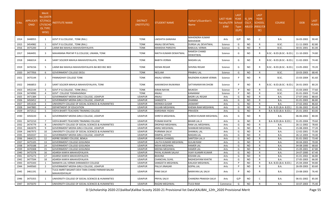| S.No. | <b>APPLICATI</b><br>ONID | Merit<br>No.(DISTR<br><b>ICT/FACU</b><br>LTY/SCHO<br><b>OL TYPE</b><br>WISE) | NSTITUTE NAME                                                      | <b>DISTRICT</b><br>(INSTITUTE) | STUDENT NAME           | Father's/Guardian's<br>Name | <b>LAST YEAR</b><br>Faculty/STR School<br>EAM | <b>LAST</b><br><b>YEAR</b><br><b>Type</b><br>(G/P) | IS_SPE<br><b>CILLY</b> | <b>LAST</b><br><b>YEAR</b><br><b>SCHOOL</b><br>ABLED (RBSE/CB<br>SE) | <b>COURSE</b>              | <b>DOB</b> | <b>LAST</b><br>YEAR% |
|-------|--------------------------|------------------------------------------------------------------------------|--------------------------------------------------------------------|--------------------------------|------------------------|-----------------------------|-----------------------------------------------|----------------------------------------------------|------------------------|----------------------------------------------------------------------|----------------------------|------------|----------------------|
| 1914  | 3448955                  | 1                                                                            | GOVT.P.G.COLLEGE, TONK (RAJ.)                                      | <b>TONK</b>                    | LAKSHITA GANJHAA       | MAHENDRA KUMAR<br>MAHAWAR   | Arts                                          | G/P                                                | NO.                    | C                                                                    | B.A.                       | 16-03-2002 | 90.40                |
| 1915  | 3454982                  | -1                                                                           | GOVT.P.G.COLLEGE , TONK (RAJ.)                                     | <b>TONK</b>                    | ANJALI DEVATWAL        | DURGA LAL DEVATWAL          | Science                                       | G                                                  | NO.                    | R                                                                    | B.SC.                      | 11-11-2003 | 82.80                |
| 1916  | 3475200                  | 2                                                                            | LAXMI BAI MAHILA MAHAVIDHYALAYA                                    | <b>TONK</b>                    | MANISHA PARSOYA        | BABULAL VERMA               | Science                                       | G                                                  | NO.                    | R                                                                    | B.SC.                      | 30-01-2001 | 81.00                |
| 1917  | 3464491                  | 3                                                                            | MAHARANA PRATAP P.G.COLLEGE, UNIARA, TONK                          | <b>TONK</b>                    | NIKITA KUMARI DEWATWAL | RAMESH CHAND<br>DEWATWAL    | Science                                       | G                                                  | NO.                    | R                                                                    | B.SC.- B.ED.(B.SC.- B.ED.) | 11-10-2003 | 74.80                |
| 1918  | 3466314                  | 4                                                                            | SAINT SOLDIER MAHILA MAHAVIDYALAYA, TONK                           | <b>TONK</b>                    | <b>BABITA VERMA</b>    | MADAN LAL                   | Science                                       | G                                                  | NO.                    |                                                                      | B.SC.- B.ED.(B.SC.- B.ED.) | 11-02-2003 | 74.40                |
| 1919  | 3476156                  | 5                                                                            | LAXMI BAI MAHILA MAHAVIDHYALAYA BA BED BSC BED                     | <b>TONK</b>                    | SEEMA REGAR            | SHIVRAJ REGAR               | Science                                       | G                                                  | <b>NO</b>              | R                                                                    | B.SC.- B.ED.(B.SC.- B.ED.) | 13-05-2002 | 70.20                |
| 1920  | 3477956                  | 6                                                                            | <b>GOVERNMENT COLLEGE DEOLI</b>                                    | <b>TONK</b>                    | NEELAM                 | PRABHU LAL                  | Science                                       | G                                                  | NO.                    | $\mathsf{R}$                                                         | B.SC.                      | 10-03-2003 | 68.40                |
| 1921  | 3475144                  | -1                                                                           | PANNADHAY COLLEGE TONK                                             | <b>TONK</b>                    | <b>ANJALI VERMA</b>    | RAJENDRA KUMAR VERMA        | Science                                       | P                                                  | <b>NO</b>              | R                                                                    | B.SC.                      | 15-03-2004 | 81.60                |
| 1922  | 3466853                  | 2                                                                            | SAINT SOLDIER MAHILA MAHAVIDYALAYA, TONK                           | <b>TONK</b>                    | AAKANKSHA RAJWANIA     | SATYANARAYAN DHOBI          | Science                                       | P                                                  | <b>NO</b>              | R                                                                    | B.SC.- B.ED.(B.SC.- B.ED.) | 26-01-2003 | 80.20                |
| 1923  | 3452144                  | $\overline{\mathbf{3}}$                                                      | GOVT.P.G.COLLEGE, TONK (RAJ.)                                      | <b>TONK</b>                    | <b>KIRAN NAYAK</b>     | MUKESH                      | Science                                       | P                                                  | NO.                    | $\mathsf{R}$                                                         | B.SC.                      | 15-03-2003 | 77.60                |
| 1924  | 3474990                  | $\overline{4}$                                                               | GOVT COLLEGE TODARAISINGH                                          | <b>TONK</b>                    | ANJALI                 | KANARAM                     | Science                                       | P                                                  | NO.                    | R                                                                    | B.SC.                      | 01-01-2003 | 73.40                |
| 1925  | 3471384                  | $\overline{1}$                                                               | GOVERNMENT MEERA GIRLS COLLEGE, UDAIPUR                            | <b>UDAIPUR</b>                 | ANJALI                 | <b>BADRI LAL REGAR</b>      | Arts                                          | G                                                  | <b>NO</b>              | R                                                                    | B.A.                       | 27-07-2002 | 88.60                |
| 1926  | 3450452                  | $\overline{2}$                                                               | GOVERNMENT MEERA GIRLS COLLEGE, UDAIPUR                            | <b>UDAIPUR</b>                 | SANGEETA               | DHANNA                      | Arts                                          | G                                                  | NO.                    | $\mathsf{R}$                                                         | <b>B.A.</b>                | 01-01-2003 | 86.80                |
| 1927  | 3451634                  | $\overline{\mathbf{3}}$                                                      | UNIVERSITY COLLEGE OF SOCIAL SCIENCES & HUMANITIES                 | <b>UDAIPUR</b>                 | MONIKA GUSAR           | JASWANT                     | Arts                                          | G                                                  | <b>NO</b>              | $\mathsf{R}$                                                         | B.A.                       | 27-02-2002 | 86.60                |
| 1928  | 3447885                  | $\overline{4}$                                                               | DEPARTMENT OF EDUCATION                                            | <b>UDAIPUR</b>                 | <b>GULABI MEGHWAL</b>  | KHEMA RAM MEGHWAL           | Arts                                          | G                                                  | NO.                    | R                                                                    | B.A- B.ED.(B.A- B.ED.)     | 01-06-2002 | 83.40                |
| 1929  | 3472512                  | -5                                                                           | VIDYA BHARTI TEACHERS TRAINING COLLEGE                             | <b>UDAIPUR</b>                 | <b>KARISHMA YADAV</b>  | PRAVEEN                     | Arts                                          | G                                                  | NO                     | R                                                                    | B.A- B.ED.(B.A- B.ED.)     | 25-01-2003 | 83.00                |
| 1930  | 3450220                  | 6                                                                            | GOVERNMENT MEERA GIRLS COLLEGE, UDAIPUR                            | <b>UDAIPUR</b>                 | SHREYA MEGHWAL         | SURESH KUMAR MEGHWAL        | Arts                                          | G                                                  | <b>NO</b>              | R.                                                                   | B.A.                       | 06-06-2002 | 80.00                |
| 1931  | 3472210                  | 7                                                                            | VIDYA BHARTI TEACHERS TRAINING COLLEGE                             | <b>UDAIPUR</b>                 | PUNAM KHATIK           | BIHARI LAL JI               | Arts                                          | G                                                  | <b>NO</b>              | R                                                                    | B.A- B.ED.(B.A- B.ED.)     | 31-05-2004 | 79.60                |
| 1932  | 3474779                  | 8                                                                            | UNIVERSITY COLLEGE OF SOCIAL SCIENCES & HUMANITIES                 | <b>UDAIPUR</b>                 | DROPADI MEGHWAL        | RAM LAL MEGHWAL             | Arts                                          | G                                                  | <b>NO</b>              | R                                                                    | <b>B.A.</b>                | 26-11-2002 | 78.60                |
| 1933  | 3463070                  | 9                                                                            | GOVERNMENT MEERA GIRLS COLLEGE, UDAIPUR                            | <b>UDAIPUR</b>                 | ANNU MEGHWAL           | SHANKAR MEGHWAL             | Arts                                          | G                                                  | <b>NO</b>              | R                                                                    | <b>B.A.</b>                | 15-08-2003 | 77.20                |
| 1934  | 3467973                  | 10                                                                           | UNIVERSITY COLLEGE OF SOCIAL SCIENCES & HUMANITIES                 | <b>UDAIPUR</b>                 | PURNIMA SALVI          | SHANKAL LAL                 | Arts                                          | G                                                  | <b>NO</b>              | R                                                                    | B.A.                       | 12-02-2001 | 75.00                |
| 1935  | 3450337                  | 11                                                                           | GOVERNMENT MEERA GIRLS COLLEGE, UDAIPUR                            | <b>UDAIPUR</b>                 | DIMPAL JATIYA          | <b>MADAN LAL</b>            | Arts                                          | G                                                  | <b>NO</b>              | R                                                                    | B.A.                       | 26-12-2003 | 74.40                |
| 1936  | 3464121                  | 12                                                                           | ASPIRE DEGREE COLLEGE, BEMLA                                       | <b>UDAIPUR</b>                 | VARSHA CHANDEL         | SANTOSH LAL JI              | Arts                                          | G                                                  | <b>NO</b>              | R                                                                    | <b>B.A.</b>                | 01-01-2002 | 73.40                |
| 1937  | 3475105                  | 13                                                                           | <b>GOVERNMENT COLLEGE GOGUNDA</b>                                  | <b>UDAIPUR</b>                 | LALITA KUMARI MEGHWAL  | <b>GULAB RAM</b>            | Arts                                          | G                                                  | NO.                    | $\mathsf{R}$                                                         | <b>B.A.</b>                | 30-04-2003 | 70.00                |
| 1938  | 3470188                  | 14                                                                           | GOVERNMENT COLLEGE GOGUNDA                                         | <b>UDAIPUR</b>                 | NISHA MEGHWAL          | <b>HAMER LAL</b>            | Arts                                          | G                                                  | <b>NO</b>              | R                                                                    | <b>B.A.</b>                | 04-08-2000 | 68.60                |
| 1939  | 3470308                  | 15                                                                           | <b>GOVERNMENT COLLEGE GOGUNDA</b>                                  | <b>UDAIPUR</b>                 | <b>MEENA MEGHWAL</b>   | <b>HAMER LAL</b>            | Arts                                          | G                                                  | <b>NO</b>              | R                                                                    | B.A.                       | 15-09-2001 | 67.80                |
| 1940  | 3475378                  | 16                                                                           | ADARSH KANYA MAHAVIDYALAYA                                         | <b>UDAIPUR</b>                 | PAYAL KUMARI SALAVI    | <b>VIJAY KUAMRI KUMAR</b>   | Arts                                          | G                                                  | NO                     | $\mathsf{R}$                                                         | <b>B.A.</b>                | 24-07-2000 | 67.40                |
| 1941  | 3475273                  | 17                                                                           | ADARSH KANYA MAHAVIDYALAYA                                         | <b>UDAIPUR</b>                 | <b>BHAVNA</b>          | KISHAN LAL                  | Arts                                          | G                                                  | NO.                    | R                                                                    | <b>B.A.</b>                | 01-01-2002 | 66.80                |
| 1942  | 3477594                  | 18                                                                           | ADARSH KANYA MAHAVIDYALAYA                                         | <b>UDAIPUR</b>                 | <b>CHANCHAL SUHIL</b>  | RADHESHYAM KHATIK           | Arts                                          | G                                                  | <b>NO</b>              | R                                                                    | <b>B.A.</b>                | 27-05-2003 | 66.00                |
| 1943  | 3475343                  | 1                                                                            | MANIKYA LAL VERMA SHRAMJEEVI COLLEGE                               | <b>UDAIPUR</b>                 | SANGEETA MEGHWAL       | <b>KAILASH MEGHWAL</b>      | Arts                                          | P                                                  | NO.                    | R                                                                    | B.A- B.ED.(B.A- B.ED.)     | 25-04-2004 | 94.80                |
| 1944  | 3449560                  | $\overline{2}$                                                               | GOVERNMENT MEERA GIRLS COLLEGE, UDAIPUR                            | <b>UDAIPUR</b>                 | PALLVI JINAGAR         | <b>GOPAL LAL</b>            | Arts                                          | P                                                  | <b>NO</b>              | $\mathsf{R}$                                                         | <b>B.A.</b>                | 26-09-2003 | 83.60                |
| 1945  | 3461191                  | $\overline{3}$                                                               | TULSI AMRIT BASANTI DEVI TARA CHAND PARMAR BALIKA<br>MAHAVIDHYALAY | <b>UDAIPUR</b>                 | PINKI SALVI            | NARAYAN LAL SALVI           | Arts                                          | P                                                  | NO.                    | R                                                                    | B.A.                       | 23-08-2003 | 76.40                |
| 1946  | 3475355                  | 1                                                                            | UNIVERSITY COLLEGE OF SOCIAL SCIENCES & HUMANITIES                 | <b>UDAIPUR</b>                 | PRIYAL SALVI           | CHANDRA PRAKASH SALVI       | Arts                                          | G/P                                                | NO.                    | C                                                                    | B.A.                       | 06-01-2002 | 85.00                |
| 1947  | 3475070                  | -1                                                                           | UNIVERSITY COLLEGE OF SOCIAL SCIENCES & HUMANITIES                 | <b>UDAIPUR</b>                 | RAGINI MEGHWAL         | <b>TULSI RAM</b>            | Commerce                                      | G                                                  | <b>NO</b>              | R                                                                    | <b>B.A.</b>                | 10-07-2003 | 75.40                |